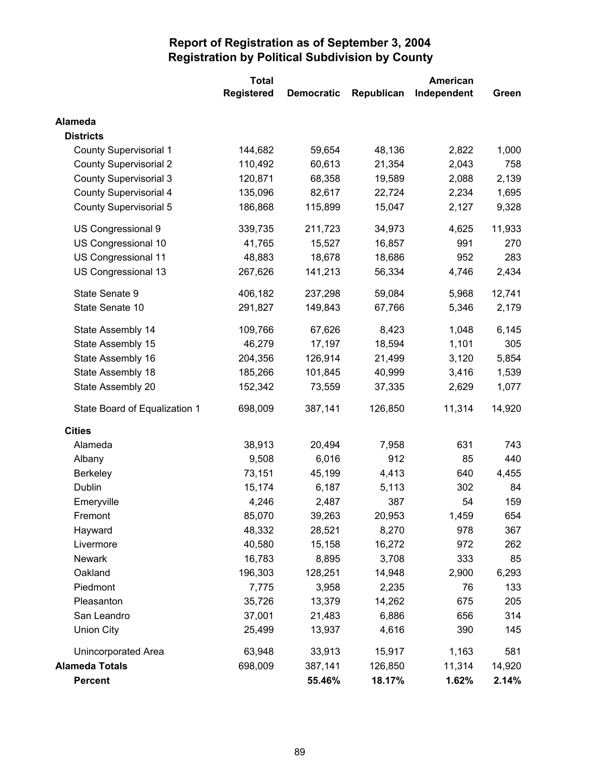|                               | <b>Total</b> | <b>American</b>   |            |             |        |
|-------------------------------|--------------|-------------------|------------|-------------|--------|
|                               | Registered   | <b>Democratic</b> | Republican | Independent | Green  |
| Alameda                       |              |                   |            |             |        |
| <b>Districts</b>              |              |                   |            |             |        |
| <b>County Supervisorial 1</b> | 144,682      | 59,654            | 48,136     | 2,822       | 1,000  |
| <b>County Supervisorial 2</b> | 110,492      | 60,613            | 21,354     | 2,043       | 758    |
| <b>County Supervisorial 3</b> | 120,871      | 68,358            | 19,589     | 2,088       | 2,139  |
| <b>County Supervisorial 4</b> | 135,096      | 82,617            | 22,724     | 2,234       | 1,695  |
| County Supervisorial 5        | 186,868      | 115,899           | 15,047     | 2,127       | 9,328  |
| US Congressional 9            | 339,735      | 211,723           | 34,973     | 4,625       | 11,933 |
| US Congressional 10           | 41,765       | 15,527            | 16,857     | 991         | 270    |
| US Congressional 11           | 48,883       | 18,678            | 18,686     | 952         | 283    |
| US Congressional 13           | 267,626      | 141,213           | 56,334     | 4,746       | 2,434  |
| State Senate 9                | 406,182      | 237,298           | 59,084     | 5,968       | 12,741 |
| State Senate 10               | 291,827      | 149,843           | 67,766     | 5,346       | 2,179  |
| State Assembly 14             | 109,766      | 67,626            | 8,423      | 1,048       | 6,145  |
| State Assembly 15             | 46,279       | 17,197            | 18,594     | 1,101       | 305    |
| State Assembly 16             | 204,356      | 126,914           | 21,499     | 3,120       | 5,854  |
| State Assembly 18             | 185,266      | 101,845           | 40,999     | 3,416       | 1,539  |
| State Assembly 20             | 152,342      | 73,559            | 37,335     | 2,629       | 1,077  |
| State Board of Equalization 1 | 698,009      | 387,141           | 126,850    | 11,314      | 14,920 |
| <b>Cities</b>                 |              |                   |            |             |        |
| Alameda                       | 38,913       | 20,494            | 7,958      | 631         | 743    |
| Albany                        | 9,508        | 6,016             | 912        | 85          | 440    |
| <b>Berkeley</b>               | 73,151       | 45,199            | 4,413      | 640         | 4,455  |
| Dublin                        | 15,174       | 6,187             | 5,113      | 302         | 84     |
| Emeryville                    | 4,246        | 2,487             | 387        | 54          | 159    |
| Fremont                       | 85,070       | 39,263            | 20,953     | 1,459       | 654    |
| Hayward                       | 48,332       | 28,521            | 8,270      | 978         | 367    |
| Livermore                     | 40,580       | 15,158            | 16,272     | 972         | 262    |
| <b>Newark</b>                 | 16,783       | 8,895             | 3,708      | 333         | 85     |
| Oakland                       | 196,303      | 128,251           | 14,948     | 2,900       | 6,293  |
| Piedmont                      | 7,775        | 3,958             | 2,235      | 76          | 133    |
| Pleasanton                    | 35,726       | 13,379            | 14,262     | 675         | 205    |
| San Leandro                   | 37,001       | 21,483            | 6,886      | 656         | 314    |
| <b>Union City</b>             | 25,499       | 13,937            | 4,616      | 390         | 145    |
| Unincorporated Area           | 63,948       | 33,913            | 15,917     | 1,163       | 581    |
| <b>Alameda Totals</b>         | 698,009      | 387,141           | 126,850    | 11,314      | 14,920 |
| Percent                       |              | 55.46%            | 18.17%     | 1.62%       | 2.14%  |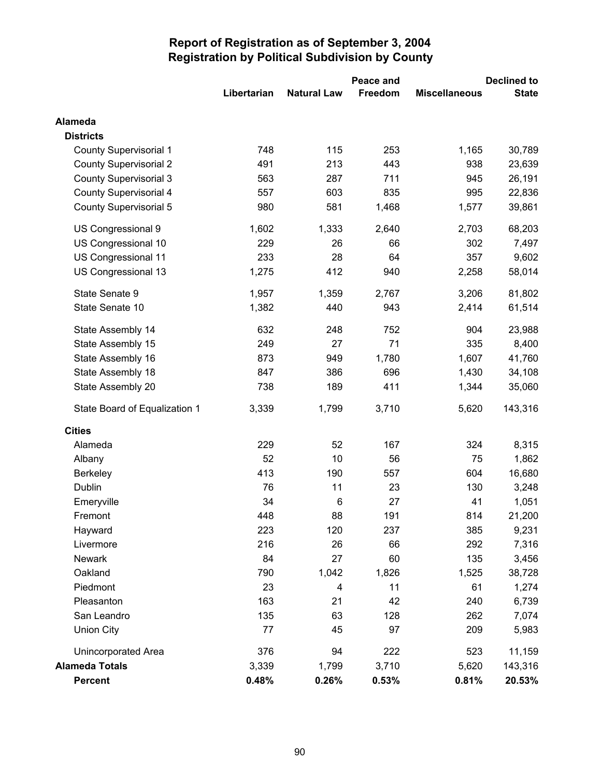|                               |             |                    | Peace and | <b>Declined to</b>   |              |
|-------------------------------|-------------|--------------------|-----------|----------------------|--------------|
|                               | Libertarian | <b>Natural Law</b> | Freedom   | <b>Miscellaneous</b> | <b>State</b> |
| Alameda                       |             |                    |           |                      |              |
| <b>Districts</b>              |             |                    |           |                      |              |
| <b>County Supervisorial 1</b> | 748         | 115                | 253       | 1,165                | 30,789       |
| <b>County Supervisorial 2</b> | 491         | 213                | 443       | 938                  | 23,639       |
| <b>County Supervisorial 3</b> | 563         | 287                | 711       | 945                  | 26,191       |
| <b>County Supervisorial 4</b> | 557         | 603                | 835       | 995                  | 22,836       |
| <b>County Supervisorial 5</b> | 980         | 581                | 1,468     | 1,577                | 39,861       |
| US Congressional 9            | 1,602       | 1,333              | 2,640     | 2,703                | 68,203       |
| US Congressional 10           | 229         | 26                 | 66        | 302                  | 7,497        |
| US Congressional 11           | 233         | 28                 | 64        | 357                  | 9,602        |
| US Congressional 13           | 1,275       | 412                | 940       | 2,258                | 58,014       |
| State Senate 9                | 1,957       | 1,359              | 2,767     | 3,206                | 81,802       |
| State Senate 10               | 1,382       | 440                | 943       | 2,414                | 61,514       |
| State Assembly 14             | 632         | 248                | 752       | 904                  | 23,988       |
| State Assembly 15             | 249         | 27                 | 71        | 335                  | 8,400        |
| State Assembly 16             | 873         | 949                | 1,780     | 1,607                | 41,760       |
| State Assembly 18             | 847         | 386                | 696       | 1,430                | 34,108       |
| State Assembly 20             | 738         | 189                | 411       | 1,344                | 35,060       |
| State Board of Equalization 1 | 3,339       | 1,799              | 3,710     | 5,620                | 143,316      |
| <b>Cities</b>                 |             |                    |           |                      |              |
| Alameda                       | 229         | 52                 | 167       | 324                  | 8,315        |
| Albany                        | 52          | 10                 | 56        | 75                   | 1,862        |
| <b>Berkeley</b>               | 413         | 190                | 557       | 604                  | 16,680       |
| Dublin                        | 76          | 11                 | 23        | 130                  | 3,248        |
| Emeryville                    | 34          | 6                  | 27        | 41                   | 1,051        |
| Fremont                       | 448         | 88                 | 191       | 814                  | 21,200       |
| Hayward                       | 223         | 120                | 237       | 385                  | 9,231        |
| Livermore                     | 216         | 26                 | 66        | 292                  | 7,316        |
| Newark                        | 84          | 27                 | 60        | 135                  | 3,456        |
| Oakland                       | 790         | 1,042              | 1,826     | 1,525                | 38,728       |
| Piedmont                      | 23          | 4                  | 11        | 61                   | 1,274        |
| Pleasanton                    | 163         | 21                 | 42        | 240                  | 6,739        |
| San Leandro                   | 135         | 63                 | 128       | 262                  | 7,074        |
| <b>Union City</b>             | 77          | 45                 | 97        | 209                  | 5,983        |
| <b>Unincorporated Area</b>    | 376         | 94                 | 222       | 523                  | 11,159       |
| <b>Alameda Totals</b>         | 3,339       | 1,799              | 3,710     | 5,620                | 143,316      |
| Percent                       | 0.48%       | 0.26%              | 0.53%     | 0.81%                | 20.53%       |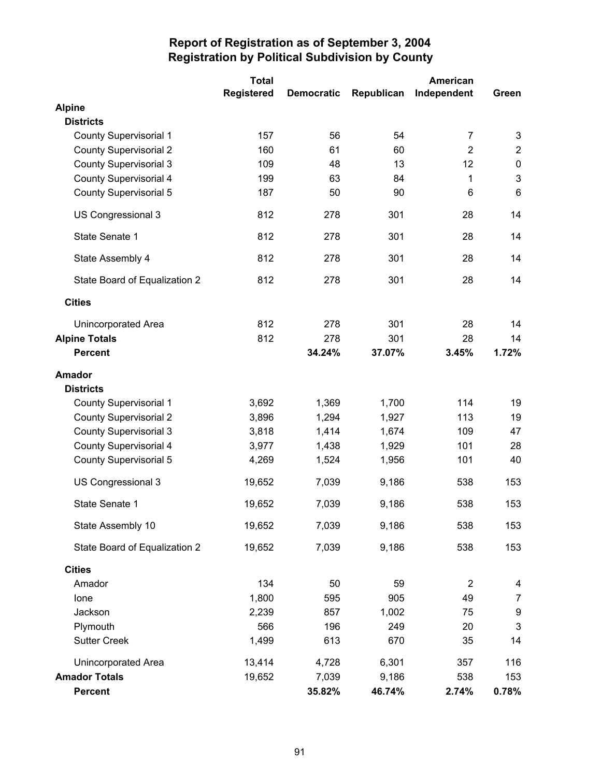|                               | <b>Total</b>      |                   |            | <b>American</b> |                |
|-------------------------------|-------------------|-------------------|------------|-----------------|----------------|
|                               | <b>Registered</b> | <b>Democratic</b> | Republican | Independent     | Green          |
| <b>Alpine</b>                 |                   |                   |            |                 |                |
| <b>Districts</b>              |                   |                   |            |                 |                |
| <b>County Supervisorial 1</b> | 157               | 56                | 54         | $\overline{7}$  | 3              |
| <b>County Supervisorial 2</b> | 160               | 61                | 60         | $\overline{2}$  | $\overline{2}$ |
| <b>County Supervisorial 3</b> | 109               | 48                | 13         | 12              | $\pmb{0}$      |
| <b>County Supervisorial 4</b> | 199               | 63                | 84         | 1               | $\mathbf{3}$   |
| County Supervisorial 5        | 187               | 50                | 90         | 6               | $6\phantom{1}$ |
| US Congressional 3            | 812               | 278               | 301        | 28              | 14             |
| State Senate 1                | 812               | 278               | 301        | 28              | 14             |
| State Assembly 4              | 812               | 278               | 301        | 28              | 14             |
| State Board of Equalization 2 | 812               | 278               | 301        | 28              | 14             |
| <b>Cities</b>                 |                   |                   |            |                 |                |
| Unincorporated Area           | 812               | 278               | 301        | 28              | 14             |
| <b>Alpine Totals</b>          | 812               | 278               | 301        | 28              | 14             |
| <b>Percent</b>                |                   | 34.24%            | 37.07%     | 3.45%           | 1.72%          |
| <b>Amador</b>                 |                   |                   |            |                 |                |
| <b>Districts</b>              |                   |                   |            |                 |                |
| <b>County Supervisorial 1</b> | 3,692             | 1,369             | 1,700      | 114             | 19             |
| <b>County Supervisorial 2</b> | 3,896             | 1,294             | 1,927      | 113             | 19             |
| <b>County Supervisorial 3</b> | 3,818             | 1,414             | 1,674      | 109             | 47             |
| County Supervisorial 4        | 3,977             | 1,438             | 1,929      | 101             | 28             |
| <b>County Supervisorial 5</b> | 4,269             | 1,524             | 1,956      | 101             | 40             |
| US Congressional 3            | 19,652            | 7,039             | 9,186      | 538             | 153            |
| State Senate 1                | 19,652            | 7,039             | 9,186      | 538             | 153            |
| State Assembly 10             | 19,652            | 7,039             | 9,186      | 538             | 153            |
| State Board of Equalization 2 | 19,652            | 7,039             | 9,186      | 538             | 153            |
| <b>Cities</b>                 |                   |                   |            |                 |                |
| Amador                        | 134               | 50                | 59         | $\overline{2}$  | 4              |
| Ione                          | 1,800             | 595               | 905        | 49              | $\overline{7}$ |
| Jackson                       | 2,239             | 857               | 1,002      | 75              | 9              |
| Plymouth                      | 566               | 196               | 249        | 20              | $\mathbf{3}$   |
| <b>Sutter Creek</b>           | 1,499             | 613               | 670        | 35              | 14             |
| Unincorporated Area           | 13,414            | 4,728             | 6,301      | 357             | 116            |
| <b>Amador Totals</b>          | 19,652            | 7,039             | 9,186      | 538             | 153            |
| <b>Percent</b>                |                   | 35.82%            | 46.74%     | 2.74%           | 0.78%          |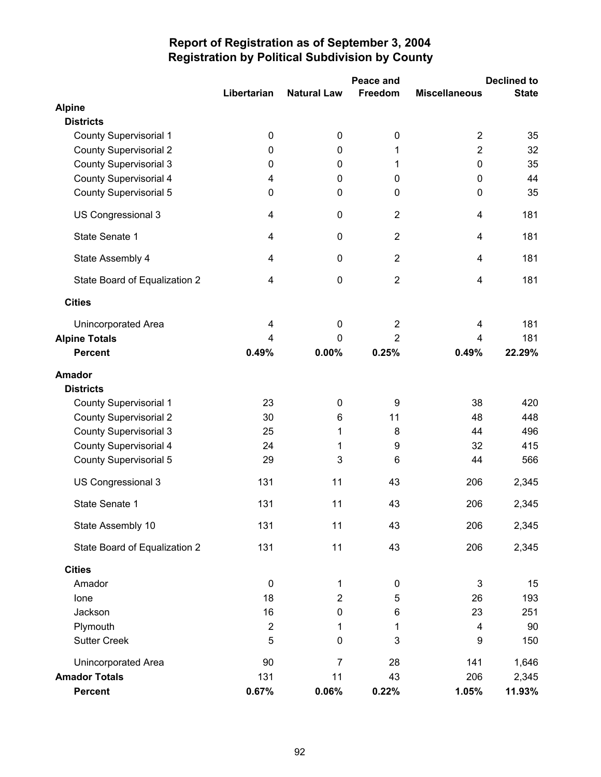|                               |                         |                    | Peace and      | <b>Declined to</b>      |              |  |
|-------------------------------|-------------------------|--------------------|----------------|-------------------------|--------------|--|
|                               | Libertarian             | <b>Natural Law</b> | Freedom        | <b>Miscellaneous</b>    | <b>State</b> |  |
| <b>Alpine</b>                 |                         |                    |                |                         |              |  |
| <b>Districts</b>              |                         |                    |                |                         |              |  |
| <b>County Supervisorial 1</b> | $\mathbf 0$             | $\mathbf 0$        | 0              | $\overline{2}$          | 35           |  |
| <b>County Supervisorial 2</b> | 0                       | $\mathbf 0$        | 1              | $\overline{2}$          | 32           |  |
| <b>County Supervisorial 3</b> | $\mathbf 0$             | 0                  | 1              | $\mathbf 0$             | 35           |  |
| <b>County Supervisorial 4</b> | 4                       | 0                  | 0              | 0                       | 44           |  |
| <b>County Supervisorial 5</b> | $\pmb{0}$               | 0                  | 0              | $\mathbf 0$             | 35           |  |
| US Congressional 3            | $\overline{4}$          | $\mathbf 0$        | $\overline{2}$ | $\overline{\mathbf{4}}$ | 181          |  |
| State Senate 1                | 4                       | 0                  | $\overline{2}$ | $\overline{\mathbf{4}}$ | 181          |  |
| State Assembly 4              | $\overline{4}$          | $\mathbf 0$        | $\overline{2}$ | $\overline{\mathbf{4}}$ | 181          |  |
| State Board of Equalization 2 | $\overline{\mathbf{4}}$ | $\mathbf 0$        | $\overline{2}$ | $\overline{\mathbf{4}}$ | 181          |  |
| <b>Cities</b>                 |                         |                    |                |                         |              |  |
| <b>Unincorporated Area</b>    | $\overline{\mathbf{4}}$ | $\mathbf 0$        | $\overline{2}$ | 4                       | 181          |  |
| <b>Alpine Totals</b>          | 4                       | $\Omega$           | $\overline{2}$ | 4                       | 181          |  |
| <b>Percent</b>                | 0.49%                   | 0.00%              | 0.25%          | 0.49%                   | 22.29%       |  |
| <b>Amador</b>                 |                         |                    |                |                         |              |  |
| <b>Districts</b>              |                         |                    |                |                         |              |  |
| <b>County Supervisorial 1</b> | 23                      | $\mathbf 0$        | 9              | 38                      | 420          |  |
| <b>County Supervisorial 2</b> | 30                      | 6                  | 11             | 48                      | 448          |  |
| <b>County Supervisorial 3</b> | 25                      | 1                  | 8              | 44                      | 496          |  |
| County Supervisorial 4        | 24                      | 1                  | 9              | 32                      | 415          |  |
| County Supervisorial 5        | 29                      | 3                  | 6              | 44                      | 566          |  |
| US Congressional 3            | 131                     | 11                 | 43             | 206                     | 2,345        |  |
| State Senate 1                | 131                     | 11                 | 43             | 206                     | 2,345        |  |
| State Assembly 10             | 131                     | 11                 | 43             | 206                     | 2,345        |  |
| State Board of Equalization 2 | 131                     | 11                 | 43             | 206                     | 2,345        |  |
| <b>Cities</b>                 |                         |                    |                |                         |              |  |
| Amador                        | $\boldsymbol{0}$        | 1                  | 0              | 3                       | 15           |  |
| Ione                          | 18                      | $\overline{c}$     | 5              | 26                      | 193          |  |
| Jackson                       | 16                      | $\pmb{0}$          | 6              | 23                      | 251          |  |
| Plymouth                      | $\overline{2}$          | 1                  | 1              | 4                       | 90           |  |
| <b>Sutter Creek</b>           | 5                       | $\pmb{0}$          | 3              | $\boldsymbol{9}$        | 150          |  |
| Unincorporated Area           | 90                      | $\overline{7}$     | 28             | 141                     | 1,646        |  |
| <b>Amador Totals</b>          | 131                     | 11                 | 43             | 206                     | 2,345        |  |
| Percent                       | 0.67%                   | 0.06%              | 0.22%          | 1.05%                   | 11.93%       |  |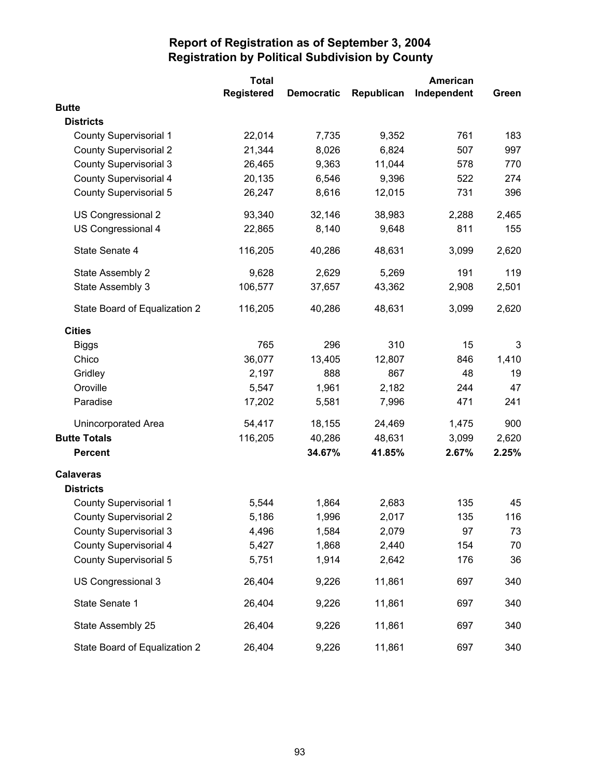|                               | <b>Total</b> |                   |            | American    |       |
|-------------------------------|--------------|-------------------|------------|-------------|-------|
|                               | Registered   | <b>Democratic</b> | Republican | Independent | Green |
| <b>Butte</b>                  |              |                   |            |             |       |
| <b>Districts</b>              |              |                   |            |             |       |
| <b>County Supervisorial 1</b> | 22,014       | 7,735             | 9,352      | 761         | 183   |
| <b>County Supervisorial 2</b> | 21,344       | 8,026             | 6,824      | 507         | 997   |
| <b>County Supervisorial 3</b> | 26,465       | 9,363             | 11,044     | 578         | 770   |
| County Supervisorial 4        | 20,135       | 6,546             | 9,396      | 522         | 274   |
| County Supervisorial 5        | 26,247       | 8,616             | 12,015     | 731         | 396   |
| US Congressional 2            | 93,340       | 32,146            | 38,983     | 2,288       | 2,465 |
| US Congressional 4            | 22,865       | 8,140             | 9,648      | 811         | 155   |
| State Senate 4                | 116,205      | 40,286            | 48,631     | 3,099       | 2,620 |
| State Assembly 2              | 9,628        | 2,629             | 5,269      | 191         | 119   |
| State Assembly 3              | 106,577      | 37,657            | 43,362     | 2,908       | 2,501 |
| State Board of Equalization 2 | 116,205      | 40,286            | 48,631     | 3,099       | 2,620 |
| <b>Cities</b>                 |              |                   |            |             |       |
| <b>Biggs</b>                  | 765          | 296               | 310        | 15          | 3     |
| Chico                         | 36,077       | 13,405            | 12,807     | 846         | 1,410 |
| Gridley                       | 2,197        | 888               | 867        | 48          | 19    |
| Oroville                      | 5,547        | 1,961             | 2,182      | 244         | 47    |
| Paradise                      | 17,202       | 5,581             | 7,996      | 471         | 241   |
| <b>Unincorporated Area</b>    | 54,417       | 18,155            | 24,469     | 1,475       | 900   |
| <b>Butte Totals</b>           | 116,205      | 40,286            | 48,631     | 3,099       | 2,620 |
| <b>Percent</b>                |              | 34.67%            | 41.85%     | 2.67%       | 2.25% |
| <b>Calaveras</b>              |              |                   |            |             |       |
| <b>Districts</b>              |              |                   |            |             |       |
| <b>County Supervisorial 1</b> | 5,544        | 1,864             | 2,683      | 135         | 45    |
| <b>County Supervisorial 2</b> | 5,186        | 1,996             | 2,017      | 135         | 116   |
| <b>County Supervisorial 3</b> | 4,496        | 1,584             | 2,079      | 97          | 73    |
| <b>County Supervisorial 4</b> | 5,427        | 1,868             | 2,440      | 154         | 70    |
| <b>County Supervisorial 5</b> | 5,751        | 1,914             | 2,642      | 176         | 36    |
| US Congressional 3            | 26,404       | 9,226             | 11,861     | 697         | 340   |
| State Senate 1                | 26,404       | 9,226             | 11,861     | 697         | 340   |
| State Assembly 25             | 26,404       | 9,226             | 11,861     | 697         | 340   |
| State Board of Equalization 2 | 26,404       | 9,226             | 11,861     | 697         | 340   |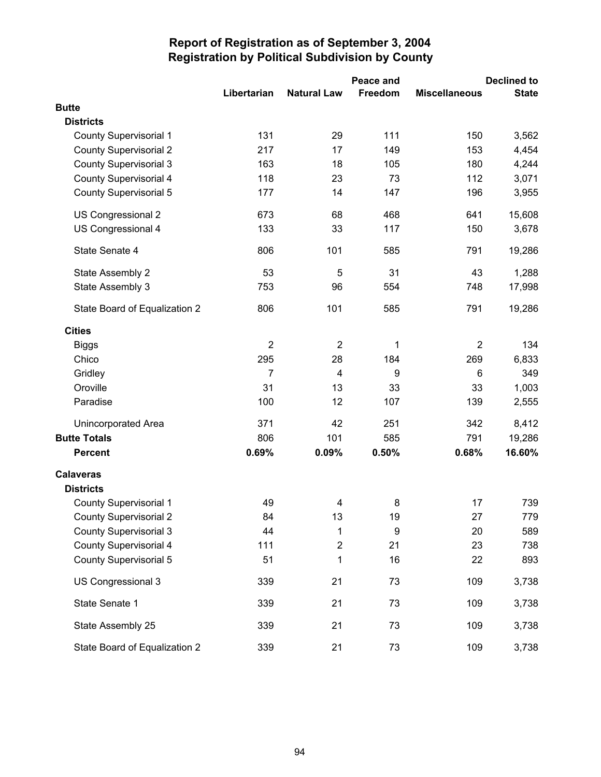|                               |                |                    | Peace and | <b>Declined to</b>   |              |  |
|-------------------------------|----------------|--------------------|-----------|----------------------|--------------|--|
|                               | Libertarian    | <b>Natural Law</b> | Freedom   | <b>Miscellaneous</b> | <b>State</b> |  |
| <b>Butte</b>                  |                |                    |           |                      |              |  |
| <b>Districts</b>              |                |                    |           |                      |              |  |
| <b>County Supervisorial 1</b> | 131            | 29                 | 111       | 150                  | 3,562        |  |
| <b>County Supervisorial 2</b> | 217            | 17                 | 149       | 153                  | 4,454        |  |
| <b>County Supervisorial 3</b> | 163            | 18                 | 105       | 180                  | 4,244        |  |
| <b>County Supervisorial 4</b> | 118            | 23                 | 73        | 112                  | 3,071        |  |
| <b>County Supervisorial 5</b> | 177            | 14                 | 147       | 196                  | 3,955        |  |
| US Congressional 2            | 673            | 68                 | 468       | 641                  | 15,608       |  |
| US Congressional 4            | 133            | 33                 | 117       | 150                  | 3,678        |  |
| State Senate 4                | 806            | 101                | 585       | 791                  | 19,286       |  |
| State Assembly 2              | 53             | 5                  | 31        | 43                   | 1,288        |  |
| State Assembly 3              | 753            | 96                 | 554       | 748                  | 17,998       |  |
| State Board of Equalization 2 | 806            | 101                | 585       | 791                  | 19,286       |  |
| <b>Cities</b>                 |                |                    |           |                      |              |  |
| <b>Biggs</b>                  | $\overline{2}$ | $\overline{2}$     | 1         | $\overline{2}$       | 134          |  |
| Chico                         | 295            | 28                 | 184       | 269                  | 6,833        |  |
| Gridley                       | $\overline{7}$ | $\overline{4}$     | 9         | 6                    | 349          |  |
| Oroville                      | 31             | 13                 | 33        | 33                   | 1,003        |  |
| Paradise                      | 100            | 12                 | 107       | 139                  | 2,555        |  |
| <b>Unincorporated Area</b>    | 371            | 42                 | 251       | 342                  | 8,412        |  |
| <b>Butte Totals</b>           | 806            | 101                | 585       | 791                  | 19,286       |  |
| <b>Percent</b>                | 0.69%          | 0.09%              | 0.50%     | 0.68%                | 16.60%       |  |
| <b>Calaveras</b>              |                |                    |           |                      |              |  |
| <b>Districts</b>              |                |                    |           |                      |              |  |
| <b>County Supervisorial 1</b> | 49             | 4                  | 8         | 17                   | 739          |  |
| <b>County Supervisorial 2</b> | 84             | 13                 | 19        | 27                   | 779          |  |
| <b>County Supervisorial 3</b> | 44             | 1                  | 9         | 20                   | 589          |  |
| <b>County Supervisorial 4</b> | 111            | $\overline{2}$     | 21        | 23                   | 738          |  |
| <b>County Supervisorial 5</b> | 51             | 1                  | 16        | 22                   | 893          |  |
| US Congressional 3            | 339            | 21                 | 73        | 109                  | 3,738        |  |
| State Senate 1                | 339            | 21                 | 73        | 109                  | 3,738        |  |
| State Assembly 25             | 339            | 21                 | 73        | 109                  | 3,738        |  |
| State Board of Equalization 2 | 339            | 21                 | 73        | 109                  | 3,738        |  |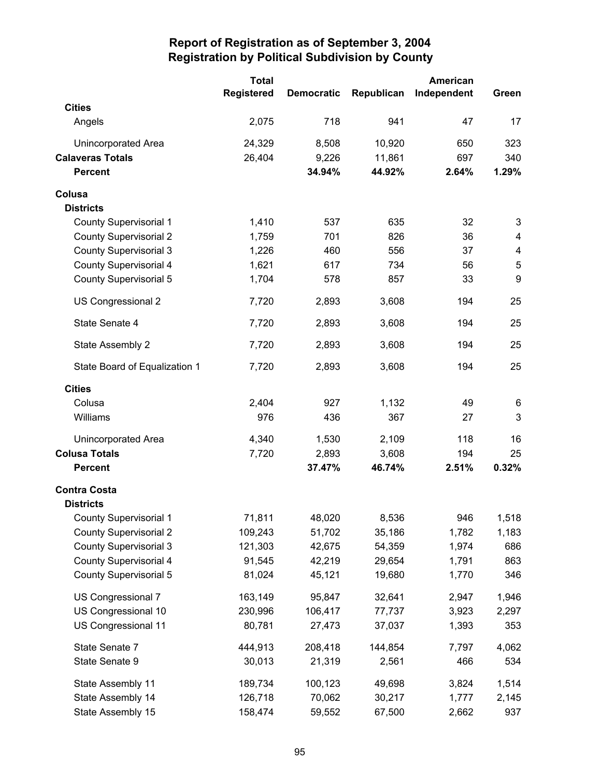|                               | <b>Total</b>      |                   |            | American    |       |
|-------------------------------|-------------------|-------------------|------------|-------------|-------|
|                               | <b>Registered</b> | <b>Democratic</b> | Republican | Independent | Green |
| <b>Cities</b>                 |                   |                   |            |             |       |
| Angels                        | 2,075             | 718               | 941        | 47          | 17    |
| Unincorporated Area           | 24,329            | 8,508             | 10,920     | 650         | 323   |
| <b>Calaveras Totals</b>       | 26,404            | 9,226             | 11,861     | 697         | 340   |
| <b>Percent</b>                |                   | 34.94%            | 44.92%     | 2.64%       | 1.29% |
| Colusa                        |                   |                   |            |             |       |
| <b>Districts</b>              |                   |                   |            |             |       |
| <b>County Supervisorial 1</b> | 1,410             | 537               | 635        | 32          | 3     |
| <b>County Supervisorial 2</b> | 1,759             | 701               | 826        | 36          | 4     |
| <b>County Supervisorial 3</b> | 1,226             | 460               | 556        | 37          | 4     |
| <b>County Supervisorial 4</b> | 1,621             | 617               | 734        | 56          | 5     |
| <b>County Supervisorial 5</b> | 1,704             | 578               | 857        | 33          | 9     |
| US Congressional 2            | 7,720             | 2,893             | 3,608      | 194         | 25    |
| State Senate 4                | 7,720             | 2,893             | 3,608      | 194         | 25    |
| State Assembly 2              | 7,720             | 2,893             | 3,608      | 194         | 25    |
| State Board of Equalization 1 | 7,720             | 2,893             | 3,608      | 194         | 25    |
| <b>Cities</b>                 |                   |                   |            |             |       |
| Colusa                        | 2,404             | 927               | 1,132      | 49          | 6     |
| Williams                      | 976               | 436               | 367        | 27          | 3     |
| Unincorporated Area           | 4,340             | 1,530             | 2,109      | 118         | 16    |
| <b>Colusa Totals</b>          | 7,720             | 2,893             | 3,608      | 194         | 25    |
| <b>Percent</b>                |                   | 37.47%            | 46.74%     | 2.51%       | 0.32% |
| <b>Contra Costa</b>           |                   |                   |            |             |       |
| <b>Districts</b>              |                   |                   |            |             |       |
| County Supervisorial 1        | 71,811            | 48,020            | 8,536      | 946         | 1,518 |
| <b>County Supervisorial 2</b> | 109,243           | 51,702            | 35,186     | 1,782       | 1,183 |
| <b>County Supervisorial 3</b> | 121,303           | 42,675            | 54,359     | 1,974       | 686   |
| <b>County Supervisorial 4</b> | 91,545            | 42,219            | 29,654     | 1,791       | 863   |
| <b>County Supervisorial 5</b> | 81,024            | 45,121            | 19,680     | 1,770       | 346   |
| US Congressional 7            | 163,149           | 95,847            | 32,641     | 2,947       | 1,946 |
| US Congressional 10           | 230,996           | 106,417           | 77,737     | 3,923       | 2,297 |
| US Congressional 11           | 80,781            | 27,473            | 37,037     | 1,393       | 353   |
| State Senate 7                | 444,913           | 208,418           | 144,854    | 7,797       | 4,062 |
| State Senate 9                | 30,013            | 21,319            | 2,561      | 466         | 534   |
| State Assembly 11             | 189,734           | 100,123           | 49,698     | 3,824       | 1,514 |
| State Assembly 14             | 126,718           | 70,062            | 30,217     | 1,777       | 2,145 |
| State Assembly 15             | 158,474           | 59,552            | 67,500     | 2,662       | 937   |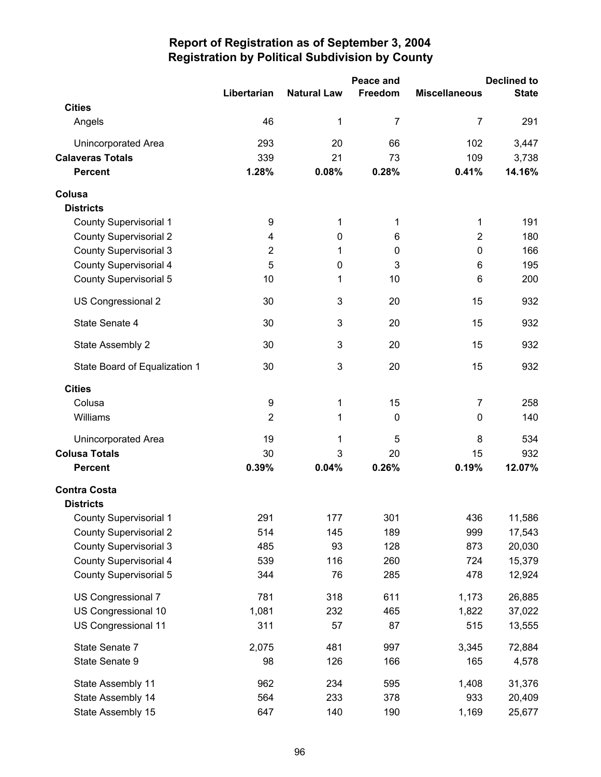|                               |                |                    | Peace and   |                      | <b>Declined to</b> |
|-------------------------------|----------------|--------------------|-------------|----------------------|--------------------|
|                               | Libertarian    | <b>Natural Law</b> | Freedom     | <b>Miscellaneous</b> | <b>State</b>       |
| <b>Cities</b>                 |                |                    |             |                      |                    |
| Angels                        | 46             | 1                  | 7           | 7                    | 291                |
| <b>Unincorporated Area</b>    | 293            | 20                 | 66          | 102                  | 3,447              |
| <b>Calaveras Totals</b>       | 339            | 21                 | 73          | 109                  | 3,738              |
| <b>Percent</b>                | 1.28%          | 0.08%              | 0.28%       | 0.41%                | 14.16%             |
| Colusa                        |                |                    |             |                      |                    |
| <b>Districts</b>              |                |                    |             |                      |                    |
| <b>County Supervisorial 1</b> | 9              | 1                  | 1           | 1                    | 191                |
| <b>County Supervisorial 2</b> | 4              | 0                  | 6           | $\overline{2}$       | 180                |
| <b>County Supervisorial 3</b> | $\overline{2}$ | 1                  | 0           | $\mathbf 0$          | 166                |
| <b>County Supervisorial 4</b> | 5              | 0                  | 3           | 6                    | 195                |
| <b>County Supervisorial 5</b> | 10             | 1                  | 10          | 6                    | 200                |
| US Congressional 2            | 30             | 3                  | 20          | 15                   | 932                |
| State Senate 4                | 30             | 3                  | 20          | 15                   | 932                |
| State Assembly 2              | 30             | 3                  | 20          | 15                   | 932                |
| State Board of Equalization 1 | 30             | 3                  | 20          | 15                   | 932                |
| <b>Cities</b>                 |                |                    |             |                      |                    |
| Colusa                        | 9              | 1                  | 15          | 7                    | 258                |
| Williams                      | $\overline{2}$ | 1                  | $\mathbf 0$ | 0                    | 140                |
| Unincorporated Area           | 19             | 1                  | 5           | 8                    | 534                |
| <b>Colusa Totals</b>          | 30             | 3                  | 20          | 15                   | 932                |
| <b>Percent</b>                | 0.39%          | 0.04%              | 0.26%       | 0.19%                | 12.07%             |
| <b>Contra Costa</b>           |                |                    |             |                      |                    |
| <b>Districts</b>              |                |                    |             |                      |                    |
| County Supervisorial 1        | 291            | 177                | 301         | 436                  | 11,586             |
| <b>County Supervisorial 2</b> | 514            | 145                | 189         | 999                  | 17,543             |
| <b>County Supervisorial 3</b> | 485            | 93                 | 128         | 873                  | 20,030             |
| <b>County Supervisorial 4</b> | 539            | 116                | 260         | 724                  | 15,379             |
| <b>County Supervisorial 5</b> | 344            | 76                 | 285         | 478                  | 12,924             |
| US Congressional 7            | 781            | 318                | 611         | 1,173                | 26,885             |
| US Congressional 10           | 1,081          | 232                | 465         | 1,822                | 37,022             |
| US Congressional 11           | 311            | 57                 | 87          | 515                  | 13,555             |
| State Senate 7                | 2,075          | 481                | 997         | 3,345                | 72,884             |
| State Senate 9                | 98             | 126                | 166         | 165                  | 4,578              |
| State Assembly 11             | 962            | 234                | 595         | 1,408                | 31,376             |
| State Assembly 14             | 564            | 233                | 378         | 933                  | 20,409             |
| State Assembly 15             | 647            | 140                | 190         | 1,169                | 25,677             |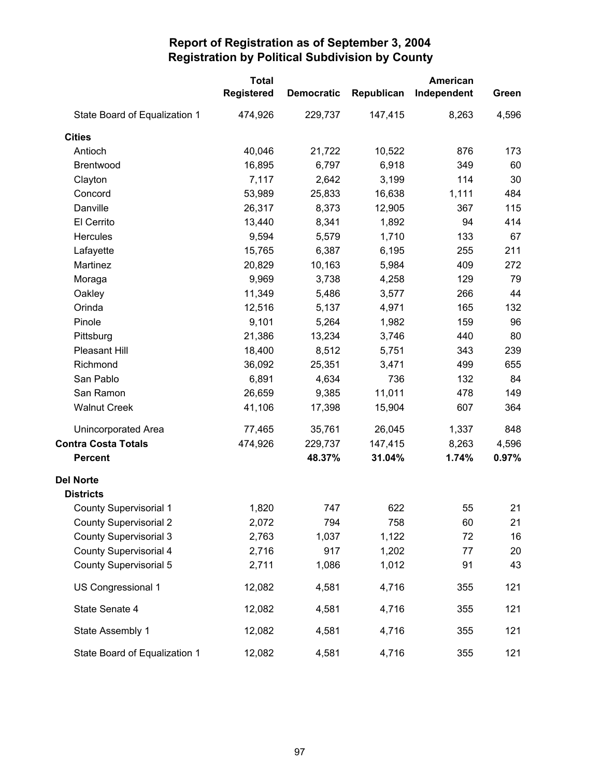|                               | <b>Total</b><br>Registered | <b>Democratic</b> | Republican | American<br>Independent | Green |
|-------------------------------|----------------------------|-------------------|------------|-------------------------|-------|
| State Board of Equalization 1 | 474,926                    | 229,737           | 147,415    | 8,263                   | 4,596 |
| <b>Cities</b>                 |                            |                   |            |                         |       |
| Antioch                       | 40,046                     | 21,722            | 10,522     | 876                     | 173   |
| Brentwood                     | 16,895                     | 6,797             | 6,918      | 349                     | 60    |
| Clayton                       | 7,117                      | 2,642             | 3,199      | 114                     | 30    |
| Concord                       | 53,989                     | 25,833            | 16,638     | 1,111                   | 484   |
| Danville                      | 26,317                     | 8,373             | 12,905     | 367                     | 115   |
| El Cerrito                    | 13,440                     | 8,341             | 1,892      | 94                      | 414   |
| <b>Hercules</b>               | 9,594                      | 5,579             | 1,710      | 133                     | 67    |
| Lafayette                     | 15,765                     | 6,387             | 6,195      | 255                     | 211   |
| Martinez                      | 20,829                     | 10,163            | 5,984      | 409                     | 272   |
| Moraga                        | 9,969                      | 3,738             | 4,258      | 129                     | 79    |
| Oakley                        | 11,349                     | 5,486             | 3,577      | 266                     | 44    |
| Orinda                        | 12,516                     | 5,137             | 4,971      | 165                     | 132   |
| Pinole                        | 9,101                      | 5,264             | 1,982      | 159                     | 96    |
| Pittsburg                     | 21,386                     | 13,234            | 3,746      | 440                     | 80    |
| Pleasant Hill                 | 18,400                     | 8,512             | 5,751      | 343                     | 239   |
| Richmond                      | 36,092                     | 25,351            | 3,471      | 499                     | 655   |
| San Pablo                     | 6,891                      | 4,634             | 736        | 132                     | 84    |
| San Ramon                     | 26,659                     | 9,385             | 11,011     | 478                     | 149   |
| <b>Walnut Creek</b>           | 41,106                     | 17,398            | 15,904     | 607                     | 364   |
| <b>Unincorporated Area</b>    | 77,465                     | 35,761            | 26,045     | 1,337                   | 848   |
| <b>Contra Costa Totals</b>    | 474,926                    | 229,737           | 147,415    | 8,263                   | 4,596 |
| <b>Percent</b>                |                            | 48.37%            | 31.04%     | 1.74%                   | 0.97% |
| <b>Del Norte</b>              |                            |                   |            |                         |       |
| <b>Districts</b>              |                            |                   |            |                         |       |
| <b>County Supervisorial 1</b> | 1,820                      | 747               | 622        | 55                      | 21    |
| <b>County Supervisorial 2</b> | 2,072                      | 794               | 758        | 60                      | 21    |
| <b>County Supervisorial 3</b> | 2,763                      | 1,037             | 1,122      | 72                      | 16    |
| <b>County Supervisorial 4</b> | 2,716                      | 917               | 1,202      | 77                      | 20    |
| County Supervisorial 5        | 2,711                      | 1,086             | 1,012      | 91                      | 43    |
| US Congressional 1            | 12,082                     | 4,581             | 4,716      | 355                     | 121   |
| State Senate 4                | 12,082                     | 4,581             | 4,716      | 355                     | 121   |
| State Assembly 1              | 12,082                     | 4,581             | 4,716      | 355                     | 121   |
| State Board of Equalization 1 | 12,082                     | 4,581             | 4,716      | 355                     | 121   |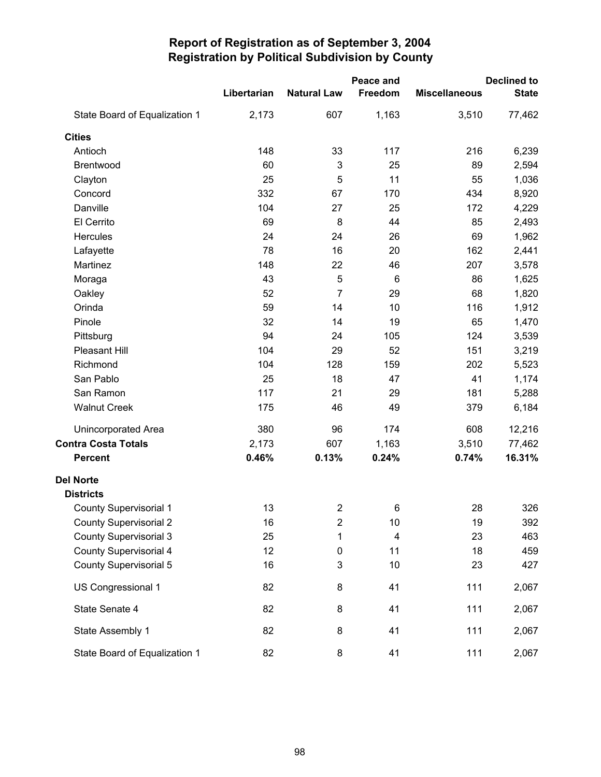|                               |             |                         | Peace and |                      | <b>Declined to</b> |
|-------------------------------|-------------|-------------------------|-----------|----------------------|--------------------|
|                               | Libertarian | <b>Natural Law</b>      | Freedom   | <b>Miscellaneous</b> | <b>State</b>       |
| State Board of Equalization 1 | 2,173       | 607                     | 1,163     | 3,510                | 77,462             |
| <b>Cities</b>                 |             |                         |           |                      |                    |
| Antioch                       | 148         | 33                      | 117       | 216                  | 6,239              |
| Brentwood                     | 60          | 3                       | 25        | 89                   | 2,594              |
| Clayton                       | 25          | 5                       | 11        | 55                   | 1,036              |
| Concord                       | 332         | 67                      | 170       | 434                  | 8,920              |
| Danville                      | 104         | 27                      | 25        | 172                  | 4,229              |
| El Cerrito                    | 69          | $\bf 8$                 | 44        | 85                   | 2,493              |
| Hercules                      | 24          | 24                      | 26        | 69                   | 1,962              |
| Lafayette                     | 78          | 16                      | 20        | 162                  | 2,441              |
| Martinez                      | 148         | 22                      | 46        | 207                  | 3,578              |
| Moraga                        | 43          | 5                       | 6         | 86                   | 1,625              |
| Oakley                        | 52          | $\overline{7}$          | 29        | 68                   | 1,820              |
| Orinda                        | 59          | 14                      | 10        | 116                  | 1,912              |
| Pinole                        | 32          | 14                      | 19        | 65                   | 1,470              |
| Pittsburg                     | 94          | 24                      | 105       | 124                  | 3,539              |
| Pleasant Hill                 | 104         | 29                      | 52        | 151                  | 3,219              |
| Richmond                      | 104         | 128                     | 159       | 202                  | 5,523              |
| San Pablo                     | 25          | 18                      | 47        | 41                   | 1,174              |
| San Ramon                     | 117         | 21                      | 29        | 181                  | 5,288              |
| <b>Walnut Creek</b>           | 175         | 46                      | 49        | 379                  | 6,184              |
| <b>Unincorporated Area</b>    | 380         | 96                      | 174       | 608                  | 12,216             |
| <b>Contra Costa Totals</b>    | 2,173       | 607                     | 1,163     | 3,510                | 77,462             |
| <b>Percent</b>                | 0.46%       | 0.13%                   | 0.24%     | 0.74%                | 16.31%             |
| <b>Del Norte</b>              |             |                         |           |                      |                    |
| <b>Districts</b>              |             |                         |           |                      |                    |
| <b>County Supervisorial 1</b> | 13          | $\overline{\mathbf{c}}$ | 6         | 28                   | 326                |
| <b>County Supervisorial 2</b> | 16          | $\overline{\mathbf{c}}$ | 10        | 19                   | 392                |
| <b>County Supervisorial 3</b> | 25          | 1                       | 4         | 23                   | 463                |
| <b>County Supervisorial 4</b> | 12          | $\pmb{0}$               | 11        | 18                   | 459                |
| <b>County Supervisorial 5</b> | 16          | 3                       | 10        | 23                   | 427                |
| US Congressional 1            | 82          | 8                       | 41        | 111                  | 2,067              |
| State Senate 4                | 82          | 8                       | 41        | 111                  | 2,067              |
| State Assembly 1              | 82          | 8                       | 41        | 111                  | 2,067              |
| State Board of Equalization 1 | 82          | 8                       | 41        | 111                  | 2,067              |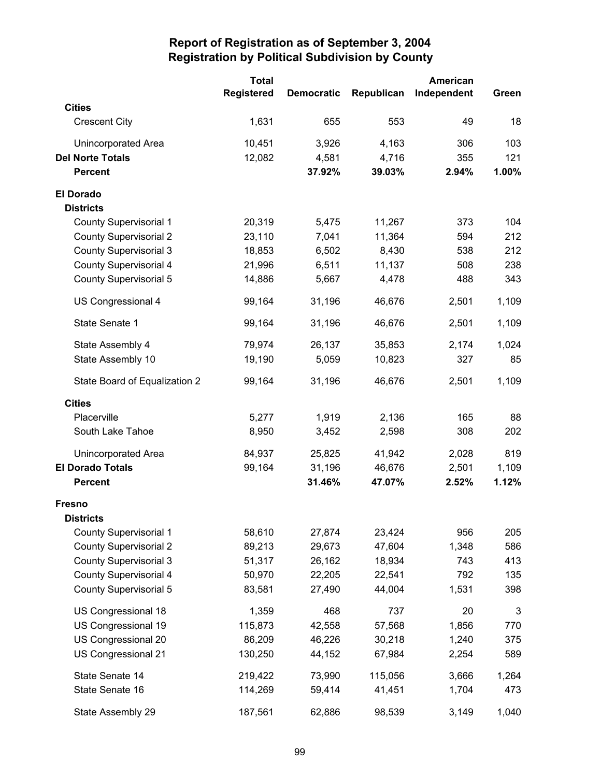|                               | <b>Total</b> |                   |            | <b>American</b> |       |
|-------------------------------|--------------|-------------------|------------|-----------------|-------|
|                               | Registered   | <b>Democratic</b> | Republican | Independent     | Green |
| <b>Cities</b>                 |              |                   |            |                 |       |
| <b>Crescent City</b>          | 1,631        | 655               | 553        | 49              | 18    |
| Unincorporated Area           | 10,451       | 3,926             | 4,163      | 306             | 103   |
| <b>Del Norte Totals</b>       | 12,082       | 4,581             | 4,716      | 355             | 121   |
| <b>Percent</b>                |              | 37.92%            | 39.03%     | 2.94%           | 1.00% |
| <b>El Dorado</b>              |              |                   |            |                 |       |
| <b>Districts</b>              |              |                   |            |                 |       |
| <b>County Supervisorial 1</b> | 20,319       | 5,475             | 11,267     | 373             | 104   |
| <b>County Supervisorial 2</b> | 23,110       | 7,041             | 11,364     | 594             | 212   |
| <b>County Supervisorial 3</b> | 18,853       | 6,502             | 8,430      | 538             | 212   |
| <b>County Supervisorial 4</b> | 21,996       | 6,511             | 11,137     | 508             | 238   |
| <b>County Supervisorial 5</b> | 14,886       | 5,667             | 4,478      | 488             | 343   |
| US Congressional 4            | 99,164       | 31,196            | 46,676     | 2,501           | 1,109 |
| State Senate 1                | 99,164       | 31,196            | 46,676     | 2,501           | 1,109 |
| State Assembly 4              | 79,974       | 26,137            | 35,853     | 2,174           | 1,024 |
| State Assembly 10             | 19,190       | 5,059             | 10,823     | 327             | 85    |
| State Board of Equalization 2 | 99,164       | 31,196            | 46,676     | 2,501           | 1,109 |
| <b>Cities</b>                 |              |                   |            |                 |       |
| Placerville                   | 5,277        | 1,919             | 2,136      | 165             | 88    |
| South Lake Tahoe              | 8,950        | 3,452             | 2,598      | 308             | 202   |
| Unincorporated Area           | 84,937       | 25,825            | 41,942     | 2,028           | 819   |
| <b>El Dorado Totals</b>       | 99,164       | 31,196            | 46,676     | 2,501           | 1,109 |
| <b>Percent</b>                |              | 31.46%            | 47.07%     | 2.52%           | 1.12% |
| <b>Fresno</b>                 |              |                   |            |                 |       |
| <b>Districts</b>              |              |                   |            |                 |       |
| <b>County Supervisorial 1</b> | 58,610       | 27,874            | 23,424     | 956             | 205   |
| <b>County Supervisorial 2</b> | 89,213       | 29,673            | 47,604     | 1,348           | 586   |
| <b>County Supervisorial 3</b> | 51,317       | 26,162            | 18,934     | 743             | 413   |
| <b>County Supervisorial 4</b> | 50,970       | 22,205            | 22,541     | 792             | 135   |
| <b>County Supervisorial 5</b> | 83,581       | 27,490            | 44,004     | 1,531           | 398   |
| US Congressional 18           | 1,359        | 468               | 737        | 20              | 3     |
| US Congressional 19           | 115,873      | 42,558            | 57,568     | 1,856           | 770   |
| US Congressional 20           | 86,209       | 46,226            | 30,218     | 1,240           | 375   |
| US Congressional 21           | 130,250      | 44,152            | 67,984     | 2,254           | 589   |
| State Senate 14               | 219,422      | 73,990            | 115,056    | 3,666           | 1,264 |
| State Senate 16               | 114,269      | 59,414            | 41,451     | 1,704           | 473   |
| State Assembly 29             | 187,561      | 62,886            | 98,539     | 3,149           | 1,040 |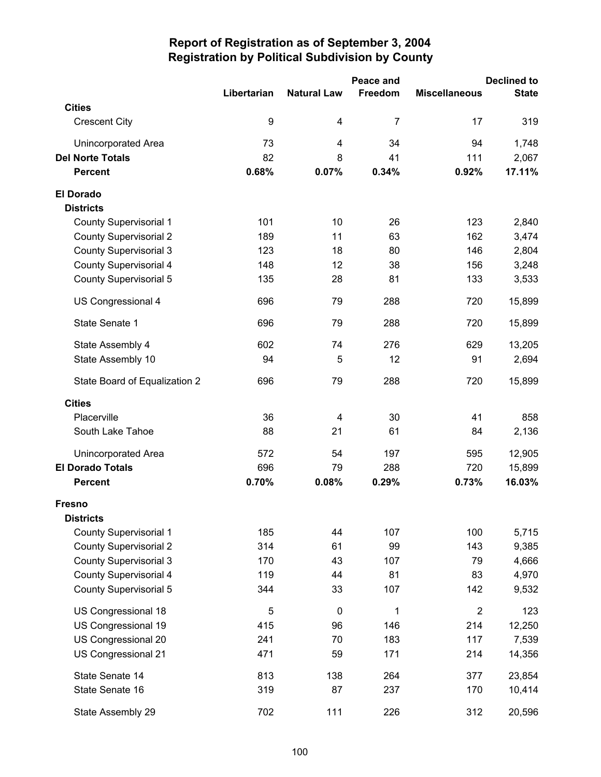|                                   |                  |                    | Peace and      |                      | <b>Declined to</b> |
|-----------------------------------|------------------|--------------------|----------------|----------------------|--------------------|
|                                   | Libertarian      | <b>Natural Law</b> | Freedom        | <b>Miscellaneous</b> | <b>State</b>       |
| <b>Cities</b>                     |                  |                    |                |                      |                    |
| <b>Crescent City</b>              | $\boldsymbol{9}$ | 4                  | $\overline{7}$ | 17                   | 319                |
| <b>Unincorporated Area</b>        | 73               | 4                  | 34             | 94                   | 1,748              |
| <b>Del Norte Totals</b>           | 82               | 8                  | 41             | 111                  | 2,067              |
| <b>Percent</b>                    | 0.68%            | 0.07%              | 0.34%          | 0.92%                | 17.11%             |
| <b>El Dorado</b>                  |                  |                    |                |                      |                    |
| <b>Districts</b>                  |                  |                    |                |                      |                    |
| <b>County Supervisorial 1</b>     | 101              | 10                 | 26             | 123                  | 2,840              |
| <b>County Supervisorial 2</b>     | 189              | 11                 | 63             | 162                  | 3,474              |
| <b>County Supervisorial 3</b>     | 123              | 18                 | 80             | 146                  | 2,804              |
| County Supervisorial 4            | 148              | 12                 | 38             | 156                  | 3,248              |
| <b>County Supervisorial 5</b>     | 135              | 28                 | 81             | 133                  | 3,533              |
| US Congressional 4                | 696              | 79                 | 288            | 720                  | 15,899             |
| State Senate 1                    | 696              | 79                 | 288            | 720                  | 15,899             |
| State Assembly 4                  | 602              | 74                 | 276            | 629                  | 13,205             |
| State Assembly 10                 | 94               | 5                  | 12             | 91                   | 2,694              |
| State Board of Equalization 2     | 696              | 79                 | 288            | 720                  | 15,899             |
| <b>Cities</b>                     |                  |                    |                |                      |                    |
| Placerville                       | 36               | 4                  | 30             | 41                   | 858                |
| South Lake Tahoe                  | 88               | 21                 | 61             | 84                   | 2,136              |
| Unincorporated Area               | 572              | 54                 | 197            | 595                  | 12,905             |
| <b>El Dorado Totals</b>           | 696              | 79                 | 288            | 720                  | 15,899             |
| <b>Percent</b>                    | 0.70%            | 0.08%              | 0.29%          | 0.73%                | 16.03%             |
| <b>Fresno</b><br><b>Districts</b> |                  |                    |                |                      |                    |
| <b>County Supervisorial 1</b>     | 185              | 44                 | 107            | 100                  | 5,715              |
| <b>County Supervisorial 2</b>     | 314              | 61                 | 99             | 143                  | 9,385              |
| <b>County Supervisorial 3</b>     | 170              | 43                 | 107            | 79                   | 4,666              |
| County Supervisorial 4            | 119              | 44                 | 81             | 83                   | 4,970              |
| County Supervisorial 5            | 344              | 33                 | 107            | 142                  | 9,532              |
| US Congressional 18               | 5                | $\pmb{0}$          | 1              | $\overline{2}$       | 123                |
| US Congressional 19               | 415              | 96                 | 146            | 214                  | 12,250             |
| US Congressional 20               | 241              | 70                 | 183            | 117                  | 7,539              |
| US Congressional 21               | 471              | 59                 | 171            | 214                  | 14,356             |
| State Senate 14                   | 813              | 138                | 264            | 377                  | 23,854             |
| State Senate 16                   | 319              | 87                 | 237            | 170                  | 10,414             |
| State Assembly 29                 | 702              | 111                | 226            | 312                  | 20,596             |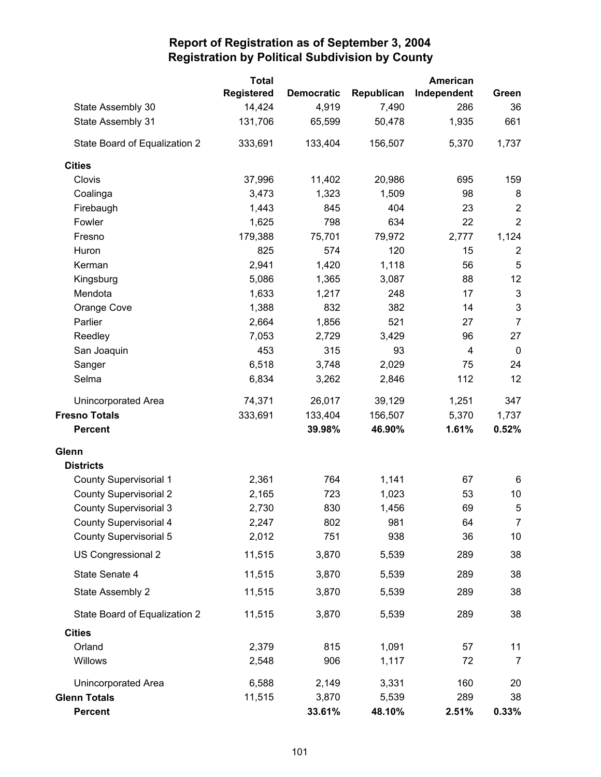|                               | <b>Total</b>      |                   |            | American    |                           |
|-------------------------------|-------------------|-------------------|------------|-------------|---------------------------|
|                               | <b>Registered</b> | <b>Democratic</b> | Republican | Independent | Green                     |
| State Assembly 30             | 14,424            | 4,919             | 7,490      | 286         | 36                        |
| State Assembly 31             | 131,706           | 65,599            | 50,478     | 1,935       | 661                       |
| State Board of Equalization 2 | 333,691           | 133,404           | 156,507    | 5,370       | 1,737                     |
| <b>Cities</b>                 |                   |                   |            |             |                           |
| Clovis                        | 37,996            | 11,402            | 20,986     | 695         | 159                       |
| Coalinga                      | 3,473             | 1,323             | 1,509      | 98          | 8                         |
| Firebaugh                     | 1,443             | 845               | 404        | 23          | $\boldsymbol{2}$          |
| Fowler                        | 1,625             | 798               | 634        | 22          | $\overline{2}$            |
| Fresno                        | 179,388           | 75,701            | 79,972     | 2,777       | 1,124                     |
| Huron                         | 825               | 574               | 120        | 15          | $\overline{2}$            |
| Kerman                        | 2,941             | 1,420             | 1,118      | 56          | 5                         |
| Kingsburg                     | 5,086             | 1,365             | 3,087      | 88          | 12                        |
| Mendota                       | 1,633             | 1,217             | 248        | 17          | $\ensuremath{\mathsf{3}}$ |
| Orange Cove                   | 1,388             | 832               | 382        | 14          | $\ensuremath{\mathsf{3}}$ |
| Parlier                       | 2,664             | 1,856             | 521        | 27          | $\overline{7}$            |
| Reedley                       | 7,053             | 2,729             | 3,429      | 96          | 27                        |
| San Joaquin                   | 453               | 315               | 93         | 4           | $\mathbf 0$               |
| Sanger                        | 6,518             | 3,748             | 2,029      | 75          | 24                        |
| Selma                         | 6,834             | 3,262             | 2,846      | 112         | 12                        |
| Unincorporated Area           | 74,371            | 26,017            | 39,129     | 1,251       | 347                       |
| <b>Fresno Totals</b>          | 333,691           | 133,404           | 156,507    | 5,370       | 1,737                     |
| <b>Percent</b>                |                   | 39.98%            | 46.90%     | 1.61%       | 0.52%                     |
| Glenn                         |                   |                   |            |             |                           |
| <b>Districts</b>              |                   |                   |            |             |                           |
| <b>County Supervisorial 1</b> | 2,361             | 764               | 1,141      | 67          | 6                         |
| <b>County Supervisorial 2</b> | 2,165             | 723               | 1,023      | 53          | 10                        |
| <b>County Supervisorial 3</b> | 2,730             | 830               | 1,456      | 69          | 5                         |
| <b>County Supervisorial 4</b> | 2,247             | 802               | 981        | 64          | $\overline{7}$            |
| <b>County Supervisorial 5</b> | 2,012             | 751               | 938        | 36          | 10                        |
| US Congressional 2            | 11,515            | 3,870             | 5,539      | 289         | 38                        |
| State Senate 4                | 11,515            | 3,870             | 5,539      | 289         | 38                        |
| State Assembly 2              | 11,515            | 3,870             | 5,539      | 289         | 38                        |
| State Board of Equalization 2 | 11,515            | 3,870             | 5,539      | 289         | 38                        |
| <b>Cities</b>                 |                   |                   |            |             |                           |
| Orland                        | 2,379             | 815               | 1,091      | 57          | 11                        |
| Willows                       | 2,548             | 906               | 1,117      | 72          | $\overline{7}$            |
| Unincorporated Area           | 6,588             | 2,149             | 3,331      | 160         | 20                        |
| <b>Glenn Totals</b>           | 11,515            | 3,870             | 5,539      | 289         | 38                        |
| <b>Percent</b>                |                   | 33.61%            | 48.10%     | 2.51%       | 0.33%                     |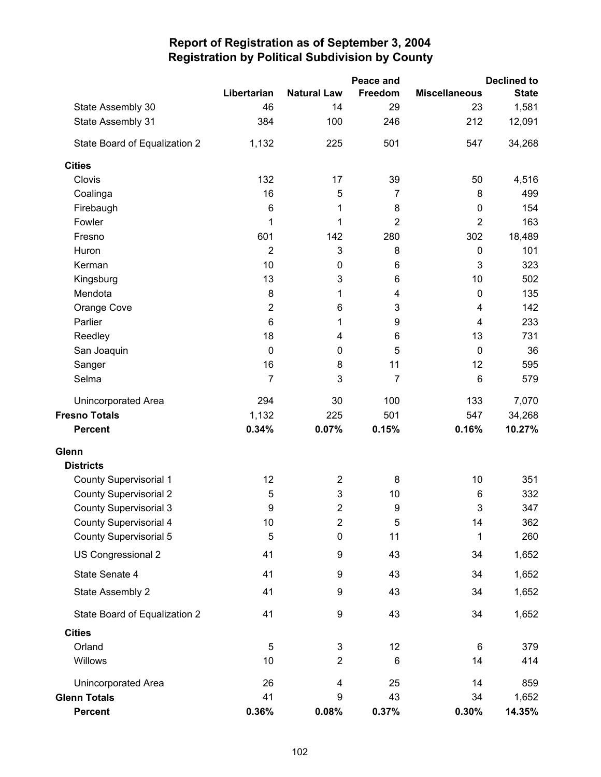|                               |                  |                         | Peace and      |                      | <b>Declined to</b> |
|-------------------------------|------------------|-------------------------|----------------|----------------------|--------------------|
|                               | Libertarian      | <b>Natural Law</b>      | Freedom        | <b>Miscellaneous</b> | <b>State</b>       |
| State Assembly 30             | 46               | 14                      | 29             | 23                   | 1,581              |
| State Assembly 31             | 384              | 100                     | 246            | 212                  | 12,091             |
| State Board of Equalization 2 | 1,132            | 225                     | 501            | 547                  | 34,268             |
| <b>Cities</b>                 |                  |                         |                |                      |                    |
| Clovis                        | 132              | 17                      | 39             | 50                   | 4,516              |
| Coalinga                      | 16               | 5                       | $\overline{7}$ | 8                    | 499                |
| Firebaugh                     | 6                | 1                       | 8              | $\pmb{0}$            | 154                |
| Fowler                        | 1                | 1                       | $\overline{2}$ | $\overline{2}$       | 163                |
| Fresno                        | 601              | 142                     | 280            | 302                  | 18,489             |
| Huron                         | $\overline{2}$   | 3                       | 8              | $\mathbf 0$          | 101                |
| Kerman                        | 10               | $\pmb{0}$               | 6              | 3                    | 323                |
| Kingsburg                     | 13               | 3                       | 6              | 10                   | 502                |
| Mendota                       | 8                | 1                       | 4              | 0                    | 135                |
| Orange Cove                   | $\overline{2}$   | 6                       | 3              | 4                    | 142                |
| Parlier                       | $6\phantom{1}$   | 1                       | 9              | $\overline{4}$       | 233                |
| Reedley                       | 18               | 4                       | 6              | 13                   | 731                |
| San Joaquin                   | $\mathbf 0$      | $\pmb{0}$               | 5              | $\mathbf 0$          | 36                 |
| Sanger                        | 16               | 8                       | 11             | 12                   | 595                |
| Selma                         | $\overline{7}$   | 3                       | 7              | 6                    | 579                |
| Unincorporated Area           | 294              | 30                      | 100            | 133                  | 7,070              |
| <b>Fresno Totals</b>          | 1,132            | 225                     | 501            | 547                  | 34,268             |
| <b>Percent</b>                | 0.34%            | 0.07%                   | 0.15%          | 0.16%                | 10.27%             |
| Glenn                         |                  |                         |                |                      |                    |
| <b>Districts</b>              |                  |                         |                |                      |                    |
| <b>County Supervisorial 1</b> | 12               | $\overline{\mathbf{c}}$ | 8              | 10                   | 351                |
| <b>County Supervisorial 2</b> | 5                | 3                       | 10             | 6                    | 332                |
| <b>County Supervisorial 3</b> | $\boldsymbol{9}$ | $\overline{2}$          | 9              | 3                    | 347                |
| <b>County Supervisorial 4</b> | 10               | $\overline{\mathbf{c}}$ | 5              | 14                   | 362                |
| <b>County Supervisorial 5</b> | 5                | $\pmb{0}$               | 11             | 1                    | 260                |
| US Congressional 2            | 41               | 9                       | 43             | 34                   | 1,652              |
| State Senate 4                | 41               | 9                       | 43             | 34                   | 1,652              |
| State Assembly 2              | 41               | 9                       | 43             | 34                   | 1,652              |
| State Board of Equalization 2 | 41               | 9                       | 43             | 34                   | 1,652              |
| <b>Cities</b>                 |                  |                         |                |                      |                    |
| Orland                        | 5                | 3                       | 12             | 6                    | 379                |
| Willows                       | 10               | $\overline{2}$          | 6              | 14                   | 414                |
| Unincorporated Area           | 26               | 4                       | 25             | 14                   | 859                |
| <b>Glenn Totals</b>           | 41               | 9                       | 43             | 34                   | 1,652              |
| <b>Percent</b>                | 0.36%            | 0.08%                   | 0.37%          | 0.30%                | 14.35%             |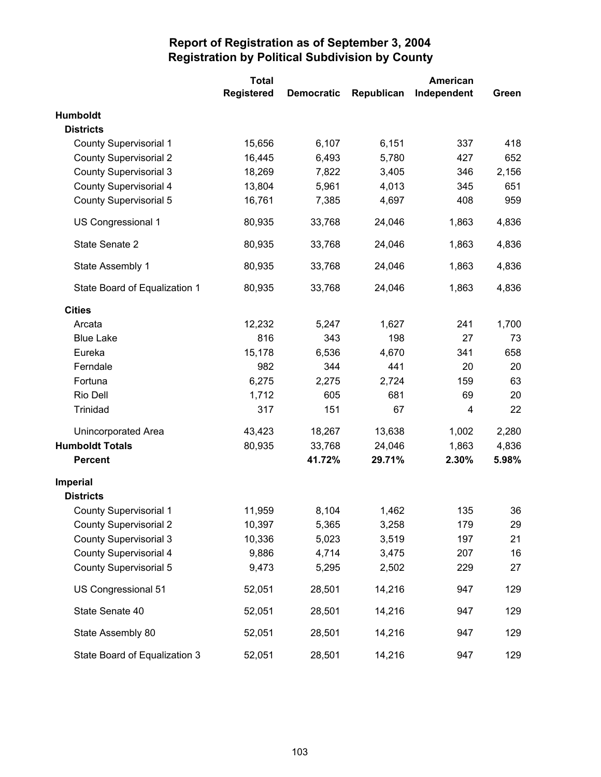|                               | <b>Total</b>      |                   |            | American    |       |
|-------------------------------|-------------------|-------------------|------------|-------------|-------|
|                               | <b>Registered</b> | <b>Democratic</b> | Republican | Independent | Green |
| Humboldt                      |                   |                   |            |             |       |
| <b>Districts</b>              |                   |                   |            |             |       |
| <b>County Supervisorial 1</b> | 15,656            | 6,107             | 6,151      | 337         | 418   |
| <b>County Supervisorial 2</b> | 16,445            | 6,493             | 5,780      | 427         | 652   |
| <b>County Supervisorial 3</b> | 18,269            | 7,822             | 3,405      | 346         | 2,156 |
| <b>County Supervisorial 4</b> | 13,804            | 5,961             | 4,013      | 345         | 651   |
| <b>County Supervisorial 5</b> | 16,761            | 7,385             | 4,697      | 408         | 959   |
| US Congressional 1            | 80,935            | 33,768            | 24,046     | 1,863       | 4,836 |
| State Senate 2                | 80,935            | 33,768            | 24,046     | 1,863       | 4,836 |
| State Assembly 1              | 80,935            | 33,768            | 24,046     | 1,863       | 4,836 |
| State Board of Equalization 1 | 80,935            | 33,768            | 24,046     | 1,863       | 4,836 |
| <b>Cities</b>                 |                   |                   |            |             |       |
| Arcata                        | 12,232            | 5,247             | 1,627      | 241         | 1,700 |
| <b>Blue Lake</b>              | 816               | 343               | 198        | 27          | 73    |
| Eureka                        | 15,178            | 6,536             | 4,670      | 341         | 658   |
| Ferndale                      | 982               | 344               | 441        | 20          | 20    |
| Fortuna                       | 6,275             | 2,275             | 2,724      | 159         | 63    |
| Rio Dell                      | 1,712             | 605               | 681        | 69          | 20    |
| Trinidad                      | 317               | 151               | 67         | 4           | 22    |
| Unincorporated Area           | 43,423            | 18,267            | 13,638     | 1,002       | 2,280 |
| <b>Humboldt Totals</b>        | 80,935            | 33,768            | 24,046     | 1,863       | 4,836 |
| <b>Percent</b>                |                   | 41.72%            | 29.71%     | 2.30%       | 5.98% |
| Imperial                      |                   |                   |            |             |       |
| <b>Districts</b>              |                   |                   |            |             |       |
| <b>County Supervisorial 1</b> | 11,959            | 8,104             | 1,462      | 135         | 36    |
| <b>County Supervisorial 2</b> | 10,397            | 5,365             | 3,258      | 179         | 29    |
| <b>County Supervisorial 3</b> | 10,336            | 5,023             | 3,519      | 197         | 21    |
| <b>County Supervisorial 4</b> | 9,886             | 4,714             | 3,475      | 207         | 16    |
| <b>County Supervisorial 5</b> | 9,473             | 5,295             | 2,502      | 229         | 27    |
| US Congressional 51           | 52,051            | 28,501            | 14,216     | 947         | 129   |
| State Senate 40               | 52,051            | 28,501            | 14,216     | 947         | 129   |
| State Assembly 80             | 52,051            | 28,501            | 14,216     | 947         | 129   |
| State Board of Equalization 3 | 52,051            | 28,501            | 14,216     | 947         | 129   |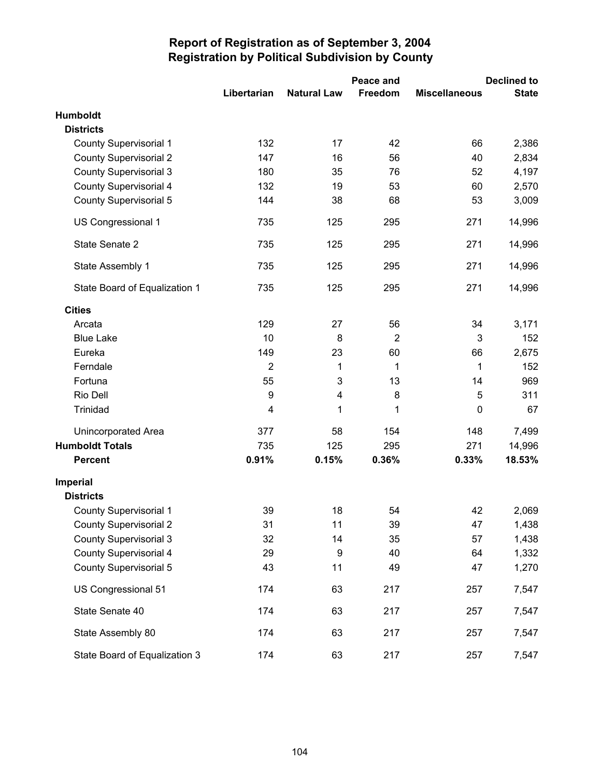|                               |                |                    | Peace and      | <b>Declined to</b>   |              |
|-------------------------------|----------------|--------------------|----------------|----------------------|--------------|
|                               | Libertarian    | <b>Natural Law</b> | Freedom        | <b>Miscellaneous</b> | <b>State</b> |
| <b>Humboldt</b>               |                |                    |                |                      |              |
| <b>Districts</b>              |                |                    |                |                      |              |
| <b>County Supervisorial 1</b> | 132            | 17                 | 42             | 66                   | 2,386        |
| <b>County Supervisorial 2</b> | 147            | 16                 | 56             | 40                   | 2,834        |
| <b>County Supervisorial 3</b> | 180            | 35                 | 76             | 52                   | 4,197        |
| <b>County Supervisorial 4</b> | 132            | 19                 | 53             | 60                   | 2,570        |
| <b>County Supervisorial 5</b> | 144            | 38                 | 68             | 53                   | 3,009        |
| US Congressional 1            | 735            | 125                | 295            | 271                  | 14,996       |
| State Senate 2                | 735            | 125                | 295            | 271                  | 14,996       |
| State Assembly 1              | 735            | 125                | 295            | 271                  | 14,996       |
| State Board of Equalization 1 | 735            | 125                | 295            | 271                  | 14,996       |
| <b>Cities</b>                 |                |                    |                |                      |              |
| Arcata                        | 129            | 27                 | 56             | 34                   | 3,171        |
| <b>Blue Lake</b>              | 10             | 8                  | $\overline{2}$ | 3                    | 152          |
| Eureka                        | 149            | 23                 | 60             | 66                   | 2,675        |
| Ferndale                      | $\overline{2}$ | 1                  | 1              | 1                    | 152          |
| Fortuna                       | 55             | 3                  | 13             | 14                   | 969          |
| Rio Dell                      | 9              | 4                  | 8              | 5                    | 311          |
| Trinidad                      | 4              | 1                  | 1              | $\mathbf 0$          | 67           |
| Unincorporated Area           | 377            | 58                 | 154            | 148                  | 7,499        |
| <b>Humboldt Totals</b>        | 735            | 125                | 295            | 271                  | 14,996       |
| <b>Percent</b>                | 0.91%          | 0.15%              | 0.36%          | 0.33%                | 18.53%       |
| Imperial                      |                |                    |                |                      |              |
| <b>Districts</b>              |                |                    |                |                      |              |
| <b>County Supervisorial 1</b> | 39             | 18                 | 54             | 42                   | 2,069        |
| <b>County Supervisorial 2</b> | 31             | 11                 | 39             | 47                   | 1,438        |
| <b>County Supervisorial 3</b> | 32             | 14                 | 35             | 57                   | 1,438        |
| <b>County Supervisorial 4</b> | 29             | 9                  | 40             | 64                   | 1,332        |
| <b>County Supervisorial 5</b> | 43             | 11                 | 49             | 47                   | 1,270        |
| US Congressional 51           | 174            | 63                 | 217            | 257                  | 7,547        |
| State Senate 40               | 174            | 63                 | 217            | 257                  | 7,547        |
| State Assembly 80             | 174            | 63                 | 217            | 257                  | 7,547        |
| State Board of Equalization 3 | 174            | 63                 | 217            | 257                  | 7,547        |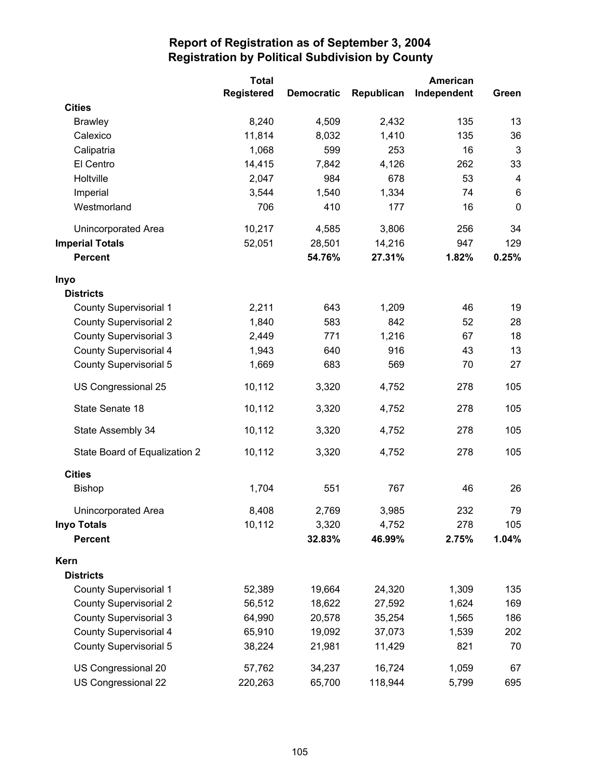|                               | <b>Total</b> |                   | American   |             |             |
|-------------------------------|--------------|-------------------|------------|-------------|-------------|
|                               | Registered   | <b>Democratic</b> | Republican | Independent | Green       |
| <b>Cities</b>                 |              |                   |            |             |             |
| <b>Brawley</b>                | 8,240        | 4,509             | 2,432      | 135         | 13          |
| Calexico                      | 11,814       | 8,032             | 1,410      | 135         | 36          |
| Calipatria                    | 1,068        | 599               | 253        | 16          | 3           |
| El Centro                     | 14,415       | 7,842             | 4,126      | 262         | 33          |
| Holtville                     | 2,047        | 984               | 678        | 53          | 4           |
| Imperial                      | 3,544        | 1,540             | 1,334      | 74          | 6           |
| Westmorland                   | 706          | 410               | 177        | 16          | $\mathbf 0$ |
| Unincorporated Area           | 10,217       | 4,585             | 3,806      | 256         | 34          |
| <b>Imperial Totals</b>        | 52,051       | 28,501            | 14,216     | 947         | 129         |
| <b>Percent</b>                |              | 54.76%            | 27.31%     | 1.82%       | 0.25%       |
| Inyo                          |              |                   |            |             |             |
| <b>Districts</b>              |              |                   |            |             |             |
| <b>County Supervisorial 1</b> | 2,211        | 643               | 1,209      | 46          | 19          |
| <b>County Supervisorial 2</b> | 1,840        | 583               | 842        | 52          | 28          |
| <b>County Supervisorial 3</b> | 2,449        | 771               | 1,216      | 67          | 18          |
| <b>County Supervisorial 4</b> | 1,943        | 640               | 916        | 43          | 13          |
| <b>County Supervisorial 5</b> | 1,669        | 683               | 569        | 70          | 27          |
| US Congressional 25           | 10,112       | 3,320             | 4,752      | 278         | 105         |
| State Senate 18               | 10,112       | 3,320             | 4,752      | 278         | 105         |
| State Assembly 34             | 10,112       | 3,320             | 4,752      | 278         | 105         |
| State Board of Equalization 2 | 10,112       | 3,320             | 4,752      | 278         | 105         |
| <b>Cities</b>                 |              |                   |            |             |             |
| Bishop                        | 1,704        | 551               | 767        | 46          | 26          |
| <b>Unincorporated Area</b>    | 8,408        | 2,769             | 3,985      | 232         | 79          |
| <b>Inyo Totals</b>            | 10,112       | 3,320             | 4,752      | 278         | 105         |
| <b>Percent</b>                |              | 32.83%            | 46.99%     | 2.75%       | 1.04%       |
| Kern                          |              |                   |            |             |             |
| <b>Districts</b>              |              |                   |            |             |             |
| <b>County Supervisorial 1</b> | 52,389       | 19,664            | 24,320     | 1,309       | 135         |
| <b>County Supervisorial 2</b> | 56,512       | 18,622            | 27,592     | 1,624       | 169         |
| <b>County Supervisorial 3</b> | 64,990       | 20,578            | 35,254     | 1,565       | 186         |
| <b>County Supervisorial 4</b> | 65,910       | 19,092            | 37,073     | 1,539       | 202         |
| County Supervisorial 5        | 38,224       | 21,981            | 11,429     | 821         | 70          |
| US Congressional 20           | 57,762       | 34,237            | 16,724     | 1,059       | 67          |
| US Congressional 22           | 220,263      | 65,700            | 118,944    | 5,799       | 695         |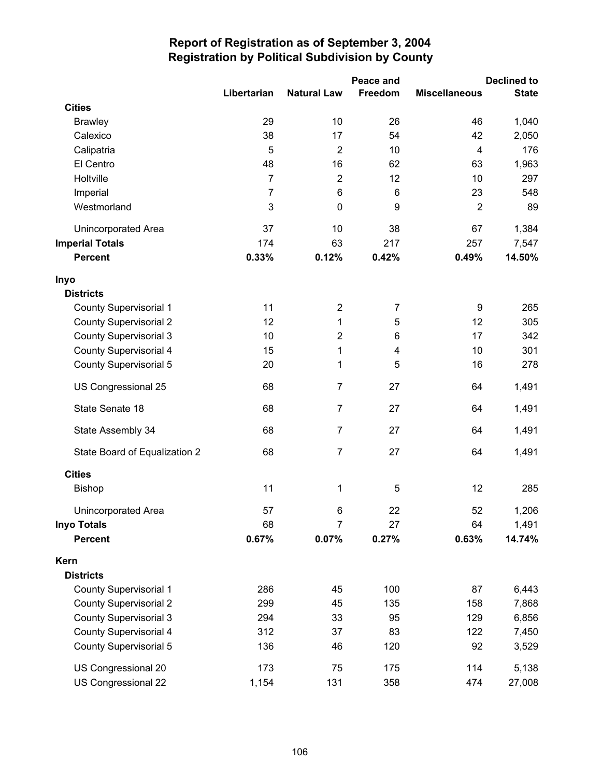|                               |                |                    | <b>Declined to</b> |                      |              |
|-------------------------------|----------------|--------------------|--------------------|----------------------|--------------|
|                               | Libertarian    | <b>Natural Law</b> | Freedom            | <b>Miscellaneous</b> | <b>State</b> |
| <b>Cities</b>                 |                |                    |                    |                      |              |
| <b>Brawley</b>                | 29             | 10                 | 26                 | 46                   | 1,040        |
| Calexico                      | 38             | 17                 | 54                 | 42                   | 2,050        |
| Calipatria                    | 5              | $\overline{2}$     | 10                 | 4                    | 176          |
| El Centro                     | 48             | 16                 | 62                 | 63                   | 1,963        |
| Holtville                     | $\overline{7}$ | $\overline{2}$     | 12                 | 10                   | 297          |
| Imperial                      | $\overline{7}$ | 6                  | 6                  | 23                   | 548          |
| Westmorland                   | 3              | $\pmb{0}$          | 9                  | $\overline{2}$       | 89           |
| Unincorporated Area           | 37             | 10                 | 38                 | 67                   | 1,384        |
| <b>Imperial Totals</b>        | 174            | 63                 | 217                | 257                  | 7,547        |
| <b>Percent</b>                | 0.33%          | 0.12%              | 0.42%              | 0.49%                | 14.50%       |
| Inyo                          |                |                    |                    |                      |              |
| <b>Districts</b>              |                |                    |                    |                      |              |
| <b>County Supervisorial 1</b> | 11             | $\overline{2}$     | 7                  | 9                    | 265          |
| <b>County Supervisorial 2</b> | 12             | 1                  | 5                  | 12                   | 305          |
| <b>County Supervisorial 3</b> | 10             | $\overline{2}$     | 6                  | 17                   | 342          |
| County Supervisorial 4        | 15             | 1                  | 4                  | 10                   | 301          |
| <b>County Supervisorial 5</b> | 20             | 1                  | 5                  | 16                   | 278          |
| US Congressional 25           | 68             | $\overline{7}$     | 27                 | 64                   | 1,491        |
| State Senate 18               | 68             | $\overline{7}$     | 27                 | 64                   | 1,491        |
| State Assembly 34             | 68             | $\overline{7}$     | 27                 | 64                   | 1,491        |
| State Board of Equalization 2 | 68             | $\overline{7}$     | 27                 | 64                   | 1,491        |
| <b>Cities</b>                 |                |                    |                    |                      |              |
| <b>Bishop</b>                 | 11             | 1                  | 5                  | 12                   | 285          |
| <b>Unincorporated Area</b>    | 57             | 6                  | 22                 | 52                   | 1,206        |
| <b>Inyo Totals</b>            | 68             | 7                  | 27                 | 64                   | 1,491        |
| <b>Percent</b>                | 0.67%          | 0.07%              | 0.27%              | 0.63%                | 14.74%       |
| Kern                          |                |                    |                    |                      |              |
| <b>Districts</b>              |                |                    |                    |                      |              |
| <b>County Supervisorial 1</b> | 286            | 45                 | 100                | 87                   | 6,443        |
| <b>County Supervisorial 2</b> | 299            | 45                 | 135                | 158                  | 7,868        |
| <b>County Supervisorial 3</b> | 294            | 33                 | 95                 | 129                  | 6,856        |
| <b>County Supervisorial 4</b> | 312            | 37                 | 83                 | 122                  | 7,450        |
| <b>County Supervisorial 5</b> | 136            | 46                 | 120                | 92                   | 3,529        |
| US Congressional 20           | 173            | 75                 | 175                | 114                  | 5,138        |
| US Congressional 22           | 1,154          | 131                | 358                | 474                  | 27,008       |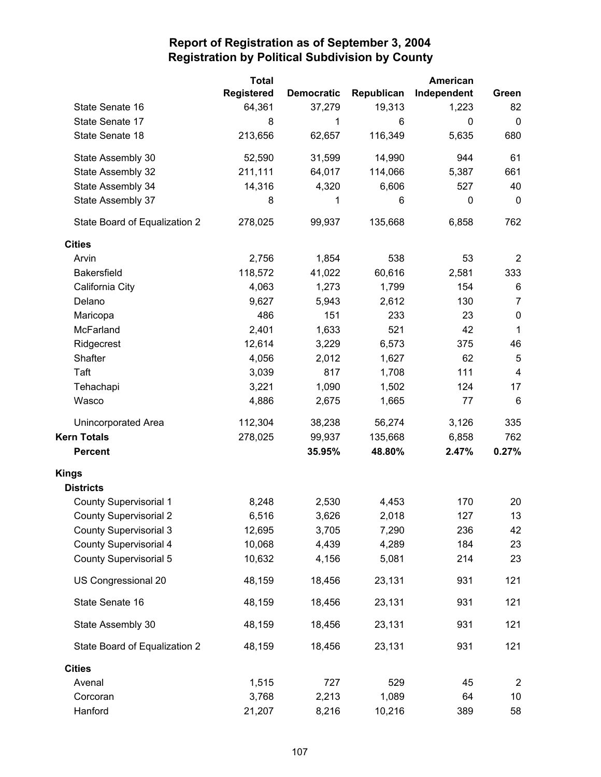|                               | <b>Total</b>      |                   |            | American    |                |
|-------------------------------|-------------------|-------------------|------------|-------------|----------------|
|                               | <b>Registered</b> | <b>Democratic</b> | Republican | Independent | Green          |
| State Senate 16               | 64,361            | 37,279            | 19,313     | 1,223       | 82             |
| State Senate 17               | 8                 | 1                 | 6          | 0           | $\mathbf 0$    |
| State Senate 18               | 213,656           | 62,657            | 116,349    | 5,635       | 680            |
| State Assembly 30             | 52,590            | 31,599            | 14,990     | 944         | 61             |
| State Assembly 32             | 211,111           | 64,017            | 114,066    | 5,387       | 661            |
| State Assembly 34             | 14,316            | 4,320             | 6,606      | 527         | 40             |
| State Assembly 37             | 8                 | 1                 | 6          | 0           | 0              |
| State Board of Equalization 2 | 278,025           | 99,937            | 135,668    | 6,858       | 762            |
| <b>Cities</b>                 |                   |                   |            |             |                |
| Arvin                         | 2,756             | 1,854             | 538        | 53          | 2              |
| <b>Bakersfield</b>            | 118,572           | 41,022            | 60,616     | 2,581       | 333            |
| California City               | 4,063             | 1,273             | 1,799      | 154         | 6              |
| Delano                        | 9,627             | 5,943             | 2,612      | 130         | $\overline{7}$ |
| Maricopa                      | 486               | 151               | 233        | 23          | $\pmb{0}$      |
| McFarland                     | 2,401             | 1,633             | 521        | 42          | $\mathbf{1}$   |
| Ridgecrest                    | 12,614            | 3,229             | 6,573      | 375         | 46             |
| Shafter                       | 4,056             | 2,012             | 1,627      | 62          | 5              |
| Taft                          | 3,039             | 817               | 1,708      | 111         | $\overline{4}$ |
| Tehachapi                     | 3,221             | 1,090             | 1,502      | 124         | 17             |
| Wasco                         | 4,886             | 2,675             | 1,665      | 77          | 6              |
| Unincorporated Area           | 112,304           | 38,238            | 56,274     | 3,126       | 335            |
| <b>Kern Totals</b>            | 278,025           | 99,937            | 135,668    | 6,858       | 762            |
| <b>Percent</b>                |                   | 35.95%            | 48.80%     | 2.47%       | 0.27%          |
| <b>Kings</b>                  |                   |                   |            |             |                |
| <b>Districts</b>              |                   |                   |            |             |                |
| <b>County Supervisorial 1</b> | 8,248             | 2,530             | 4,453      | 170         | 20             |
| <b>County Supervisorial 2</b> | 6,516             | 3,626             | 2,018      | 127         | 13             |
| <b>County Supervisorial 3</b> | 12,695            | 3,705             | 7,290      | 236         | 42             |
| <b>County Supervisorial 4</b> | 10,068            | 4,439             | 4,289      | 184         | 23             |
| <b>County Supervisorial 5</b> | 10,632            | 4,156             | 5,081      | 214         | 23             |
| US Congressional 20           | 48,159            | 18,456            | 23,131     | 931         | 121            |
| State Senate 16               | 48,159            | 18,456            | 23,131     | 931         | 121            |
| State Assembly 30             | 48,159            | 18,456            | 23,131     | 931         | 121            |
| State Board of Equalization 2 | 48,159            | 18,456            | 23,131     | 931         | 121            |
| <b>Cities</b>                 |                   |                   |            |             |                |
| Avenal                        | 1,515             | 727               | 529        | 45          | $\overline{2}$ |
| Corcoran                      | 3,768             | 2,213             | 1,089      | 64          | 10             |
| Hanford                       | 21,207            | 8,216             | 10,216     | 389         | 58             |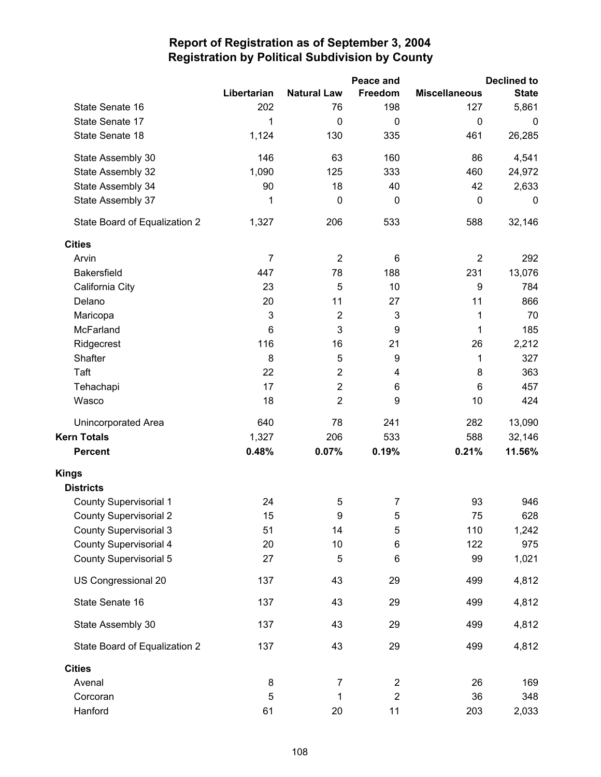|                               |                |                    | Peace and      |                      | <b>Declined to</b> |
|-------------------------------|----------------|--------------------|----------------|----------------------|--------------------|
|                               | Libertarian    | <b>Natural Law</b> | Freedom        | <b>Miscellaneous</b> | <b>State</b>       |
| State Senate 16               | 202            | 76                 | 198            | 127                  | 5,861              |
| State Senate 17               | 1              | $\mathbf 0$        | 0              | $\mathbf 0$          | $\boldsymbol{0}$   |
| State Senate 18               | 1,124          | 130                | 335            | 461                  | 26,285             |
| State Assembly 30             | 146            | 63                 | 160            | 86                   | 4,541              |
| State Assembly 32             | 1,090          | 125                | 333            | 460                  | 24,972             |
| State Assembly 34             | 90             | 18                 | 40             | 42                   | 2,633              |
| State Assembly 37             | 1              | $\pmb{0}$          | 0              | $\mathbf 0$          | 0                  |
| State Board of Equalization 2 | 1,327          | 206                | 533            | 588                  | 32,146             |
| <b>Cities</b>                 |                |                    |                |                      |                    |
| Arvin                         | $\overline{7}$ | $\overline{2}$     | 6              | $\overline{2}$       | 292                |
| <b>Bakersfield</b>            | 447            | 78                 | 188            | 231                  | 13,076             |
| California City               | 23             | 5                  | 10             | 9                    | 784                |
| Delano                        | 20             | 11                 | 27             | 11                   | 866                |
| Maricopa                      | 3              | $\overline{2}$     | 3              | 1                    | 70                 |
| McFarland                     | 6              | 3                  | 9              | 1                    | 185                |
| Ridgecrest                    | 116            | 16                 | 21             | 26                   | 2,212              |
| Shafter                       | 8              | 5                  | 9              | 1                    | 327                |
| Taft                          | 22             | $\overline{2}$     | 4              | 8                    | 363                |
| Tehachapi                     | 17             | $\overline{c}$     | 6              | 6                    | 457                |
| Wasco                         | 18             | $\overline{2}$     | 9              | 10                   | 424                |
| Unincorporated Area           | 640            | 78                 | 241            | 282                  | 13,090             |
| <b>Kern Totals</b>            | 1,327          | 206                | 533            | 588                  | 32,146             |
| <b>Percent</b>                | 0.48%          | 0.07%              | 0.19%          | 0.21%                | 11.56%             |
| <b>Kings</b>                  |                |                    |                |                      |                    |
| <b>Districts</b>              |                |                    |                |                      |                    |
| <b>County Supervisorial 1</b> | 24             | 5                  | $\overline{7}$ | 93                   | 946                |
| <b>County Supervisorial 2</b> | 15             | 9                  | 5              | 75                   | 628                |
| <b>County Supervisorial 3</b> | 51             | 14                 | 5              | 110                  | 1,242              |
| <b>County Supervisorial 4</b> | 20             | 10                 | 6              | 122                  | 975                |
| <b>County Supervisorial 5</b> | 27             | 5                  | 6              | 99                   | 1,021              |
| US Congressional 20           | 137            | 43                 | 29             | 499                  | 4,812              |
| State Senate 16               | 137            | 43                 | 29             | 499                  | 4,812              |
| State Assembly 30             | 137            | 43                 | 29             | 499                  | 4,812              |
| State Board of Equalization 2 | 137            | 43                 | 29             | 499                  | 4,812              |
| <b>Cities</b>                 |                |                    |                |                      |                    |
| Avenal                        | 8              | $\overline{7}$     | $\overline{c}$ | 26                   | 169                |
| Corcoran                      | 5              | 1                  | $\overline{2}$ | 36                   | 348                |
| Hanford                       | 61             | 20                 | 11             | 203                  | 2,033              |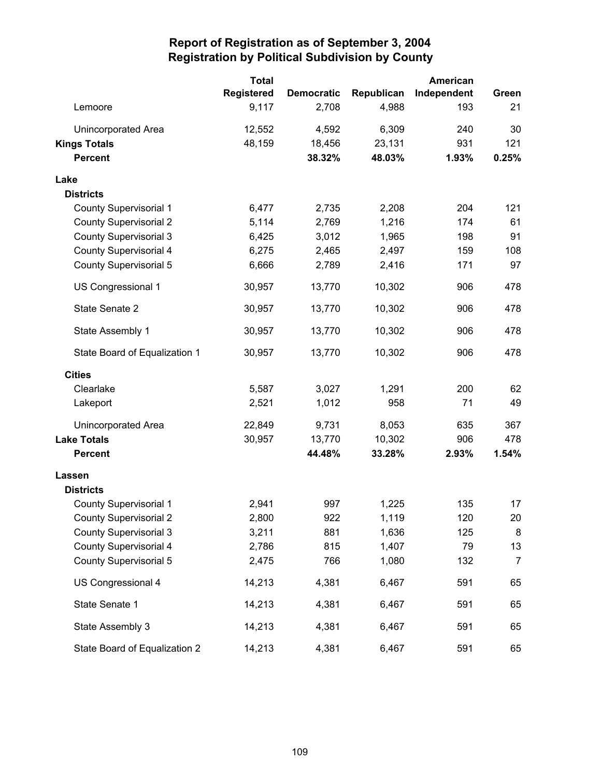|                               | <b>Total</b>      |                   |            | American    |                |
|-------------------------------|-------------------|-------------------|------------|-------------|----------------|
|                               | <b>Registered</b> | <b>Democratic</b> | Republican | Independent | Green          |
| Lemoore                       | 9,117             | 2,708             | 4,988      | 193         | 21             |
| Unincorporated Area           | 12,552            | 4,592             | 6,309      | 240         | 30             |
| <b>Kings Totals</b>           | 48,159            | 18,456            | 23,131     | 931         | 121            |
| <b>Percent</b>                |                   | 38.32%            | 48.03%     | 1.93%       | 0.25%          |
| Lake                          |                   |                   |            |             |                |
| <b>Districts</b>              |                   |                   |            |             |                |
| <b>County Supervisorial 1</b> | 6,477             | 2,735             | 2,208      | 204         | 121            |
| <b>County Supervisorial 2</b> | 5,114             | 2,769             | 1,216      | 174         | 61             |
| <b>County Supervisorial 3</b> | 6,425             | 3,012             | 1,965      | 198         | 91             |
| County Supervisorial 4        | 6,275             | 2,465             | 2,497      | 159         | 108            |
| <b>County Supervisorial 5</b> | 6,666             | 2,789             | 2,416      | 171         | 97             |
| US Congressional 1            | 30,957            | 13,770            | 10,302     | 906         | 478            |
| State Senate 2                | 30,957            | 13,770            | 10,302     | 906         | 478            |
| State Assembly 1              | 30,957            | 13,770            | 10,302     | 906         | 478            |
| State Board of Equalization 1 | 30,957            | 13,770            | 10,302     | 906         | 478            |
| <b>Cities</b>                 |                   |                   |            |             |                |
| Clearlake                     | 5,587             | 3,027             | 1,291      | 200         | 62             |
| Lakeport                      | 2,521             | 1,012             | 958        | 71          | 49             |
| <b>Unincorporated Area</b>    | 22,849            | 9,731             | 8,053      | 635         | 367            |
| <b>Lake Totals</b>            | 30,957            | 13,770            | 10,302     | 906         | 478            |
| <b>Percent</b>                |                   | 44.48%            | 33.28%     | 2.93%       | 1.54%          |
| Lassen                        |                   |                   |            |             |                |
| <b>Districts</b>              |                   |                   |            |             |                |
| <b>County Supervisorial 1</b> | 2,941             | 997               | 1,225      | 135         | 17             |
| <b>County Supervisorial 2</b> | 2,800             | 922               | 1,119      | 120         | 20             |
| <b>County Supervisorial 3</b> | 3,211             | 881               | 1,636      | 125         | 8              |
| <b>County Supervisorial 4</b> | 2,786             | 815               | 1,407      | 79          | 13             |
| County Supervisorial 5        | 2,475             | 766               | 1,080      | 132         | $\overline{7}$ |
| US Congressional 4            | 14,213            | 4,381             | 6,467      | 591         | 65             |
| State Senate 1                | 14,213            | 4,381             | 6,467      | 591         | 65             |
| State Assembly 3              | 14,213            | 4,381             | 6,467      | 591         | 65             |
| State Board of Equalization 2 | 14,213            | 4,381             | 6,467      | 591         | 65             |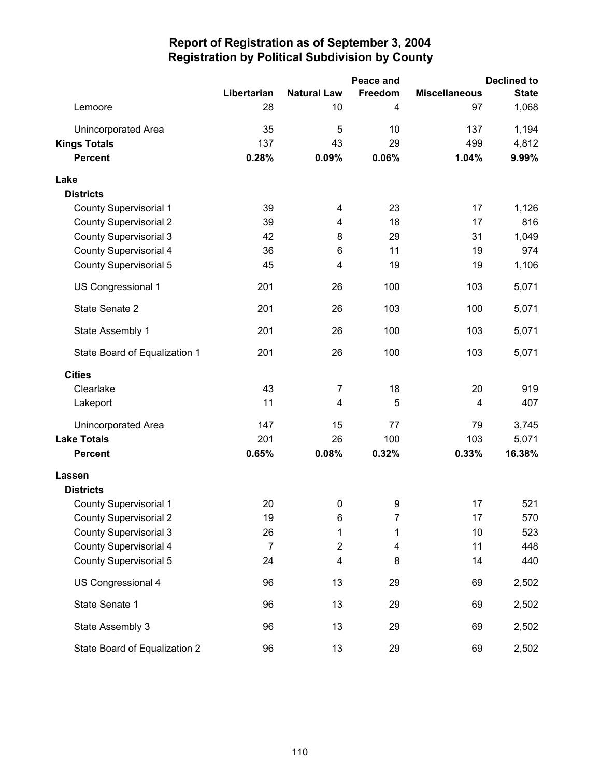|                               |                |                    | <b>Declined to</b> |                      |              |
|-------------------------------|----------------|--------------------|--------------------|----------------------|--------------|
|                               | Libertarian    | <b>Natural Law</b> | Freedom            | <b>Miscellaneous</b> | <b>State</b> |
| Lemoore                       | 28             | 10                 | 4                  | 97                   | 1,068        |
| <b>Unincorporated Area</b>    | 35             | 5                  | 10                 | 137                  | 1,194        |
| <b>Kings Totals</b>           | 137            | 43                 | 29                 | 499                  | 4,812        |
| <b>Percent</b>                | 0.28%          | 0.09%              | 0.06%              | 1.04%                | 9.99%        |
| Lake                          |                |                    |                    |                      |              |
| <b>Districts</b>              |                |                    |                    |                      |              |
| <b>County Supervisorial 1</b> | 39             | 4                  | 23                 | 17                   | 1,126        |
| <b>County Supervisorial 2</b> | 39             | 4                  | 18                 | 17                   | 816          |
| <b>County Supervisorial 3</b> | 42             | 8                  | 29                 | 31                   | 1,049        |
| <b>County Supervisorial 4</b> | 36             | 6                  | 11                 | 19                   | 974          |
| <b>County Supervisorial 5</b> | 45             | 4                  | 19                 | 19                   | 1,106        |
| US Congressional 1            | 201            | 26                 | 100                | 103                  | 5,071        |
| State Senate 2                | 201            | 26                 | 103                | 100                  | 5,071        |
| State Assembly 1              | 201            | 26                 | 100                | 103                  | 5,071        |
| State Board of Equalization 1 | 201            | 26                 | 100                | 103                  | 5,071        |
| <b>Cities</b>                 |                |                    |                    |                      |              |
| Clearlake                     | 43             | 7                  | 18                 | 20                   | 919          |
| Lakeport                      | 11             | 4                  | 5                  | 4                    | 407          |
| Unincorporated Area           | 147            | 15                 | 77                 | 79                   | 3,745        |
| <b>Lake Totals</b>            | 201            | 26                 | 100                | 103                  | 5,071        |
| <b>Percent</b>                | 0.65%          | 0.08%              | 0.32%              | 0.33%                | 16.38%       |
| Lassen                        |                |                    |                    |                      |              |
| <b>Districts</b>              |                |                    |                    |                      |              |
| <b>County Supervisorial 1</b> | 20             | $\pmb{0}$          | 9                  | 17                   | 521          |
| <b>County Supervisorial 2</b> | 19             | 6                  | 7                  | 17                   | 570          |
| <b>County Supervisorial 3</b> | 26             | 1                  | 1                  | 10                   | 523          |
| <b>County Supervisorial 4</b> | $\overline{7}$ | $\overline{c}$     | 4                  | 11                   | 448          |
| <b>County Supervisorial 5</b> | 24             | 4                  | 8                  | 14                   | 440          |
| US Congressional 4            | 96             | 13                 | 29                 | 69                   | 2,502        |
| State Senate 1                | 96             | 13                 | 29                 | 69                   | 2,502        |
| State Assembly 3              | 96             | 13                 | 29                 | 69                   | 2,502        |
| State Board of Equalization 2 | 96             | 13                 | 29                 | 69                   | 2,502        |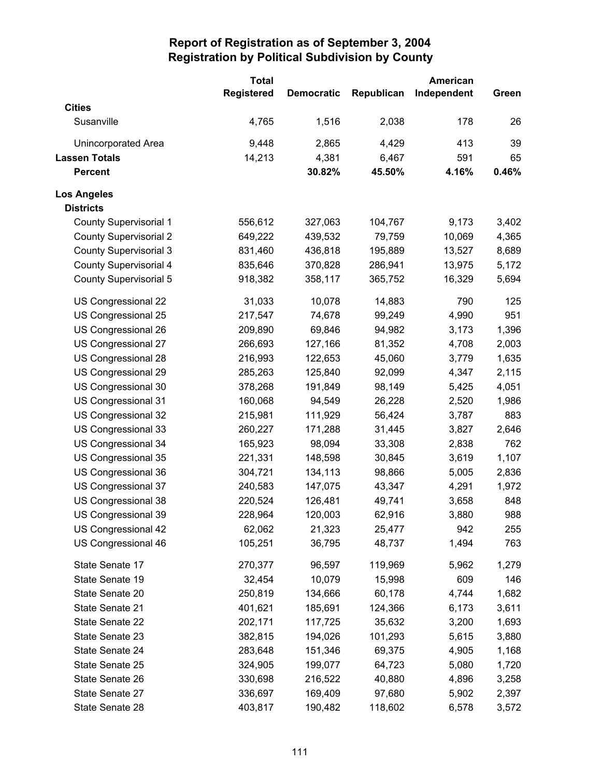|                               | <b>Total</b>      |                   |            | American    |       |
|-------------------------------|-------------------|-------------------|------------|-------------|-------|
|                               | <b>Registered</b> | <b>Democratic</b> | Republican | Independent | Green |
| <b>Cities</b>                 |                   |                   |            |             |       |
| Susanville                    | 4,765             | 1,516             | 2,038      | 178         | 26    |
| <b>Unincorporated Area</b>    | 9,448             | 2,865             | 4,429      | 413         | 39    |
| <b>Lassen Totals</b>          | 14,213            | 4,381             | 6,467      | 591         | 65    |
| <b>Percent</b>                |                   | 30.82%            | 45.50%     | 4.16%       | 0.46% |
| <b>Los Angeles</b>            |                   |                   |            |             |       |
| <b>Districts</b>              |                   |                   |            |             |       |
| <b>County Supervisorial 1</b> | 556,612           | 327,063           | 104,767    | 9,173       | 3,402 |
| <b>County Supervisorial 2</b> | 649,222           | 439,532           | 79,759     | 10,069      | 4,365 |
| <b>County Supervisorial 3</b> | 831,460           | 436,818           | 195,889    | 13,527      | 8,689 |
| <b>County Supervisorial 4</b> | 835,646           | 370,828           | 286,941    | 13,975      | 5,172 |
| <b>County Supervisorial 5</b> | 918,382           | 358,117           | 365,752    | 16,329      | 5,694 |
| US Congressional 22           | 31,033            | 10,078            | 14,883     | 790         | 125   |
| US Congressional 25           | 217,547           | 74,678            | 99,249     | 4,990       | 951   |
| US Congressional 26           | 209,890           | 69,846            | 94,982     | 3,173       | 1,396 |
| US Congressional 27           | 266,693           | 127,166           | 81,352     | 4,708       | 2,003 |
| US Congressional 28           | 216,993           | 122,653           | 45,060     | 3,779       | 1,635 |
| US Congressional 29           | 285,263           | 125,840           | 92,099     | 4,347       | 2,115 |
| US Congressional 30           | 378,268           | 191,849           | 98,149     | 5,425       | 4,051 |
| US Congressional 31           | 160,068           | 94,549            | 26,228     | 2,520       | 1,986 |
| US Congressional 32           | 215,981           | 111,929           | 56,424     | 3,787       | 883   |
| US Congressional 33           | 260,227           | 171,288           | 31,445     | 3,827       | 2,646 |
| US Congressional 34           | 165,923           | 98,094            | 33,308     | 2,838       | 762   |
| US Congressional 35           | 221,331           | 148,598           | 30,845     | 3,619       | 1,107 |
| US Congressional 36           | 304,721           | 134,113           | 98,866     | 5,005       | 2,836 |
| US Congressional 37           | 240,583           | 147,075           | 43,347     | 4,291       | 1,972 |
| US Congressional 38           | 220,524           | 126,481           | 49,741     | 3,658       | 848   |
| US Congressional 39           | 228,964           | 120,003           | 62,916     | 3,880       | 988   |
| US Congressional 42           | 62,062            | 21,323            | 25,477     | 942         | 255   |
| US Congressional 46           | 105,251           | 36,795            | 48,737     | 1,494       | 763   |
| State Senate 17               | 270,377           | 96,597            | 119,969    | 5,962       | 1,279 |
| State Senate 19               | 32,454            | 10,079            | 15,998     | 609         | 146   |
| State Senate 20               | 250,819           | 134,666           | 60,178     | 4,744       | 1,682 |
| State Senate 21               | 401,621           | 185,691           | 124,366    | 6,173       | 3,611 |
| State Senate 22               | 202,171           | 117,725           | 35,632     | 3,200       | 1,693 |
| State Senate 23               | 382,815           | 194,026           | 101,293    | 5,615       | 3,880 |
| State Senate 24               | 283,648           | 151,346           | 69,375     | 4,905       | 1,168 |
| State Senate 25               | 324,905           | 199,077           | 64,723     | 5,080       | 1,720 |
| State Senate 26               | 330,698           | 216,522           | 40,880     | 4,896       | 3,258 |
| State Senate 27               | 336,697           | 169,409           | 97,680     | 5,902       | 2,397 |
| State Senate 28               | 403,817           | 190,482           | 118,602    | 6,578       | 3,572 |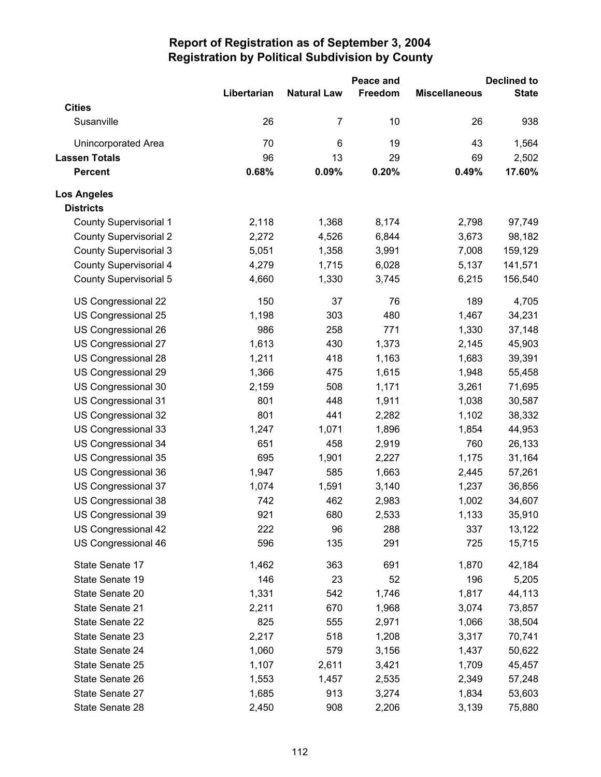|                               |             |                    | Peace and |                      | <b>Declined to</b> |
|-------------------------------|-------------|--------------------|-----------|----------------------|--------------------|
|                               | Libertarian | <b>Natural Law</b> | Freedom   | <b>Miscellaneous</b> | <b>State</b>       |
| <b>Cities</b>                 |             |                    |           |                      |                    |
| Susanville                    | 26          | 7                  | 10        | 26                   | 938                |
| <b>Unincorporated Area</b>    | 70          | 6                  | 19        | 43                   | 1,564              |
| <b>Lassen Totals</b>          | 96          | 13                 | 29        | 69                   | 2,502              |
| <b>Percent</b>                | 0.68%       | 0.09%              | 0.20%     | 0.49%                | 17.60%             |
| <b>Los Angeles</b>            |             |                    |           |                      |                    |
| <b>Districts</b>              |             |                    |           |                      |                    |
| <b>County Supervisorial 1</b> | 2,118       | 1,368              | 8,174     | 2,798                | 97,749             |
| <b>County Supervisorial 2</b> | 2,272       | 4,526              | 6,844     | 3,673                | 98,182             |
| <b>County Supervisorial 3</b> | 5,051       | 1,358              | 3,991     | 7,008                | 159,129            |
| <b>County Supervisorial 4</b> | 4,279       | 1,715              | 6,028     | 5,137                | 141,571            |
| <b>County Supervisorial 5</b> | 4,660       | 1,330              | 3,745     | 6,215                | 156,540            |
| US Congressional 22           | 150         | 37                 | 76        | 189                  | 4,705              |
| US Congressional 25           | 1,198       | 303                | 480       | 1,467                | 34,231             |
| US Congressional 26           | 986         | 258                | 771       | 1,330                | 37,148             |
| US Congressional 27           | 1,613       | 430                | 1,373     | 2,145                | 45,903             |
| US Congressional 28           | 1,211       | 418                | 1,163     | 1,683                | 39,391             |
| US Congressional 29           | 1,366       | 475                | 1,615     | 1,948                | 55,458             |
| US Congressional 30           | 2,159       | 508                | 1,171     | 3,261                | 71,695             |
| US Congressional 31           | 801         | 448                | 1,911     | 1,038                | 30,587             |
| US Congressional 32           | 801         | 441                | 2,282     | 1,102                | 38,332             |
| US Congressional 33           | 1,247       | 1,071              | 1,896     | 1,854                | 44,953             |
| US Congressional 34           | 651         | 458                | 2,919     | 760                  | 26,133             |
| US Congressional 35           | 695         | 1,901              | 2,227     | 1,175                | 31,164             |
| US Congressional 36           | 1,947       | 585                | 1,663     | 2,445                | 57,261             |
| US Congressional 37           | 1,074       | 1,591              | 3,140     | 1,237                | 36,856             |
| US Congressional 38           | 742         | 462                | 2,983     | 1,002                | 34,607             |
| US Congressional 39           | 921         | 680                | 2,533     | 1,133                | 35,910             |
| US Congressional 42           | 222         | 96                 | 288       | 337                  | 13,122             |
| US Congressional 46           | 596         | 135                | 291       | 725                  | 15,715             |
| State Senate 17               | 1,462       | 363                | 691       | 1,870                | 42,184             |
| State Senate 19               | 146         | 23                 | 52        | 196                  | 5,205              |
| State Senate 20               | 1,331       | 542                | 1,746     | 1,817                | 44,113             |
| State Senate 21               | 2,211       | 670                | 1,968     | 3,074                | 73,857             |
| State Senate 22               | 825         | 555                | 2,971     | 1,066                | 38,504             |
| State Senate 23               | 2,217       | 518                | 1,208     | 3,317                | 70,741             |
| State Senate 24               | 1,060       | 579                | 3,156     | 1,437                | 50,622             |
| State Senate 25               | 1,107       | 2,611              | 3,421     | 1,709                | 45,457             |
| State Senate 26               | 1,553       | 1,457              | 2,535     | 2,349                | 57,248             |
| State Senate 27               | 1,685       | 913                | 3,274     | 1,834                | 53,603             |
| State Senate 28               | 2,450       | 908                | 2,206     | 3,139                | 75,880             |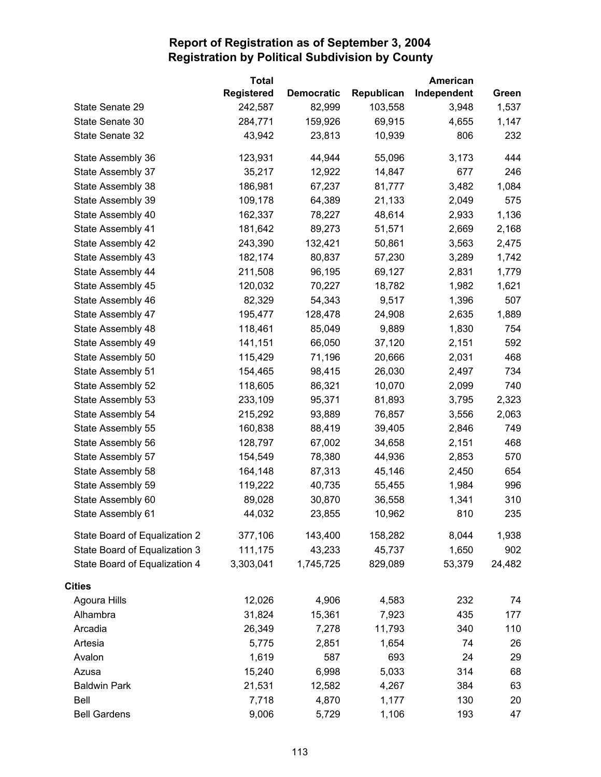|                               | <b>Total</b>      |                   | American   |             |        |
|-------------------------------|-------------------|-------------------|------------|-------------|--------|
|                               | <b>Registered</b> | <b>Democratic</b> | Republican | Independent | Green  |
| State Senate 29               | 242,587           | 82,999            | 103,558    | 3,948       | 1,537  |
| State Senate 30               | 284,771           | 159,926           | 69,915     | 4,655       | 1,147  |
| State Senate 32               | 43,942            | 23,813            | 10,939     | 806         | 232    |
| State Assembly 36             | 123,931           | 44,944            | 55,096     | 3,173       | 444    |
| State Assembly 37             | 35,217            | 12,922            | 14,847     | 677         | 246    |
| State Assembly 38             | 186,981           | 67,237            | 81,777     | 3,482       | 1,084  |
| State Assembly 39             | 109,178           | 64,389            | 21,133     | 2,049       | 575    |
| State Assembly 40             | 162,337           | 78,227            | 48,614     | 2,933       | 1,136  |
| State Assembly 41             | 181,642           | 89,273            | 51,571     | 2,669       | 2,168  |
| State Assembly 42             | 243,390           | 132,421           | 50,861     | 3,563       | 2,475  |
| State Assembly 43             | 182,174           | 80,837            | 57,230     | 3,289       | 1,742  |
| State Assembly 44             | 211,508           | 96,195            | 69,127     | 2,831       | 1,779  |
| State Assembly 45             | 120,032           | 70,227            | 18,782     | 1,982       | 1,621  |
| State Assembly 46             | 82,329            | 54,343            | 9,517      | 1,396       | 507    |
| State Assembly 47             | 195,477           | 128,478           | 24,908     | 2,635       | 1,889  |
| State Assembly 48             | 118,461           | 85,049            | 9,889      | 1,830       | 754    |
| State Assembly 49             | 141,151           | 66,050            | 37,120     | 2,151       | 592    |
| State Assembly 50             | 115,429           | 71,196            | 20,666     | 2,031       | 468    |
| State Assembly 51             | 154,465           | 98,415            | 26,030     | 2,497       | 734    |
| State Assembly 52             | 118,605           | 86,321            | 10,070     | 2,099       | 740    |
| State Assembly 53             | 233,109           | 95,371            | 81,893     | 3,795       | 2,323  |
| State Assembly 54             | 215,292           | 93,889            | 76,857     | 3,556       | 2,063  |
| State Assembly 55             | 160,838           | 88,419            | 39,405     | 2,846       | 749    |
| State Assembly 56             | 128,797           | 67,002            | 34,658     | 2,151       | 468    |
| State Assembly 57             | 154,549           | 78,380            | 44,936     | 2,853       | 570    |
| State Assembly 58             | 164,148           | 87,313            | 45,146     | 2,450       | 654    |
| State Assembly 59             | 119,222           | 40,735            | 55,455     | 1,984       | 996    |
| State Assembly 60             | 89,028            | 30,870            | 36,558     | 1,341       | 310    |
| State Assembly 61             | 44,032            | 23,855            | 10,962     | 810         | 235    |
| State Board of Equalization 2 | 377,106           | 143,400           | 158,282    | 8,044       | 1,938  |
| State Board of Equalization 3 | 111,175           | 43,233            | 45,737     | 1,650       | 902    |
| State Board of Equalization 4 | 3,303,041         | 1,745,725         | 829,089    | 53,379      | 24,482 |
| <b>Cities</b>                 |                   |                   |            |             |        |
| Agoura Hills                  | 12,026            | 4,906             | 4,583      | 232         | 74     |
| Alhambra                      | 31,824            | 15,361            | 7,923      | 435         | 177    |
| Arcadia                       | 26,349            | 7,278             | 11,793     | 340         | 110    |
| Artesia                       | 5,775             | 2,851             | 1,654      | 74          | 26     |
| Avalon                        | 1,619             | 587               | 693        | 24          | 29     |
| Azusa                         | 15,240            | 6,998             | 5,033      | 314         | 68     |
| <b>Baldwin Park</b>           | 21,531            | 12,582            | 4,267      | 384         | 63     |
| Bell                          | 7,718             | 4,870             | 1,177      | 130         | 20     |
| <b>Bell Gardens</b>           | 9,006             | 5,729             | 1,106      | 193         | 47     |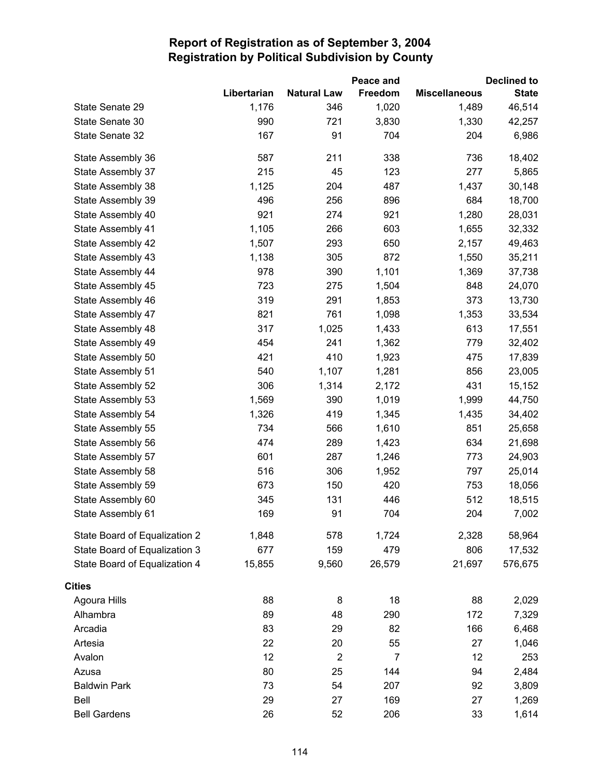|                               |             |                    | Peace and      |                      | <b>Declined to</b> |
|-------------------------------|-------------|--------------------|----------------|----------------------|--------------------|
|                               | Libertarian | <b>Natural Law</b> | Freedom        | <b>Miscellaneous</b> | <b>State</b>       |
| State Senate 29               | 1,176       | 346                | 1,020          | 1,489                | 46,514             |
| State Senate 30               | 990         | 721                | 3,830          | 1,330                | 42,257             |
| State Senate 32               | 167         | 91                 | 704            | 204                  | 6,986              |
| State Assembly 36             | 587         | 211                | 338            | 736                  | 18,402             |
| State Assembly 37             | 215         | 45                 | 123            | 277                  | 5,865              |
| State Assembly 38             | 1,125       | 204                | 487            | 1,437                | 30,148             |
| State Assembly 39             | 496         | 256                | 896            | 684                  | 18,700             |
| State Assembly 40             | 921         | 274                | 921            | 1,280                | 28,031             |
| State Assembly 41             | 1,105       | 266                | 603            | 1,655                | 32,332             |
| State Assembly 42             | 1,507       | 293                | 650            | 2,157                | 49,463             |
| State Assembly 43             | 1,138       | 305                | 872            | 1,550                | 35,211             |
| State Assembly 44             | 978         | 390                | 1,101          | 1,369                | 37,738             |
| State Assembly 45             | 723         | 275                | 1,504          | 848                  | 24,070             |
| State Assembly 46             | 319         | 291                | 1,853          | 373                  | 13,730             |
| State Assembly 47             | 821         | 761                | 1,098          | 1,353                | 33,534             |
| State Assembly 48             | 317         | 1,025              | 1,433          | 613                  | 17,551             |
| State Assembly 49             | 454         | 241                | 1,362          | 779                  | 32,402             |
| State Assembly 50             | 421         | 410                | 1,923          | 475                  | 17,839             |
| State Assembly 51             | 540         | 1,107              | 1,281          | 856                  | 23,005             |
| State Assembly 52             | 306         | 1,314              | 2,172          | 431                  | 15,152             |
| State Assembly 53             | 1,569       | 390                | 1,019          | 1,999                | 44,750             |
| State Assembly 54             | 1,326       | 419                | 1,345          | 1,435                | 34,402             |
| State Assembly 55             | 734         | 566                | 1,610          | 851                  | 25,658             |
| State Assembly 56             | 474         | 289                | 1,423          | 634                  | 21,698             |
| State Assembly 57             | 601         | 287                | 1,246          | 773                  | 24,903             |
| State Assembly 58             | 516         | 306                | 1,952          | 797                  | 25,014             |
| State Assembly 59             | 673         | 150                | 420            | 753                  | 18,056             |
| State Assembly 60             | 345         | 131                | 446            | 512                  | 18,515             |
| State Assembly 61             | 169         | 91                 | 704            | 204                  | 7,002              |
| State Board of Equalization 2 | 1,848       | 578                | 1,724          | 2,328                | 58,964             |
| State Board of Equalization 3 | 677         | 159                | 479            | 806                  | 17,532             |
| State Board of Equalization 4 | 15,855      | 9,560              | 26,579         | 21,697               | 576,675            |
| <b>Cities</b>                 |             |                    |                |                      |                    |
| Agoura Hills                  | 88          | 8                  | 18             | 88                   | 2,029              |
| Alhambra                      | 89          | 48                 | 290            | 172                  | 7,329              |
| Arcadia                       | 83          | 29                 | 82             | 166                  | 6,468              |
| Artesia                       | 22          | 20                 | 55             | 27                   | 1,046              |
| Avalon                        | 12          | $\overline{2}$     | $\overline{7}$ | 12                   | 253                |
| Azusa                         | 80          | 25                 | 144            | 94                   | 2,484              |
| <b>Baldwin Park</b>           | 73          | 54                 | 207            | 92                   | 3,809              |
| Bell                          | 29          | 27                 | 169            | 27                   | 1,269              |
| <b>Bell Gardens</b>           | 26          | 52                 | 206            | 33                   | 1,614              |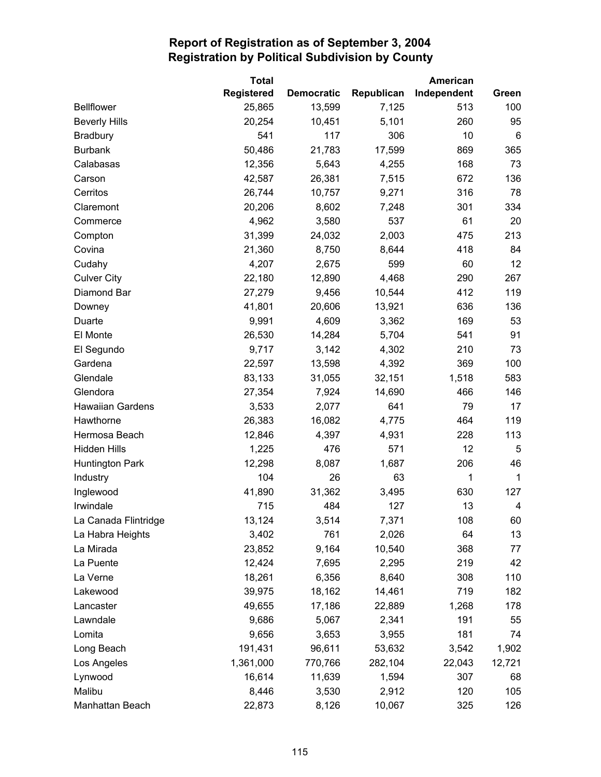|                         | <b>Total</b>      |                   |            | American    |             |
|-------------------------|-------------------|-------------------|------------|-------------|-------------|
|                         | <b>Registered</b> | <b>Democratic</b> | Republican | Independent | Green       |
| <b>Bellflower</b>       | 25,865            | 13,599            | 7,125      | 513         | 100         |
| <b>Beverly Hills</b>    | 20,254            | 10,451            | 5,101      | 260         | 95          |
| <b>Bradbury</b>         | 541               | 117               | 306        | 10          | 6           |
| <b>Burbank</b>          | 50,486            | 21,783            | 17,599     | 869         | 365         |
| Calabasas               | 12,356            | 5,643             | 4,255      | 168         | 73          |
| Carson                  | 42,587            | 26,381            | 7,515      | 672         | 136         |
| Cerritos                | 26,744            | 10,757            | 9,271      | 316         | 78          |
| Claremont               | 20,206            | 8,602             | 7,248      | 301         | 334         |
| Commerce                | 4,962             | 3,580             | 537        | 61          | 20          |
| Compton                 | 31,399            | 24,032            | 2,003      | 475         | 213         |
| Covina                  | 21,360            | 8,750             | 8,644      | 418         | 84          |
| Cudahy                  | 4,207             | 2,675             | 599        | 60          | 12          |
| <b>Culver City</b>      | 22,180            | 12,890            | 4,468      | 290         | 267         |
| Diamond Bar             | 27,279            | 9,456             | 10,544     | 412         | 119         |
| Downey                  | 41,801            | 20,606            | 13,921     | 636         | 136         |
| Duarte                  | 9,991             | 4,609             | 3,362      | 169         | 53          |
| El Monte                | 26,530            | 14,284            | 5,704      | 541         | 91          |
| El Segundo              | 9,717             | 3,142             | 4,302      | 210         | 73          |
| Gardena                 | 22,597            | 13,598            | 4,392      | 369         | 100         |
| Glendale                | 83,133            | 31,055            | 32,151     | 1,518       | 583         |
| Glendora                | 27,354            | 7,924             | 14,690     | 466         | 146         |
| <b>Hawaiian Gardens</b> | 3,533             | 2,077             | 641        | 79          | 17          |
| Hawthorne               | 26,383            | 16,082            | 4,775      | 464         | 119         |
| Hermosa Beach           | 12,846            | 4,397             | 4,931      | 228         | 113         |
| <b>Hidden Hills</b>     | 1,225             | 476               | 571        | 12          | 5           |
| <b>Huntington Park</b>  | 12,298            | 8,087             | 1,687      | 206         | 46          |
| Industry                | 104               | 26                | 63         | 1           | $\mathbf 1$ |
| Inglewood               | 41,890            | 31,362            | 3,495      | 630         | 127         |
| Irwindale               | 715               | 484               | 127        | 13          | 4           |
| La Canada Flintridge    | 13,124            | 3,514             | 7,371      | 108         | 60          |
| La Habra Heights        | 3,402             | 761               | 2,026      | 64          | 13          |
| La Mirada               | 23,852            | 9,164             | 10,540     | 368         | 77          |
| La Puente               | 12,424            | 7,695             | 2,295      | 219         | 42          |
| La Verne                | 18,261            | 6,356             | 8,640      | 308         | 110         |
| Lakewood                | 39,975            | 18,162            | 14,461     | 719         | 182         |
| Lancaster               | 49,655            | 17,186            | 22,889     | 1,268       | 178         |
| Lawndale                | 9,686             | 5,067             | 2,341      | 191         | 55          |
| Lomita                  | 9,656             | 3,653             | 3,955      | 181         | 74          |
| Long Beach              | 191,431           | 96,611            | 53,632     | 3,542       | 1,902       |
| Los Angeles             | 1,361,000         | 770,766           | 282,104    | 22,043      | 12,721      |
| Lynwood                 | 16,614            | 11,639            | 1,594      | 307         | 68          |
| Malibu                  | 8,446             | 3,530             | 2,912      | 120         | 105         |
| Manhattan Beach         | 22,873            | 8,126             | 10,067     | 325         | 126         |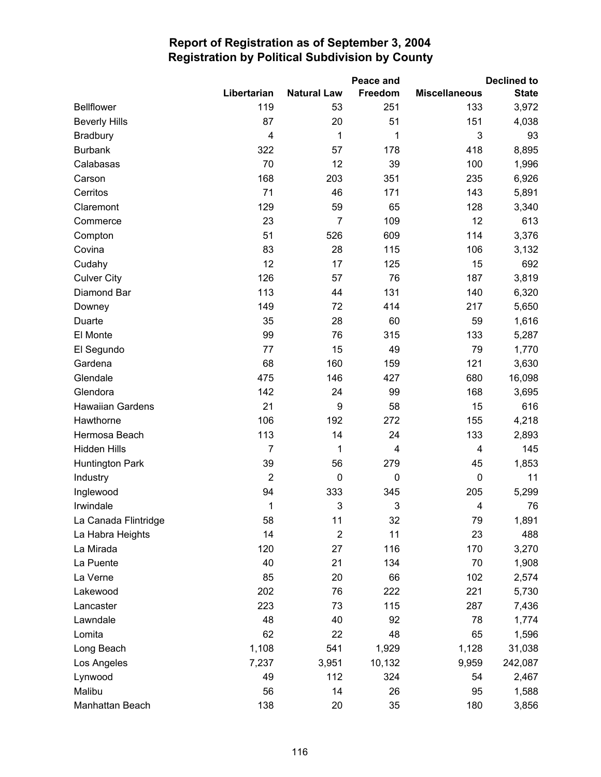|                         |                |                    | Peace and      |                      | <b>Declined to</b> |
|-------------------------|----------------|--------------------|----------------|----------------------|--------------------|
|                         | Libertarian    | <b>Natural Law</b> | Freedom        | <b>Miscellaneous</b> | <b>State</b>       |
| <b>Bellflower</b>       | 119            | 53                 | 251            | 133                  | 3,972              |
| <b>Beverly Hills</b>    | 87             | 20                 | 51             | 151                  | 4,038              |
| Bradbury                | 4              | 1                  | 1              | 3                    | 93                 |
| <b>Burbank</b>          | 322            | 57                 | 178            | 418                  | 8,895              |
| Calabasas               | 70             | 12                 | 39             | 100                  | 1,996              |
| Carson                  | 168            | 203                | 351            | 235                  | 6,926              |
| Cerritos                | 71             | 46                 | 171            | 143                  | 5,891              |
| Claremont               | 129            | 59                 | 65             | 128                  | 3,340              |
| Commerce                | 23             | 7                  | 109            | 12                   | 613                |
| Compton                 | 51             | 526                | 609            | 114                  | 3,376              |
| Covina                  | 83             | 28                 | 115            | 106                  | 3,132              |
| Cudahy                  | 12             | 17                 | 125            | 15                   | 692                |
| <b>Culver City</b>      | 126            | 57                 | 76             | 187                  | 3,819              |
| Diamond Bar             | 113            | 44                 | 131            | 140                  | 6,320              |
| Downey                  | 149            | 72                 | 414            | 217                  | 5,650              |
| Duarte                  | 35             | 28                 | 60             | 59                   | 1,616              |
| El Monte                | 99             | 76                 | 315            | 133                  | 5,287              |
| El Segundo              | 77             | 15                 | 49             | 79                   | 1,770              |
| Gardena                 | 68             | 160                | 159            | 121                  | 3,630              |
| Glendale                | 475            | 146                | 427            | 680                  | 16,098             |
| Glendora                | 142            | 24                 | 99             | 168                  | 3,695              |
| <b>Hawaiian Gardens</b> | 21             | 9                  | 58             | 15                   | 616                |
| Hawthorne               | 106            | 192                | 272            | 155                  | 4,218              |
| Hermosa Beach           | 113            | 14                 | 24             | 133                  | 2,893              |
| <b>Hidden Hills</b>     | $\overline{7}$ | 1                  | $\overline{4}$ | 4                    | 145                |
| Huntington Park         | 39             | 56                 | 279            | 45                   | 1,853              |
| Industry                | $\overline{2}$ | 0                  | $\mathbf 0$    | 0                    | 11                 |
| Inglewood               | 94             | 333                | 345            | 205                  | 5,299              |
| Irwindale               | 1              | 3                  | 3              | 4                    | 76                 |
| La Canada Flintridge    | 58             | 11                 | 32             | 79                   | 1,891              |
| La Habra Heights        | 14             | $\mathbf 2$        | 11             | 23                   | 488                |
| La Mirada               | 120            | 27                 | 116            | 170                  | 3,270              |
| La Puente               | 40             | 21                 | 134            | 70                   | 1,908              |
| La Verne                | 85             | 20                 | 66             | 102                  | 2,574              |
| Lakewood                | 202            | 76                 | 222            | 221                  | 5,730              |
| Lancaster               | 223            | 73                 | 115            | 287                  | 7,436              |
| Lawndale                | 48             | 40                 | 92             | 78                   | 1,774              |
| Lomita                  | 62             | 22                 | 48             | 65                   | 1,596              |
| Long Beach              | 1,108          | 541                | 1,929          | 1,128                | 31,038             |
| Los Angeles             | 7,237          | 3,951              | 10,132         | 9,959                | 242,087            |
| Lynwood                 | 49             | 112                | 324            | 54                   | 2,467              |
| Malibu                  | 56             | 14                 | 26             | 95                   | 1,588              |
| Manhattan Beach         | 138            | 20                 | 35             | 180                  | 3,856              |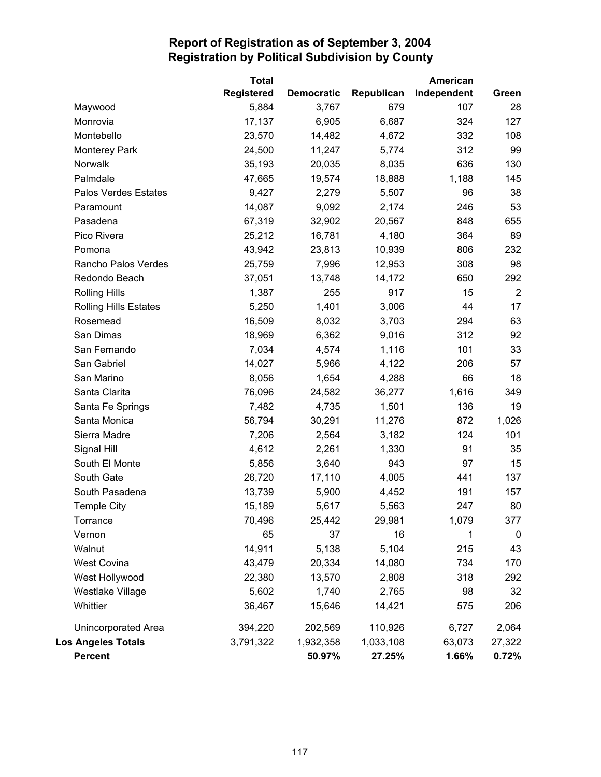|                              | <b>Total</b>      |                   |            | American    |                |
|------------------------------|-------------------|-------------------|------------|-------------|----------------|
|                              | <b>Registered</b> | <b>Democratic</b> | Republican | Independent | Green          |
| Maywood                      | 5,884             | 3,767             | 679        | 107         | 28             |
| Monrovia                     | 17,137            | 6,905             | 6,687      | 324         | 127            |
| Montebello                   | 23,570            | 14,482            | 4,672      | 332         | 108            |
| <b>Monterey Park</b>         | 24,500            | 11,247            | 5,774      | 312         | 99             |
| Norwalk                      | 35,193            | 20,035            | 8,035      | 636         | 130            |
| Palmdale                     | 47,665            | 19,574            | 18,888     | 1,188       | 145            |
| Palos Verdes Estates         | 9,427             | 2,279             | 5,507      | 96          | 38             |
| Paramount                    | 14,087            | 9,092             | 2,174      | 246         | 53             |
| Pasadena                     | 67,319            | 32,902            | 20,567     | 848         | 655            |
| Pico Rivera                  | 25,212            | 16,781            | 4,180      | 364         | 89             |
| Pomona                       | 43,942            | 23,813            | 10,939     | 806         | 232            |
| Rancho Palos Verdes          | 25,759            | 7,996             | 12,953     | 308         | 98             |
| Redondo Beach                | 37,051            | 13,748            | 14,172     | 650         | 292            |
| <b>Rolling Hills</b>         | 1,387             | 255               | 917        | 15          | $\overline{2}$ |
| <b>Rolling Hills Estates</b> | 5,250             | 1,401             | 3,006      | 44          | 17             |
| Rosemead                     | 16,509            | 8,032             | 3,703      | 294         | 63             |
| San Dimas                    | 18,969            | 6,362             | 9,016      | 312         | 92             |
| San Fernando                 | 7,034             | 4,574             | 1,116      | 101         | 33             |
| San Gabriel                  | 14,027            | 5,966             | 4,122      | 206         | 57             |
| San Marino                   | 8,056             | 1,654             | 4,288      | 66          | 18             |
| Santa Clarita                | 76,096            | 24,582            | 36,277     | 1,616       | 349            |
| Santa Fe Springs             | 7,482             | 4,735             | 1,501      | 136         | 19             |
| Santa Monica                 | 56,794            | 30,291            | 11,276     | 872         | 1,026          |
| Sierra Madre                 | 7,206             | 2,564             | 3,182      | 124         | 101            |
| Signal Hill                  | 4,612             | 2,261             | 1,330      | 91          | 35             |
| South El Monte               | 5,856             | 3,640             | 943        | 97          | 15             |
| South Gate                   | 26,720            | 17,110            | 4,005      | 441         | 137            |
| South Pasadena               | 13,739            | 5,900             | 4,452      | 191         | 157            |
| <b>Temple City</b>           | 15,189            | 5,617             | 5,563      | 247         | 80             |
| Torrance                     | 70,496            | 25,442            | 29,981     | 1,079       | 377            |
| Vernon                       | 65                | 37                | 16         | 1           | 0              |
| Walnut                       | 14,911            | 5,138             | 5,104      | 215         | 43             |
| West Covina                  | 43,479            | 20,334            | 14,080     | 734         | 170            |
| West Hollywood               | 22,380            | 13,570            | 2,808      | 318         | 292            |
| Westlake Village             | 5,602             | 1,740             | 2,765      | 98          | 32             |
| Whittier                     | 36,467            | 15,646            | 14,421     | 575         | 206            |
| Unincorporated Area          | 394,220           | 202,569           | 110,926    | 6,727       | 2,064          |
| <b>Los Angeles Totals</b>    | 3,791,322         | 1,932,358         | 1,033,108  | 63,073      | 27,322         |
| <b>Percent</b>               |                   | 50.97%            | 27.25%     | 1.66%       | 0.72%          |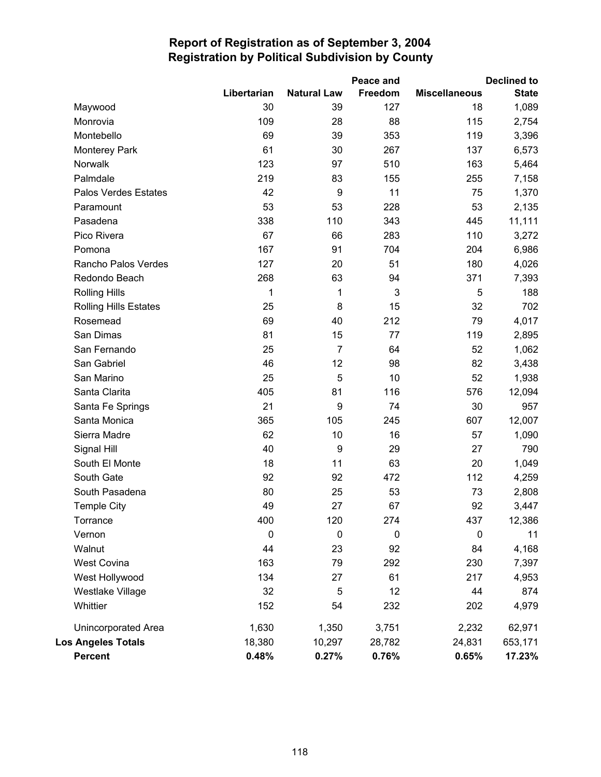|                              |                  |                    | Peace and |                      | <b>Declined to</b> |
|------------------------------|------------------|--------------------|-----------|----------------------|--------------------|
|                              | Libertarian      | <b>Natural Law</b> | Freedom   | <b>Miscellaneous</b> | <b>State</b>       |
| Maywood                      | 30               | 39                 | 127       | 18                   | 1,089              |
| Monrovia                     | 109              | 28                 | 88        | 115                  | 2,754              |
| Montebello                   | 69               | 39                 | 353       | 119                  | 3,396              |
| <b>Monterey Park</b>         | 61               | 30                 | 267       | 137                  | 6,573              |
| Norwalk                      | 123              | 97                 | 510       | 163                  | 5,464              |
| Palmdale                     | 219              | 83                 | 155       | 255                  | 7,158              |
| Palos Verdes Estates         | 42               | $\boldsymbol{9}$   | 11        | 75                   | 1,370              |
| Paramount                    | 53               | 53                 | 228       | 53                   | 2,135              |
| Pasadena                     | 338              | 110                | 343       | 445                  | 11,111             |
| Pico Rivera                  | 67               | 66                 | 283       | 110                  | 3,272              |
| Pomona                       | 167              | 91                 | 704       | 204                  | 6,986              |
| Rancho Palos Verdes          | 127              | 20                 | 51        | 180                  | 4,026              |
| Redondo Beach                | 268              | 63                 | 94        | 371                  | 7,393              |
| <b>Rolling Hills</b>         | 1                | 1                  | 3         | 5                    | 188                |
| <b>Rolling Hills Estates</b> | 25               | 8                  | 15        | 32                   | 702                |
| Rosemead                     | 69               | 40                 | 212       | 79                   | 4,017              |
| San Dimas                    | 81               | 15                 | 77        | 119                  | 2,895              |
| San Fernando                 | 25               | $\overline{7}$     | 64        | 52                   | 1,062              |
| San Gabriel                  | 46               | 12                 | 98        | 82                   | 3,438              |
| San Marino                   | 25               | 5                  | 10        | 52                   | 1,938              |
| Santa Clarita                | 405              | 81                 | 116       | 576                  | 12,094             |
| Santa Fe Springs             | 21               | $\boldsymbol{9}$   | 74        | 30                   | 957                |
| Santa Monica                 | 365              | 105                | 245       | 607                  | 12,007             |
| Sierra Madre                 | 62               | 10                 | 16        | 57                   | 1,090              |
| Signal Hill                  | 40               | 9                  | 29        | 27                   | 790                |
| South El Monte               | 18               | 11                 | 63        | 20                   | 1,049              |
| South Gate                   | 92               | 92                 | 472       | 112                  | 4,259              |
| South Pasadena               | 80               | 25                 | 53        | 73                   | 2,808              |
| <b>Temple City</b>           | 49               | 27                 | 67        | 92                   | 3,447              |
| Torrance                     | 400              | 120                | 274       | 437                  | 12,386             |
| Vernon                       | $\boldsymbol{0}$ | $\mathbf 0$        | 0         | $\pmb{0}$            | 11                 |
| Walnut                       | 44               | 23                 | 92        | 84                   | 4,168              |
| West Covina                  | 163              | 79                 | 292       | 230                  | 7,397              |
| West Hollywood               | 134              | 27                 | 61        | 217                  | 4,953              |
| Westlake Village             | 32               | 5                  | 12        | 44                   | 874                |
| Whittier                     | 152              | 54                 | 232       | 202                  | 4,979              |
| <b>Unincorporated Area</b>   | 1,630            | 1,350              | 3,751     | 2,232                | 62,971             |
| <b>Los Angeles Totals</b>    | 18,380           | 10,297             | 28,782    | 24,831               | 653,171            |
| <b>Percent</b>               | 0.48%            | 0.27%              | 0.76%     | 0.65%                | 17.23%             |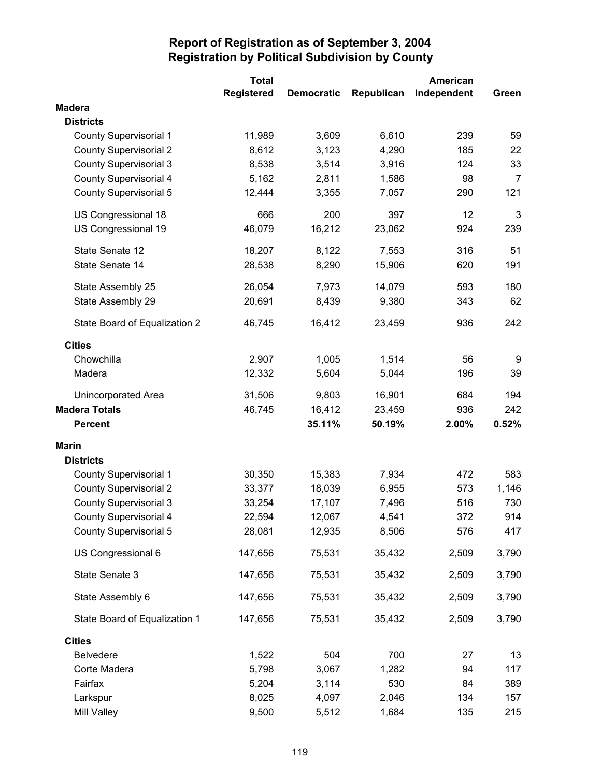|                               | <b>Total</b> |                   |            | American    |       |
|-------------------------------|--------------|-------------------|------------|-------------|-------|
|                               | Registered   | <b>Democratic</b> | Republican | Independent | Green |
| <b>Madera</b>                 |              |                   |            |             |       |
| <b>Districts</b>              |              |                   |            |             |       |
| <b>County Supervisorial 1</b> | 11,989       | 3,609             | 6,610      | 239         | 59    |
| <b>County Supervisorial 2</b> | 8,612        | 3,123             | 4,290      | 185         | 22    |
| <b>County Supervisorial 3</b> | 8,538        | 3,514             | 3,916      | 124         | 33    |
| <b>County Supervisorial 4</b> | 5,162        | 2,811             | 1,586      | 98          | 7     |
| <b>County Supervisorial 5</b> | 12,444       | 3,355             | 7,057      | 290         | 121   |
| US Congressional 18           | 666          | 200               | 397        | 12          | 3     |
| US Congressional 19           | 46,079       | 16,212            | 23,062     | 924         | 239   |
| State Senate 12               | 18,207       | 8,122             | 7,553      | 316         | 51    |
| State Senate 14               | 28,538       | 8,290             | 15,906     | 620         | 191   |
| State Assembly 25             | 26,054       | 7,973             | 14,079     | 593         | 180   |
| State Assembly 29             | 20,691       | 8,439             | 9,380      | 343         | 62    |
| State Board of Equalization 2 | 46,745       | 16,412            | 23,459     | 936         | 242   |
| <b>Cities</b>                 |              |                   |            |             |       |
| Chowchilla                    | 2,907        | 1,005             | 1,514      | 56          | 9     |
| Madera                        | 12,332       | 5,604             | 5,044      | 196         | 39    |
| Unincorporated Area           | 31,506       | 9,803             | 16,901     | 684         | 194   |
| <b>Madera Totals</b>          | 46,745       | 16,412            | 23,459     | 936         | 242   |
| <b>Percent</b>                |              | 35.11%            | 50.19%     | 2.00%       | 0.52% |
| <b>Marin</b>                  |              |                   |            |             |       |
| <b>Districts</b>              |              |                   |            |             |       |
| <b>County Supervisorial 1</b> | 30,350       | 15,383            | 7,934      | 472         | 583   |
| <b>County Supervisorial 2</b> | 33,377       | 18,039            | 6,955      | 573         | 1,146 |
| <b>County Supervisorial 3</b> | 33,254       | 17,107            | 7,496      | 516         | 730   |
| County Supervisorial 4        | 22,594       | 12,067            | 4,541      | 372         | 914   |
| <b>County Supervisorial 5</b> | 28,081       | 12,935            | 8,506      | 576         | 417   |
| US Congressional 6            | 147,656      | 75,531            | 35,432     | 2,509       | 3,790 |
| State Senate 3                | 147,656      | 75,531            | 35,432     | 2,509       | 3,790 |
| State Assembly 6              | 147,656      | 75,531            | 35,432     | 2,509       | 3,790 |
| State Board of Equalization 1 | 147,656      | 75,531            | 35,432     | 2,509       | 3,790 |
| <b>Cities</b>                 |              |                   |            |             |       |
| <b>Belvedere</b>              | 1,522        | 504               | 700        | 27          | 13    |
| Corte Madera                  | 5,798        | 3,067             | 1,282      | 94          | 117   |
| Fairfax                       | 5,204        | 3,114             | 530        | 84          | 389   |
| Larkspur                      | 8,025        | 4,097             | 2,046      | 134         | 157   |
| Mill Valley                   | 9,500        | 5,512             | 1,684      | 135         | 215   |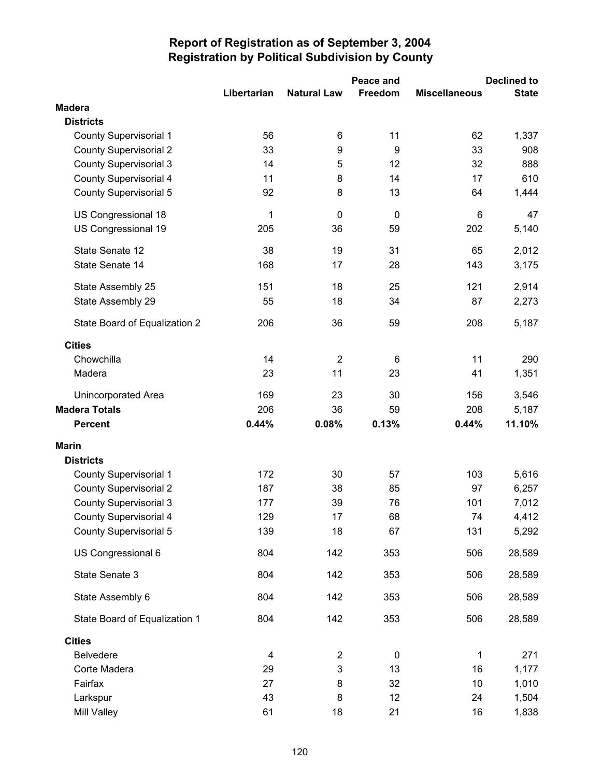|                               |             |                    | Peace and   |                      | <b>Declined to</b> |
|-------------------------------|-------------|--------------------|-------------|----------------------|--------------------|
|                               | Libertarian | <b>Natural Law</b> | Freedom     | <b>Miscellaneous</b> | <b>State</b>       |
| <b>Madera</b>                 |             |                    |             |                      |                    |
| <b>Districts</b>              |             |                    |             |                      |                    |
| <b>County Supervisorial 1</b> | 56          | 6                  | 11          | 62                   | 1,337              |
| <b>County Supervisorial 2</b> | 33          | 9                  | 9           | 33                   | 908                |
| <b>County Supervisorial 3</b> | 14          | 5                  | 12          | 32                   | 888                |
| County Supervisorial 4        | 11          | 8                  | 14          | 17                   | 610                |
| <b>County Supervisorial 5</b> | 92          | 8                  | 13          | 64                   | 1,444              |
| US Congressional 18           | 1           | $\mathbf 0$        | $\mathbf 0$ | 6                    | 47                 |
| US Congressional 19           | 205         | 36                 | 59          | 202                  | 5,140              |
| State Senate 12               | 38          | 19                 | 31          | 65                   | 2,012              |
| State Senate 14               | 168         | 17                 | 28          | 143                  | 3,175              |
| State Assembly 25             | 151         | 18                 | 25          | 121                  | 2,914              |
| State Assembly 29             | 55          | 18                 | 34          | 87                   | 2,273              |
| State Board of Equalization 2 | 206         | 36                 | 59          | 208                  | 5,187              |
| <b>Cities</b>                 |             |                    |             |                      |                    |
| Chowchilla                    | 14          | $\overline{2}$     | 6           | 11                   | 290                |
| Madera                        | 23          | 11                 | 23          | 41                   | 1,351              |
| Unincorporated Area           | 169         | 23                 | 30          | 156                  | 3,546              |
| <b>Madera Totals</b>          | 206         | 36                 | 59          | 208                  | 5,187              |
| <b>Percent</b>                | 0.44%       | 0.08%              | 0.13%       | 0.44%                | 11.10%             |
| <b>Marin</b>                  |             |                    |             |                      |                    |
| <b>Districts</b>              |             |                    |             |                      |                    |
| <b>County Supervisorial 1</b> | 172         | 30                 | 57          | 103                  | 5,616              |
| <b>County Supervisorial 2</b> | 187         | 38                 | 85          | 97                   | 6,257              |
| <b>County Supervisorial 3</b> | 177         | 39                 | 76          | 101                  | 7,012              |
| <b>County Supervisorial 4</b> | 129         | 17                 | 68          | 74                   | 4,412              |
| <b>County Supervisorial 5</b> | 139         | 18                 | 67          | 131                  | 5,292              |
| US Congressional 6            | 804         | 142                | 353         | 506                  | 28,589             |
| State Senate 3                | 804         | 142                | 353         | 506                  | 28,589             |
| State Assembly 6              | 804         | 142                | 353         | 506                  | 28,589             |
| State Board of Equalization 1 | 804         | 142                | 353         | 506                  | 28,589             |
| <b>Cities</b>                 |             |                    |             |                      |                    |
| <b>Belvedere</b>              | 4           | $\overline{2}$     | 0           | 1                    | 271                |
| Corte Madera                  | 29          | 3                  | 13          | 16                   | 1,177              |
| Fairfax                       | 27          | 8                  | 32          | 10                   | 1,010              |
| Larkspur                      | 43          | 8                  | 12          | 24                   | 1,504              |
| Mill Valley                   | 61          | 18                 | 21          | 16                   | 1,838              |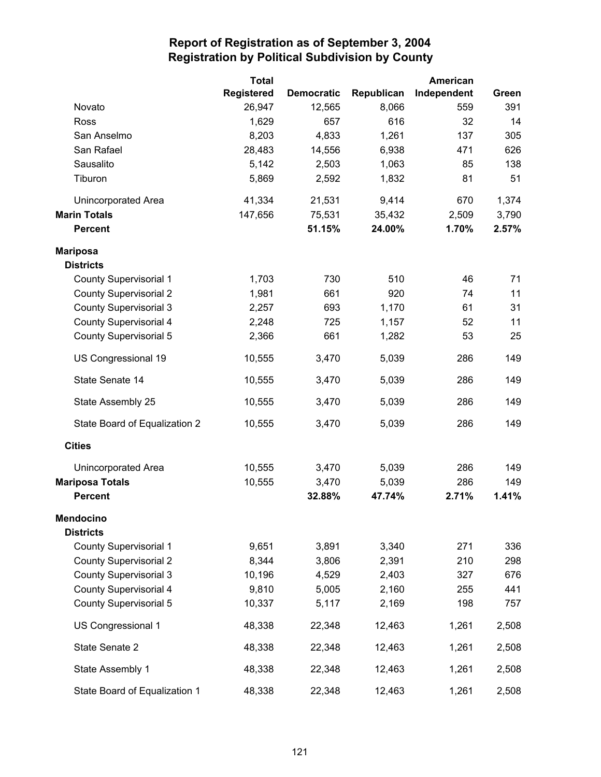|                               | <b>Total</b>      |                   |            | American    |       |
|-------------------------------|-------------------|-------------------|------------|-------------|-------|
|                               | <b>Registered</b> | <b>Democratic</b> | Republican | Independent | Green |
| Novato                        | 26,947            | 12,565            | 8,066      | 559         | 391   |
| Ross                          | 1,629             | 657               | 616        | 32          | 14    |
| San Anselmo                   | 8,203             | 4,833             | 1,261      | 137         | 305   |
| San Rafael                    | 28,483            | 14,556            | 6,938      | 471         | 626   |
| Sausalito                     | 5,142             | 2,503             | 1,063      | 85          | 138   |
| Tiburon                       | 5,869             | 2,592             | 1,832      | 81          | 51    |
| Unincorporated Area           | 41,334            | 21,531            | 9,414      | 670         | 1,374 |
| <b>Marin Totals</b>           | 147,656           | 75,531            | 35,432     | 2,509       | 3,790 |
| <b>Percent</b>                |                   | 51.15%            | 24.00%     | 1.70%       | 2.57% |
| <b>Mariposa</b>               |                   |                   |            |             |       |
| <b>Districts</b>              |                   |                   |            |             |       |
| <b>County Supervisorial 1</b> | 1,703             | 730               | 510        | 46          | 71    |
| <b>County Supervisorial 2</b> | 1,981             | 661               | 920        | 74          | 11    |
| <b>County Supervisorial 3</b> | 2,257             | 693               | 1,170      | 61          | 31    |
| County Supervisorial 4        | 2,248             | 725               | 1,157      | 52          | 11    |
| <b>County Supervisorial 5</b> | 2,366             | 661               | 1,282      | 53          | 25    |
| US Congressional 19           | 10,555            | 3,470             | 5,039      | 286         | 149   |
| State Senate 14               | 10,555            | 3,470             | 5,039      | 286         | 149   |
| State Assembly 25             | 10,555            | 3,470             | 5,039      | 286         | 149   |
| State Board of Equalization 2 | 10,555            | 3,470             | 5,039      | 286         | 149   |
| <b>Cities</b>                 |                   |                   |            |             |       |
| Unincorporated Area           | 10,555            | 3,470             | 5,039      | 286         | 149   |
| <b>Mariposa Totals</b>        | 10,555            | 3,470             | 5,039      | 286         | 149   |
| <b>Percent</b>                |                   | 32.88%            | 47.74%     | 2.71%       | 1.41% |
| <b>Mendocino</b>              |                   |                   |            |             |       |
| <b>Districts</b>              |                   |                   |            |             |       |
| <b>County Supervisorial 1</b> | 9,651             | 3,891             | 3,340      | 271         | 336   |
| <b>County Supervisorial 2</b> | 8,344             | 3,806             | 2,391      | 210         | 298   |
| <b>County Supervisorial 3</b> | 10,196            | 4,529             | 2,403      | 327         | 676   |
| <b>County Supervisorial 4</b> | 9,810             | 5,005             | 2,160      | 255         | 441   |
| County Supervisorial 5        | 10,337            | 5,117             | 2,169      | 198         | 757   |
| US Congressional 1            | 48,338            | 22,348            | 12,463     | 1,261       | 2,508 |
| State Senate 2                | 48,338            | 22,348            | 12,463     | 1,261       | 2,508 |
| State Assembly 1              | 48,338            | 22,348            | 12,463     | 1,261       | 2,508 |
| State Board of Equalization 1 | 48,338            | 22,348            | 12,463     | 1,261       | 2,508 |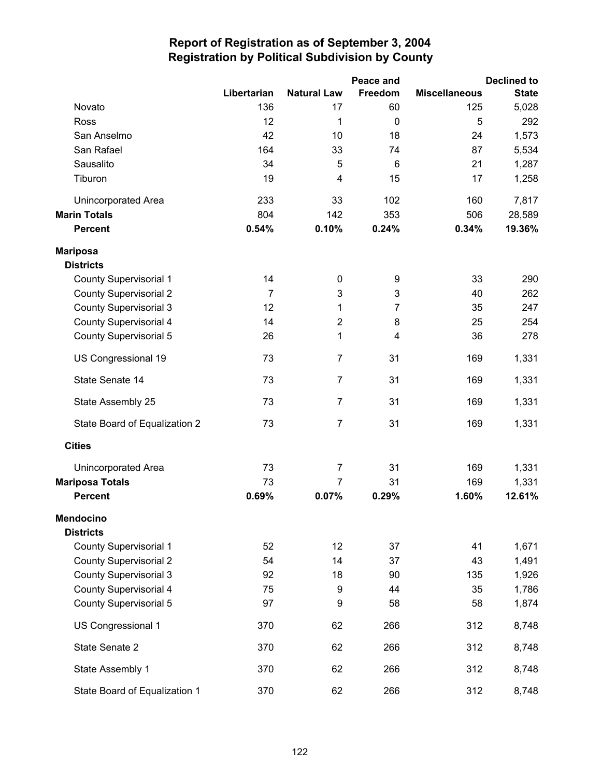|                               |                |                    | Peace and      |                      | <b>Declined to</b> |
|-------------------------------|----------------|--------------------|----------------|----------------------|--------------------|
|                               | Libertarian    | <b>Natural Law</b> | Freedom        | <b>Miscellaneous</b> | <b>State</b>       |
| Novato                        | 136            | 17                 | 60             | 125                  | 5,028              |
| Ross                          | 12             | 1                  | $\mathbf 0$    | 5                    | 292                |
| San Anselmo                   | 42             | 10                 | 18             | 24                   | 1,573              |
| San Rafael                    | 164            | 33                 | 74             | 87                   | 5,534              |
| Sausalito                     | 34             | 5                  | 6              | 21                   | 1,287              |
| Tiburon                       | 19             | 4                  | 15             | 17                   | 1,258              |
| <b>Unincorporated Area</b>    | 233            | 33                 | 102            | 160                  | 7,817              |
| <b>Marin Totals</b>           | 804            | 142                | 353            | 506                  | 28,589             |
| <b>Percent</b>                | 0.54%          | 0.10%              | 0.24%          | 0.34%                | 19.36%             |
| <b>Mariposa</b>               |                |                    |                |                      |                    |
| <b>Districts</b>              |                |                    |                |                      |                    |
| <b>County Supervisorial 1</b> | 14             | 0                  | 9              | 33                   | 290                |
| <b>County Supervisorial 2</b> | $\overline{7}$ | 3                  | 3              | 40                   | 262                |
| <b>County Supervisorial 3</b> | 12             | $\mathbf 1$        | $\overline{7}$ | 35                   | 247                |
| <b>County Supervisorial 4</b> | 14             | $\overline{2}$     | 8              | 25                   | 254                |
| <b>County Supervisorial 5</b> | 26             | 1                  | 4              | 36                   | 278                |
| US Congressional 19           | 73             | $\overline{7}$     | 31             | 169                  | 1,331              |
| State Senate 14               | 73             | $\overline{7}$     | 31             | 169                  | 1,331              |
| State Assembly 25             | 73             | $\overline{7}$     | 31             | 169                  | 1,331              |
| State Board of Equalization 2 | 73             | $\overline{7}$     | 31             | 169                  | 1,331              |
| <b>Cities</b>                 |                |                    |                |                      |                    |
| <b>Unincorporated Area</b>    | 73             | $\overline{7}$     | 31             | 169                  | 1,331              |
| <b>Mariposa Totals</b>        | 73             | $\overline{7}$     | 31             | 169                  | 1,331              |
| <b>Percent</b>                | 0.69%          | 0.07%              | 0.29%          | 1.60%                | 12.61%             |
| <b>Mendocino</b>              |                |                    |                |                      |                    |
| <b>Districts</b>              |                |                    |                |                      |                    |
| <b>County Supervisorial 1</b> | 52             | 12                 | 37             | 41                   | 1,671              |
| <b>County Supervisorial 2</b> | 54             | 14                 | 37             | 43                   | 1,491              |
| <b>County Supervisorial 3</b> | 92             | 18                 | 90             | 135                  | 1,926              |
| <b>County Supervisorial 4</b> | 75             | 9                  | 44             | 35                   | 1,786              |
| <b>County Supervisorial 5</b> | 97             | 9                  | 58             | 58                   | 1,874              |
| US Congressional 1            | 370            | 62                 | 266            | 312                  | 8,748              |
| State Senate 2                | 370            | 62                 | 266            | 312                  | 8,748              |
| State Assembly 1              | 370            | 62                 | 266            | 312                  | 8,748              |
| State Board of Equalization 1 | 370            | 62                 | 266            | 312                  | 8,748              |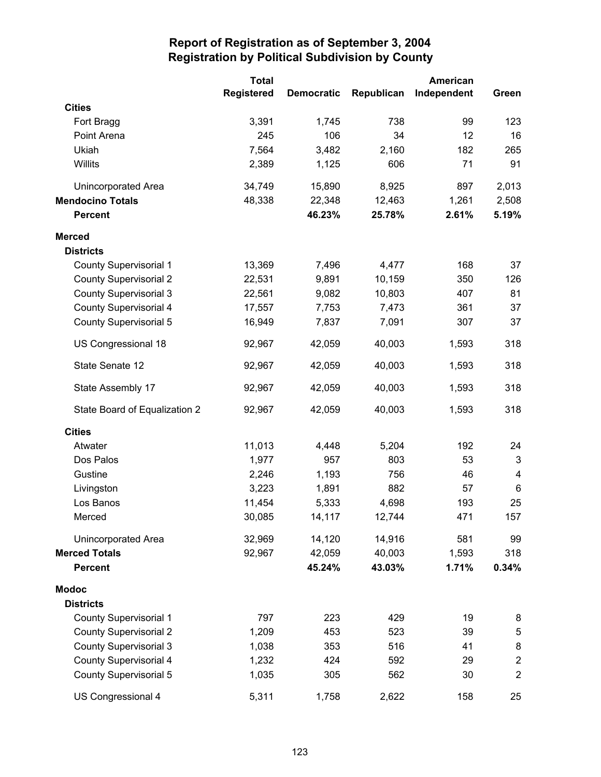|                               | <b>Total</b>      |                   |            | American    |                  |
|-------------------------------|-------------------|-------------------|------------|-------------|------------------|
|                               | <b>Registered</b> | <b>Democratic</b> | Republican | Independent | Green            |
| <b>Cities</b>                 |                   |                   |            |             |                  |
| Fort Bragg                    | 3,391             | 1,745             | 738        | 99          | 123              |
| Point Arena                   | 245               | 106               | 34         | 12          | 16               |
| Ukiah                         | 7,564             | 3,482             | 2,160      | 182         | 265              |
| Willits                       | 2,389             | 1,125             | 606        | 71          | 91               |
| Unincorporated Area           | 34,749            | 15,890            | 8,925      | 897         | 2,013            |
| <b>Mendocino Totals</b>       | 48,338            | 22,348            | 12,463     | 1,261       | 2,508            |
| <b>Percent</b>                |                   | 46.23%            | 25.78%     | 2.61%       | 5.19%            |
| <b>Merced</b>                 |                   |                   |            |             |                  |
| <b>Districts</b>              |                   |                   |            |             |                  |
| <b>County Supervisorial 1</b> | 13,369            | 7,496             | 4,477      | 168         | 37               |
| <b>County Supervisorial 2</b> | 22,531            | 9,891             | 10,159     | 350         | 126              |
| <b>County Supervisorial 3</b> | 22,561            | 9,082             | 10,803     | 407         | 81               |
| <b>County Supervisorial 4</b> | 17,557            | 7,753             | 7,473      | 361         | 37               |
| <b>County Supervisorial 5</b> | 16,949            | 7,837             | 7,091      | 307         | 37               |
| US Congressional 18           | 92,967            | 42,059            | 40,003     | 1,593       | 318              |
| State Senate 12               | 92,967            | 42,059            | 40,003     | 1,593       | 318              |
| State Assembly 17             | 92,967            | 42,059            | 40,003     | 1,593       | 318              |
| State Board of Equalization 2 | 92,967            | 42,059            | 40,003     | 1,593       | 318              |
| <b>Cities</b>                 |                   |                   |            |             |                  |
| Atwater                       | 11,013            | 4,448             | 5,204      | 192         | 24               |
| Dos Palos                     | 1,977             | 957               | 803        | 53          | 3                |
| Gustine                       | 2,246             | 1,193             | 756        | 46          | 4                |
| Livingston                    | 3,223             | 1,891             | 882        | 57          | 6                |
| Los Banos                     | 11,454            | 5,333             | 4,698      | 193         | 25               |
| Merced                        | 30,085            | 14,117            | 12,744     | 471         | 157              |
| Unincorporated Area           | 32,969            | 14,120            | 14,916     | 581         | 99               |
| <b>Merced Totals</b>          | 92,967            | 42,059            | 40,003     | 1,593       | 318              |
| <b>Percent</b>                |                   | 45.24%            | 43.03%     | 1.71%       | 0.34%            |
| <b>Modoc</b>                  |                   |                   |            |             |                  |
| <b>Districts</b>              |                   |                   |            |             |                  |
| <b>County Supervisorial 1</b> | 797               | 223               | 429        | 19          | 8                |
| <b>County Supervisorial 2</b> | 1,209             | 453               | 523        | 39          | 5                |
| <b>County Supervisorial 3</b> | 1,038             | 353               | 516        | 41          | $\bf 8$          |
| <b>County Supervisorial 4</b> | 1,232             | 424               | 592        | 29          | $\boldsymbol{2}$ |
| <b>County Supervisorial 5</b> | 1,035             | 305               | 562        | 30          | $\mathbf 2$      |
| US Congressional 4            | 5,311             | 1,758             | 2,622      | 158         | 25               |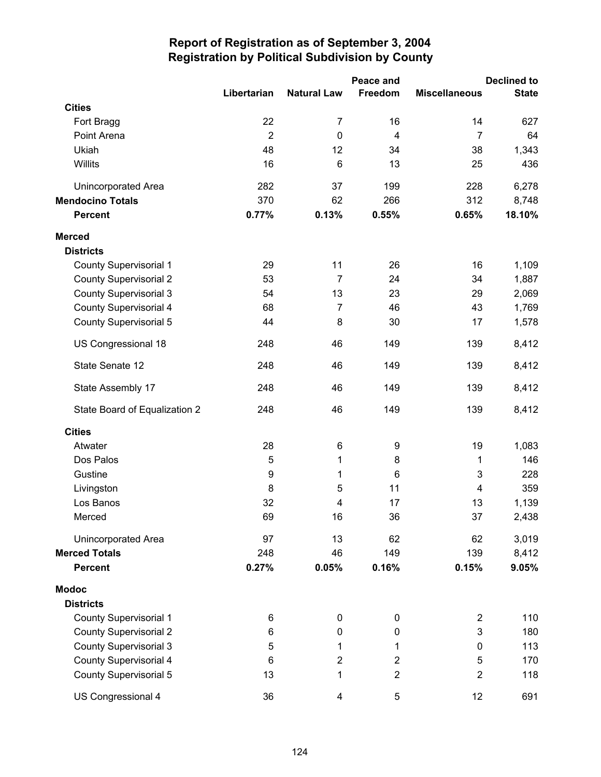|                               | Peace and      |                         |                  | <b>Declined to</b>      |              |  |
|-------------------------------|----------------|-------------------------|------------------|-------------------------|--------------|--|
|                               | Libertarian    | <b>Natural Law</b>      | Freedom          | <b>Miscellaneous</b>    | <b>State</b> |  |
| <b>Cities</b>                 |                |                         |                  |                         |              |  |
| Fort Bragg                    | 22             | $\overline{7}$          | 16               | 14                      | 627          |  |
| Point Arena                   | $\overline{2}$ | $\mathbf 0$             | $\overline{4}$   | $\overline{7}$          | 64           |  |
| Ukiah                         | 48             | 12                      | 34               | 38                      | 1,343        |  |
| Willits                       | 16             | $6\phantom{1}$          | 13               | 25                      | 436          |  |
| <b>Unincorporated Area</b>    | 282            | 37                      | 199              | 228                     | 6,278        |  |
| <b>Mendocino Totals</b>       | 370            | 62                      | 266              | 312                     | 8,748        |  |
| <b>Percent</b>                | 0.77%          | 0.13%                   | 0.55%            | 0.65%                   | 18.10%       |  |
| <b>Merced</b>                 |                |                         |                  |                         |              |  |
| <b>Districts</b>              |                |                         |                  |                         |              |  |
| <b>County Supervisorial 1</b> | 29             | 11                      | 26               | 16                      | 1,109        |  |
| <b>County Supervisorial 2</b> | 53             | $\overline{7}$          | 24               | 34                      | 1,887        |  |
| <b>County Supervisorial 3</b> | 54             | 13                      | 23               | 29                      | 2,069        |  |
| <b>County Supervisorial 4</b> | 68             | $\overline{7}$          | 46               | 43                      | 1,769        |  |
| <b>County Supervisorial 5</b> | 44             | 8                       | 30               | 17                      | 1,578        |  |
| US Congressional 18           | 248            | 46                      | 149              | 139                     | 8,412        |  |
| State Senate 12               | 248            | 46                      | 149              | 139                     | 8,412        |  |
| State Assembly 17             | 248            | 46                      | 149              | 139                     | 8,412        |  |
| State Board of Equalization 2 | 248            | 46                      | 149              | 139                     | 8,412        |  |
| <b>Cities</b>                 |                |                         |                  |                         |              |  |
| Atwater                       | 28             | 6                       | 9                | 19                      | 1,083        |  |
| Dos Palos                     | 5              | 1                       | 8                | 1                       | 146          |  |
| Gustine                       | 9              | 1                       | 6                | 3                       | 228          |  |
| Livingston                    | 8              | 5                       | 11               | $\overline{\mathbf{4}}$ | 359          |  |
| Los Banos                     | 32             | 4                       | 17               | 13                      | 1,139        |  |
| Merced                        | 69             | 16                      | 36               | 37                      | 2,438        |  |
| <b>Unincorporated Area</b>    | 97             | 13                      | 62               | 62                      | 3,019        |  |
| <b>Merced Totals</b>          | 248            | 46                      | 149              | 139                     | 8,412        |  |
| <b>Percent</b>                | 0.27%          | 0.05%                   | 0.16%            | 0.15%                   | 9.05%        |  |
| <b>Modoc</b>                  |                |                         |                  |                         |              |  |
| <b>Districts</b>              |                |                         |                  |                         |              |  |
| <b>County Supervisorial 1</b> | 6              | $\pmb{0}$               | $\pmb{0}$        | $\overline{2}$          | 110          |  |
| <b>County Supervisorial 2</b> | 6              | 0                       | $\mathbf 0$      | 3                       | 180          |  |
| <b>County Supervisorial 3</b> | 5              | 1                       | 1                | $\pmb{0}$               | 113          |  |
| <b>County Supervisorial 4</b> | 6              | $\overline{\mathbf{c}}$ | $\boldsymbol{2}$ | 5                       | 170          |  |
| <b>County Supervisorial 5</b> | 13             | 1                       | $\mathbf 2$      | $\boldsymbol{2}$        | 118          |  |
| US Congressional 4            | 36             | 4                       | 5                | 12                      | 691          |  |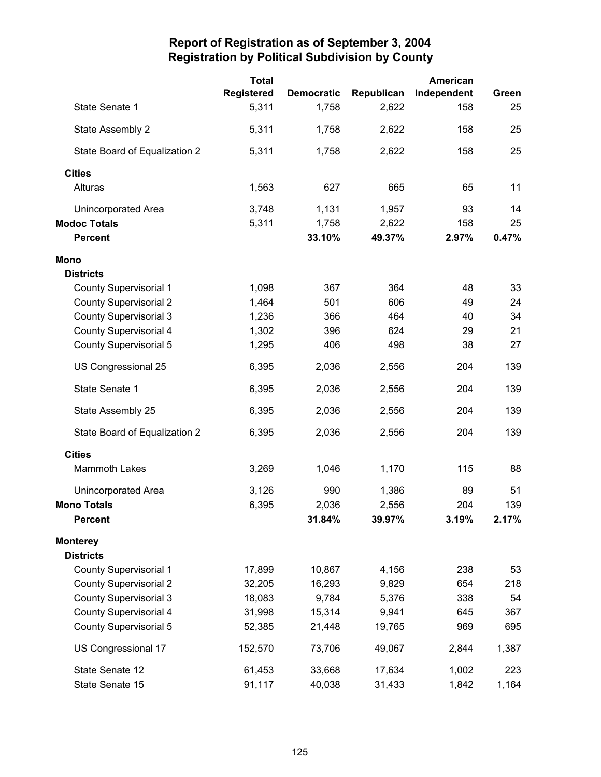|                               | <b>Total</b>      |                   |            | American    |       |
|-------------------------------|-------------------|-------------------|------------|-------------|-------|
|                               | <b>Registered</b> | <b>Democratic</b> | Republican | Independent | Green |
| State Senate 1                | 5,311             | 1,758             | 2,622      | 158         | 25    |
| State Assembly 2              | 5,311             | 1,758             | 2,622      | 158         | 25    |
| State Board of Equalization 2 | 5,311             | 1,758             | 2,622      | 158         | 25    |
| <b>Cities</b>                 |                   |                   |            |             |       |
| Alturas                       | 1,563             | 627               | 665        | 65          | 11    |
| Unincorporated Area           | 3,748             | 1,131             | 1,957      | 93          | 14    |
| <b>Modoc Totals</b>           | 5,311             | 1,758             | 2,622      | 158         | 25    |
| <b>Percent</b>                |                   | 33.10%            | 49.37%     | 2.97%       | 0.47% |
| <b>Mono</b>                   |                   |                   |            |             |       |
| <b>Districts</b>              |                   |                   |            |             |       |
| <b>County Supervisorial 1</b> | 1,098             | 367               | 364        | 48          | 33    |
| <b>County Supervisorial 2</b> | 1,464             | 501               | 606        | 49          | 24    |
| <b>County Supervisorial 3</b> | 1,236             | 366               | 464        | 40          | 34    |
| <b>County Supervisorial 4</b> | 1,302             | 396               | 624        | 29          | 21    |
| <b>County Supervisorial 5</b> | 1,295             | 406               | 498        | 38          | 27    |
| US Congressional 25           | 6,395             | 2,036             | 2,556      | 204         | 139   |
| State Senate 1                | 6,395             | 2,036             | 2,556      | 204         | 139   |
| State Assembly 25             | 6,395             | 2,036             | 2,556      | 204         | 139   |
| State Board of Equalization 2 | 6,395             | 2,036             | 2,556      | 204         | 139   |
| <b>Cities</b>                 |                   |                   |            |             |       |
| <b>Mammoth Lakes</b>          | 3,269             | 1,046             | 1,170      | 115         | 88    |
| Unincorporated Area           | 3,126             | 990               | 1,386      | 89          | 51    |
| <b>Mono Totals</b>            | 6,395             | 2,036             | 2,556      | 204         | 139   |
| <b>Percent</b>                |                   | 31.84%            | 39.97%     | 3.19%       | 2.17% |
| <b>Monterey</b>               |                   |                   |            |             |       |
| <b>Districts</b>              |                   |                   |            |             |       |
| <b>County Supervisorial 1</b> | 17,899            | 10,867            | 4,156      | 238         | 53    |
| <b>County Supervisorial 2</b> | 32,205            | 16,293            | 9,829      | 654         | 218   |
| <b>County Supervisorial 3</b> | 18,083            | 9,784             | 5,376      | 338         | 54    |
| <b>County Supervisorial 4</b> | 31,998            | 15,314            | 9,941      | 645         | 367   |
| <b>County Supervisorial 5</b> | 52,385            | 21,448            | 19,765     | 969         | 695   |
| US Congressional 17           | 152,570           | 73,706            | 49,067     | 2,844       | 1,387 |
| State Senate 12               | 61,453            | 33,668            | 17,634     | 1,002       | 223   |
| State Senate 15               | 91,117            | 40,038            | 31,433     | 1,842       | 1,164 |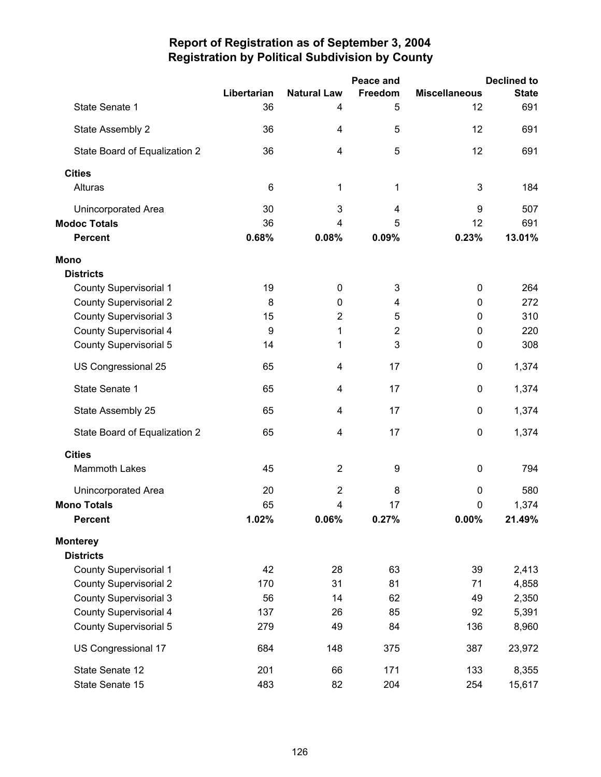|                               |             |                         | Peace and      |                      | <b>Declined to</b> |
|-------------------------------|-------------|-------------------------|----------------|----------------------|--------------------|
|                               | Libertarian | <b>Natural Law</b>      | Freedom        | <b>Miscellaneous</b> | <b>State</b>       |
| State Senate 1                | 36          | 4                       | 5              | 12                   | 691                |
| State Assembly 2              | 36          | 4                       | 5              | 12                   | 691                |
| State Board of Equalization 2 | 36          | 4                       | 5              | 12                   | 691                |
| <b>Cities</b>                 |             |                         |                |                      |                    |
| Alturas                       | 6           | 1                       | 1              | 3                    | 184                |
| <b>Unincorporated Area</b>    | 30          | 3                       | $\overline{4}$ | 9                    | 507                |
| <b>Modoc Totals</b>           | 36          | 4                       | 5              | 12                   | 691                |
| <b>Percent</b>                | 0.68%       | 0.08%                   | 0.09%          | 0.23%                | 13.01%             |
| <b>Mono</b>                   |             |                         |                |                      |                    |
| <b>Districts</b>              |             |                         |                |                      |                    |
| <b>County Supervisorial 1</b> | 19          | 0                       | 3              | $\pmb{0}$            | 264                |
| <b>County Supervisorial 2</b> | 8           | 0                       | 4              | 0                    | 272                |
| <b>County Supervisorial 3</b> | 15          | $\overline{2}$          | 5              | $\mathbf 0$          | 310                |
| <b>County Supervisorial 4</b> | 9           | 1                       | $\overline{2}$ | 0                    | 220                |
| <b>County Supervisorial 5</b> | 14          | 1                       | 3              | $\mathbf 0$          | 308                |
| US Congressional 25           | 65          | 4                       | 17             | $\mathbf 0$          | 1,374              |
| State Senate 1                | 65          | 4                       | 17             | 0                    | 1,374              |
| State Assembly 25             | 65          | 4                       | 17             | $\pmb{0}$            | 1,374              |
| State Board of Equalization 2 | 65          | 4                       | 17             | $\pmb{0}$            | 1,374              |
| <b>Cities</b>                 |             |                         |                |                      |                    |
| <b>Mammoth Lakes</b>          | 45          | $\overline{2}$          | 9              | $\boldsymbol{0}$     | 794                |
| Unincorporated Area           | 20          | $\overline{\mathbf{c}}$ | 8              | 0                    | 580                |
| <b>Mono Totals</b>            | 65          | 4                       | 17             | $\pmb{0}$            | 1,374              |
| <b>Percent</b>                | 1.02%       | 0.06%                   | 0.27%          | $0.00\%$             | 21.49%             |
| <b>Monterey</b>               |             |                         |                |                      |                    |
| <b>Districts</b>              |             |                         |                |                      |                    |
| County Supervisorial 1        | 42          | 28                      | 63             | 39                   | 2,413              |
| <b>County Supervisorial 2</b> | 170         | 31                      | 81             | 71                   | 4,858              |
| <b>County Supervisorial 3</b> | 56          | 14                      | 62             | 49                   | 2,350              |
| <b>County Supervisorial 4</b> | 137         | 26                      | 85             | 92                   | 5,391              |
| <b>County Supervisorial 5</b> | 279         | 49                      | 84             | 136                  | 8,960              |
| US Congressional 17           | 684         | 148                     | 375            | 387                  | 23,972             |
| State Senate 12               | 201         | 66                      | 171            | 133                  | 8,355              |
| State Senate 15               | 483         | 82                      | 204            | 254                  | 15,617             |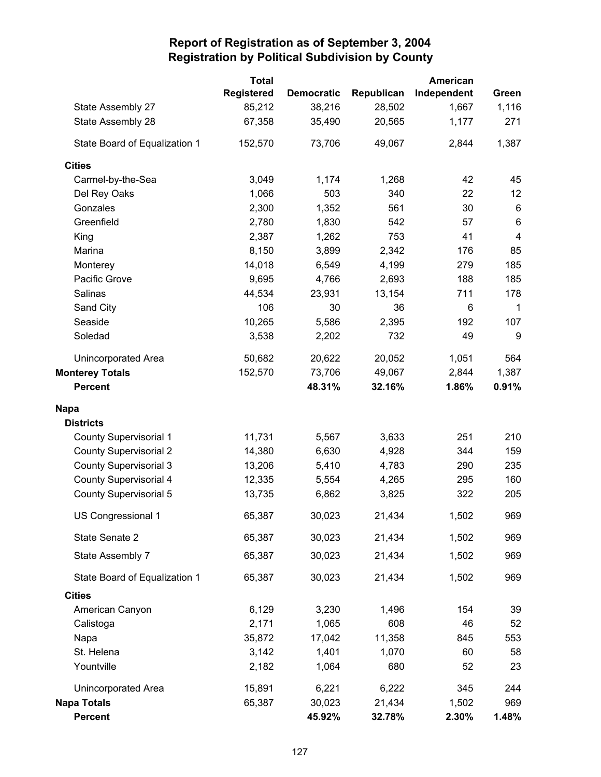|                               | <b>Total</b>      |                   |            | American    |                |
|-------------------------------|-------------------|-------------------|------------|-------------|----------------|
|                               | <b>Registered</b> | <b>Democratic</b> | Republican | Independent | Green          |
| State Assembly 27             | 85,212            | 38,216            | 28,502     | 1,667       | 1,116          |
| State Assembly 28             | 67,358            | 35,490            | 20,565     | 1,177       | 271            |
| State Board of Equalization 1 | 152,570           | 73,706            | 49,067     | 2,844       | 1,387          |
| <b>Cities</b>                 |                   |                   |            |             |                |
| Carmel-by-the-Sea             | 3,049             | 1,174             | 1,268      | 42          | 45             |
| Del Rey Oaks                  | 1,066             | 503               | 340        | 22          | 12             |
| Gonzales                      | 2,300             | 1,352             | 561        | 30          | 6              |
| Greenfield                    | 2,780             | 1,830             | 542        | 57          | 6              |
| King                          | 2,387             | 1,262             | 753        | 41          | $\overline{4}$ |
| Marina                        | 8,150             | 3,899             | 2,342      | 176         | 85             |
| Monterey                      | 14,018            | 6,549             | 4,199      | 279         | 185            |
| Pacific Grove                 | 9,695             | 4,766             | 2,693      | 188         | 185            |
| Salinas                       | 44,534            | 23,931            | 13,154     | 711         | 178            |
| Sand City                     | 106               | 30                | 36         | 6           | $\mathbf{1}$   |
| Seaside                       | 10,265            | 5,586             | 2,395      | 192         | 107            |
| Soledad                       | 3,538             | 2,202             | 732        | 49          | 9              |
| <b>Unincorporated Area</b>    | 50,682            | 20,622            | 20,052     | 1,051       | 564            |
| <b>Monterey Totals</b>        | 152,570           | 73,706            | 49,067     | 2,844       | 1,387          |
| <b>Percent</b>                |                   | 48.31%            | 32.16%     | 1.86%       | 0.91%          |
| <b>Napa</b>                   |                   |                   |            |             |                |
| <b>Districts</b>              |                   |                   |            |             |                |
| <b>County Supervisorial 1</b> | 11,731            | 5,567             | 3,633      | 251         | 210            |
| <b>County Supervisorial 2</b> | 14,380            | 6,630             | 4,928      | 344         | 159            |
| <b>County Supervisorial 3</b> | 13,206            | 5,410             | 4,783      | 290         | 235            |
| <b>County Supervisorial 4</b> | 12,335            | 5,554             | 4,265      | 295         | 160            |
| <b>County Supervisorial 5</b> | 13,735            | 6,862             | 3,825      | 322         | 205            |
| US Congressional 1            | 65,387            | 30,023            | 21,434     | 1,502       | 969            |
| State Senate 2                | 65,387            | 30,023            | 21,434     | 1,502       | 969            |
| State Assembly 7              | 65,387            | 30,023            | 21,434     | 1,502       | 969            |
| State Board of Equalization 1 | 65,387            | 30,023            | 21,434     | 1,502       | 969            |
| <b>Cities</b>                 |                   |                   |            |             |                |
| American Canyon               | 6,129             | 3,230             | 1,496      | 154         | 39             |
| Calistoga                     | 2,171             | 1,065             | 608        | 46          | 52             |
| Napa                          | 35,872            | 17,042            | 11,358     | 845         | 553            |
| St. Helena                    | 3,142             | 1,401             | 1,070      | 60          | 58             |
| Yountville                    | 2,182             | 1,064             | 680        | 52          | 23             |
| Unincorporated Area           | 15,891            | 6,221             | 6,222      | 345         | 244            |
| <b>Napa Totals</b>            | 65,387            | 30,023            | 21,434     | 1,502       | 969            |
| <b>Percent</b>                |                   | 45.92%            | 32.78%     | 2.30%       | 1.48%          |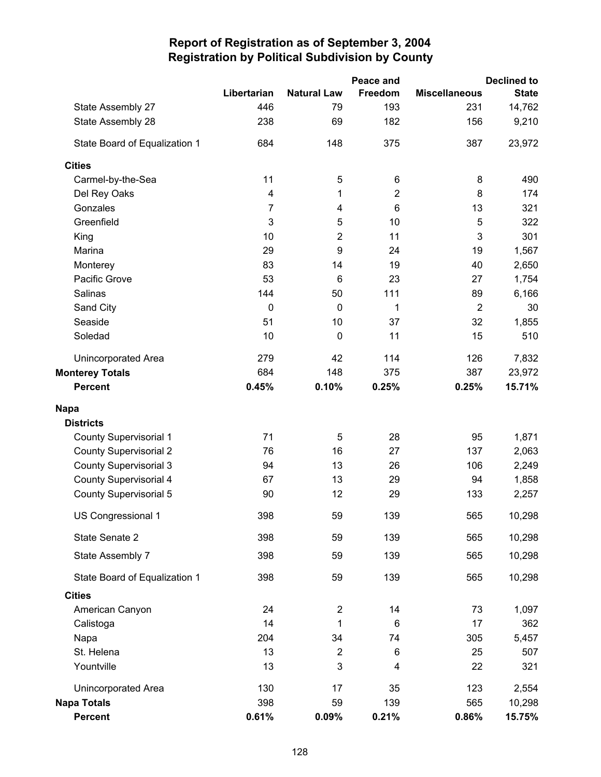|                               |                |                         | Peace and      |                      | <b>Declined to</b> |
|-------------------------------|----------------|-------------------------|----------------|----------------------|--------------------|
|                               | Libertarian    | <b>Natural Law</b>      | Freedom        | <b>Miscellaneous</b> | <b>State</b>       |
| State Assembly 27             | 446            | 79                      | 193            | 231                  | 14,762             |
| State Assembly 28             | 238            | 69                      | 182            | 156                  | 9,210              |
| State Board of Equalization 1 | 684            | 148                     | 375            | 387                  | 23,972             |
| <b>Cities</b>                 |                |                         |                |                      |                    |
| Carmel-by-the-Sea             | 11             | 5                       | 6              | 8                    | 490                |
| Del Rey Oaks                  | 4              | 1                       | $\overline{2}$ | 8                    | 174                |
| Gonzales                      | $\overline{7}$ | 4                       | 6              | 13                   | 321                |
| Greenfield                    | 3              | 5                       | 10             | 5                    | 322                |
| King                          | 10             | $\mathbf 2$             | 11             | 3                    | 301                |
| Marina                        | 29             | 9                       | 24             | 19                   | 1,567              |
| Monterey                      | 83             | 14                      | 19             | 40                   | 2,650              |
| Pacific Grove                 | 53             | 6                       | 23             | 27                   | 1,754              |
| Salinas                       | 144            | 50                      | 111            | 89                   | 6,166              |
| Sand City                     | $\mathbf 0$    | $\mathbf 0$             | 1              | $\overline{2}$       | 30                 |
| Seaside                       | 51             | 10                      | 37             | 32                   | 1,855              |
| Soledad                       | 10             | $\mathbf 0$             | 11             | 15                   | 510                |
| Unincorporated Area           | 279            | 42                      | 114            | 126                  | 7,832              |
| <b>Monterey Totals</b>        | 684            | 148                     | 375            | 387                  | 23,972             |
| <b>Percent</b>                | 0.45%          | 0.10%                   | 0.25%          | 0.25%                | 15.71%             |
| <b>Napa</b>                   |                |                         |                |                      |                    |
| <b>Districts</b>              |                |                         |                |                      |                    |
| <b>County Supervisorial 1</b> | 71             | 5                       | 28             | 95                   | 1,871              |
| <b>County Supervisorial 2</b> | 76             | 16                      | 27             | 137                  | 2,063              |
| <b>County Supervisorial 3</b> | 94             | 13                      | 26             | 106                  | 2,249              |
| <b>County Supervisorial 4</b> | 67             | 13                      | 29             | 94                   | 1,858              |
| <b>County Supervisorial 5</b> | 90             | 12                      | 29             | 133                  | 2,257              |
| US Congressional 1            | 398            | 59                      | 139            | 565                  | 10,298             |
| State Senate 2                | 398            | 59                      | 139            | 565                  | 10,298             |
| State Assembly 7              | 398            | 59                      | 139            | 565                  | 10,298             |
| State Board of Equalization 1 | 398            | 59                      | 139            | 565                  | 10,298             |
| <b>Cities</b>                 |                |                         |                |                      |                    |
| American Canyon               | 24             | $\overline{\mathbf{c}}$ | 14             | 73                   | 1,097              |
| Calistoga                     | 14             | 1                       | 6              | 17                   | 362                |
| Napa                          | 204            | 34                      | 74             | 305                  | 5,457              |
| St. Helena                    | 13             | $\mathbf 2$             | 6              | 25                   | 507                |
| Yountville                    | 13             | 3                       | 4              | 22                   | 321                |
| Unincorporated Area           | 130            | 17                      | 35             | 123                  | 2,554              |
| <b>Napa Totals</b>            | 398            | 59                      | 139            | 565                  | 10,298             |
| Percent                       | 0.61%          | 0.09%                   | 0.21%          | 0.86%                | 15.75%             |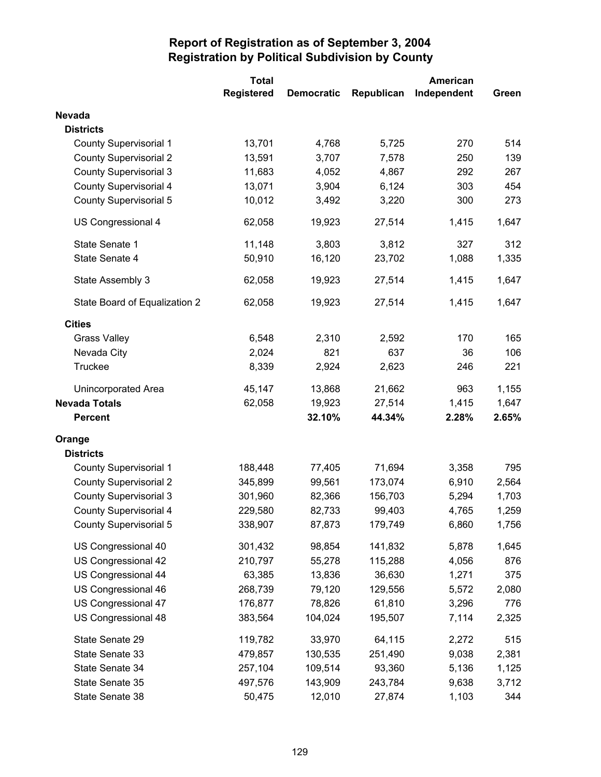|                               | <b>Total</b>      |                   |            | American    |       |
|-------------------------------|-------------------|-------------------|------------|-------------|-------|
|                               | <b>Registered</b> | <b>Democratic</b> | Republican | Independent | Green |
| <b>Nevada</b>                 |                   |                   |            |             |       |
| <b>Districts</b>              |                   |                   |            |             |       |
| <b>County Supervisorial 1</b> | 13,701            | 4,768             | 5,725      | 270         | 514   |
| <b>County Supervisorial 2</b> | 13,591            | 3,707             | 7,578      | 250         | 139   |
| <b>County Supervisorial 3</b> | 11,683            | 4,052             | 4,867      | 292         | 267   |
| <b>County Supervisorial 4</b> | 13,071            | 3,904             | 6,124      | 303         | 454   |
| <b>County Supervisorial 5</b> | 10,012            | 3,492             | 3,220      | 300         | 273   |
| US Congressional 4            | 62,058            | 19,923            | 27,514     | 1,415       | 1,647 |
| State Senate 1                | 11,148            | 3,803             | 3,812      | 327         | 312   |
| State Senate 4                | 50,910            | 16,120            | 23,702     | 1,088       | 1,335 |
| State Assembly 3              | 62,058            | 19,923            | 27,514     | 1,415       | 1,647 |
| State Board of Equalization 2 | 62,058            | 19,923            | 27,514     | 1,415       | 1,647 |
| <b>Cities</b>                 |                   |                   |            |             |       |
| <b>Grass Valley</b>           | 6,548             | 2,310             | 2,592      | 170         | 165   |
| Nevada City                   | 2,024             | 821               | 637        | 36          | 106   |
| <b>Truckee</b>                | 8,339             | 2,924             | 2,623      | 246         | 221   |
| <b>Unincorporated Area</b>    | 45,147            | 13,868            | 21,662     | 963         | 1,155 |
| <b>Nevada Totals</b>          | 62,058            | 19,923            | 27,514     | 1,415       | 1,647 |
| <b>Percent</b>                |                   | 32.10%            | 44.34%     | 2.28%       | 2.65% |
| Orange                        |                   |                   |            |             |       |
| <b>Districts</b>              |                   |                   |            |             |       |
| <b>County Supervisorial 1</b> | 188,448           | 77,405            | 71,694     | 3,358       | 795   |
| <b>County Supervisorial 2</b> | 345,899           | 99,561            | 173,074    | 6,910       | 2,564 |
| <b>County Supervisorial 3</b> | 301,960           | 82,366            | 156,703    | 5,294       | 1,703 |
| <b>County Supervisorial 4</b> | 229,580           | 82,733            | 99,403     | 4,765       | 1,259 |
| <b>County Supervisorial 5</b> | 338,907           | 87,873            | 179,749    | 6,860       | 1,756 |
| US Congressional 40           | 301,432           | 98,854            | 141,832    | 5,878       | 1,645 |
| US Congressional 42           | 210,797           | 55,278            | 115,288    | 4,056       | 876   |
| US Congressional 44           | 63,385            | 13,836            | 36,630     | 1,271       | 375   |
| US Congressional 46           | 268,739           | 79,120            | 129,556    | 5,572       | 2,080 |
| US Congressional 47           | 176,877           | 78,826            | 61,810     | 3,296       | 776   |
| US Congressional 48           | 383,564           | 104,024           | 195,507    | 7,114       | 2,325 |
| State Senate 29               | 119,782           | 33,970            | 64,115     | 2,272       | 515   |
| State Senate 33               | 479,857           | 130,535           | 251,490    | 9,038       | 2,381 |
| State Senate 34               | 257,104           | 109,514           | 93,360     | 5,136       | 1,125 |
| State Senate 35               | 497,576           | 143,909           | 243,784    | 9,638       | 3,712 |
| State Senate 38               | 50,475            | 12,010            | 27,874     | 1,103       | 344   |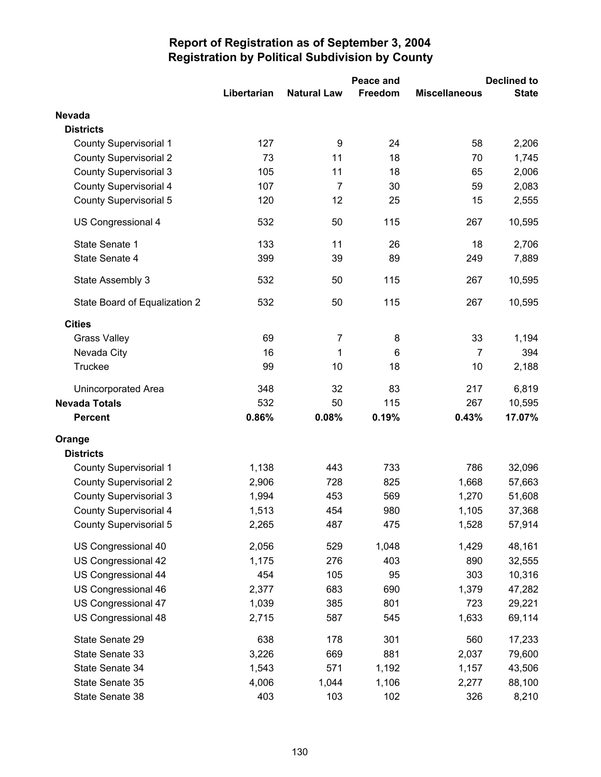|                               |             |                    | Peace and | <b>Declined to</b>   |              |  |
|-------------------------------|-------------|--------------------|-----------|----------------------|--------------|--|
|                               | Libertarian | <b>Natural Law</b> | Freedom   | <b>Miscellaneous</b> | <b>State</b> |  |
| <b>Nevada</b>                 |             |                    |           |                      |              |  |
| <b>Districts</b>              |             |                    |           |                      |              |  |
| <b>County Supervisorial 1</b> | 127         | 9                  | 24        | 58                   | 2,206        |  |
| <b>County Supervisorial 2</b> | 73          | 11                 | 18        | 70                   | 1,745        |  |
| <b>County Supervisorial 3</b> | 105         | 11                 | 18        | 65                   | 2,006        |  |
| <b>County Supervisorial 4</b> | 107         | $\overline{7}$     | 30        | 59                   | 2,083        |  |
| <b>County Supervisorial 5</b> | 120         | 12                 | 25        | 15                   | 2,555        |  |
| US Congressional 4            | 532         | 50                 | 115       | 267                  | 10,595       |  |
| State Senate 1                | 133         | 11                 | 26        | 18                   | 2,706        |  |
| State Senate 4                | 399         | 39                 | 89        | 249                  | 7,889        |  |
| State Assembly 3              | 532         | 50                 | 115       | 267                  | 10,595       |  |
| State Board of Equalization 2 | 532         | 50                 | 115       | 267                  | 10,595       |  |
|                               |             |                    |           |                      |              |  |
| <b>Cities</b>                 |             |                    |           |                      |              |  |
| <b>Grass Valley</b>           | 69          | 7                  | 8         | 33                   | 1,194        |  |
| Nevada City                   | 16          | 1                  | 6         | $\overline{7}$       | 394          |  |
| <b>Truckee</b>                | 99          | 10                 | 18        | 10                   | 2,188        |  |
| Unincorporated Area           | 348         | 32                 | 83        | 217                  | 6,819        |  |
| <b>Nevada Totals</b>          | 532         | 50                 | 115       | 267                  | 10,595       |  |
| <b>Percent</b>                | 0.86%       | 0.08%              | 0.19%     | 0.43%                | 17.07%       |  |
| Orange                        |             |                    |           |                      |              |  |
| <b>Districts</b>              |             |                    |           |                      |              |  |
| <b>County Supervisorial 1</b> | 1,138       | 443                | 733       | 786                  | 32,096       |  |
| <b>County Supervisorial 2</b> | 2,906       | 728                | 825       | 1,668                | 57,663       |  |
| <b>County Supervisorial 3</b> | 1,994       | 453                | 569       | 1,270                | 51,608       |  |
| <b>County Supervisorial 4</b> | 1,513       | 454                | 980       | 1,105                | 37,368       |  |
| <b>County Supervisorial 5</b> | 2,265       | 487                | 475       | 1,528                | 57,914       |  |
| US Congressional 40           | 2,056       | 529                | 1,048     | 1,429                | 48,161       |  |
| US Congressional 42           | 1,175       | 276                | 403       | 890                  | 32,555       |  |
| US Congressional 44           | 454         | 105                | 95        | 303                  | 10,316       |  |
| US Congressional 46           | 2,377       | 683                | 690       | 1,379                | 47,282       |  |
| US Congressional 47           | 1,039       | 385                | 801       | 723                  | 29,221       |  |
| US Congressional 48           | 2,715       | 587                | 545       | 1,633                | 69,114       |  |
| State Senate 29               | 638         | 178                | 301       | 560                  | 17,233       |  |
| State Senate 33               | 3,226       | 669                | 881       | 2,037                | 79,600       |  |
| State Senate 34               | 1,543       | 571                | 1,192     | 1,157                | 43,506       |  |
| State Senate 35               | 4,006       | 1,044              | 1,106     | 2,277                | 88,100       |  |
| State Senate 38               | 403         | 103                | 102       | 326                  | 8,210        |  |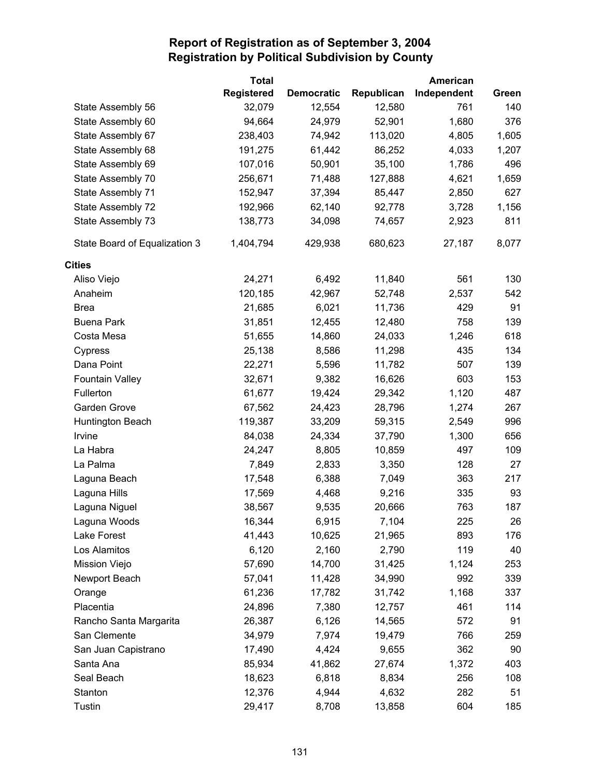|                               | <b>Total</b>                |                             |                      | American           |              |
|-------------------------------|-----------------------------|-----------------------------|----------------------|--------------------|--------------|
|                               | <b>Registered</b><br>32,079 | <b>Democratic</b><br>12,554 | Republican<br>12,580 | Independent<br>761 | Green<br>140 |
| State Assembly 56             | 94,664                      | 24,979                      | 52,901               | 1,680              | 376          |
| State Assembly 60             | 238,403                     | 74,942                      |                      | 4,805              | 1,605        |
| State Assembly 67             |                             |                             | 113,020              |                    |              |
| State Assembly 68             | 191,275                     | 61,442                      | 86,252               | 4,033              | 1,207        |
| State Assembly 69             | 107,016                     | 50,901                      | 35,100               | 1,786              | 496          |
| State Assembly 70             | 256,671                     | 71,488                      | 127,888              | 4,621              | 1,659        |
| State Assembly 71             | 152,947                     | 37,394                      | 85,447               | 2,850              | 627          |
| State Assembly 72             | 192,966                     | 62,140                      | 92,778               | 3,728              | 1,156        |
| State Assembly 73             | 138,773                     | 34,098                      | 74,657               | 2,923              | 811          |
| State Board of Equalization 3 | 1,404,794                   | 429,938                     | 680,623              | 27,187             | 8,077        |
| <b>Cities</b>                 |                             |                             |                      |                    |              |
| Aliso Viejo                   | 24,271                      | 6,492                       | 11,840               | 561                | 130          |
| Anaheim                       | 120,185                     | 42,967                      | 52,748               | 2,537              | 542          |
| <b>Brea</b>                   | 21,685                      | 6,021                       | 11,736               | 429                | 91           |
| <b>Buena Park</b>             | 31,851                      | 12,455                      | 12,480               | 758                | 139          |
| Costa Mesa                    | 51,655                      | 14,860                      | 24,033               | 1,246              | 618          |
| Cypress                       | 25,138                      | 8,586                       | 11,298               | 435                | 134          |
| Dana Point                    | 22,271                      | 5,596                       | 11,782               | 507                | 139          |
| <b>Fountain Valley</b>        | 32,671                      | 9,382                       | 16,626               | 603                | 153          |
| Fullerton                     | 61,677                      | 19,424                      | 29,342               | 1,120              | 487          |
| Garden Grove                  | 67,562                      | 24,423                      | 28,796               | 1,274              | 267          |
| Huntington Beach              | 119,387                     | 33,209                      | 59,315               | 2,549              | 996          |
| Irvine                        | 84,038                      | 24,334                      | 37,790               | 1,300              | 656          |
| La Habra                      | 24,247                      | 8,805                       | 10,859               | 497                | 109          |
| La Palma                      | 7,849                       | 2,833                       | 3,350                | 128                | 27           |
| Laguna Beach                  | 17,548                      | 6,388                       | 7,049                | 363                | 217          |
| Laguna Hills                  | 17,569                      | 4,468                       | 9,216                | 335                | 93           |
| Laguna Niguel                 | 38,567                      | 9,535                       | 20,666               | 763                | 187          |
| Laguna Woods                  | 16,344                      | 6,915                       | 7,104                | 225                | 26           |
| Lake Forest                   | 41,443                      | 10,625                      | 21,965               | 893                | 176          |
| Los Alamitos                  | 6,120                       | 2,160                       | 2,790                | 119                | 40           |
| <b>Mission Viejo</b>          | 57,690                      | 14,700                      | 31,425               | 1,124              | 253          |
| Newport Beach                 | 57,041                      | 11,428                      | 34,990               | 992                | 339          |
| Orange                        | 61,236                      | 17,782                      | 31,742               | 1,168              | 337          |
| Placentia                     | 24,896                      | 7,380                       | 12,757               | 461                | 114          |
| Rancho Santa Margarita        | 26,387                      | 6,126                       | 14,565               | 572                | 91           |
| San Clemente                  | 34,979                      | 7,974                       | 19,479               | 766                | 259          |
| San Juan Capistrano           | 17,490                      | 4,424                       | 9,655                | 362                | 90           |
| Santa Ana                     | 85,934                      | 41,862                      | 27,674               | 1,372              | 403          |
| Seal Beach                    | 18,623                      | 6,818                       | 8,834                | 256                | 108          |
| Stanton                       | 12,376                      | 4,944                       | 4,632                | 282                | 51           |
| <b>Tustin</b>                 | 29,417                      | 8,708                       | 13,858               | 604                | 185          |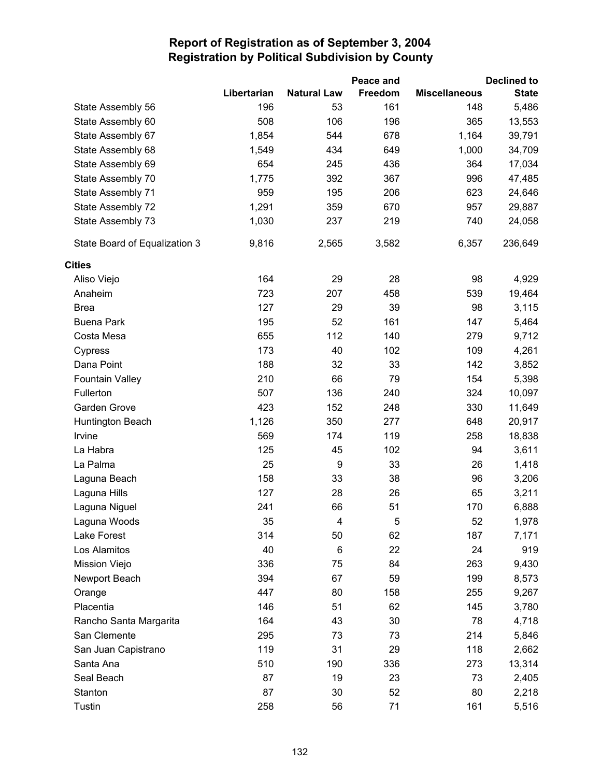|                               |             |                    | Peace and |                      | <b>Declined to</b> |
|-------------------------------|-------------|--------------------|-----------|----------------------|--------------------|
|                               | Libertarian | <b>Natural Law</b> | Freedom   | <b>Miscellaneous</b> | <b>State</b>       |
| State Assembly 56             | 196         | 53                 | 161       | 148                  | 5,486              |
| State Assembly 60             | 508         | 106                | 196       | 365                  | 13,553             |
| State Assembly 67             | 1,854       | 544                | 678       | 1,164                | 39,791             |
| State Assembly 68             | 1,549       | 434                | 649       | 1,000                | 34,709             |
| State Assembly 69             | 654         | 245                | 436       | 364                  | 17,034             |
| State Assembly 70             | 1,775       | 392                | 367       | 996                  | 47,485             |
| State Assembly 71             | 959         | 195                | 206       | 623                  | 24,646             |
| State Assembly 72             | 1,291       | 359                | 670       | 957                  | 29,887             |
| State Assembly 73             | 1,030       | 237                | 219       | 740                  | 24,058             |
| State Board of Equalization 3 | 9,816       | 2,565              | 3,582     | 6,357                | 236,649            |
| <b>Cities</b>                 |             |                    |           |                      |                    |
| Aliso Viejo                   | 164         | 29                 | 28        | 98                   | 4,929              |
| Anaheim                       | 723         | 207                | 458       | 539                  | 19,464             |
| <b>Brea</b>                   | 127         | 29                 | 39        | 98                   | 3,115              |
| <b>Buena Park</b>             | 195         | 52                 | 161       | 147                  | 5,464              |
| Costa Mesa                    | 655         | 112                | 140       | 279                  | 9,712              |
| Cypress                       | 173         | 40                 | 102       | 109                  | 4,261              |
| Dana Point                    | 188         | 32                 | 33        | 142                  | 3,852              |
| <b>Fountain Valley</b>        | 210         | 66                 | 79        | 154                  | 5,398              |
| Fullerton                     | 507         | 136                | 240       | 324                  | 10,097             |
| Garden Grove                  | 423         | 152                | 248       | 330                  | 11,649             |
| Huntington Beach              | 1,126       | 350                | 277       | 648                  | 20,917             |
| Irvine                        | 569         | 174                | 119       | 258                  | 18,838             |
| La Habra                      | 125         | 45                 | 102       | 94                   | 3,611              |
| La Palma                      | 25          | $\boldsymbol{9}$   | 33        | 26                   | 1,418              |
| Laguna Beach                  | 158         | 33                 | 38        | 96                   | 3,206              |
| Laguna Hills                  | 127         | 28                 | 26        | 65                   | 3,211              |
| Laguna Niguel                 | 241         | 66                 | 51        | 170                  | 6,888              |
| Laguna Woods                  | 35          | 4                  | 5         | 52                   | 1,978              |
| Lake Forest                   | 314         | 50                 | 62        | 187                  | 7,171              |
| Los Alamitos                  | 40          | 6                  | 22        | 24                   | 919                |
| Mission Viejo                 | 336         | 75                 | 84        | 263                  | 9,430              |
| Newport Beach                 | 394         | 67                 | 59        | 199                  | 8,573              |
| Orange                        | 447         | 80                 | 158       | 255                  | 9,267              |
| Placentia                     | 146         | 51                 | 62        | 145                  | 3,780              |
| Rancho Santa Margarita        | 164         | 43                 | 30        | 78                   | 4,718              |
| San Clemente                  | 295         | 73                 | 73        | 214                  | 5,846              |
| San Juan Capistrano           | 119         | 31                 | 29        | 118                  | 2,662              |
| Santa Ana                     | 510         | 190                | 336       | 273                  | 13,314             |
| Seal Beach                    | 87          | 19                 | 23        | 73                   | 2,405              |
| Stanton                       | 87          | 30                 | 52        | 80                   | 2,218              |
| Tustin                        | 258         | 56                 | 71        | 161                  | 5,516              |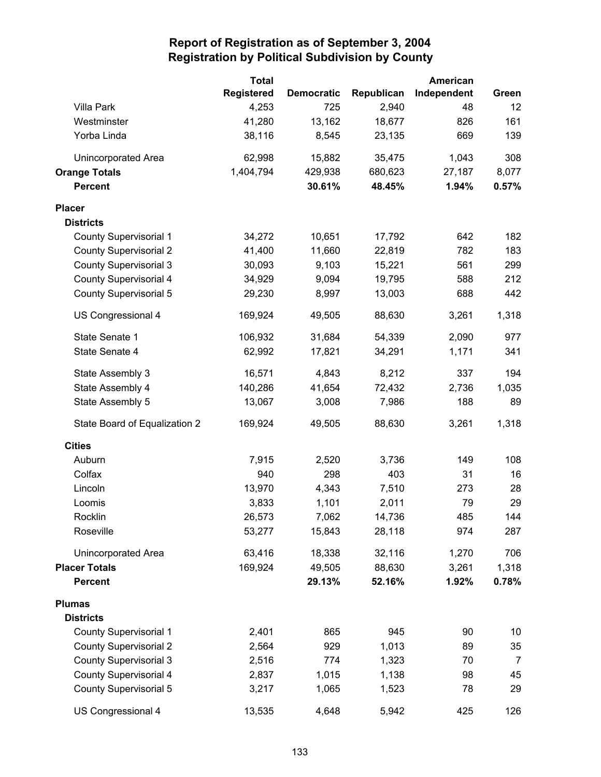|                               | <b>Total</b>      |                   |            | American    |                |
|-------------------------------|-------------------|-------------------|------------|-------------|----------------|
|                               | <b>Registered</b> | <b>Democratic</b> | Republican | Independent | Green          |
| <b>Villa Park</b>             | 4,253             | 725               | 2,940      | 48          | 12             |
| Westminster                   | 41,280            | 13,162            | 18,677     | 826         | 161            |
| Yorba Linda                   | 38,116            | 8,545             | 23,135     | 669         | 139            |
| Unincorporated Area           | 62,998            | 15,882            | 35,475     | 1,043       | 308            |
| <b>Orange Totals</b>          | 1,404,794         | 429,938           | 680,623    | 27,187      | 8,077          |
| <b>Percent</b>                |                   | 30.61%            | 48.45%     | 1.94%       | 0.57%          |
| <b>Placer</b>                 |                   |                   |            |             |                |
| <b>Districts</b>              |                   |                   |            |             |                |
| <b>County Supervisorial 1</b> | 34,272            | 10,651            | 17,792     | 642         | 182            |
| <b>County Supervisorial 2</b> | 41,400            | 11,660            | 22,819     | 782         | 183            |
| <b>County Supervisorial 3</b> | 30,093            | 9,103             | 15,221     | 561         | 299            |
| County Supervisorial 4        | 34,929            | 9,094             | 19,795     | 588         | 212            |
| <b>County Supervisorial 5</b> | 29,230            | 8,997             | 13,003     | 688         | 442            |
| US Congressional 4            | 169,924           | 49,505            | 88,630     | 3,261       | 1,318          |
| State Senate 1                | 106,932           | 31,684            | 54,339     | 2,090       | 977            |
| State Senate 4                | 62,992            | 17,821            | 34,291     | 1,171       | 341            |
| State Assembly 3              | 16,571            | 4,843             | 8,212      | 337         | 194            |
| State Assembly 4              | 140,286           | 41,654            | 72,432     | 2,736       | 1,035          |
| State Assembly 5              | 13,067            | 3,008             | 7,986      | 188         | 89             |
| State Board of Equalization 2 | 169,924           | 49,505            | 88,630     | 3,261       | 1,318          |
| <b>Cities</b>                 |                   |                   |            |             |                |
| Auburn                        | 7,915             | 2,520             | 3,736      | 149         | 108            |
| Colfax                        | 940               | 298               | 403        | 31          | 16             |
| Lincoln                       | 13,970            | 4,343             | 7,510      | 273         | 28             |
| Loomis                        | 3,833             | 1,101             | 2,011      | 79          | 29             |
| Rocklin                       | 26,573            | 7,062             | 14,736     | 485         | 144            |
| Roseville                     | 53,277            | 15,843            | 28,118     | 974         | 287            |
| Unincorporated Area           | 63,416            | 18,338            | 32,116     | 1,270       | 706            |
| <b>Placer Totals</b>          | 169,924           | 49,505            | 88,630     | 3,261       | 1,318          |
| <b>Percent</b>                |                   | 29.13%            | 52.16%     | 1.92%       | 0.78%          |
| <b>Plumas</b>                 |                   |                   |            |             |                |
| <b>Districts</b>              |                   |                   |            |             |                |
| <b>County Supervisorial 1</b> | 2,401             | 865               | 945        | 90          | 10             |
| <b>County Supervisorial 2</b> | 2,564             | 929               | 1,013      | 89          | 35             |
| <b>County Supervisorial 3</b> | 2,516             | 774               | 1,323      | 70          | $\overline{7}$ |
| <b>County Supervisorial 4</b> | 2,837             | 1,015             | 1,138      | 98          | 45             |
| <b>County Supervisorial 5</b> | 3,217             | 1,065             | 1,523      | 78          | 29             |
| US Congressional 4            | 13,535            | 4,648             | 5,942      | 425         | 126            |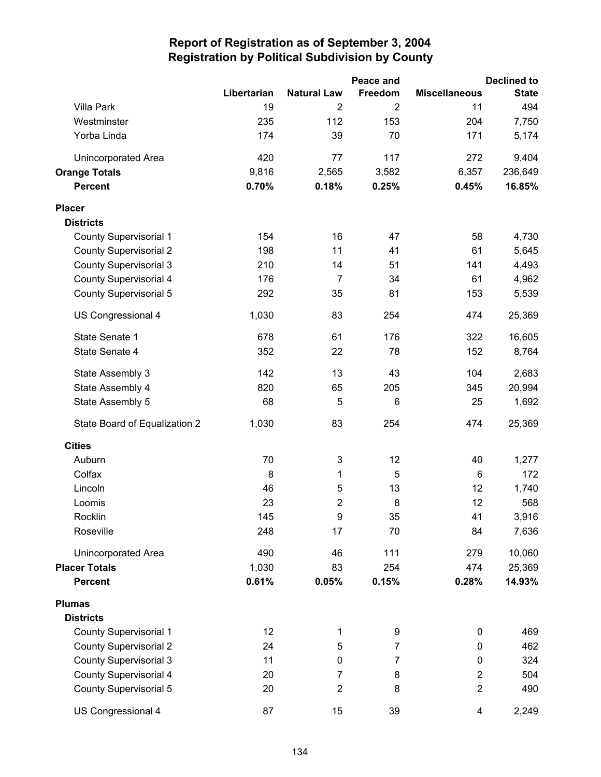|                               |             |                    | Peace and      |                      | <b>Declined to</b> |
|-------------------------------|-------------|--------------------|----------------|----------------------|--------------------|
|                               | Libertarian | <b>Natural Law</b> | Freedom        | <b>Miscellaneous</b> | <b>State</b>       |
| Villa Park                    | 19          | 2                  | $\overline{2}$ | 11                   | 494                |
| Westminster                   | 235         | 112                | 153            | 204                  | 7,750              |
| Yorba Linda                   | 174         | 39                 | 70             | 171                  | 5,174              |
| <b>Unincorporated Area</b>    | 420         | 77                 | 117            | 272                  | 9,404              |
| <b>Orange Totals</b>          | 9,816       | 2,565              | 3,582          | 6,357                | 236,649            |
| <b>Percent</b>                | 0.70%       | 0.18%              | 0.25%          | 0.45%                | 16.85%             |
| <b>Placer</b>                 |             |                    |                |                      |                    |
| <b>Districts</b>              |             |                    |                |                      |                    |
| <b>County Supervisorial 1</b> | 154         | 16                 | 47             | 58                   | 4,730              |
| <b>County Supervisorial 2</b> | 198         | 11                 | 41             | 61                   | 5,645              |
| <b>County Supervisorial 3</b> | 210         | 14                 | 51             | 141                  | 4,493              |
| <b>County Supervisorial 4</b> | 176         | $\overline{7}$     | 34             | 61                   | 4,962              |
| <b>County Supervisorial 5</b> | 292         | 35                 | 81             | 153                  | 5,539              |
| US Congressional 4            | 1,030       | 83                 | 254            | 474                  | 25,369             |
| State Senate 1                | 678         | 61                 | 176            | 322                  | 16,605             |
| State Senate 4                | 352         | 22                 | 78             | 152                  | 8,764              |
| State Assembly 3              | 142         | 13                 | 43             | 104                  | 2,683              |
| State Assembly 4              | 820         | 65                 | 205            | 345                  | 20,994             |
| State Assembly 5              | 68          | 5                  | 6              | 25                   | 1,692              |
| State Board of Equalization 2 | 1,030       | 83                 | 254            | 474                  | 25,369             |
| <b>Cities</b>                 |             |                    |                |                      |                    |
| Auburn                        | 70          | 3                  | 12             | 40                   | 1,277              |
| Colfax                        | 8           | 1                  | 5              | 6                    | 172                |
| Lincoln                       | 46          | 5                  | 13             | 12                   | 1,740              |
| Loomis                        | 23          | $\overline{2}$     | 8              | 12                   | 568                |
| Rocklin                       | 145         | 9                  | 35             | 41                   | 3,916              |
| Roseville                     | 248         | 17                 | 70             | 84                   | 7,636              |
| <b>Unincorporated Area</b>    | 490         | 46                 | 111            | 279                  | 10,060             |
| <b>Placer Totals</b>          | 1,030       | 83                 | 254            | 474                  | 25,369             |
| <b>Percent</b>                | 0.61%       | 0.05%              | 0.15%          | 0.28%                | 14.93%             |
| <b>Plumas</b>                 |             |                    |                |                      |                    |
| <b>Districts</b>              |             |                    |                |                      |                    |
| <b>County Supervisorial 1</b> | 12          | 1                  | 9              | 0                    | 469                |
| <b>County Supervisorial 2</b> | 24          | 5                  | 7              | 0                    | 462                |
| <b>County Supervisorial 3</b> | 11          | 0                  | 7              | 0                    | 324                |
| <b>County Supervisorial 4</b> | 20          | 7                  | 8              | $\overline{2}$       | 504                |
| <b>County Supervisorial 5</b> | 20          | $\overline{2}$     | 8              | $\overline{2}$       | 490                |
| US Congressional 4            | 87          | 15                 | 39             | 4                    | 2,249              |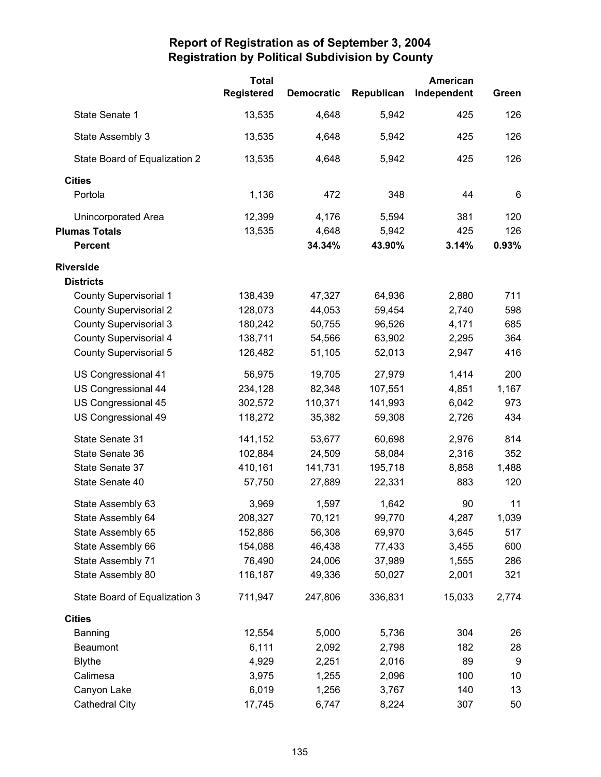|                               | <b>Total</b> |                   |            | <b>American</b> |       |
|-------------------------------|--------------|-------------------|------------|-----------------|-------|
|                               | Registered   | <b>Democratic</b> | Republican | Independent     | Green |
| State Senate 1                | 13,535       | 4,648             | 5,942      | 425             | 126   |
| State Assembly 3              | 13,535       | 4,648             | 5,942      | 425             | 126   |
| State Board of Equalization 2 | 13,535       | 4,648             | 5,942      | 425             | 126   |
| <b>Cities</b>                 |              |                   |            |                 |       |
| Portola                       | 1,136        | 472               | 348        | 44              | 6     |
| <b>Unincorporated Area</b>    | 12,399       | 4,176             | 5,594      | 381             | 120   |
| <b>Plumas Totals</b>          | 13,535       | 4,648             | 5,942      | 425             | 126   |
| <b>Percent</b>                |              | 34.34%            | 43.90%     | 3.14%           | 0.93% |
| <b>Riverside</b>              |              |                   |            |                 |       |
| <b>Districts</b>              |              |                   |            |                 |       |
| <b>County Supervisorial 1</b> | 138,439      | 47,327            | 64,936     | 2,880           | 711   |
| <b>County Supervisorial 2</b> | 128,073      | 44,053            | 59,454     | 2,740           | 598   |
| <b>County Supervisorial 3</b> | 180,242      | 50,755            | 96,526     | 4,171           | 685   |
| <b>County Supervisorial 4</b> | 138,711      | 54,566            | 63,902     | 2,295           | 364   |
| <b>County Supervisorial 5</b> | 126,482      | 51,105            | 52,013     | 2,947           | 416   |
| US Congressional 41           | 56,975       | 19,705            | 27,979     | 1,414           | 200   |
| US Congressional 44           | 234,128      | 82,348            | 107,551    | 4,851           | 1,167 |
| US Congressional 45           | 302,572      | 110,371           | 141,993    | 6,042           | 973   |
| US Congressional 49           | 118,272      | 35,382            | 59,308     | 2,726           | 434   |
| State Senate 31               | 141,152      | 53,677            | 60,698     | 2,976           | 814   |
| State Senate 36               | 102,884      | 24,509            | 58,084     | 2,316           | 352   |
| State Senate 37               | 410,161      | 141,731           | 195,718    | 8,858           | 1,488 |
| State Senate 40               | 57,750       | 27,889            | 22,331     | 883             | 120   |
| State Assembly 63             | 3,969        | 1,597             | 1,642      | 90              | 11    |
| State Assembly 64             | 208,327      | 70,121            | 99,770     | 4,287           | 1,039 |
| State Assembly 65             | 152,886      | 56,308            | 69,970     | 3,645           | 517   |
| State Assembly 66             | 154,088      | 46,438            | 77,433     | 3,455           | 600   |
| State Assembly 71             | 76,490       | 24,006            | 37,989     | 1,555           | 286   |
| State Assembly 80             | 116,187      | 49,336            | 50,027     | 2,001           | 321   |
| State Board of Equalization 3 | 711,947      | 247,806           | 336,831    | 15,033          | 2,774 |
| <b>Cities</b>                 |              |                   |            |                 |       |
| Banning                       | 12,554       | 5,000             | 5,736      | 304             | 26    |
| Beaumont                      | 6,111        | 2,092             | 2,798      | 182             | 28    |
| <b>Blythe</b>                 | 4,929        | 2,251             | 2,016      | 89              | 9     |
| Calimesa                      | 3,975        | 1,255             | 2,096      | 100             | 10    |
| Canyon Lake                   | 6,019        | 1,256             | 3,767      | 140             | 13    |
| <b>Cathedral City</b>         | 17,745       | 6,747             | 8,224      | 307             | 50    |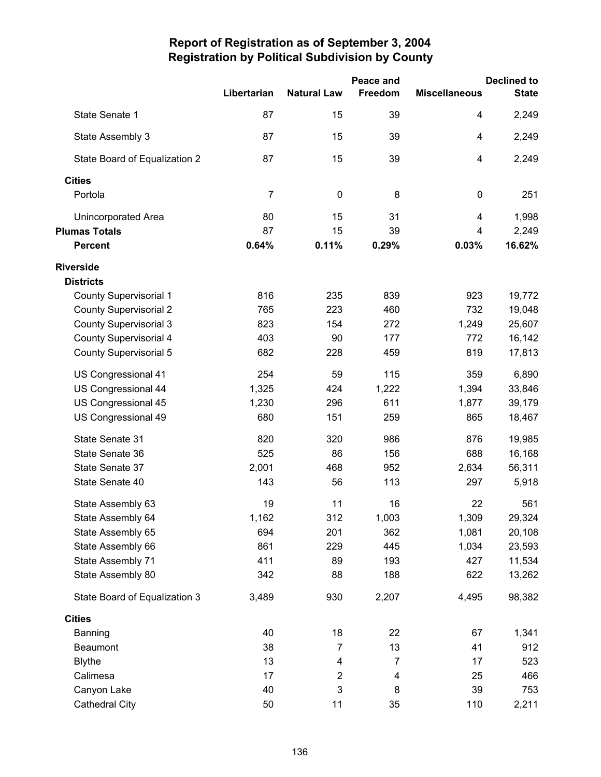|                               |             |                    | Peace and      |                      | <b>Declined to</b> |
|-------------------------------|-------------|--------------------|----------------|----------------------|--------------------|
|                               | Libertarian | <b>Natural Law</b> | Freedom        | <b>Miscellaneous</b> | <b>State</b>       |
| State Senate 1                | 87          | 15                 | 39             | 4                    | 2,249              |
| State Assembly 3              | 87          | 15                 | 39             | 4                    | 2,249              |
| State Board of Equalization 2 | 87          | 15                 | 39             | 4                    | 2,249              |
| <b>Cities</b>                 |             |                    |                |                      |                    |
| Portola                       | 7           | $\mathbf 0$        | 8              | $\pmb{0}$            | 251                |
| <b>Unincorporated Area</b>    | 80          | 15                 | 31             | 4                    | 1,998              |
| <b>Plumas Totals</b>          | 87          | 15                 | 39             | 4                    | 2,249              |
| <b>Percent</b>                | 0.64%       | 0.11%              | 0.29%          | 0.03%                | 16.62%             |
| <b>Riverside</b>              |             |                    |                |                      |                    |
| <b>Districts</b>              |             |                    |                |                      |                    |
| <b>County Supervisorial 1</b> | 816         | 235                | 839            | 923                  | 19,772             |
| <b>County Supervisorial 2</b> | 765         | 223                | 460            | 732                  | 19,048             |
| <b>County Supervisorial 3</b> | 823         | 154                | 272            | 1,249                | 25,607             |
| <b>County Supervisorial 4</b> | 403         | 90                 | 177            | 772                  | 16,142             |
| <b>County Supervisorial 5</b> | 682         | 228                | 459            | 819                  | 17,813             |
| US Congressional 41           | 254         | 59                 | 115            | 359                  | 6,890              |
| US Congressional 44           | 1,325       | 424                | 1,222          | 1,394                | 33,846             |
| US Congressional 45           | 1,230       | 296                | 611            | 1,877                | 39,179             |
| US Congressional 49           | 680         | 151                | 259            | 865                  | 18,467             |
| State Senate 31               | 820         | 320                | 986            | 876                  | 19,985             |
| State Senate 36               | 525         | 86                 | 156            | 688                  | 16,168             |
| State Senate 37               | 2,001       | 468                | 952            | 2,634                | 56,311             |
| State Senate 40               | 143         | 56                 | 113            | 297                  | 5,918              |
| State Assembly 63             | 19          | 11                 | 16             | 22                   | 561                |
| State Assembly 64             | 1,162       | 312                | 1,003          | 1,309                | 29,324             |
| State Assembly 65             | 694         | 201                | 362            | 1,081                | 20,108             |
| State Assembly 66             | 861         | 229                | 445            | 1,034                | 23,593             |
| State Assembly 71             | 411         | 89                 | 193            | 427                  | 11,534             |
| State Assembly 80             | 342         | 88                 | 188            | 622                  | 13,262             |
| State Board of Equalization 3 | 3,489       | 930                | 2,207          | 4,495                | 98,382             |
| <b>Cities</b>                 |             |                    |                |                      |                    |
| Banning                       | 40          | 18                 | 22             | 67                   | 1,341              |
| Beaumont                      | 38          | $\overline{7}$     | 13             | 41                   | 912                |
| <b>Blythe</b>                 | 13          | 4                  | $\overline{7}$ | 17                   | 523                |
| Calimesa                      | 17          | $\mathbf 2$        | 4              | 25                   | 466                |
| Canyon Lake                   | 40          | 3                  | 8              | 39                   | 753                |
| <b>Cathedral City</b>         | 50          | 11                 | 35             | 110                  | 2,211              |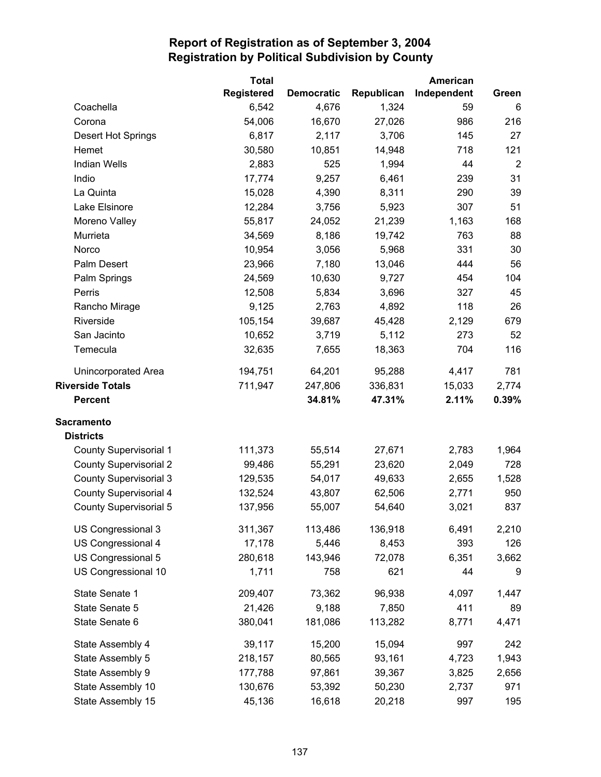|                               | <b>Total</b> |                   |            | American    |                |
|-------------------------------|--------------|-------------------|------------|-------------|----------------|
|                               | Registered   | <b>Democratic</b> | Republican | Independent | Green          |
| Coachella                     | 6,542        | 4,676             | 1,324      | 59          | 6              |
| Corona                        | 54,006       | 16,670            | 27,026     | 986         | 216            |
| Desert Hot Springs            | 6,817        | 2,117             | 3,706      | 145         | 27             |
| Hemet                         | 30,580       | 10,851            | 14,948     | 718         | 121            |
| <b>Indian Wells</b>           | 2,883        | 525               | 1,994      | 44          | $\overline{2}$ |
| Indio                         | 17,774       | 9,257             | 6,461      | 239         | 31             |
| La Quinta                     | 15,028       | 4,390             | 8,311      | 290         | 39             |
| Lake Elsinore                 | 12,284       | 3,756             | 5,923      | 307         | 51             |
| Moreno Valley                 | 55,817       | 24,052            | 21,239     | 1,163       | 168            |
| Murrieta                      | 34,569       | 8,186             | 19,742     | 763         | 88             |
| Norco                         | 10,954       | 3,056             | 5,968      | 331         | 30             |
| Palm Desert                   | 23,966       | 7,180             | 13,046     | 444         | 56             |
| Palm Springs                  | 24,569       | 10,630            | 9,727      | 454         | 104            |
| Perris                        | 12,508       | 5,834             | 3,696      | 327         | 45             |
| Rancho Mirage                 | 9,125        | 2,763             | 4,892      | 118         | 26             |
| Riverside                     | 105,154      | 39,687            | 45,428     | 2,129       | 679            |
| San Jacinto                   | 10,652       | 3,719             | 5,112      | 273         | 52             |
| Temecula                      | 32,635       | 7,655             | 18,363     | 704         | 116            |
| <b>Unincorporated Area</b>    | 194,751      | 64,201            | 95,288     | 4,417       | 781            |
| <b>Riverside Totals</b>       | 711,947      | 247,806           | 336,831    | 15,033      | 2,774          |
| <b>Percent</b>                |              | 34.81%            | 47.31%     | 2.11%       | 0.39%          |
| <b>Sacramento</b>             |              |                   |            |             |                |
| <b>Districts</b>              |              |                   |            |             |                |
| <b>County Supervisorial 1</b> | 111,373      | 55,514            | 27,671     | 2,783       | 1,964          |
| <b>County Supervisorial 2</b> | 99,486       | 55,291            | 23,620     | 2,049       | 728            |
| <b>County Supervisorial 3</b> | 129,535      | 54,017            | 49,633     | 2,655       | 1,528          |
| <b>County Supervisorial 4</b> | 132,524      | 43,807            | 62,506     | 2,771       | 950            |
| <b>County Supervisorial 5</b> | 137,956      | 55,007            | 54,640     | 3,021       | 837            |
| US Congressional 3            | 311,367      | 113,486           | 136,918    | 6,491       | 2,210          |
| US Congressional 4            | 17,178       | 5,446             | 8,453      | 393         | 126            |
| US Congressional 5            | 280,618      | 143,946           | 72,078     | 6,351       | 3,662          |
| US Congressional 10           | 1,711        | 758               | 621        | 44          | 9              |
| State Senate 1                | 209,407      | 73,362            | 96,938     | 4,097       | 1,447          |
| State Senate 5                | 21,426       | 9,188             | 7,850      | 411         | 89             |
| State Senate 6                | 380,041      | 181,086           | 113,282    | 8,771       | 4,471          |
| State Assembly 4              | 39,117       | 15,200            | 15,094     | 997         | 242            |
| State Assembly 5              | 218,157      | 80,565            | 93,161     | 4,723       | 1,943          |
| State Assembly 9              | 177,788      | 97,861            | 39,367     | 3,825       | 2,656          |
| State Assembly 10             | 130,676      | 53,392            | 50,230     | 2,737       | 971            |
| State Assembly 15             | 45,136       | 16,618            | 20,218     | 997         | 195            |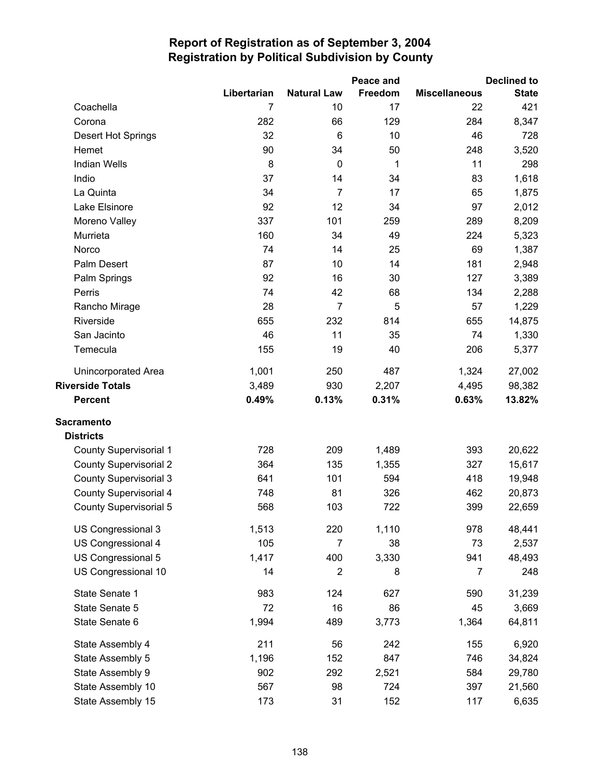|                               |             |                         | Peace and |                      | <b>Declined to</b> |
|-------------------------------|-------------|-------------------------|-----------|----------------------|--------------------|
|                               | Libertarian | <b>Natural Law</b>      | Freedom   | <b>Miscellaneous</b> | <b>State</b>       |
| Coachella                     | 7           | 10                      | 17        | 22                   | 421                |
| Corona                        | 282         | 66                      | 129       | 284                  | 8,347              |
| Desert Hot Springs            | 32          | 6                       | 10        | 46                   | 728                |
| Hemet                         | 90          | 34                      | 50        | 248                  | 3,520              |
| <b>Indian Wells</b>           | $\bf 8$     | $\mathbf 0$             | 1         | 11                   | 298                |
| Indio                         | 37          | 14                      | 34        | 83                   | 1,618              |
| La Quinta                     | 34          | $\overline{7}$          | 17        | 65                   | 1,875              |
| Lake Elsinore                 | 92          | 12                      | 34        | 97                   | 2,012              |
| Moreno Valley                 | 337         | 101                     | 259       | 289                  | 8,209              |
| Murrieta                      | 160         | 34                      | 49        | 224                  | 5,323              |
| Norco                         | 74          | 14                      | 25        | 69                   | 1,387              |
| Palm Desert                   | 87          | 10                      | 14        | 181                  | 2,948              |
| Palm Springs                  | 92          | 16                      | 30        | 127                  | 3,389              |
| Perris                        | 74          | 42                      | 68        | 134                  | 2,288              |
| Rancho Mirage                 | 28          | $\overline{7}$          | 5         | 57                   | 1,229              |
| Riverside                     | 655         | 232                     | 814       | 655                  | 14,875             |
| San Jacinto                   | 46          | 11                      | 35        | 74                   | 1,330              |
| Temecula                      | 155         | 19                      | 40        | 206                  | 5,377              |
| <b>Unincorporated Area</b>    | 1,001       | 250                     | 487       | 1,324                | 27,002             |
| <b>Riverside Totals</b>       | 3,489       | 930                     | 2,207     | 4,495                | 98,382             |
| <b>Percent</b>                | 0.49%       | 0.13%                   | 0.31%     | 0.63%                | 13.82%             |
| <b>Sacramento</b>             |             |                         |           |                      |                    |
| <b>Districts</b>              |             |                         |           |                      |                    |
| <b>County Supervisorial 1</b> | 728         | 209                     | 1,489     | 393                  | 20,622             |
| <b>County Supervisorial 2</b> | 364         | 135                     | 1,355     | 327                  | 15,617             |
| <b>County Supervisorial 3</b> | 641         | 101                     | 594       | 418                  | 19,948             |
| <b>County Supervisorial 4</b> | 748         | 81                      | 326       | 462                  | 20,873             |
| <b>County Supervisorial 5</b> | 568         | 103                     | 722       | 399                  | 22,659             |
| US Congressional 3            | 1,513       | 220                     | 1,110     | 978                  | 48,441             |
| US Congressional 4            | 105         | 7                       | 38        | 73                   | 2,537              |
| US Congressional 5            | 1,417       | 400                     | 3,330     | 941                  | 48,493             |
| US Congressional 10           | 14          | $\overline{\mathbf{c}}$ | 8         | 7                    | 248                |
| State Senate 1                | 983         | 124                     | 627       | 590                  | 31,239             |
| State Senate 5                | 72          | 16                      | 86        | 45                   | 3,669              |
| State Senate 6                | 1,994       | 489                     | 3,773     | 1,364                | 64,811             |
| State Assembly 4              | 211         | 56                      | 242       | 155                  | 6,920              |
| State Assembly 5              | 1,196       | 152                     | 847       | 746                  | 34,824             |
| State Assembly 9              | 902         | 292                     | 2,521     | 584                  | 29,780             |
| State Assembly 10             | 567         | 98                      | 724       | 397                  | 21,560             |
| State Assembly 15             | 173         | 31                      | 152       | 117                  | 6,635              |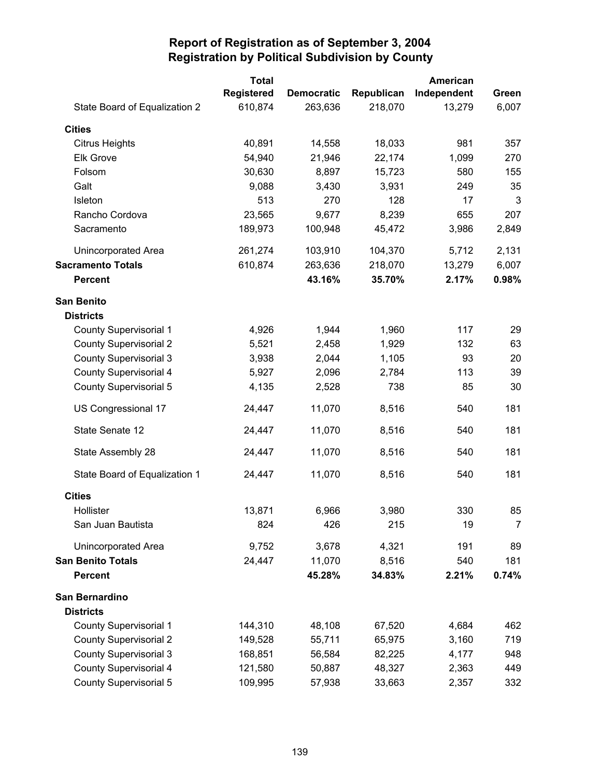|                               | <b>Total</b>      |                   |            | American    |                |
|-------------------------------|-------------------|-------------------|------------|-------------|----------------|
|                               | <b>Registered</b> | <b>Democratic</b> | Republican | Independent | Green          |
| State Board of Equalization 2 | 610,874           | 263,636           | 218,070    | 13,279      | 6,007          |
| <b>Cities</b>                 |                   |                   |            |             |                |
| <b>Citrus Heights</b>         | 40,891            | 14,558            | 18,033     | 981         | 357            |
| <b>Elk Grove</b>              | 54,940            | 21,946            | 22,174     | 1,099       | 270            |
| Folsom                        | 30,630            | 8,897             | 15,723     | 580         | 155            |
| Galt                          | 9,088             | 3,430             | 3,931      | 249         | 35             |
| Isleton                       | 513               | 270               | 128        | 17          | 3              |
| Rancho Cordova                | 23,565            | 9,677             | 8,239      | 655         | 207            |
| Sacramento                    | 189,973           | 100,948           | 45,472     | 3,986       | 2,849          |
| Unincorporated Area           | 261,274           | 103,910           | 104,370    | 5,712       | 2,131          |
| <b>Sacramento Totals</b>      | 610,874           | 263,636           | 218,070    | 13,279      | 6,007          |
| <b>Percent</b>                |                   | 43.16%            | 35.70%     | 2.17%       | 0.98%          |
| <b>San Benito</b>             |                   |                   |            |             |                |
| <b>Districts</b>              |                   |                   |            |             |                |
| <b>County Supervisorial 1</b> | 4,926             | 1,944             | 1,960      | 117         | 29             |
| <b>County Supervisorial 2</b> | 5,521             | 2,458             | 1,929      | 132         | 63             |
| <b>County Supervisorial 3</b> | 3,938             | 2,044             | 1,105      | 93          | 20             |
| County Supervisorial 4        | 5,927             | 2,096             | 2,784      | 113         | 39             |
| <b>County Supervisorial 5</b> | 4,135             | 2,528             | 738        | 85          | 30             |
| US Congressional 17           | 24,447            | 11,070            | 8,516      | 540         | 181            |
| State Senate 12               | 24,447            | 11,070            | 8,516      | 540         | 181            |
| State Assembly 28             | 24,447            | 11,070            | 8,516      | 540         | 181            |
| State Board of Equalization 1 | 24,447            | 11,070            | 8,516      | 540         | 181            |
| <b>Cities</b>                 |                   |                   |            |             |                |
| Hollister                     | 13,871            | 6,966             | 3,980      | 330         | 85             |
| San Juan Bautista             | 824               | 426               | 215        | 19          | $\overline{7}$ |
| Unincorporated Area           | 9,752             | 3,678             | 4,321      | 191         | 89             |
| <b>San Benito Totals</b>      | 24,447            | 11,070            | 8,516      | 540         | 181            |
| <b>Percent</b>                |                   | 45.28%            | 34.83%     | 2.21%       | 0.74%          |
| San Bernardino                |                   |                   |            |             |                |
| <b>Districts</b>              |                   |                   |            |             |                |
| <b>County Supervisorial 1</b> | 144,310           | 48,108            | 67,520     | 4,684       | 462            |
| <b>County Supervisorial 2</b> | 149,528           | 55,711            | 65,975     | 3,160       | 719            |
| <b>County Supervisorial 3</b> | 168,851           | 56,584            | 82,225     | 4,177       | 948            |
| <b>County Supervisorial 4</b> | 121,580           | 50,887            | 48,327     | 2,363       | 449            |
| <b>County Supervisorial 5</b> | 109,995           | 57,938            | 33,663     | 2,357       | 332            |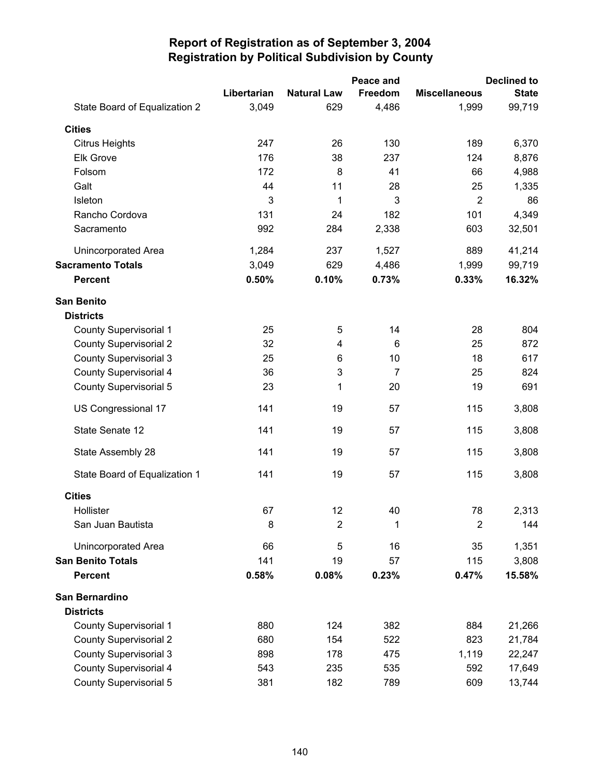|                               |             |                           | Peace and |                      | <b>Declined to</b> |
|-------------------------------|-------------|---------------------------|-----------|----------------------|--------------------|
|                               | Libertarian | <b>Natural Law</b>        | Freedom   | <b>Miscellaneous</b> | <b>State</b>       |
| State Board of Equalization 2 | 3,049       | 629                       | 4,486     | 1,999                | 99,719             |
| <b>Cities</b>                 |             |                           |           |                      |                    |
| <b>Citrus Heights</b>         | 247         | 26                        | 130       | 189                  | 6,370              |
| <b>Elk Grove</b>              | 176         | 38                        | 237       | 124                  | 8,876              |
| Folsom                        | 172         | 8                         | 41        | 66                   | 4,988              |
| Galt                          | 44          | 11                        | 28        | 25                   | 1,335              |
| Isleton                       | 3           | 1                         | 3         | $\overline{2}$       | 86                 |
| Rancho Cordova                | 131         | 24                        | 182       | 101                  | 4,349              |
| Sacramento                    | 992         | 284                       | 2,338     | 603                  | 32,501             |
| Unincorporated Area           | 1,284       | 237                       | 1,527     | 889                  | 41,214             |
| <b>Sacramento Totals</b>      | 3,049       | 629                       | 4,486     | 1,999                | 99,719             |
| <b>Percent</b>                | 0.50%       | 0.10%                     | 0.73%     | 0.33%                | 16.32%             |
| <b>San Benito</b>             |             |                           |           |                      |                    |
| <b>Districts</b>              |             |                           |           |                      |                    |
| <b>County Supervisorial 1</b> | 25          | 5                         | 14        | 28                   | 804                |
| <b>County Supervisorial 2</b> | 32          | 4                         | 6         | 25                   | 872                |
| <b>County Supervisorial 3</b> | 25          | 6                         | 10        | 18                   | 617                |
| <b>County Supervisorial 4</b> | 36          | $\ensuremath{\mathsf{3}}$ | 7         | 25                   | 824                |
| <b>County Supervisorial 5</b> | 23          | 1                         | 20        | 19                   | 691                |
| US Congressional 17           | 141         | 19                        | 57        | 115                  | 3,808              |
| State Senate 12               | 141         | 19                        | 57        | 115                  | 3,808              |
| State Assembly 28             | 141         | 19                        | 57        | 115                  | 3,808              |
| State Board of Equalization 1 | 141         | 19                        | 57        | 115                  | 3,808              |
| <b>Cities</b>                 |             |                           |           |                      |                    |
| Hollister                     | 67          | 12                        | 40        | 78                   | 2,313              |
| San Juan Bautista             | 8           | $\overline{2}$            | 1         | $\overline{2}$       | 144                |
| Unincorporated Area           | 66          | 5                         | 16        | 35                   | 1,351              |
| <b>San Benito Totals</b>      | 141         | 19                        | 57        | 115                  | 3,808              |
| <b>Percent</b>                | 0.58%       | 0.08%                     | 0.23%     | 0.47%                | 15.58%             |
| San Bernardino                |             |                           |           |                      |                    |
| <b>Districts</b>              |             |                           |           |                      |                    |
| <b>County Supervisorial 1</b> | 880         | 124                       | 382       | 884                  | 21,266             |
| <b>County Supervisorial 2</b> | 680         | 154                       | 522       | 823                  | 21,784             |
| <b>County Supervisorial 3</b> | 898         | 178                       | 475       | 1,119                | 22,247             |
| <b>County Supervisorial 4</b> | 543         | 235                       | 535       | 592                  | 17,649             |
| County Supervisorial 5        | 381         | 182                       | 789       | 609                  | 13,744             |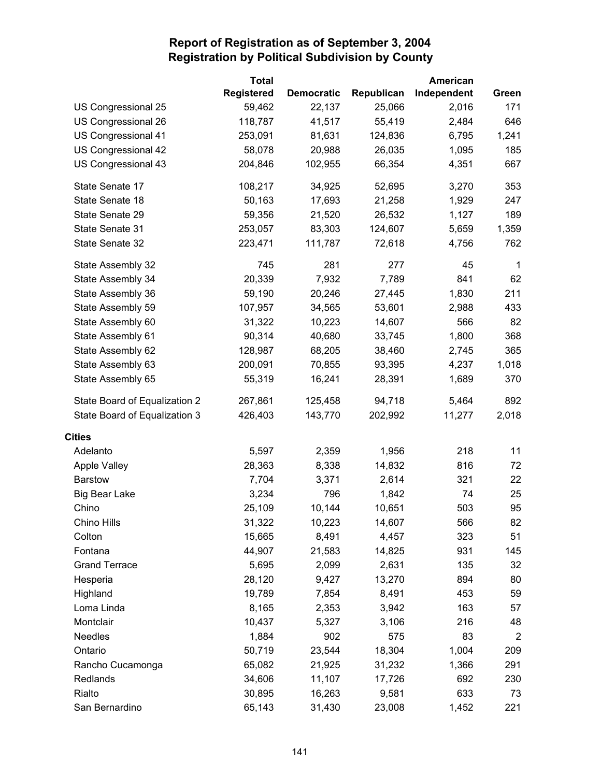|                               | <b>Total</b>      |                   |            | American    |                |
|-------------------------------|-------------------|-------------------|------------|-------------|----------------|
|                               | <b>Registered</b> | <b>Democratic</b> | Republican | Independent | Green          |
| US Congressional 25           | 59,462            | 22,137            | 25,066     | 2,016       | 171            |
| US Congressional 26           | 118,787           | 41,517            | 55,419     | 2,484       | 646            |
| US Congressional 41           | 253,091           | 81,631            | 124,836    | 6,795       | 1,241          |
| US Congressional 42           | 58,078            | 20,988            | 26,035     | 1,095       | 185            |
| US Congressional 43           | 204,846           | 102,955           | 66,354     | 4,351       | 667            |
| State Senate 17               | 108,217           | 34,925            | 52,695     | 3,270       | 353            |
| State Senate 18               | 50,163            | 17,693            | 21,258     | 1,929       | 247            |
| State Senate 29               | 59,356            | 21,520            | 26,532     | 1,127       | 189            |
| State Senate 31               | 253,057           | 83,303            | 124,607    | 5,659       | 1,359          |
| State Senate 32               | 223,471           | 111,787           | 72,618     | 4,756       | 762            |
| State Assembly 32             | 745               | 281               | 277        | 45          | $\mathbf 1$    |
| State Assembly 34             | 20,339            | 7,932             | 7,789      | 841         | 62             |
| State Assembly 36             | 59,190            | 20,246            | 27,445     | 1,830       | 211            |
| State Assembly 59             | 107,957           | 34,565            | 53,601     | 2,988       | 433            |
| State Assembly 60             | 31,322            | 10,223            | 14,607     | 566         | 82             |
| State Assembly 61             | 90,314            | 40,680            | 33,745     | 1,800       | 368            |
| State Assembly 62             | 128,987           | 68,205            | 38,460     | 2,745       | 365            |
| State Assembly 63             | 200,091           | 70,855            | 93,395     | 4,237       | 1,018          |
| State Assembly 65             | 55,319            | 16,241            | 28,391     | 1,689       | 370            |
| State Board of Equalization 2 | 267,861           | 125,458           | 94,718     | 5,464       | 892            |
| State Board of Equalization 3 | 426,403           | 143,770           | 202,992    | 11,277      | 2,018          |
| <b>Cities</b>                 |                   |                   |            |             |                |
| Adelanto                      | 5,597             | 2,359             | 1,956      | 218         | 11             |
| <b>Apple Valley</b>           | 28,363            | 8,338             | 14,832     | 816         | 72             |
| <b>Barstow</b>                | 7,704             | 3,371             | 2,614      | 321         | 22             |
| <b>Big Bear Lake</b>          | 3,234             | 796               | 1,842      | 74          | 25             |
| Chino                         | 25,109            | 10,144            | 10,651     | 503         | 95             |
| Chino Hills                   | 31,322            | 10,223            | 14,607     | 566         | 82             |
| Colton                        | 15,665            | 8,491             | 4,457      | 323         | 51             |
| Fontana                       | 44,907            | 21,583            | 14,825     | 931         | 145            |
| <b>Grand Terrace</b>          | 5,695             | 2,099             | 2,631      | 135         | 32             |
| Hesperia                      | 28,120            | 9,427             | 13,270     | 894         | 80             |
| Highland                      | 19,789            | 7,854             | 8,491      | 453         | 59             |
| Loma Linda                    | 8,165             | 2,353             | 3,942      | 163         | 57             |
| Montclair                     | 10,437            | 5,327             | 3,106      | 216         | 48             |
| <b>Needles</b>                | 1,884             | 902               | 575        | 83          | $\overline{2}$ |
| Ontario                       | 50,719            | 23,544            | 18,304     | 1,004       | 209            |
| Rancho Cucamonga              | 65,082            | 21,925            | 31,232     | 1,366       | 291            |
| Redlands                      | 34,606            | 11,107            | 17,726     | 692         | 230            |
| Rialto                        | 30,895            | 16,263            | 9,581      | 633         | 73             |
| San Bernardino                | 65,143            | 31,430            | 23,008     | 1,452       | 221            |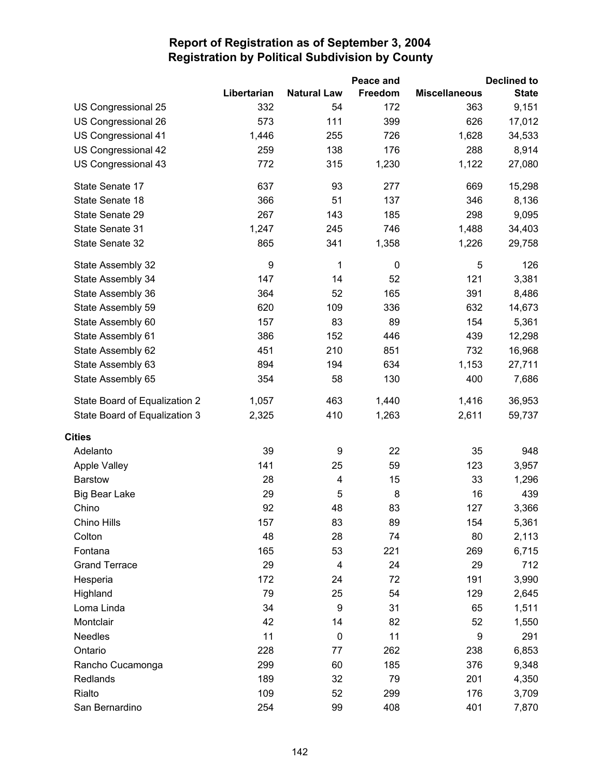|                               |                  |                         | Peace and |                      | <b>Declined to</b> |
|-------------------------------|------------------|-------------------------|-----------|----------------------|--------------------|
|                               | Libertarian      | <b>Natural Law</b>      | Freedom   | <b>Miscellaneous</b> | <b>State</b>       |
| US Congressional 25           | 332              | 54                      | 172       | 363                  | 9,151              |
| US Congressional 26           | 573              | 111                     | 399       | 626                  | 17,012             |
| US Congressional 41           | 1,446            | 255                     | 726       | 1,628                | 34,533             |
| US Congressional 42           | 259              | 138                     | 176       | 288                  | 8,914              |
| US Congressional 43           | 772              | 315                     | 1,230     | 1,122                | 27,080             |
| State Senate 17               | 637              | 93                      | 277       | 669                  | 15,298             |
| State Senate 18               | 366              | 51                      | 137       | 346                  | 8,136              |
| State Senate 29               | 267              | 143                     | 185       | 298                  | 9,095              |
| State Senate 31               | 1,247            | 245                     | 746       | 1,488                | 34,403             |
| State Senate 32               | 865              | 341                     | 1,358     | 1,226                | 29,758             |
| State Assembly 32             | $\boldsymbol{9}$ | 1                       | $\pmb{0}$ | 5                    | 126                |
| State Assembly 34             | 147              | 14                      | 52        | 121                  | 3,381              |
| State Assembly 36             | 364              | 52                      | 165       | 391                  | 8,486              |
| State Assembly 59             | 620              | 109                     | 336       | 632                  | 14,673             |
| State Assembly 60             | 157              | 83                      | 89        | 154                  | 5,361              |
| State Assembly 61             | 386              | 152                     | 446       | 439                  | 12,298             |
| State Assembly 62             | 451              | 210                     | 851       | 732                  | 16,968             |
| State Assembly 63             | 894              | 194                     | 634       | 1,153                | 27,711             |
| State Assembly 65             | 354              | 58                      | 130       | 400                  | 7,686              |
| State Board of Equalization 2 | 1,057            | 463                     | 1,440     | 1,416                | 36,953             |
| State Board of Equalization 3 | 2,325            | 410                     | 1,263     | 2,611                | 59,737             |
| <b>Cities</b>                 |                  |                         |           |                      |                    |
| Adelanto                      | 39               | 9                       | 22        | 35                   | 948                |
| <b>Apple Valley</b>           | 141              | 25                      | 59        | 123                  | 3,957              |
| <b>Barstow</b>                | 28               | $\overline{\mathbf{4}}$ | 15        | 33                   | 1,296              |
| <b>Big Bear Lake</b>          | 29               | 5                       | 8         | 16                   | 439                |
| Chino                         | 92               | 48                      | 83        | 127                  | 3,366              |
| Chino Hills                   | 157              | 83                      | 89        | 154                  | 5,361              |
| Colton                        | 48               | 28                      | 74        | 80                   | 2,113              |
| Fontana                       | 165              | 53                      | 221       | 269                  | 6,715              |
| <b>Grand Terrace</b>          | 29               | 4                       | 24        | 29                   | 712                |
| Hesperia                      | 172              | 24                      | 72        | 191                  | 3,990              |
| Highland                      | 79               | 25                      | 54        | 129                  | 2,645              |
| Loma Linda                    | 34               | 9                       | 31        | 65                   | 1,511              |
| Montclair                     | 42               | 14                      | 82        | 52                   | 1,550              |
| <b>Needles</b>                | 11               | $\pmb{0}$               | 11        | 9                    | 291                |
| Ontario                       | 228              | 77                      | 262       | 238                  | 6,853              |
| Rancho Cucamonga              | 299              | 60                      | 185       | 376                  | 9,348              |
| Redlands                      | 189              | 32                      | 79        | 201                  | 4,350              |
| Rialto                        | 109              | 52                      | 299       | 176                  | 3,709              |
| San Bernardino                | 254              | 99                      | 408       | 401                  | 7,870              |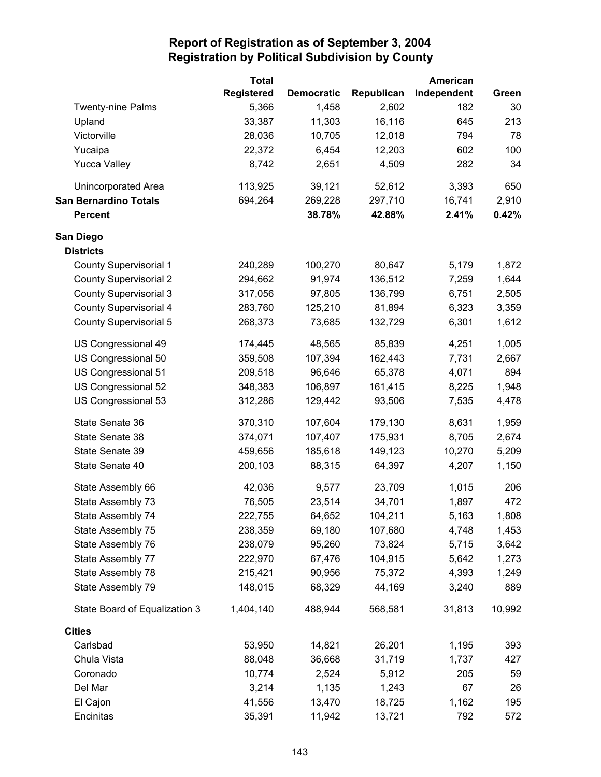|                               | <b>Total</b>      |                   |            | American    |        |
|-------------------------------|-------------------|-------------------|------------|-------------|--------|
|                               | <b>Registered</b> | <b>Democratic</b> | Republican | Independent | Green  |
| <b>Twenty-nine Palms</b>      | 5,366             | 1,458             | 2,602      | 182         | 30     |
| Upland                        | 33,387            | 11,303            | 16,116     | 645         | 213    |
| Victorville                   | 28,036            | 10,705            | 12,018     | 794         | 78     |
| Yucaipa                       | 22,372            | 6,454             | 12,203     | 602         | 100    |
| <b>Yucca Valley</b>           | 8,742             | 2,651             | 4,509      | 282         | 34     |
| Unincorporated Area           | 113,925           | 39,121            | 52,612     | 3,393       | 650    |
| <b>San Bernardino Totals</b>  | 694,264           | 269,228           | 297,710    | 16,741      | 2,910  |
| <b>Percent</b>                |                   | 38.78%            | 42.88%     | 2.41%       | 0.42%  |
| San Diego                     |                   |                   |            |             |        |
| <b>Districts</b>              |                   |                   |            |             |        |
| <b>County Supervisorial 1</b> | 240,289           | 100,270           | 80,647     | 5,179       | 1,872  |
| <b>County Supervisorial 2</b> | 294,662           | 91,974            | 136,512    | 7,259       | 1,644  |
| <b>County Supervisorial 3</b> | 317,056           | 97,805            | 136,799    | 6,751       | 2,505  |
| <b>County Supervisorial 4</b> | 283,760           | 125,210           | 81,894     | 6,323       | 3,359  |
| <b>County Supervisorial 5</b> | 268,373           | 73,685            | 132,729    | 6,301       | 1,612  |
| US Congressional 49           | 174,445           | 48,565            | 85,839     | 4,251       | 1,005  |
| US Congressional 50           | 359,508           | 107,394           | 162,443    | 7,731       | 2,667  |
| US Congressional 51           | 209,518           | 96,646            | 65,378     | 4,071       | 894    |
| US Congressional 52           | 348,383           | 106,897           | 161,415    | 8,225       | 1,948  |
| US Congressional 53           | 312,286           | 129,442           | 93,506     | 7,535       | 4,478  |
| State Senate 36               | 370,310           | 107,604           | 179,130    | 8,631       | 1,959  |
| State Senate 38               | 374,071           | 107,407           | 175,931    | 8,705       | 2,674  |
| State Senate 39               | 459,656           | 185,618           | 149,123    | 10,270      | 5,209  |
| State Senate 40               | 200,103           | 88,315            | 64,397     | 4,207       | 1,150  |
| State Assembly 66             | 42,036            | 9,577             | 23,709     | 1,015       | 206    |
| State Assembly 73             | 76,505            | 23,514            | 34,701     | 1,897       | 472    |
| State Assembly 74             | 222,755           | 64,652            | 104,211    | 5,163       | 1,808  |
| State Assembly 75             | 238,359           | 69,180            | 107,680    | 4,748       | 1,453  |
| State Assembly 76             | 238,079           | 95,260            | 73,824     | 5,715       | 3,642  |
| State Assembly 77             | 222,970           | 67,476            | 104,915    | 5,642       | 1,273  |
| State Assembly 78             | 215,421           | 90,956            | 75,372     | 4,393       | 1,249  |
| State Assembly 79             | 148,015           | 68,329            | 44,169     | 3,240       | 889    |
| State Board of Equalization 3 | 1,404,140         | 488,944           | 568,581    | 31,813      | 10,992 |
| <b>Cities</b>                 |                   |                   |            |             |        |
| Carlsbad                      | 53,950            | 14,821            | 26,201     | 1,195       | 393    |
| Chula Vista                   | 88,048            | 36,668            | 31,719     | 1,737       | 427    |
| Coronado                      | 10,774            | 2,524             | 5,912      | 205         | 59     |
| Del Mar                       | 3,214             | 1,135             | 1,243      | 67          | 26     |
| El Cajon                      | 41,556            | 13,470            | 18,725     | 1,162       | 195    |
| Encinitas                     | 35,391            | 11,942            | 13,721     | 792         | 572    |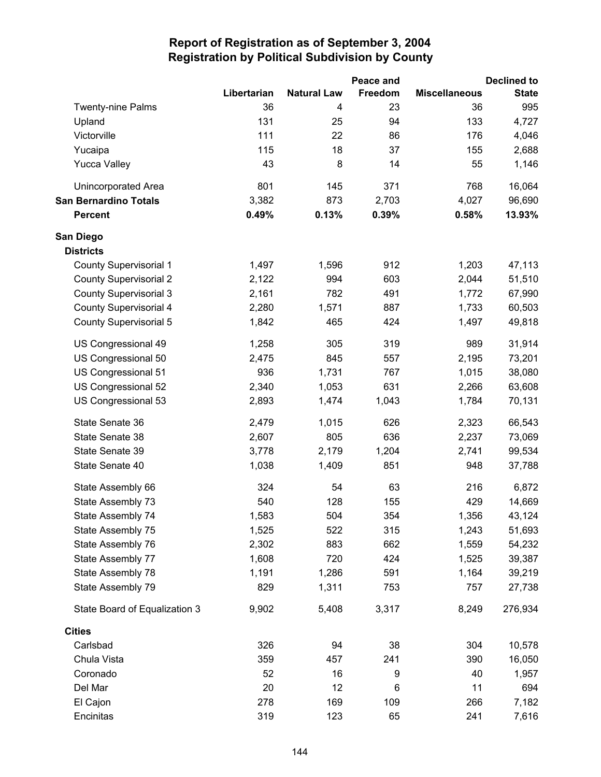|                               |             |                    | Peace and |                      | <b>Declined to</b> |
|-------------------------------|-------------|--------------------|-----------|----------------------|--------------------|
|                               | Libertarian | <b>Natural Law</b> | Freedom   | <b>Miscellaneous</b> | <b>State</b>       |
| <b>Twenty-nine Palms</b>      | 36          | 4                  | 23        | 36                   | 995                |
| Upland                        | 131         | 25                 | 94        | 133                  | 4,727              |
| Victorville                   | 111         | 22                 | 86        | 176                  | 4,046              |
| Yucaipa                       | 115         | 18                 | 37        | 155                  | 2,688              |
| <b>Yucca Valley</b>           | 43          | 8                  | 14        | 55                   | 1,146              |
| <b>Unincorporated Area</b>    | 801         | 145                | 371       | 768                  | 16,064             |
| <b>San Bernardino Totals</b>  | 3,382       | 873                | 2,703     | 4,027                | 96,690             |
| <b>Percent</b>                | 0.49%       | 0.13%              | 0.39%     | 0.58%                | 13.93%             |
| San Diego                     |             |                    |           |                      |                    |
| <b>Districts</b>              |             |                    |           |                      |                    |
| <b>County Supervisorial 1</b> | 1,497       | 1,596              | 912       | 1,203                | 47,113             |
| <b>County Supervisorial 2</b> | 2,122       | 994                | 603       | 2,044                | 51,510             |
| <b>County Supervisorial 3</b> | 2,161       | 782                | 491       | 1,772                | 67,990             |
| <b>County Supervisorial 4</b> | 2,280       | 1,571              | 887       | 1,733                | 60,503             |
| <b>County Supervisorial 5</b> | 1,842       | 465                | 424       | 1,497                | 49,818             |
| US Congressional 49           | 1,258       | 305                | 319       | 989                  | 31,914             |
| US Congressional 50           | 2,475       | 845                | 557       | 2,195                | 73,201             |
| US Congressional 51           | 936         | 1,731              | 767       | 1,015                | 38,080             |
| US Congressional 52           | 2,340       | 1,053              | 631       | 2,266                | 63,608             |
| US Congressional 53           | 2,893       | 1,474              | 1,043     | 1,784                | 70,131             |
| State Senate 36               | 2,479       | 1,015              | 626       | 2,323                | 66,543             |
| State Senate 38               | 2,607       | 805                | 636       | 2,237                | 73,069             |
| State Senate 39               | 3,778       | 2,179              | 1,204     | 2,741                | 99,534             |
| State Senate 40               | 1,038       | 1,409              | 851       | 948                  | 37,788             |
| State Assembly 66             | 324         | 54                 | 63        | 216                  | 6,872              |
| State Assembly 73             | 540         | 128                | 155       | 429                  | 14,669             |
| State Assembly 74             | 1,583       | 504                | 354       | 1,356                | 43,124             |
| State Assembly 75             | 1,525       | 522                | 315       | 1,243                | 51,693             |
| State Assembly 76             | 2,302       | 883                | 662       | 1,559                | 54,232             |
| State Assembly 77             | 1,608       | 720                | 424       | 1,525                | 39,387             |
| State Assembly 78             | 1,191       | 1,286              | 591       | 1,164                | 39,219             |
| State Assembly 79             | 829         | 1,311              | 753       | 757                  | 27,738             |
| State Board of Equalization 3 | 9,902       | 5,408              | 3,317     | 8,249                | 276,934            |
| <b>Cities</b>                 |             |                    |           |                      |                    |
| Carlsbad                      | 326         | 94                 | 38        | 304                  | 10,578             |
| Chula Vista                   | 359         | 457                | 241       | 390                  | 16,050             |
| Coronado                      | 52          | 16                 | 9         | 40                   | 1,957              |
| Del Mar                       | 20          | 12                 | 6         | 11                   | 694                |
| El Cajon                      | 278         | 169                | 109       | 266                  | 7,182              |
| Encinitas                     | 319         | 123                | 65        | 241                  | 7,616              |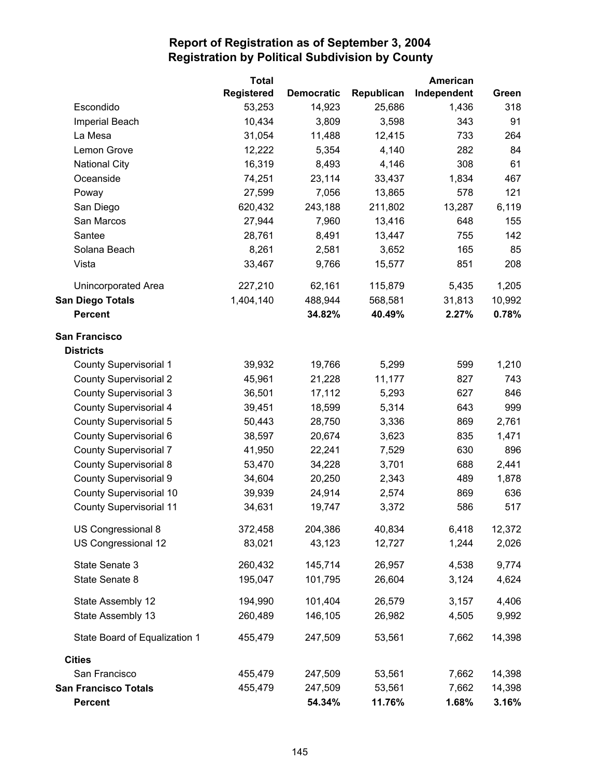|                                | <b>Total</b>      |                   |            | American    |        |
|--------------------------------|-------------------|-------------------|------------|-------------|--------|
|                                | <b>Registered</b> | <b>Democratic</b> | Republican | Independent | Green  |
| Escondido                      | 53,253            | 14,923            | 25,686     | 1,436       | 318    |
| Imperial Beach                 | 10,434            | 3,809             | 3,598      | 343         | 91     |
| La Mesa                        | 31,054            | 11,488            | 12,415     | 733         | 264    |
| Lemon Grove                    | 12,222            | 5,354             | 4,140      | 282         | 84     |
| <b>National City</b>           | 16,319            | 8,493             | 4,146      | 308         | 61     |
| Oceanside                      | 74,251            | 23,114            | 33,437     | 1,834       | 467    |
| Poway                          | 27,599            | 7,056             | 13,865     | 578         | 121    |
| San Diego                      | 620,432           | 243,188           | 211,802    | 13,287      | 6,119  |
| San Marcos                     | 27,944            | 7,960             | 13,416     | 648         | 155    |
| Santee                         | 28,761            | 8,491             | 13,447     | 755         | 142    |
| Solana Beach                   | 8,261             | 2,581             | 3,652      | 165         | 85     |
| Vista                          | 33,467            | 9,766             | 15,577     | 851         | 208    |
| Unincorporated Area            | 227,210           | 62,161            | 115,879    | 5,435       | 1,205  |
| San Diego Totals               | 1,404,140         | 488,944           | 568,581    | 31,813      | 10,992 |
| <b>Percent</b>                 |                   | 34.82%            | 40.49%     | 2.27%       | 0.78%  |
| <b>San Francisco</b>           |                   |                   |            |             |        |
| <b>Districts</b>               |                   |                   |            |             |        |
| <b>County Supervisorial 1</b>  | 39,932            | 19,766            | 5,299      | 599         | 1,210  |
| <b>County Supervisorial 2</b>  | 45,961            | 21,228            | 11,177     | 827         | 743    |
| <b>County Supervisorial 3</b>  | 36,501            | 17,112            | 5,293      | 627         | 846    |
| <b>County Supervisorial 4</b>  | 39,451            | 18,599            | 5,314      | 643         | 999    |
| <b>County Supervisorial 5</b>  | 50,443            | 28,750            | 3,336      | 869         | 2,761  |
| County Supervisorial 6         | 38,597            | 20,674            | 3,623      | 835         | 1,471  |
| <b>County Supervisorial 7</b>  | 41,950            | 22,241            | 7,529      | 630         | 896    |
| <b>County Supervisorial 8</b>  | 53,470            | 34,228            | 3,701      | 688         | 2,441  |
| <b>County Supervisorial 9</b>  | 34,604            | 20,250            | 2,343      | 489         | 1,878  |
| <b>County Supervisorial 10</b> | 39,939            | 24,914            | 2,574      | 869         | 636    |
| <b>County Supervisorial 11</b> | 34,631            | 19,747            | 3,372      | 586         | 517    |
| US Congressional 8             | 372,458           | 204,386           | 40,834     | 6,418       | 12,372 |
| US Congressional 12            | 83,021            | 43,123            | 12,727     | 1,244       | 2,026  |
| State Senate 3                 | 260,432           | 145,714           | 26,957     | 4,538       | 9,774  |
| State Senate 8                 | 195,047           | 101,795           | 26,604     | 3,124       | 4,624  |
| State Assembly 12              | 194,990           | 101,404           | 26,579     | 3,157       | 4,406  |
| State Assembly 13              | 260,489           | 146,105           | 26,982     | 4,505       | 9,992  |
| State Board of Equalization 1  | 455,479           | 247,509           | 53,561     | 7,662       | 14,398 |
| <b>Cities</b>                  |                   |                   |            |             |        |
| San Francisco                  | 455,479           | 247,509           | 53,561     | 7,662       | 14,398 |
| <b>San Francisco Totals</b>    | 455,479           | 247,509           | 53,561     | 7,662       | 14,398 |
| <b>Percent</b>                 |                   | 54.34%            | 11.76%     | 1.68%       | 3.16%  |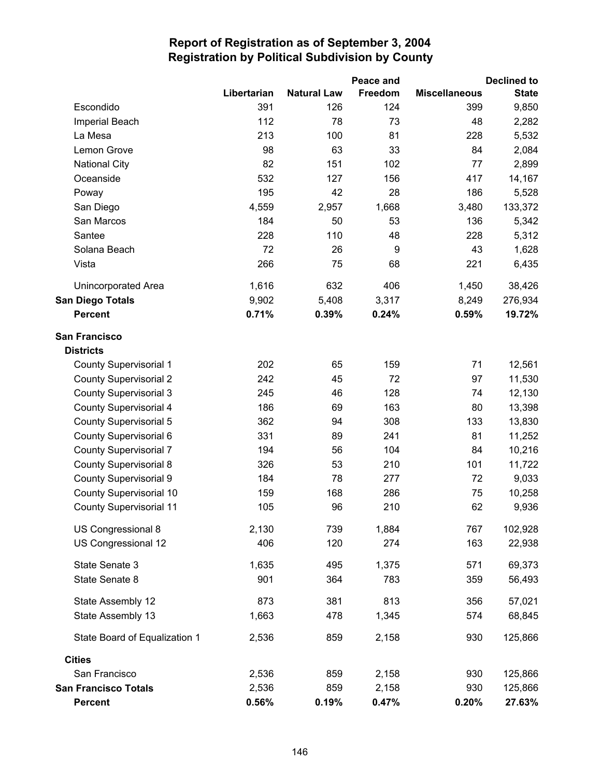|                                |             |                    | Peace and |                      | <b>Declined to</b> |
|--------------------------------|-------------|--------------------|-----------|----------------------|--------------------|
|                                | Libertarian | <b>Natural Law</b> | Freedom   | <b>Miscellaneous</b> | <b>State</b>       |
| Escondido                      | 391         | 126                | 124       | 399                  | 9,850              |
| Imperial Beach                 | 112         | 78                 | 73        | 48                   | 2,282              |
| La Mesa                        | 213         | 100                | 81        | 228                  | 5,532              |
| Lemon Grove                    | 98          | 63                 | 33        | 84                   | 2,084              |
| <b>National City</b>           | 82          | 151                | 102       | 77                   | 2,899              |
| Oceanside                      | 532         | 127                | 156       | 417                  | 14,167             |
| Poway                          | 195         | 42                 | 28        | 186                  | 5,528              |
| San Diego                      | 4,559       | 2,957              | 1,668     | 3,480                | 133,372            |
| San Marcos                     | 184         | 50                 | 53        | 136                  | 5,342              |
| Santee                         | 228         | 110                | 48        | 228                  | 5,312              |
| Solana Beach                   | 72          | 26                 | 9         | 43                   | 1,628              |
| Vista                          | 266         | 75                 | 68        | 221                  | 6,435              |
| Unincorporated Area            | 1,616       | 632                | 406       | 1,450                | 38,426             |
| <b>San Diego Totals</b>        | 9,902       | 5,408              | 3,317     | 8,249                | 276,934            |
| <b>Percent</b>                 | 0.71%       | 0.39%              | 0.24%     | 0.59%                | 19.72%             |
| <b>San Francisco</b>           |             |                    |           |                      |                    |
| <b>Districts</b>               |             |                    |           |                      |                    |
| <b>County Supervisorial 1</b>  | 202         | 65                 | 159       | 71                   | 12,561             |
| <b>County Supervisorial 2</b>  | 242         | 45                 | 72        | 97                   | 11,530             |
| <b>County Supervisorial 3</b>  | 245         | 46                 | 128       | 74                   | 12,130             |
| <b>County Supervisorial 4</b>  | 186         | 69                 | 163       | 80                   | 13,398             |
| <b>County Supervisorial 5</b>  | 362         | 94                 | 308       | 133                  | 13,830             |
| County Supervisorial 6         | 331         | 89                 | 241       | 81                   | 11,252             |
| <b>County Supervisorial 7</b>  | 194         | 56                 | 104       | 84                   | 10,216             |
| <b>County Supervisorial 8</b>  | 326         | 53                 | 210       | 101                  | 11,722             |
| <b>County Supervisorial 9</b>  | 184         | 78                 | 277       | 72                   | 9,033              |
| County Supervisorial 10        | 159         | 168                | 286       | 75                   | 10,258             |
| <b>County Supervisorial 11</b> | 105         | 96                 | 210       | 62                   | 9,936              |
| US Congressional 8             | 2,130       | 739                | 1,884     | 767                  | 102,928            |
| US Congressional 12            | 406         | 120                | 274       | 163                  | 22,938             |
| State Senate 3                 | 1,635       | 495                | 1,375     | 571                  | 69,373             |
| State Senate 8                 | 901         | 364                | 783       | 359                  | 56,493             |
| State Assembly 12              | 873         | 381                | 813       | 356                  | 57,021             |
| State Assembly 13              | 1,663       | 478                | 1,345     | 574                  | 68,845             |
| State Board of Equalization 1  | 2,536       | 859                | 2,158     | 930                  | 125,866            |
| <b>Cities</b>                  |             |                    |           |                      |                    |
| San Francisco                  | 2,536       | 859                | 2,158     | 930                  | 125,866            |
| <b>San Francisco Totals</b>    | 2,536       | 859                | 2,158     | 930                  | 125,866            |
| <b>Percent</b>                 | 0.56%       | 0.19%              | 0.47%     | 0.20%                | 27.63%             |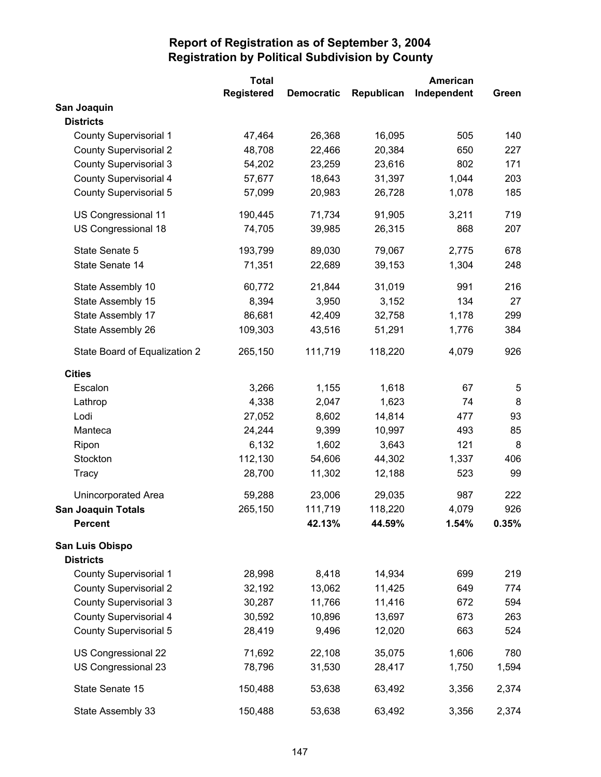|                               | <b>Total</b>      |                   |            | American    |       |
|-------------------------------|-------------------|-------------------|------------|-------------|-------|
|                               | <b>Registered</b> | <b>Democratic</b> | Republican | Independent | Green |
| San Joaquin                   |                   |                   |            |             |       |
| <b>Districts</b>              |                   |                   |            |             |       |
| <b>County Supervisorial 1</b> | 47,464            | 26,368            | 16,095     | 505         | 140   |
| <b>County Supervisorial 2</b> | 48,708            | 22,466            | 20,384     | 650         | 227   |
| <b>County Supervisorial 3</b> | 54,202            | 23,259            | 23,616     | 802         | 171   |
| <b>County Supervisorial 4</b> | 57,677            | 18,643            | 31,397     | 1,044       | 203   |
| <b>County Supervisorial 5</b> | 57,099            | 20,983            | 26,728     | 1,078       | 185   |
| US Congressional 11           | 190,445           | 71,734            | 91,905     | 3,211       | 719   |
| US Congressional 18           | 74,705            | 39,985            | 26,315     | 868         | 207   |
| State Senate 5                | 193,799           | 89,030            | 79,067     | 2,775       | 678   |
| State Senate 14               | 71,351            | 22,689            | 39,153     | 1,304       | 248   |
| State Assembly 10             | 60,772            | 21,844            | 31,019     | 991         | 216   |
| State Assembly 15             | 8,394             | 3,950             | 3,152      | 134         | 27    |
| State Assembly 17             | 86,681            | 42,409            | 32,758     | 1,178       | 299   |
| State Assembly 26             | 109,303           | 43,516            | 51,291     | 1,776       | 384   |
| State Board of Equalization 2 | 265,150           | 111,719           | 118,220    | 4,079       | 926   |
| <b>Cities</b>                 |                   |                   |            |             |       |
| Escalon                       | 3,266             | 1,155             | 1,618      | 67          | 5     |
| Lathrop                       | 4,338             | 2,047             | 1,623      | 74          | 8     |
| Lodi                          | 27,052            | 8,602             | 14,814     | 477         | 93    |
| Manteca                       | 24,244            | 9,399             | 10,997     | 493         | 85    |
| Ripon                         | 6,132             | 1,602             | 3,643      | 121         | 8     |
| Stockton                      | 112,130           | 54,606            | 44,302     | 1,337       | 406   |
| Tracy                         | 28,700            | 11,302            | 12,188     | 523         | 99    |
| <b>Unincorporated Area</b>    | 59,288            | 23,006            | 29,035     | 987         | 222   |
| <b>San Joaquin Totals</b>     | 265,150           | 111,719           | 118,220    | 4,079       | 926   |
| <b>Percent</b>                |                   | 42.13%            | 44.59%     | 1.54%       | 0.35% |
| San Luis Obispo               |                   |                   |            |             |       |
| <b>Districts</b>              |                   |                   |            |             |       |
| <b>County Supervisorial 1</b> | 28,998            | 8,418             | 14,934     | 699         | 219   |
| <b>County Supervisorial 2</b> | 32,192            | 13,062            | 11,425     | 649         | 774   |
| <b>County Supervisorial 3</b> | 30,287            | 11,766            | 11,416     | 672         | 594   |
| <b>County Supervisorial 4</b> | 30,592            | 10,896            | 13,697     | 673         | 263   |
| <b>County Supervisorial 5</b> | 28,419            | 9,496             | 12,020     | 663         | 524   |
| US Congressional 22           | 71,692            | 22,108            | 35,075     | 1,606       | 780   |
| US Congressional 23           | 78,796            | 31,530            | 28,417     | 1,750       | 1,594 |
| State Senate 15               | 150,488           | 53,638            | 63,492     | 3,356       | 2,374 |
| State Assembly 33             | 150,488           | 53,638            | 63,492     | 3,356       | 2,374 |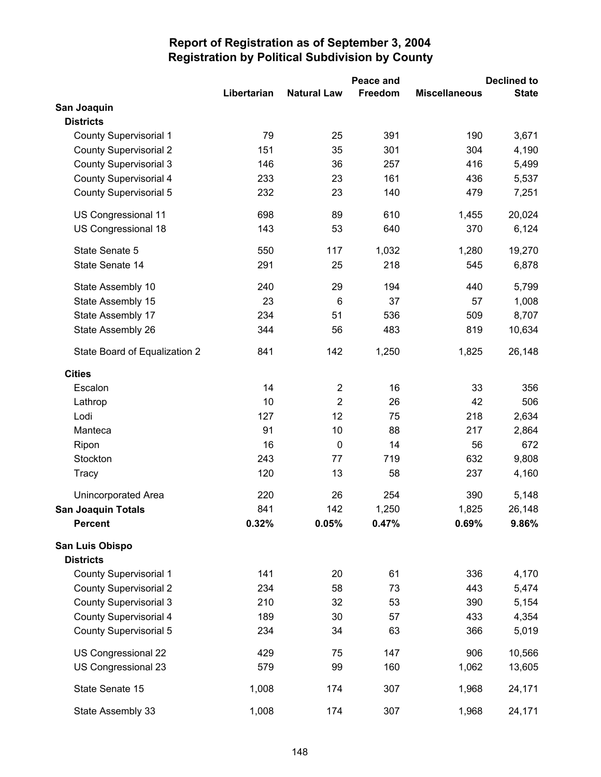|                               |             |                         | Peace and | <b>Declined to</b>   |              |  |
|-------------------------------|-------------|-------------------------|-----------|----------------------|--------------|--|
|                               | Libertarian | <b>Natural Law</b>      | Freedom   | <b>Miscellaneous</b> | <b>State</b> |  |
| San Joaquin                   |             |                         |           |                      |              |  |
| <b>Districts</b>              |             |                         |           |                      |              |  |
| <b>County Supervisorial 1</b> | 79          | 25                      | 391       | 190                  | 3,671        |  |
| <b>County Supervisorial 2</b> | 151         | 35                      | 301       | 304                  | 4,190        |  |
| <b>County Supervisorial 3</b> | 146         | 36                      | 257       | 416                  | 5,499        |  |
| County Supervisorial 4        | 233         | 23                      | 161       | 436                  | 5,537        |  |
| <b>County Supervisorial 5</b> | 232         | 23                      | 140       | 479                  | 7,251        |  |
| US Congressional 11           | 698         | 89                      | 610       | 1,455                | 20,024       |  |
| US Congressional 18           | 143         | 53                      | 640       | 370                  | 6,124        |  |
| State Senate 5                | 550         | 117                     | 1,032     | 1,280                | 19,270       |  |
| State Senate 14               | 291         | 25                      | 218       | 545                  | 6,878        |  |
| State Assembly 10             | 240         | 29                      | 194       | 440                  | 5,799        |  |
| State Assembly 15             | 23          | 6                       | 37        | 57                   | 1,008        |  |
| State Assembly 17             | 234         | 51                      | 536       | 509                  | 8,707        |  |
| State Assembly 26             | 344         | 56                      | 483       | 819                  | 10,634       |  |
| State Board of Equalization 2 | 841         | 142                     | 1,250     | 1,825                | 26,148       |  |
| <b>Cities</b>                 |             |                         |           |                      |              |  |
| Escalon                       | 14          | $\overline{\mathbf{c}}$ | 16        | 33                   | 356          |  |
| Lathrop                       | 10          | $\overline{2}$          | 26        | 42                   | 506          |  |
| Lodi                          | 127         | 12                      | 75        | 218                  | 2,634        |  |
| Manteca                       | 91          | 10                      | 88        | 217                  | 2,864        |  |
| Ripon                         | 16          | $\mathbf 0$             | 14        | 56                   | 672          |  |
| Stockton                      | 243         | 77                      | 719       | 632                  | 9,808        |  |
| Tracy                         | 120         | 13                      | 58        | 237                  | 4,160        |  |
| Unincorporated Area           | 220         | 26                      | 254       | 390                  | 5,148        |  |
| <b>San Joaquin Totals</b>     | 841         | 142                     | 1,250     | 1,825                | 26,148       |  |
| <b>Percent</b>                | 0.32%       | 0.05%                   | 0.47%     | 0.69%                | 9.86%        |  |
| San Luis Obispo               |             |                         |           |                      |              |  |
| <b>Districts</b>              |             |                         |           |                      |              |  |
| <b>County Supervisorial 1</b> | 141         | 20                      | 61        | 336                  | 4,170        |  |
| <b>County Supervisorial 2</b> | 234         | 58                      | 73        | 443                  | 5,474        |  |
| <b>County Supervisorial 3</b> | 210         | 32                      | 53        | 390                  | 5,154        |  |
| <b>County Supervisorial 4</b> | 189         | 30                      | 57        | 433                  | 4,354        |  |
| County Supervisorial 5        | 234         | 34                      | 63        | 366                  | 5,019        |  |
| US Congressional 22           | 429         | 75                      | 147       | 906                  | 10,566       |  |
| US Congressional 23           | 579         | 99                      | 160       | 1,062                | 13,605       |  |
| State Senate 15               | 1,008       | 174                     | 307       | 1,968                | 24,171       |  |
| State Assembly 33             | 1,008       | 174                     | 307       | 1,968                | 24,171       |  |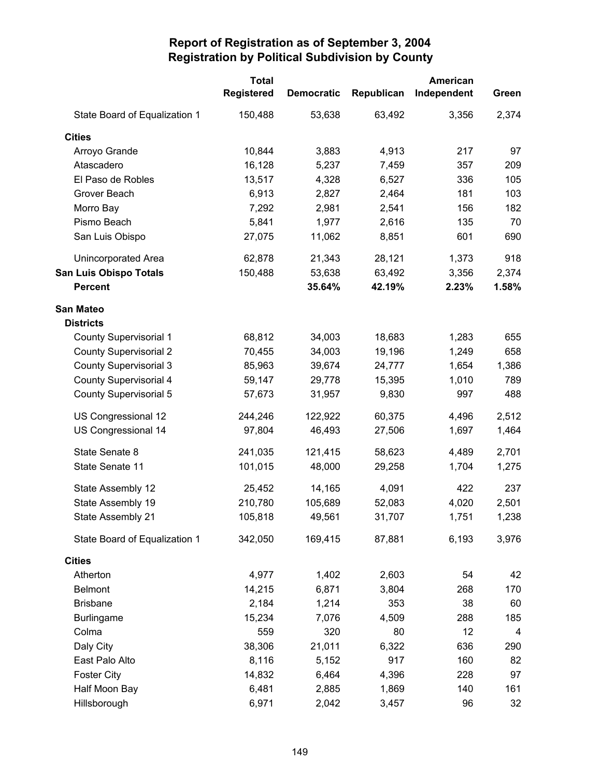|                               | <b>Total</b>      |                   |            | American    |                         |
|-------------------------------|-------------------|-------------------|------------|-------------|-------------------------|
|                               | <b>Registered</b> | <b>Democratic</b> | Republican | Independent | Green                   |
| State Board of Equalization 1 | 150,488           | 53,638            | 63,492     | 3,356       | 2,374                   |
| <b>Cities</b>                 |                   |                   |            |             |                         |
| Arroyo Grande                 | 10,844            | 3,883             | 4,913      | 217         | 97                      |
| Atascadero                    | 16,128            | 5,237             | 7,459      | 357         | 209                     |
| El Paso de Robles             | 13,517            | 4,328             | 6,527      | 336         | 105                     |
| Grover Beach                  | 6,913             | 2,827             | 2,464      | 181         | 103                     |
| Morro Bay                     | 7,292             | 2,981             | 2,541      | 156         | 182                     |
| Pismo Beach                   | 5,841             | 1,977             | 2,616      | 135         | 70                      |
| San Luis Obispo               | 27,075            | 11,062            | 8,851      | 601         | 690                     |
| Unincorporated Area           | 62,878            | 21,343            | 28,121     | 1,373       | 918                     |
| <b>San Luis Obispo Totals</b> | 150,488           | 53,638            | 63,492     | 3,356       | 2,374                   |
| <b>Percent</b>                |                   | 35.64%            | 42.19%     | 2.23%       | 1.58%                   |
| San Mateo                     |                   |                   |            |             |                         |
| <b>Districts</b>              |                   |                   |            |             |                         |
| <b>County Supervisorial 1</b> | 68,812            | 34,003            | 18,683     | 1,283       | 655                     |
| <b>County Supervisorial 2</b> | 70,455            | 34,003            | 19,196     | 1,249       | 658                     |
| <b>County Supervisorial 3</b> | 85,963            | 39,674            | 24,777     | 1,654       | 1,386                   |
| <b>County Supervisorial 4</b> | 59,147            | 29,778            | 15,395     | 1,010       | 789                     |
| <b>County Supervisorial 5</b> | 57,673            | 31,957            | 9,830      | 997         | 488                     |
| US Congressional 12           | 244,246           | 122,922           | 60,375     | 4,496       | 2,512                   |
| US Congressional 14           | 97,804            | 46,493            | 27,506     | 1,697       | 1,464                   |
| State Senate 8                | 241,035           | 121,415           | 58,623     | 4,489       | 2,701                   |
| State Senate 11               | 101,015           | 48,000            | 29,258     | 1,704       | 1,275                   |
| State Assembly 12             | 25,452            | 14,165            | 4,091      | 422         | 237                     |
| State Assembly 19             | 210,780           | 105,689           | 52,083     | 4,020       | 2,501                   |
| State Assembly 21             | 105,818           | 49,561            | 31,707     | 1,751       | 1,238                   |
| State Board of Equalization 1 | 342,050           | 169,415           | 87,881     | 6,193       | 3,976                   |
| <b>Cities</b>                 |                   |                   |            |             |                         |
| Atherton                      | 4,977             | 1,402             | 2,603      | 54          | 42                      |
| <b>Belmont</b>                | 14,215            | 6,871             | 3,804      | 268         | 170                     |
| <b>Brisbane</b>               | 2,184             | 1,214             | 353        | 38          | 60                      |
| <b>Burlingame</b>             | 15,234            | 7,076             | 4,509      | 288         | 185                     |
| Colma                         | 559               | 320               | 80         | 12          | $\overline{\mathbf{4}}$ |
| Daly City                     | 38,306            | 21,011            | 6,322      | 636         | 290                     |
| East Palo Alto                | 8,116             | 5,152             | 917        | 160         | 82                      |
| <b>Foster City</b>            | 14,832            | 6,464             | 4,396      | 228         | 97                      |
| Half Moon Bay                 | 6,481             | 2,885             | 1,869      | 140         | 161                     |
| Hillsborough                  | 6,971             | 2,042             | 3,457      | 96          | 32                      |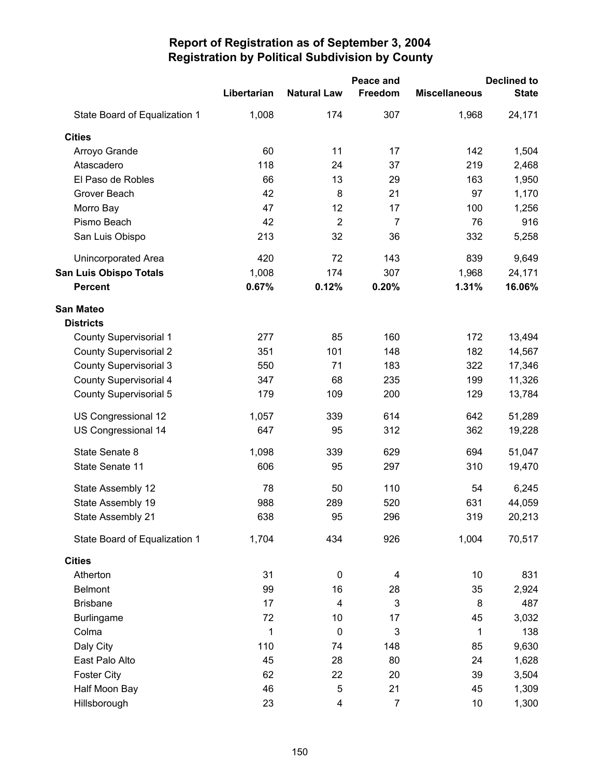|                               |             | Peace and               |                | <b>Declined to</b>   |              |
|-------------------------------|-------------|-------------------------|----------------|----------------------|--------------|
|                               | Libertarian | <b>Natural Law</b>      | Freedom        | <b>Miscellaneous</b> | <b>State</b> |
| State Board of Equalization 1 | 1,008       | 174                     | 307            | 1,968                | 24,171       |
| <b>Cities</b>                 |             |                         |                |                      |              |
| Arroyo Grande                 | 60          | 11                      | 17             | 142                  | 1,504        |
| Atascadero                    | 118         | 24                      | 37             | 219                  | 2,468        |
| El Paso de Robles             | 66          | 13                      | 29             | 163                  | 1,950        |
| Grover Beach                  | 42          | 8                       | 21             | 97                   | 1,170        |
| Morro Bay                     | 47          | 12                      | 17             | 100                  | 1,256        |
| Pismo Beach                   | 42          | $\overline{2}$          | $\overline{7}$ | 76                   | 916          |
| San Luis Obispo               | 213         | 32                      | 36             | 332                  | 5,258        |
| Unincorporated Area           | 420         | 72                      | 143            | 839                  | 9,649        |
| <b>San Luis Obispo Totals</b> | 1,008       | 174                     | 307            | 1,968                | 24,171       |
| <b>Percent</b>                | 0.67%       | 0.12%                   | 0.20%          | 1.31%                | 16.06%       |
| <b>San Mateo</b>              |             |                         |                |                      |              |
| <b>Districts</b>              |             |                         |                |                      |              |
| <b>County Supervisorial 1</b> | 277         | 85                      | 160            | 172                  | 13,494       |
| <b>County Supervisorial 2</b> | 351         | 101                     | 148            | 182                  | 14,567       |
| <b>County Supervisorial 3</b> | 550         | 71                      | 183            | 322                  | 17,346       |
| <b>County Supervisorial 4</b> | 347         | 68                      | 235            | 199                  | 11,326       |
| <b>County Supervisorial 5</b> | 179         | 109                     | 200            | 129                  | 13,784       |
| US Congressional 12           | 1,057       | 339                     | 614            | 642                  | 51,289       |
| US Congressional 14           | 647         | 95                      | 312            | 362                  | 19,228       |
| State Senate 8                | 1,098       | 339                     | 629            | 694                  | 51,047       |
| State Senate 11               | 606         | 95                      | 297            | 310                  | 19,470       |
| State Assembly 12             | 78          | 50                      | 110            | 54                   | 6,245        |
| State Assembly 19             | 988         | 289                     | 520            | 631                  | 44,059       |
| State Assembly 21             | 638         | 95                      | 296            | 319                  | 20,213       |
| State Board of Equalization 1 | 1,704       | 434                     | 926            | 1,004                | 70,517       |
| <b>Cities</b>                 |             |                         |                |                      |              |
| Atherton                      | 31          | $\pmb{0}$               | 4              | 10                   | 831          |
| <b>Belmont</b>                | 99          | 16                      | 28             | 35                   | 2,924        |
| <b>Brisbane</b>               | 17          | $\overline{\mathbf{4}}$ | 3              | 8                    | 487          |
| <b>Burlingame</b>             | 72          | 10                      | 17             | 45                   | 3,032        |
| Colma                         | 1           | $\mathbf 0$             | 3              | 1                    | 138          |
| Daly City                     | 110         | 74                      | 148            | 85                   | 9,630        |
| East Palo Alto                | 45          | 28                      | 80             | 24                   | 1,628        |
| <b>Foster City</b>            | 62          | 22                      | 20             | 39                   | 3,504        |
| Half Moon Bay                 | 46          | 5                       | 21             | 45                   | 1,309        |
| Hillsborough                  | 23          | 4                       | $\overline{7}$ | 10                   | 1,300        |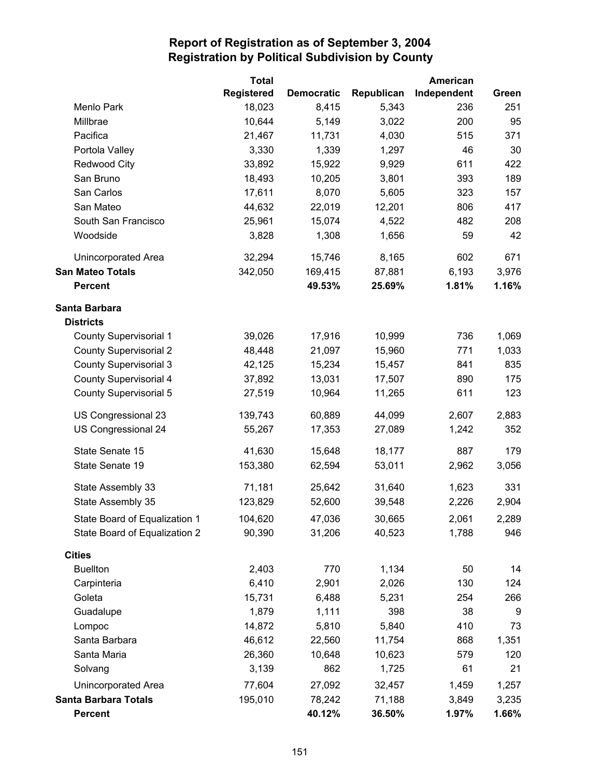|                               | <b>Total</b>      |                   |            | American    |       |
|-------------------------------|-------------------|-------------------|------------|-------------|-------|
|                               | <b>Registered</b> | <b>Democratic</b> | Republican | Independent | Green |
| Menlo Park                    | 18,023            | 8,415             | 5,343      | 236         | 251   |
| Millbrae                      | 10,644            | 5,149             | 3,022      | 200         | 95    |
| Pacifica                      | 21,467            | 11,731            | 4,030      | 515         | 371   |
| Portola Valley                | 3,330             | 1,339             | 1,297      | 46          | 30    |
| <b>Redwood City</b>           | 33,892            | 15,922            | 9,929      | 611         | 422   |
| San Bruno                     | 18,493            | 10,205            | 3,801      | 393         | 189   |
| San Carlos                    | 17,611            | 8,070             | 5,605      | 323         | 157   |
| San Mateo                     | 44,632            | 22,019            | 12,201     | 806         | 417   |
| South San Francisco           | 25,961            | 15,074            | 4,522      | 482         | 208   |
| Woodside                      | 3,828             | 1,308             | 1,656      | 59          | 42    |
| Unincorporated Area           | 32,294            | 15,746            | 8,165      | 602         | 671   |
| <b>San Mateo Totals</b>       | 342,050           | 169,415           | 87,881     | 6,193       | 3,976 |
| <b>Percent</b>                |                   | 49.53%            | 25.69%     | 1.81%       | 1.16% |
| Santa Barbara                 |                   |                   |            |             |       |
| <b>Districts</b>              |                   |                   |            |             |       |
| <b>County Supervisorial 1</b> | 39,026            | 17,916            | 10,999     | 736         | 1,069 |
| <b>County Supervisorial 2</b> | 48,448            | 21,097            | 15,960     | 771         | 1,033 |
| <b>County Supervisorial 3</b> | 42,125            | 15,234            | 15,457     | 841         | 835   |
| <b>County Supervisorial 4</b> | 37,892            | 13,031            | 17,507     | 890         | 175   |
| <b>County Supervisorial 5</b> | 27,519            | 10,964            | 11,265     | 611         | 123   |
| US Congressional 23           | 139,743           | 60,889            | 44,099     | 2,607       | 2,883 |
| US Congressional 24           | 55,267            | 17,353            | 27,089     | 1,242       | 352   |
| State Senate 15               | 41,630            | 15,648            | 18,177     | 887         | 179   |
| State Senate 19               | 153,380           | 62,594            | 53,011     | 2,962       | 3,056 |
| State Assembly 33             | 71,181            | 25,642            | 31,640     | 1,623       | 331   |
| State Assembly 35             | 123,829           | 52,600            | 39,548     | 2,226       | 2,904 |
| State Board of Equalization 1 | 104,620           | 47,036            | 30,665     | 2,061       | 2,289 |
| State Board of Equalization 2 | 90,390            | 31,206            | 40,523     | 1,788       | 946   |
| <b>Cities</b>                 |                   |                   |            |             |       |
| <b>Buellton</b>               | 2,403             | 770               | 1,134      | 50          | 14    |
| Carpinteria                   | 6,410             | 2,901             | 2,026      | 130         | 124   |
| Goleta                        | 15,731            | 6,488             | 5,231      | 254         | 266   |
| Guadalupe                     | 1,879             | 1,111             | 398        | 38          | 9     |
| Lompoc                        | 14,872            | 5,810             | 5,840      | 410         | 73    |
| Santa Barbara                 | 46,612            | 22,560            | 11,754     | 868         | 1,351 |
| Santa Maria                   | 26,360            | 10,648            | 10,623     | 579         | 120   |
| Solvang                       | 3,139             | 862               | 1,725      | 61          | 21    |
| Unincorporated Area           | 77,604            | 27,092            | 32,457     | 1,459       | 1,257 |
| <b>Santa Barbara Totals</b>   | 195,010           | 78,242            | 71,188     | 3,849       | 3,235 |
| <b>Percent</b>                |                   | 40.12%            | 36.50%     | 1.97%       | 1.66% |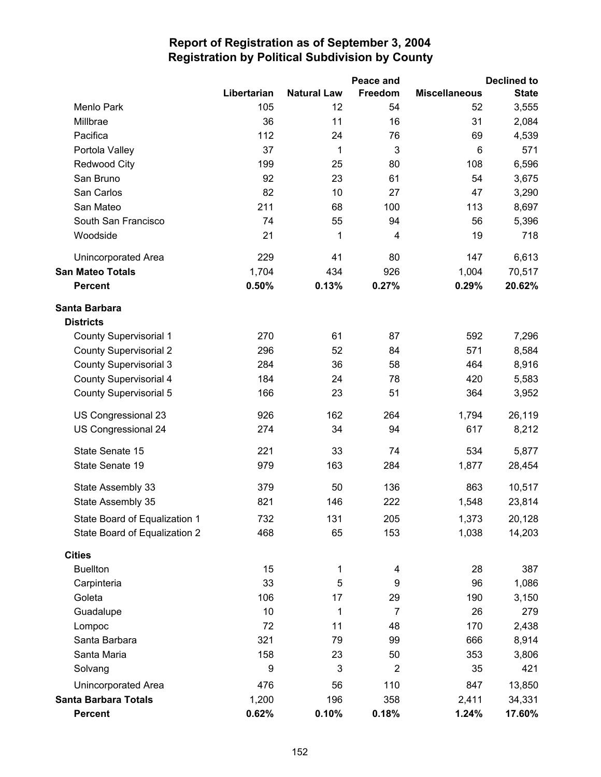|                               |             |                    | Peace and      |                      | <b>Declined to</b> |
|-------------------------------|-------------|--------------------|----------------|----------------------|--------------------|
|                               | Libertarian | <b>Natural Law</b> | Freedom        | <b>Miscellaneous</b> | <b>State</b>       |
| Menlo Park                    | 105         | 12                 | 54             | 52                   | 3,555              |
| Millbrae                      | 36          | 11                 | 16             | 31                   | 2,084              |
| Pacifica                      | 112         | 24                 | 76             | 69                   | 4,539              |
| Portola Valley                | 37          | 1                  | 3              | 6                    | 571                |
| <b>Redwood City</b>           | 199         | 25                 | 80             | 108                  | 6,596              |
| San Bruno                     | 92          | 23                 | 61             | 54                   | 3,675              |
| San Carlos                    | 82          | 10                 | 27             | 47                   | 3,290              |
| San Mateo                     | 211         | 68                 | 100            | 113                  | 8,697              |
| South San Francisco           | 74          | 55                 | 94             | 56                   | 5,396              |
| Woodside                      | 21          | 1                  | 4              | 19                   | 718                |
| Unincorporated Area           | 229         | 41                 | 80             | 147                  | 6,613              |
| <b>San Mateo Totals</b>       | 1,704       | 434                | 926            | 1,004                | 70,517             |
| <b>Percent</b>                | 0.50%       | 0.13%              | 0.27%          | 0.29%                | 20.62%             |
| Santa Barbara                 |             |                    |                |                      |                    |
| <b>Districts</b>              |             |                    |                |                      |                    |
| <b>County Supervisorial 1</b> | 270         | 61                 | 87             | 592                  | 7,296              |
| <b>County Supervisorial 2</b> | 296         | 52                 | 84             | 571                  | 8,584              |
| <b>County Supervisorial 3</b> | 284         | 36                 | 58             | 464                  | 8,916              |
| <b>County Supervisorial 4</b> | 184         | 24                 | 78             | 420                  | 5,583              |
| <b>County Supervisorial 5</b> | 166         | 23                 | 51             | 364                  | 3,952              |
| US Congressional 23           | 926         | 162                | 264            | 1,794                | 26,119             |
| US Congressional 24           | 274         | 34                 | 94             | 617                  | 8,212              |
| State Senate 15               | 221         | 33                 | 74             | 534                  | 5,877              |
| State Senate 19               | 979         | 163                | 284            | 1,877                | 28,454             |
| State Assembly 33             | 379         | 50                 | 136            | 863                  | 10,517             |
| State Assembly 35             | 821         | 146                | 222            | 1,548                | 23,814             |
| State Board of Equalization 1 | 732         | 131                | 205            | 1,373                | 20,128             |
| State Board of Equalization 2 | 468         | 65                 | 153            | 1,038                | 14,203             |
| <b>Cities</b>                 |             |                    |                |                      |                    |
| <b>Buellton</b>               | 15          | 1                  | 4              | 28                   | 387                |
| Carpinteria                   | 33          | 5                  | 9              | 96                   | 1,086              |
| Goleta                        | 106         | 17                 | 29             | 190                  | 3,150              |
| Guadalupe                     | 10          | 1                  | $\overline{7}$ | 26                   | 279                |
| Lompoc                        | 72          | 11                 | 48             | 170                  | 2,438              |
| Santa Barbara                 | 321         | 79                 | 99             | 666                  | 8,914              |
| Santa Maria                   | 158         | 23                 | 50             | 353                  | 3,806              |
| Solvang                       | 9           | 3                  | $\overline{2}$ | 35                   | 421                |
| <b>Unincorporated Area</b>    | 476         | 56                 | 110            | 847                  | 13,850             |
| <b>Santa Barbara Totals</b>   | 1,200       | 196                | 358            | 2,411                | 34,331             |
| <b>Percent</b>                | 0.62%       | 0.10%              | 0.18%          | 1.24%                | 17.60%             |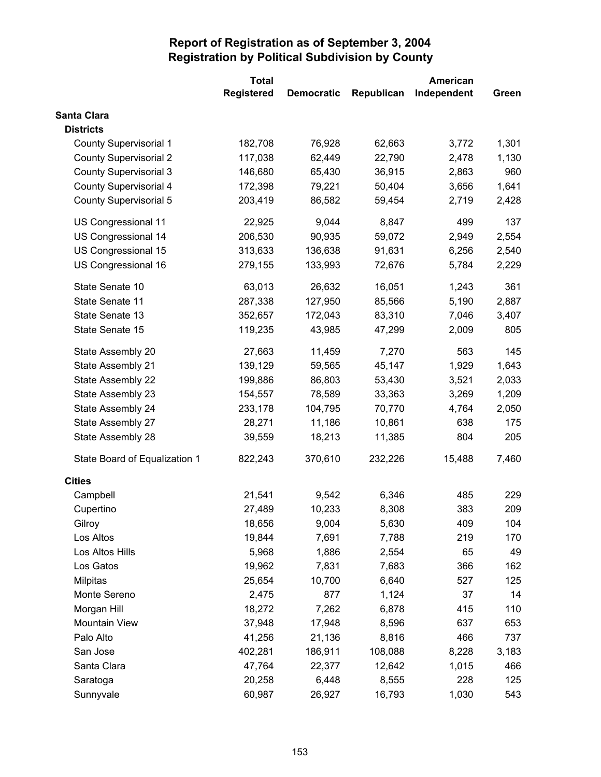|                               | <b>Total</b>      |                   |            | American    |       |
|-------------------------------|-------------------|-------------------|------------|-------------|-------|
|                               | <b>Registered</b> | <b>Democratic</b> | Republican | Independent | Green |
| Santa Clara                   |                   |                   |            |             |       |
| <b>Districts</b>              |                   |                   |            |             |       |
| <b>County Supervisorial 1</b> | 182,708           | 76,928            | 62,663     | 3,772       | 1,301 |
| <b>County Supervisorial 2</b> | 117,038           | 62,449            | 22,790     | 2,478       | 1,130 |
| <b>County Supervisorial 3</b> | 146,680           | 65,430            | 36,915     | 2,863       | 960   |
| <b>County Supervisorial 4</b> | 172,398           | 79,221            | 50,404     | 3,656       | 1,641 |
| <b>County Supervisorial 5</b> | 203,419           | 86,582            | 59,454     | 2,719       | 2,428 |
| US Congressional 11           | 22,925            | 9,044             | 8,847      | 499         | 137   |
| US Congressional 14           | 206,530           | 90,935            | 59,072     | 2,949       | 2,554 |
| US Congressional 15           | 313,633           | 136,638           | 91,631     | 6,256       | 2,540 |
| US Congressional 16           | 279,155           | 133,993           | 72,676     | 5,784       | 2,229 |
| State Senate 10               | 63,013            | 26,632            | 16,051     | 1,243       | 361   |
| State Senate 11               | 287,338           | 127,950           | 85,566     | 5,190       | 2,887 |
| State Senate 13               | 352,657           | 172,043           | 83,310     | 7,046       | 3,407 |
| State Senate 15               | 119,235           | 43,985            | 47,299     | 2,009       | 805   |
| State Assembly 20             | 27,663            | 11,459            | 7,270      | 563         | 145   |
| State Assembly 21             | 139,129           | 59,565            | 45,147     | 1,929       | 1,643 |
| State Assembly 22             | 199,886           | 86,803            | 53,430     | 3,521       | 2,033 |
| State Assembly 23             | 154,557           | 78,589            | 33,363     | 3,269       | 1,209 |
| State Assembly 24             | 233,178           | 104,795           | 70,770     | 4,764       | 2,050 |
| State Assembly 27             | 28,271            | 11,186            | 10,861     | 638         | 175   |
| State Assembly 28             | 39,559            | 18,213            | 11,385     | 804         | 205   |
| State Board of Equalization 1 | 822,243           | 370,610           | 232,226    | 15,488      | 7,460 |
| <b>Cities</b>                 |                   |                   |            |             |       |
| Campbell                      | 21,541            | 9,542             | 6,346      | 485         | 229   |
| Cupertino                     | 27,489            | 10,233            | 8,308      | 383         | 209   |
| Gilroy                        | 18,656            | 9,004             | 5,630      | 409         | 104   |
| Los Altos                     | 19,844            | 7,691             | 7,788      | 219         | 170   |
| Los Altos Hills               | 5,968             | 1,886             | 2,554      | 65          | 49    |
| Los Gatos                     | 19,962            | 7,831             | 7,683      | 366         | 162   |
| Milpitas                      | 25,654            | 10,700            | 6,640      | 527         | 125   |
| Monte Sereno                  | 2,475             | 877               | 1,124      | 37          | 14    |
| Morgan Hill                   | 18,272            | 7,262             | 6,878      | 415         | 110   |
| <b>Mountain View</b>          | 37,948            | 17,948            | 8,596      | 637         | 653   |
| Palo Alto                     | 41,256            | 21,136            | 8,816      | 466         | 737   |
| San Jose                      | 402,281           | 186,911           | 108,088    | 8,228       | 3,183 |
| Santa Clara                   | 47,764            | 22,377            | 12,642     | 1,015       | 466   |
| Saratoga                      | 20,258            | 6,448             | 8,555      | 228         | 125   |
| Sunnyvale                     | 60,987            | 26,927            | 16,793     | 1,030       | 543   |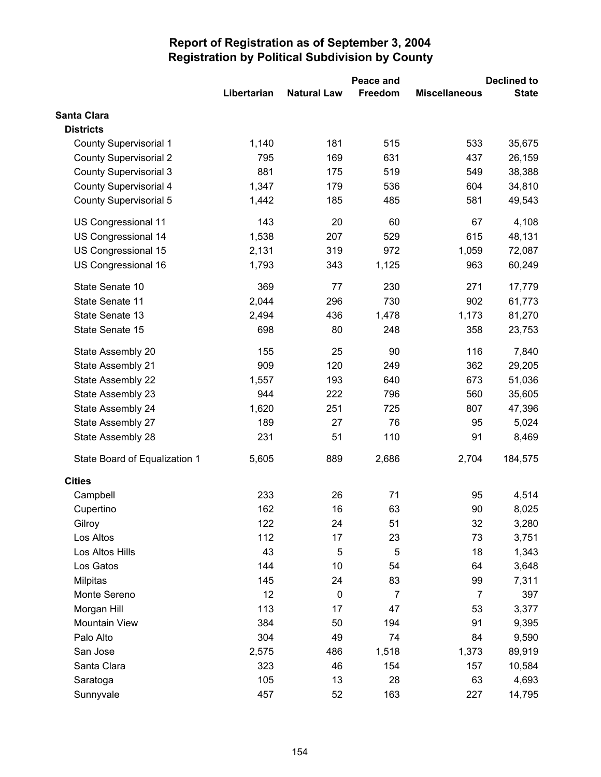|                               |             |                    | Peace and      |                      | <b>Declined to</b> |  |
|-------------------------------|-------------|--------------------|----------------|----------------------|--------------------|--|
|                               | Libertarian | <b>Natural Law</b> | Freedom        | <b>Miscellaneous</b> | <b>State</b>       |  |
| Santa Clara                   |             |                    |                |                      |                    |  |
| <b>Districts</b>              |             |                    |                |                      |                    |  |
| <b>County Supervisorial 1</b> | 1,140       | 181                | 515            | 533                  | 35,675             |  |
| <b>County Supervisorial 2</b> | 795         | 169                | 631            | 437                  | 26,159             |  |
| <b>County Supervisorial 3</b> | 881         | 175                | 519            | 549                  | 38,388             |  |
| County Supervisorial 4        | 1,347       | 179                | 536            | 604                  | 34,810             |  |
| <b>County Supervisorial 5</b> | 1,442       | 185                | 485            | 581                  | 49,543             |  |
| US Congressional 11           | 143         | 20                 | 60             | 67                   | 4,108              |  |
| US Congressional 14           | 1,538       | 207                | 529            | 615                  | 48,131             |  |
| US Congressional 15           | 2,131       | 319                | 972            | 1,059                | 72,087             |  |
| US Congressional 16           | 1,793       | 343                | 1,125          | 963                  | 60,249             |  |
| State Senate 10               | 369         | 77                 | 230            | 271                  | 17,779             |  |
| State Senate 11               | 2,044       | 296                | 730            | 902                  | 61,773             |  |
| State Senate 13               | 2,494       | 436                | 1,478          | 1,173                | 81,270             |  |
| State Senate 15               | 698         | 80                 | 248            | 358                  | 23,753             |  |
| State Assembly 20             | 155         | 25                 | 90             | 116                  | 7,840              |  |
| State Assembly 21             | 909         | 120                | 249            | 362                  | 29,205             |  |
| State Assembly 22             | 1,557       | 193                | 640            | 673                  | 51,036             |  |
| State Assembly 23             | 944         | 222                | 796            | 560                  | 35,605             |  |
| State Assembly 24             | 1,620       | 251                | 725            | 807                  | 47,396             |  |
| State Assembly 27             | 189         | 27                 | 76             | 95                   | 5,024              |  |
| State Assembly 28             | 231         | 51                 | 110            | 91                   | 8,469              |  |
| State Board of Equalization 1 | 5,605       | 889                | 2,686          | 2,704                | 184,575            |  |
| <b>Cities</b>                 |             |                    |                |                      |                    |  |
| Campbell                      | 233         | 26                 | 71             | 95                   | 4,514              |  |
| Cupertino                     | 162         | 16                 | 63             | 90                   | 8,025              |  |
| Gilroy                        | 122         | 24                 | 51             | 32                   | 3,280              |  |
| Los Altos                     | 112         | 17                 | 23             | 73                   | 3,751              |  |
| Los Altos Hills               | 43          | 5                  | 5              | 18                   | 1,343              |  |
| Los Gatos                     | 144         | 10                 | 54             | 64                   | 3,648              |  |
| <b>Milpitas</b>               | 145         | 24                 | 83             | 99                   | 7,311              |  |
| Monte Sereno                  | 12          | $\pmb{0}$          | $\overline{7}$ | $\overline{7}$       | 397                |  |
| Morgan Hill                   | 113         | 17                 | 47             | 53                   | 3,377              |  |
| <b>Mountain View</b>          | 384         | 50                 | 194            | 91                   | 9,395              |  |
| Palo Alto                     | 304         | 49                 | 74             | 84                   | 9,590              |  |
| San Jose                      | 2,575       | 486                | 1,518          | 1,373                | 89,919             |  |
| Santa Clara                   | 323         | 46                 | 154            | 157                  | 10,584             |  |
| Saratoga                      | 105         | 13                 | 28             | 63                   | 4,693              |  |
| Sunnyvale                     | 457         | 52                 | 163            | 227                  | 14,795             |  |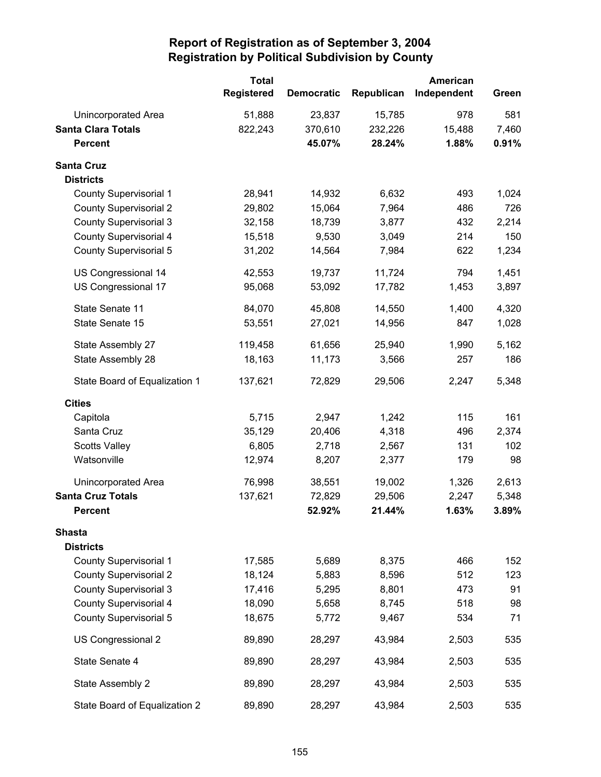|                               | <b>Total</b><br><b>Registered</b> | <b>Democratic</b> | Republican | American<br>Independent | Green |
|-------------------------------|-----------------------------------|-------------------|------------|-------------------------|-------|
| Unincorporated Area           | 51,888                            | 23,837            | 15,785     | 978                     | 581   |
| <b>Santa Clara Totals</b>     | 822,243                           | 370,610           | 232,226    | 15,488                  | 7,460 |
| <b>Percent</b>                |                                   | 45.07%            | 28.24%     | 1.88%                   | 0.91% |
| <b>Santa Cruz</b>             |                                   |                   |            |                         |       |
| <b>Districts</b>              |                                   |                   |            |                         |       |
| <b>County Supervisorial 1</b> | 28,941                            | 14,932            | 6,632      | 493                     | 1,024 |
| <b>County Supervisorial 2</b> | 29,802                            | 15,064            | 7,964      | 486                     | 726   |
| <b>County Supervisorial 3</b> | 32,158                            | 18,739            | 3,877      | 432                     | 2,214 |
| County Supervisorial 4        | 15,518                            | 9,530             | 3,049      | 214                     | 150   |
| County Supervisorial 5        | 31,202                            | 14,564            | 7,984      | 622                     | 1,234 |
| US Congressional 14           | 42,553                            | 19,737            | 11,724     | 794                     | 1,451 |
| US Congressional 17           | 95,068                            | 53,092            | 17,782     | 1,453                   | 3,897 |
| State Senate 11               | 84,070                            | 45,808            | 14,550     | 1,400                   | 4,320 |
| State Senate 15               | 53,551                            | 27,021            | 14,956     | 847                     | 1,028 |
| State Assembly 27             | 119,458                           | 61,656            | 25,940     | 1,990                   | 5,162 |
| State Assembly 28             | 18,163                            | 11,173            | 3,566      | 257                     | 186   |
| State Board of Equalization 1 | 137,621                           | 72,829            | 29,506     | 2,247                   | 5,348 |
| <b>Cities</b>                 |                                   |                   |            |                         |       |
| Capitola                      | 5,715                             | 2,947             | 1,242      | 115                     | 161   |
| Santa Cruz                    | 35,129                            | 20,406            | 4,318      | 496                     | 2,374 |
| <b>Scotts Valley</b>          | 6,805                             | 2,718             | 2,567      | 131                     | 102   |
| Watsonville                   | 12,974                            | 8,207             | 2,377      | 179                     | 98    |
| Unincorporated Area           | 76,998                            | 38,551            | 19,002     | 1,326                   | 2,613 |
| <b>Santa Cruz Totals</b>      | 137,621                           | 72,829            | 29,506     | 2,247                   | 5,348 |
| <b>Percent</b>                |                                   | 52.92%            | 21.44%     | 1.63%                   | 3.89% |
| <b>Shasta</b>                 |                                   |                   |            |                         |       |
| <b>Districts</b>              |                                   |                   |            |                         |       |
| <b>County Supervisorial 1</b> | 17,585                            | 5,689             | 8,375      | 466                     | 152   |
| <b>County Supervisorial 2</b> | 18,124                            | 5,883             | 8,596      | 512                     | 123   |
| <b>County Supervisorial 3</b> | 17,416                            | 5,295             | 8,801      | 473                     | 91    |
| County Supervisorial 4        | 18,090                            | 5,658             | 8,745      | 518                     | 98    |
| <b>County Supervisorial 5</b> | 18,675                            | 5,772             | 9,467      | 534                     | 71    |
| US Congressional 2            | 89,890                            | 28,297            | 43,984     | 2,503                   | 535   |
| State Senate 4                | 89,890                            | 28,297            | 43,984     | 2,503                   | 535   |
| State Assembly 2              | 89,890                            | 28,297            | 43,984     | 2,503                   | 535   |
| State Board of Equalization 2 | 89,890                            | 28,297            | 43,984     | 2,503                   | 535   |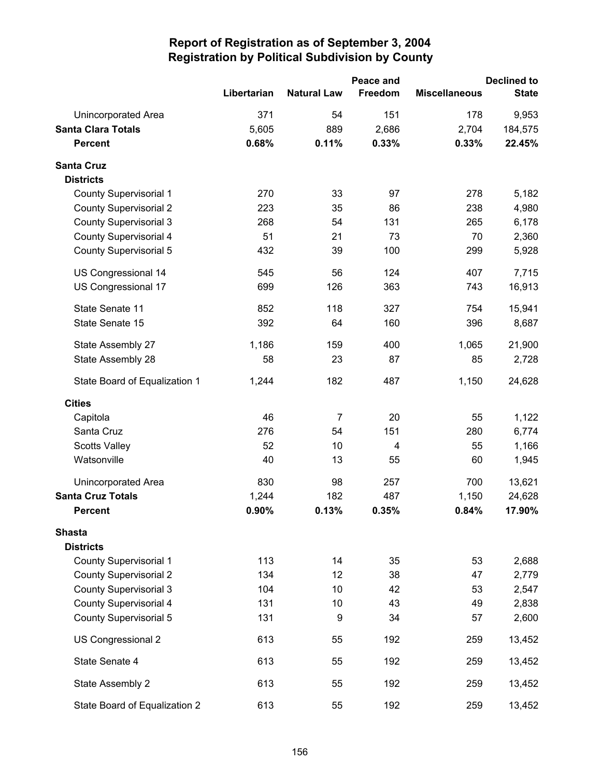|                               |             | Peace and          |         | <b>Declined to</b>   |              |
|-------------------------------|-------------|--------------------|---------|----------------------|--------------|
|                               | Libertarian | <b>Natural Law</b> | Freedom | <b>Miscellaneous</b> | <b>State</b> |
| <b>Unincorporated Area</b>    | 371         | 54                 | 151     | 178                  | 9,953        |
| <b>Santa Clara Totals</b>     | 5,605       | 889                | 2,686   | 2,704                | 184,575      |
| <b>Percent</b>                | 0.68%       | 0.11%              | 0.33%   | 0.33%                | 22.45%       |
| <b>Santa Cruz</b>             |             |                    |         |                      |              |
| <b>Districts</b>              |             |                    |         |                      |              |
| <b>County Supervisorial 1</b> | 270         | 33                 | 97      | 278                  | 5,182        |
| <b>County Supervisorial 2</b> | 223         | 35                 | 86      | 238                  | 4,980        |
| <b>County Supervisorial 3</b> | 268         | 54                 | 131     | 265                  | 6,178        |
| <b>County Supervisorial 4</b> | 51          | 21                 | 73      | 70                   | 2,360        |
| <b>County Supervisorial 5</b> | 432         | 39                 | 100     | 299                  | 5,928        |
| US Congressional 14           | 545         | 56                 | 124     | 407                  | 7,715        |
| US Congressional 17           | 699         | 126                | 363     | 743                  | 16,913       |
| State Senate 11               | 852         | 118                | 327     | 754                  | 15,941       |
| State Senate 15               | 392         | 64                 | 160     | 396                  | 8,687        |
| State Assembly 27             | 1,186       | 159                | 400     | 1,065                | 21,900       |
| State Assembly 28             | 58          | 23                 | 87      | 85                   | 2,728        |
| State Board of Equalization 1 | 1,244       | 182                | 487     | 1,150                | 24,628       |
| <b>Cities</b>                 |             |                    |         |                      |              |
| Capitola                      | 46          | $\overline{7}$     | 20      | 55                   | 1,122        |
| Santa Cruz                    | 276         | 54                 | 151     | 280                  | 6,774        |
| <b>Scotts Valley</b>          | 52          | 10                 | 4       | 55                   | 1,166        |
| Watsonville                   | 40          | 13                 | 55      | 60                   | 1,945        |
| <b>Unincorporated Area</b>    | 830         | 98                 | 257     | 700                  | 13,621       |
| <b>Santa Cruz Totals</b>      | 1,244       | 182                | 487     | 1,150                | 24,628       |
| <b>Percent</b>                | 0.90%       | 0.13%              | 0.35%   | 0.84%                | 17.90%       |
| <b>Shasta</b>                 |             |                    |         |                      |              |
| <b>Districts</b>              |             |                    |         |                      |              |
| <b>County Supervisorial 1</b> | 113         | 14                 | 35      | 53                   | 2,688        |
| <b>County Supervisorial 2</b> | 134         | 12                 | 38      | 47                   | 2,779        |
| <b>County Supervisorial 3</b> | 104         | 10                 | 42      | 53                   | 2,547        |
| <b>County Supervisorial 4</b> | 131         | 10                 | 43      | 49                   | 2,838        |
| <b>County Supervisorial 5</b> | 131         | 9                  | 34      | 57                   | 2,600        |
| US Congressional 2            | 613         | 55                 | 192     | 259                  | 13,452       |
| State Senate 4                | 613         | 55                 | 192     | 259                  | 13,452       |
| State Assembly 2              | 613         | 55                 | 192     | 259                  | 13,452       |
| State Board of Equalization 2 | 613         | 55                 | 192     | 259                  | 13,452       |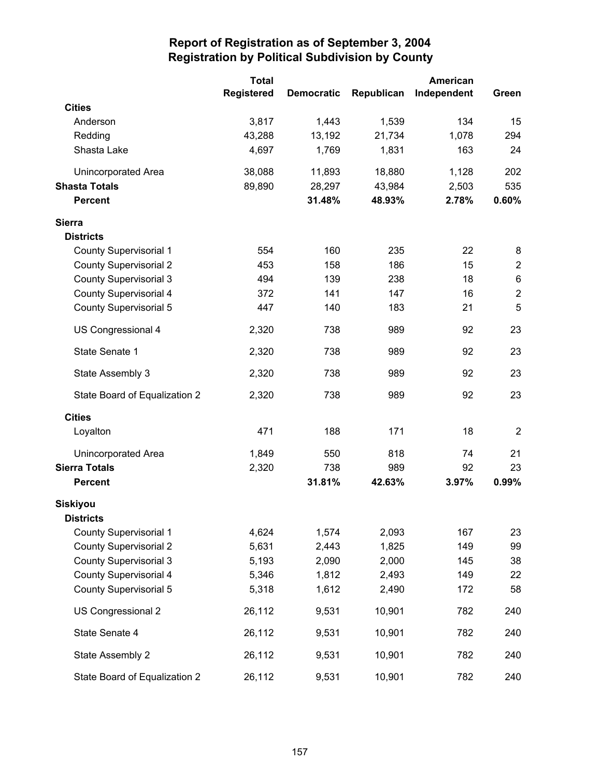|                               | <b>Total</b>      |                   |            | American    |                |
|-------------------------------|-------------------|-------------------|------------|-------------|----------------|
|                               | <b>Registered</b> | <b>Democratic</b> | Republican | Independent | Green          |
| <b>Cities</b>                 |                   |                   |            |             |                |
| Anderson                      | 3,817             | 1,443             | 1,539      | 134         | 15             |
| Redding                       | 43,288            | 13,192            | 21,734     | 1,078       | 294            |
| Shasta Lake                   | 4,697             | 1,769             | 1,831      | 163         | 24             |
| Unincorporated Area           | 38,088            | 11,893            | 18,880     | 1,128       | 202            |
| <b>Shasta Totals</b>          | 89,890            | 28,297            | 43,984     | 2,503       | 535            |
| <b>Percent</b>                |                   | 31.48%            | 48.93%     | 2.78%       | 0.60%          |
| <b>Sierra</b>                 |                   |                   |            |             |                |
| <b>Districts</b>              |                   |                   |            |             |                |
| <b>County Supervisorial 1</b> | 554               | 160               | 235        | 22          | 8              |
| <b>County Supervisorial 2</b> | 453               | 158               | 186        | 15          | $\overline{c}$ |
| <b>County Supervisorial 3</b> | 494               | 139               | 238        | 18          | $\,6$          |
| County Supervisorial 4        | 372               | 141               | 147        | 16          | $\mathbf 2$    |
| County Supervisorial 5        | 447               | 140               | 183        | 21          | 5              |
| US Congressional 4            | 2,320             | 738               | 989        | 92          | 23             |
| State Senate 1                | 2,320             | 738               | 989        | 92          | 23             |
| State Assembly 3              | 2,320             | 738               | 989        | 92          | 23             |
| State Board of Equalization 2 | 2,320             | 738               | 989        | 92          | 23             |
| <b>Cities</b>                 |                   |                   |            |             |                |
| Loyalton                      | 471               | 188               | 171        | 18          | $\overline{2}$ |
| <b>Unincorporated Area</b>    | 1,849             | 550               | 818        | 74          | 21             |
| <b>Sierra Totals</b>          | 2,320             | 738               | 989        | 92          | 23             |
| <b>Percent</b>                |                   | 31.81%            | 42.63%     | 3.97%       | 0.99%          |
| <b>Siskiyou</b>               |                   |                   |            |             |                |
| <b>Districts</b>              |                   |                   |            |             |                |
| <b>County Supervisorial 1</b> | 4,624             | 1,574             | 2,093      | 167         | 23             |
| <b>County Supervisorial 2</b> | 5,631             | 2,443             | 1,825      | 149         | 99             |
| <b>County Supervisorial 3</b> | 5,193             | 2,090             | 2,000      | 145         | 38             |
| <b>County Supervisorial 4</b> | 5,346             | 1,812             | 2,493      | 149         | 22             |
| County Supervisorial 5        | 5,318             | 1,612             | 2,490      | 172         | 58             |
| US Congressional 2            | 26,112            | 9,531             | 10,901     | 782         | 240            |
| State Senate 4                | 26,112            | 9,531             | 10,901     | 782         | 240            |
| State Assembly 2              | 26,112            | 9,531             | 10,901     | 782         | 240            |
| State Board of Equalization 2 | 26,112            | 9,531             | 10,901     | 782         | 240            |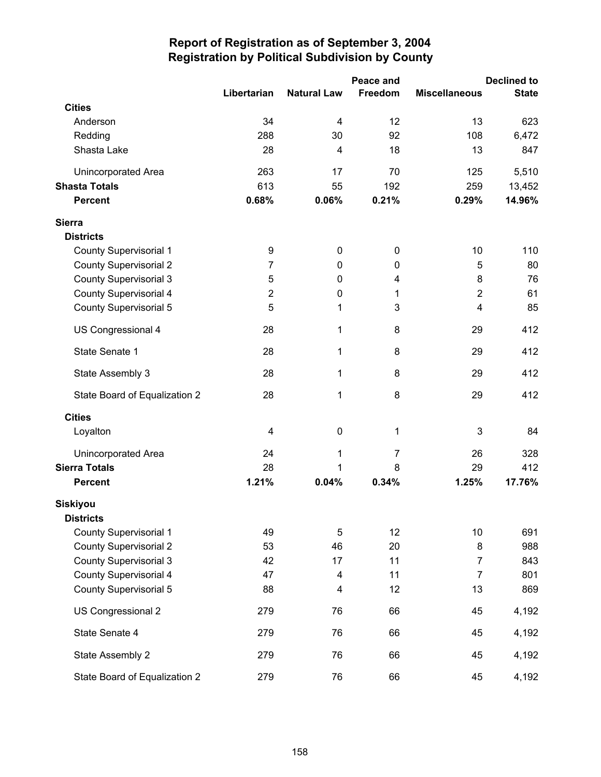|                               |                |                    | Peace and      |                      | <b>Declined to</b> |
|-------------------------------|----------------|--------------------|----------------|----------------------|--------------------|
|                               | Libertarian    | <b>Natural Law</b> | Freedom        | <b>Miscellaneous</b> | <b>State</b>       |
| <b>Cities</b>                 |                |                    |                |                      |                    |
| Anderson                      | 34             | 4                  | 12             | 13                   | 623                |
| Redding                       | 288            | 30                 | 92             | 108                  | 6,472              |
| Shasta Lake                   | 28             | $\overline{4}$     | 18             | 13                   | 847                |
| Unincorporated Area           | 263            | 17                 | 70             | 125                  | 5,510              |
| <b>Shasta Totals</b>          | 613            | 55                 | 192            | 259                  | 13,452             |
| <b>Percent</b>                | 0.68%          | 0.06%              | 0.21%          | 0.29%                | 14.96%             |
| <b>Sierra</b>                 |                |                    |                |                      |                    |
| <b>Districts</b>              |                |                    |                |                      |                    |
| <b>County Supervisorial 1</b> | 9              | 0                  | $\mathbf 0$    | 10                   | 110                |
| <b>County Supervisorial 2</b> | $\overline{7}$ | 0                  | 0              | 5                    | 80                 |
| <b>County Supervisorial 3</b> | 5              | $\mathbf 0$        | 4              | 8                    | 76                 |
| County Supervisorial 4        | $\overline{2}$ | $\boldsymbol{0}$   | 1              | $\overline{2}$       | 61                 |
| <b>County Supervisorial 5</b> | 5              | 1                  | 3              | $\overline{4}$       | 85                 |
| US Congressional 4            | 28             | 1                  | 8              | 29                   | 412                |
| State Senate 1                | 28             | 1                  | 8              | 29                   | 412                |
| State Assembly 3              | 28             | 1                  | 8              | 29                   | 412                |
| State Board of Equalization 2 | 28             | 1                  | 8              | 29                   | 412                |
| <b>Cities</b>                 |                |                    |                |                      |                    |
| Loyalton                      | 4              | $\boldsymbol{0}$   | 1              | $\mathbf{3}$         | 84                 |
| Unincorporated Area           | 24             | $\mathbf 1$        | $\overline{7}$ | 26                   | 328                |
| <b>Sierra Totals</b>          | 28             | 1                  | 8              | 29                   | 412                |
| <b>Percent</b>                | 1.21%          | 0.04%              | 0.34%          | 1.25%                | 17.76%             |
| <b>Siskiyou</b>               |                |                    |                |                      |                    |
| <b>Districts</b>              |                |                    |                |                      |                    |
| <b>County Supervisorial 1</b> | 49             | 5                  | 12             | 10                   | 691                |
| <b>County Supervisorial 2</b> | 53             | 46                 | 20             | 8                    | 988                |
| <b>County Supervisorial 3</b> | 42             | 17                 | 11             | 7                    | 843                |
| <b>County Supervisorial 4</b> | 47             | 4                  | 11             | $\overline{7}$       | 801                |
| <b>County Supervisorial 5</b> | 88             | 4                  | 12             | 13                   | 869                |
| US Congressional 2            | 279            | 76                 | 66             | 45                   | 4,192              |
| State Senate 4                | 279            | 76                 | 66             | 45                   | 4,192              |
| State Assembly 2              | 279            | 76                 | 66             | 45                   | 4,192              |
| State Board of Equalization 2 | 279            | 76                 | 66             | 45                   | 4,192              |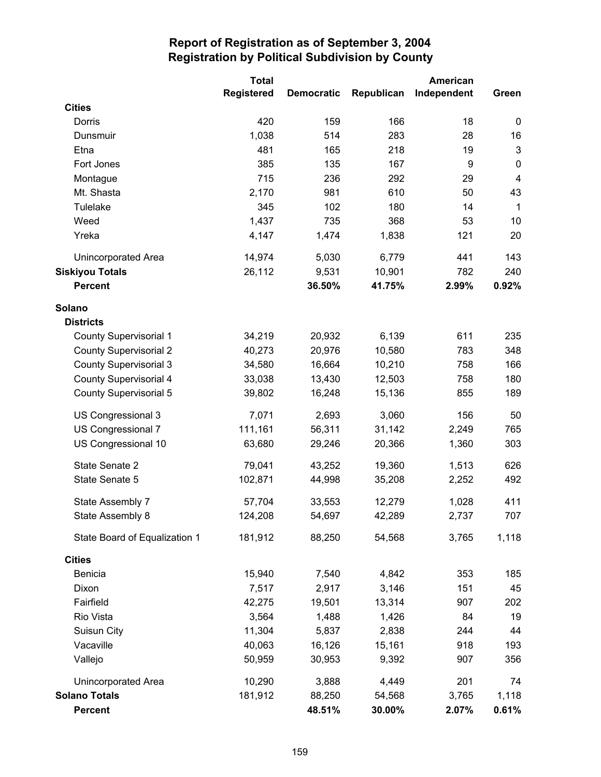|                               | <b>Total</b>      | American          |            |             |                         |
|-------------------------------|-------------------|-------------------|------------|-------------|-------------------------|
|                               | <b>Registered</b> | <b>Democratic</b> | Republican | Independent | Green                   |
| <b>Cities</b>                 |                   |                   |            |             |                         |
| Dorris                        | 420               | 159               | 166        | 18          | 0                       |
| Dunsmuir                      | 1,038             | 514               | 283        | 28          | 16                      |
| Etna                          | 481               | 165               | 218        | 19          | $\mathbf{3}$            |
| Fort Jones                    | 385               | 135               | 167        | 9           | $\pmb{0}$               |
| Montague                      | 715               | 236               | 292        | 29          | $\overline{\mathbf{4}}$ |
| Mt. Shasta                    | 2,170             | 981               | 610        | 50          | 43                      |
| Tulelake                      | 345               | 102               | 180        | 14          | $\mathbf{1}$            |
| Weed                          | 1,437             | 735               | 368        | 53          | 10                      |
| Yreka                         | 4,147             | 1,474             | 1,838      | 121         | 20                      |
| Unincorporated Area           | 14,974            | 5,030             | 6,779      | 441         | 143                     |
| <b>Siskiyou Totals</b>        | 26,112            | 9,531             | 10,901     | 782         | 240                     |
| <b>Percent</b>                |                   | 36.50%            | 41.75%     | 2.99%       | 0.92%                   |
| Solano                        |                   |                   |            |             |                         |
| <b>Districts</b>              |                   |                   |            |             |                         |
| <b>County Supervisorial 1</b> | 34,219            | 20,932            | 6,139      | 611         | 235                     |
| <b>County Supervisorial 2</b> | 40,273            | 20,976            | 10,580     | 783         | 348                     |
| <b>County Supervisorial 3</b> | 34,580            | 16,664            | 10,210     | 758         | 166                     |
| <b>County Supervisorial 4</b> | 33,038            | 13,430            | 12,503     | 758         | 180                     |
| <b>County Supervisorial 5</b> | 39,802            | 16,248            | 15,136     | 855         | 189                     |
| US Congressional 3            | 7,071             | 2,693             | 3,060      | 156         | 50                      |
| US Congressional 7            | 111,161           | 56,311            | 31,142     | 2,249       | 765                     |
| US Congressional 10           | 63,680            | 29,246            | 20,366     | 1,360       | 303                     |
| State Senate 2                | 79,041            | 43,252            | 19,360     | 1,513       | 626                     |
| State Senate 5                | 102,871           | 44,998            | 35,208     | 2,252       | 492                     |
| State Assembly 7              | 57,704            | 33,553            | 12,279     | 1,028       | 411                     |
| State Assembly 8              | 124,208           | 54,697            | 42,289     | 2,737       | 707                     |
| State Board of Equalization 1 | 181,912           | 88,250            | 54,568     | 3,765       | 1,118                   |
| <b>Cities</b>                 |                   |                   |            |             |                         |
| <b>Benicia</b>                | 15,940            | 7,540             | 4,842      | 353         | 185                     |
| Dixon                         | 7,517             | 2,917             | 3,146      | 151         | 45                      |
| Fairfield                     | 42,275            | 19,501            | 13,314     | 907         | 202                     |
| Rio Vista                     | 3,564             | 1,488             | 1,426      | 84          | 19                      |
| Suisun City                   | 11,304            | 5,837             | 2,838      | 244         | 44                      |
| Vacaville                     | 40,063            | 16,126            | 15,161     | 918         | 193                     |
| Vallejo                       | 50,959            | 30,953            | 9,392      | 907         | 356                     |
| Unincorporated Area           | 10,290            | 3,888             | 4,449      | 201         | 74                      |
| <b>Solano Totals</b>          | 181,912           | 88,250            | 54,568     | 3,765       | 1,118                   |
| <b>Percent</b>                |                   | 48.51%            | 30.00%     | 2.07%       | 0.61%                   |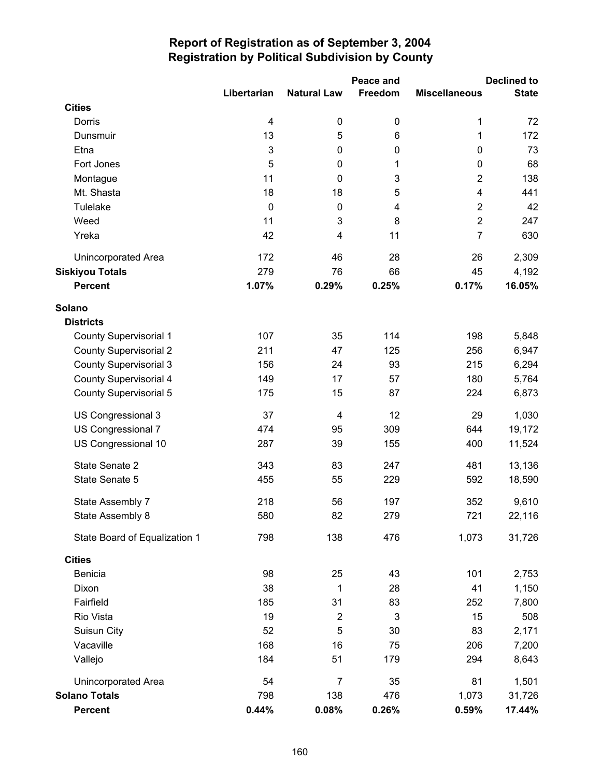|                               |                         |                    | Peace and |                         | <b>Declined to</b> |
|-------------------------------|-------------------------|--------------------|-----------|-------------------------|--------------------|
|                               | Libertarian             | <b>Natural Law</b> | Freedom   | <b>Miscellaneous</b>    | <b>State</b>       |
| <b>Cities</b>                 |                         |                    |           |                         |                    |
| Dorris                        | $\overline{\mathbf{4}}$ | 0                  | 0         | 1                       | 72                 |
| Dunsmuir                      | 13                      | 5                  | 6         | 1                       | 172                |
| Etna                          | 3                       | $\boldsymbol{0}$   | 0         | $\mathbf 0$             | 73                 |
| Fort Jones                    | 5                       | $\boldsymbol{0}$   | 1         | $\pmb{0}$               | 68                 |
| Montague                      | 11                      | $\mathbf 0$        | 3         | $\overline{2}$          | 138                |
| Mt. Shasta                    | 18                      | 18                 | 5         | $\overline{\mathbf{4}}$ | 441                |
| Tulelake                      | $\boldsymbol{0}$        | $\mathbf 0$        | 4         | $\mathbf 2$             | 42                 |
| Weed                          | 11                      | 3                  | 8         | $\overline{2}$          | 247                |
| Yreka                         | 42                      | 4                  | 11        | $\overline{7}$          | 630                |
| <b>Unincorporated Area</b>    | 172                     | 46                 | 28        | 26                      | 2,309              |
| <b>Siskiyou Totals</b>        | 279                     | 76                 | 66        | 45                      | 4,192              |
| <b>Percent</b>                | 1.07%                   | 0.29%              | 0.25%     | 0.17%                   | 16.05%             |
| Solano                        |                         |                    |           |                         |                    |
| <b>Districts</b>              |                         |                    |           |                         |                    |
| <b>County Supervisorial 1</b> | 107                     | 35                 | 114       | 198                     | 5,848              |
| <b>County Supervisorial 2</b> | 211                     | 47                 | 125       | 256                     | 6,947              |
| <b>County Supervisorial 3</b> | 156                     | 24                 | 93        | 215                     | 6,294              |
| County Supervisorial 4        | 149                     | 17                 | 57        | 180                     | 5,764              |
| <b>County Supervisorial 5</b> | 175                     | 15                 | 87        | 224                     | 6,873              |
| US Congressional 3            | 37                      | 4                  | 12        | 29                      | 1,030              |
| US Congressional 7            | 474                     | 95                 | 309       | 644                     | 19,172             |
| US Congressional 10           | 287                     | 39                 | 155       | 400                     | 11,524             |
| State Senate 2                | 343                     | 83                 | 247       | 481                     | 13,136             |
| State Senate 5                | 455                     | 55                 | 229       | 592                     | 18,590             |
| State Assembly 7              | 218                     | 56                 | 197       | 352                     | 9,610              |
| State Assembly 8              | 580                     | 82                 | 279       | 721                     | 22,116             |
| State Board of Equalization 1 | 798                     | 138                | 476       | 1,073                   | 31,726             |
| <b>Cities</b>                 |                         |                    |           |                         |                    |
| Benicia                       | 98                      | 25                 | 43        | 101                     | 2,753              |
| Dixon                         | 38                      | 1                  | 28        | 41                      | 1,150              |
| Fairfield                     | 185                     | 31                 | 83        | 252                     | 7,800              |
| Rio Vista                     | 19                      | $\boldsymbol{2}$   | 3         | 15                      | 508                |
| Suisun City                   | 52                      | 5                  | 30        | 83                      | 2,171              |
| Vacaville                     | 168                     | 16                 | 75        | 206                     | 7,200              |
| Vallejo                       | 184                     | 51                 | 179       | 294                     | 8,643              |
| Unincorporated Area           | 54                      | $\overline{7}$     | 35        | 81                      | 1,501              |
| <b>Solano Totals</b>          | 798                     | 138                | 476       | 1,073                   | 31,726             |
| <b>Percent</b>                | 0.44%                   | 0.08%              | 0.26%     | 0.59%                   | 17.44%             |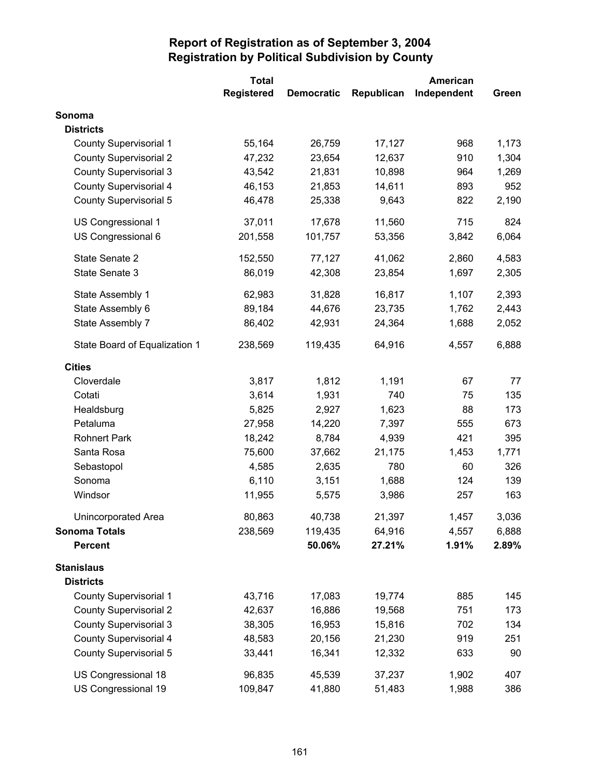|                               | <b>Total</b>      | American          |            |             |       |
|-------------------------------|-------------------|-------------------|------------|-------------|-------|
|                               | <b>Registered</b> | <b>Democratic</b> | Republican | Independent | Green |
| Sonoma                        |                   |                   |            |             |       |
| <b>Districts</b>              |                   |                   |            |             |       |
| <b>County Supervisorial 1</b> | 55,164            | 26,759            | 17,127     | 968         | 1,173 |
| <b>County Supervisorial 2</b> | 47,232            | 23,654            | 12,637     | 910         | 1,304 |
| <b>County Supervisorial 3</b> | 43,542            | 21,831            | 10,898     | 964         | 1,269 |
| County Supervisorial 4        | 46,153            | 21,853            | 14,611     | 893         | 952   |
| <b>County Supervisorial 5</b> | 46,478            | 25,338            | 9,643      | 822         | 2,190 |
| US Congressional 1            | 37,011            | 17,678            | 11,560     | 715         | 824   |
| US Congressional 6            | 201,558           | 101,757           | 53,356     | 3,842       | 6,064 |
| State Senate 2                | 152,550           | 77,127            | 41,062     | 2,860       | 4,583 |
| State Senate 3                | 86,019            | 42,308            | 23,854     | 1,697       | 2,305 |
| State Assembly 1              | 62,983            | 31,828            | 16,817     | 1,107       | 2,393 |
| State Assembly 6              | 89,184            | 44,676            | 23,735     | 1,762       | 2,443 |
| State Assembly 7              | 86,402            | 42,931            | 24,364     | 1,688       | 2,052 |
| State Board of Equalization 1 | 238,569           | 119,435           | 64,916     | 4,557       | 6,888 |
| <b>Cities</b>                 |                   |                   |            |             |       |
| Cloverdale                    | 3,817             | 1,812             | 1,191      | 67          | 77    |
| Cotati                        | 3,614             | 1,931             | 740        | 75          | 135   |
| Healdsburg                    | 5,825             | 2,927             | 1,623      | 88          | 173   |
| Petaluma                      | 27,958            | 14,220            | 7,397      | 555         | 673   |
| <b>Rohnert Park</b>           | 18,242            | 8,784             | 4,939      | 421         | 395   |
| Santa Rosa                    | 75,600            | 37,662            | 21,175     | 1,453       | 1,771 |
| Sebastopol                    | 4,585             | 2,635             | 780        | 60          | 326   |
| Sonoma                        | 6,110             | 3,151             | 1,688      | 124         | 139   |
| Windsor                       | 11,955            | 5,575             | 3,986      | 257         | 163   |
| Unincorporated Area           | 80,863            | 40,738            | 21,397     | 1,457       | 3,036 |
| <b>Sonoma Totals</b>          | 238,569           | 119,435           | 64,916     | 4,557       | 6,888 |
| <b>Percent</b>                |                   | 50.06%            | 27.21%     | 1.91%       | 2.89% |
| <b>Stanislaus</b>             |                   |                   |            |             |       |
| <b>Districts</b>              |                   |                   |            |             |       |
| <b>County Supervisorial 1</b> | 43,716            | 17,083            | 19,774     | 885         | 145   |
| <b>County Supervisorial 2</b> | 42,637            | 16,886            | 19,568     | 751         | 173   |
| <b>County Supervisorial 3</b> | 38,305            | 16,953            | 15,816     | 702         | 134   |
| County Supervisorial 4        | 48,583            | 20,156            | 21,230     | 919         | 251   |
| County Supervisorial 5        | 33,441            | 16,341            | 12,332     | 633         | 90    |
| US Congressional 18           | 96,835            | 45,539            | 37,237     | 1,902       | 407   |
| US Congressional 19           | 109,847           | 41,880            | 51,483     | 1,988       | 386   |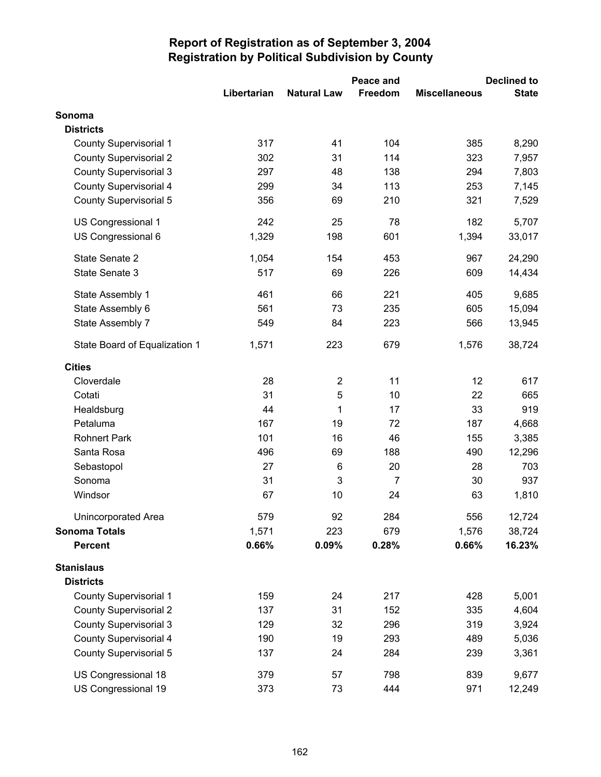|                               |             |                         | Peace and      | <b>Declined to</b>   |              |  |
|-------------------------------|-------------|-------------------------|----------------|----------------------|--------------|--|
|                               | Libertarian | <b>Natural Law</b>      | Freedom        | <b>Miscellaneous</b> | <b>State</b> |  |
| Sonoma                        |             |                         |                |                      |              |  |
| <b>Districts</b>              |             |                         |                |                      |              |  |
| <b>County Supervisorial 1</b> | 317         | 41                      | 104            | 385                  | 8,290        |  |
| <b>County Supervisorial 2</b> | 302         | 31                      | 114            | 323                  | 7,957        |  |
| <b>County Supervisorial 3</b> | 297         | 48                      | 138            | 294                  | 7,803        |  |
| <b>County Supervisorial 4</b> | 299         | 34                      | 113            | 253                  | 7,145        |  |
| <b>County Supervisorial 5</b> | 356         | 69                      | 210            | 321                  | 7,529        |  |
| US Congressional 1            | 242         | 25                      | 78             | 182                  | 5,707        |  |
| US Congressional 6            | 1,329       | 198                     | 601            | 1,394                | 33,017       |  |
| State Senate 2                | 1,054       | 154                     | 453            | 967                  | 24,290       |  |
| State Senate 3                | 517         | 69                      | 226            | 609                  | 14,434       |  |
| State Assembly 1              | 461         | 66                      | 221            | 405                  | 9,685        |  |
| State Assembly 6              | 561         | 73                      | 235            | 605                  | 15,094       |  |
| State Assembly 7              | 549         | 84                      | 223            | 566                  | 13,945       |  |
| State Board of Equalization 1 | 1,571       | 223                     | 679            | 1,576                | 38,724       |  |
| <b>Cities</b>                 |             |                         |                |                      |              |  |
| Cloverdale                    | 28          | $\overline{\mathbf{c}}$ | 11             | 12                   | 617          |  |
| Cotati                        | 31          | 5                       | 10             | 22                   | 665          |  |
| Healdsburg                    | 44          | 1                       | 17             | 33                   | 919          |  |
| Petaluma                      | 167         | 19                      | 72             | 187                  | 4,668        |  |
| <b>Rohnert Park</b>           | 101         | 16                      | 46             | 155                  | 3,385        |  |
| Santa Rosa                    | 496         | 69                      | 188            | 490                  | 12,296       |  |
| Sebastopol                    | 27          | $6\phantom{1}6$         | 20             | 28                   | 703          |  |
| Sonoma                        | 31          | 3                       | $\overline{7}$ | 30                   | 937          |  |
| Windsor                       | 67          | 10                      | 24             | 63                   | 1,810        |  |
| Unincorporated Area           | 579         | 92                      | 284            | 556                  | 12,724       |  |
| <b>Sonoma Totals</b>          | 1,571       | 223                     | 679            | 1,576                | 38,724       |  |
| <b>Percent</b>                | 0.66%       | 0.09%                   | 0.28%          | 0.66%                | 16.23%       |  |
| <b>Stanislaus</b>             |             |                         |                |                      |              |  |
| <b>Districts</b>              |             |                         |                |                      |              |  |
| <b>County Supervisorial 1</b> | 159         | 24                      | 217            | 428                  | 5,001        |  |
| <b>County Supervisorial 2</b> | 137         | 31                      | 152            | 335                  | 4,604        |  |
| <b>County Supervisorial 3</b> | 129         | 32                      | 296            | 319                  | 3,924        |  |
| <b>County Supervisorial 4</b> | 190         | 19                      | 293            | 489                  | 5,036        |  |
| <b>County Supervisorial 5</b> | 137         | 24                      | 284            | 239                  | 3,361        |  |
| US Congressional 18           | 379         | 57                      | 798            | 839                  | 9,677        |  |
| US Congressional 19           | 373         | 73                      | 444            | 971                  | 12,249       |  |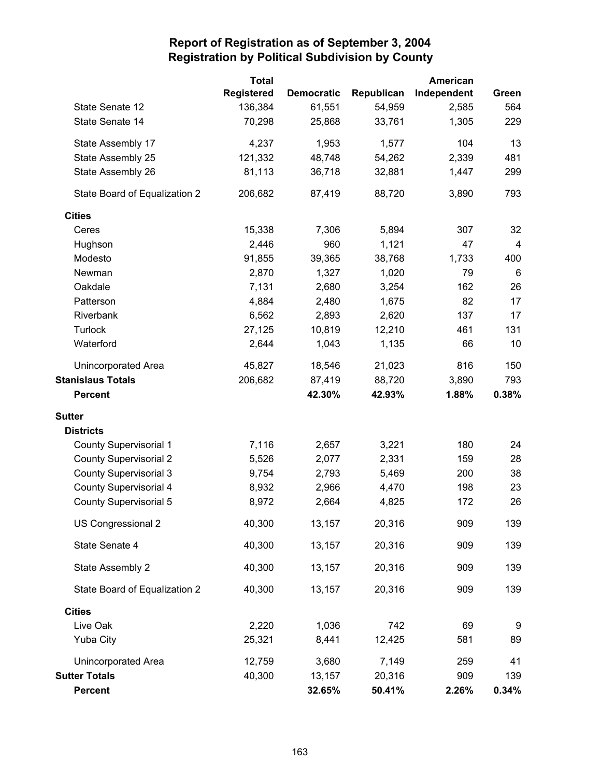|                               | <b>Total</b>      |                   |            | American    |                         |
|-------------------------------|-------------------|-------------------|------------|-------------|-------------------------|
|                               | <b>Registered</b> | <b>Democratic</b> | Republican | Independent | Green                   |
| State Senate 12               | 136,384           | 61,551            | 54,959     | 2,585       | 564                     |
| State Senate 14               | 70,298            | 25,868            | 33,761     | 1,305       | 229                     |
| State Assembly 17             | 4,237             | 1,953             | 1,577      | 104         | 13                      |
| State Assembly 25             | 121,332           | 48,748            | 54,262     | 2,339       | 481                     |
| State Assembly 26             | 81,113            | 36,718            | 32,881     | 1,447       | 299                     |
| State Board of Equalization 2 | 206,682           | 87,419            | 88,720     | 3,890       | 793                     |
| <b>Cities</b>                 |                   |                   |            |             |                         |
| Ceres                         | 15,338            | 7,306             | 5,894      | 307         | 32                      |
| Hughson                       | 2,446             | 960               | 1,121      | 47          | $\overline{\mathbf{4}}$ |
| Modesto                       | 91,855            | 39,365            | 38,768     | 1,733       | 400                     |
| Newman                        | 2,870             | 1,327             | 1,020      | 79          | 6                       |
| Oakdale                       | 7,131             | 2,680             | 3,254      | 162         | 26                      |
| Patterson                     | 4,884             | 2,480             | 1,675      | 82          | 17                      |
| Riverbank                     | 6,562             | 2,893             | 2,620      | 137         | 17                      |
| <b>Turlock</b>                | 27,125            | 10,819            | 12,210     | 461         | 131                     |
| Waterford                     | 2,644             | 1,043             | 1,135      | 66          | 10                      |
| <b>Unincorporated Area</b>    | 45,827            | 18,546            | 21,023     | 816         | 150                     |
| <b>Stanislaus Totals</b>      | 206,682           | 87,419            | 88,720     | 3,890       | 793                     |
| <b>Percent</b>                |                   | 42.30%            | 42.93%     | 1.88%       | 0.38%                   |
| <b>Sutter</b>                 |                   |                   |            |             |                         |
| <b>Districts</b>              |                   |                   |            |             |                         |
| <b>County Supervisorial 1</b> | 7,116             | 2,657             | 3,221      | 180         | 24                      |
| <b>County Supervisorial 2</b> | 5,526             | 2,077             | 2,331      | 159         | 28                      |
| <b>County Supervisorial 3</b> | 9,754             | 2,793             | 5,469      | 200         | 38                      |
| County Supervisorial 4        | 8,932             | 2,966             | 4,470      | 198         | 23                      |
| County Supervisorial 5        | 8,972             | 2,664             | 4,825      | 172         | 26                      |
| US Congressional 2            | 40,300            | 13,157            | 20,316     | 909         | 139                     |
| State Senate 4                | 40,300            | 13,157            | 20,316     | 909         | 139                     |
| State Assembly 2              | 40,300            | 13,157            | 20,316     | 909         | 139                     |
| State Board of Equalization 2 | 40,300            | 13,157            | 20,316     | 909         | 139                     |
| <b>Cities</b>                 |                   |                   |            |             |                         |
| Live Oak                      | 2,220             | 1,036             | 742        | 69          | 9                       |
| <b>Yuba City</b>              | 25,321            | 8,441             | 12,425     | 581         | 89                      |
| Unincorporated Area           | 12,759            | 3,680             | 7,149      | 259         | 41                      |
| <b>Sutter Totals</b>          | 40,300            | 13,157            | 20,316     | 909         | 139                     |
| <b>Percent</b>                |                   | 32.65%            | 50.41%     | 2.26%       | 0.34%                   |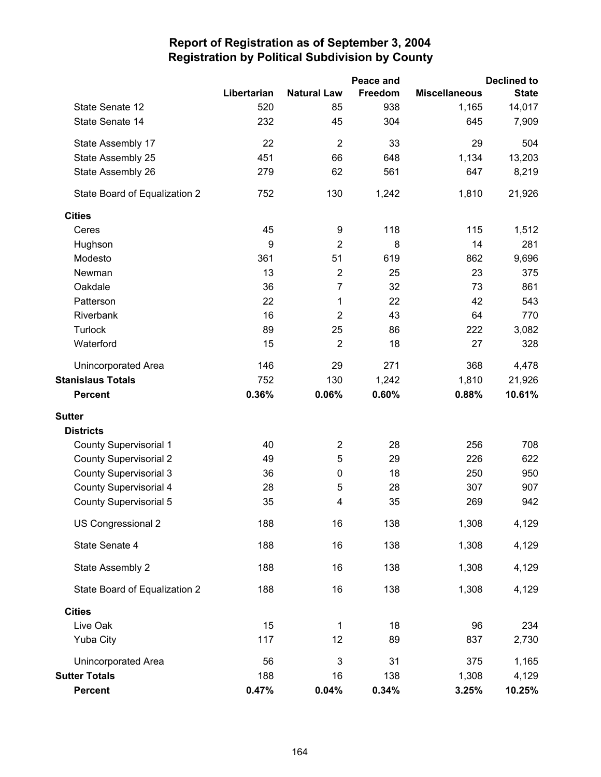|                               |             |                         | Peace and |                      | <b>Declined to</b> |
|-------------------------------|-------------|-------------------------|-----------|----------------------|--------------------|
|                               | Libertarian | <b>Natural Law</b>      | Freedom   | <b>Miscellaneous</b> | <b>State</b>       |
| State Senate 12               | 520         | 85                      | 938       | 1,165                | 14,017             |
| State Senate 14               | 232         | 45                      | 304       | 645                  | 7,909              |
| State Assembly 17             | 22          | $\overline{2}$          | 33        | 29                   | 504                |
| State Assembly 25             | 451         | 66                      | 648       | 1,134                | 13,203             |
| State Assembly 26             | 279         | 62                      | 561       | 647                  | 8,219              |
| State Board of Equalization 2 | 752         | 130                     | 1,242     | 1,810                | 21,926             |
| <b>Cities</b>                 |             |                         |           |                      |                    |
| Ceres                         | 45          | 9                       | 118       | 115                  | 1,512              |
| Hughson                       | 9           | $\overline{2}$          | 8         | 14                   | 281                |
| Modesto                       | 361         | 51                      | 619       | 862                  | 9,696              |
| Newman                        | 13          | $\overline{2}$          | 25        | 23                   | 375                |
| Oakdale                       | 36          | $\overline{7}$          | 32        | 73                   | 861                |
| Patterson                     | 22          | 1                       | 22        | 42                   | 543                |
| Riverbank                     | 16          | $\overline{2}$          | 43        | 64                   | 770                |
| Turlock                       | 89          | 25                      | 86        | 222                  | 3,082              |
| Waterford                     | 15          | $\overline{2}$          | 18        | 27                   | 328                |
| Unincorporated Area           | 146         | 29                      | 271       | 368                  | 4,478              |
| <b>Stanislaus Totals</b>      | 752         | 130                     | 1,242     | 1,810                | 21,926             |
| <b>Percent</b>                | 0.36%       | 0.06%                   | 0.60%     | 0.88%                | 10.61%             |
| <b>Sutter</b>                 |             |                         |           |                      |                    |
| <b>Districts</b>              |             |                         |           |                      |                    |
| <b>County Supervisorial 1</b> | 40          | $\overline{\mathbf{c}}$ | 28        | 256                  | 708                |
| <b>County Supervisorial 2</b> | 49          | 5                       | 29        | 226                  | 622                |
| <b>County Supervisorial 3</b> | 36          | $\pmb{0}$               | 18        | 250                  | 950                |
| <b>County Supervisorial 4</b> | 28          | 5                       | 28        | 307                  | 907                |
| <b>County Supervisorial 5</b> | 35          | 4                       | 35        | 269                  | 942                |
| US Congressional 2            | 188         | 16                      | 138       | 1,308                | 4,129              |
| State Senate 4                | 188         | 16                      | 138       | 1,308                | 4,129              |
| State Assembly 2              | 188         | 16                      | 138       | 1,308                | 4,129              |
| State Board of Equalization 2 | 188         | 16                      | 138       | 1,308                | 4,129              |
| <b>Cities</b>                 |             |                         |           |                      |                    |
| Live Oak                      | 15          | 1                       | 18        | 96                   | 234                |
| <b>Yuba City</b>              | 117         | 12                      | 89        | 837                  | 2,730              |
| Unincorporated Area           | 56          | 3                       | 31        | 375                  | 1,165              |
| <b>Sutter Totals</b>          | 188         | 16                      | 138       | 1,308                | 4,129              |
| <b>Percent</b>                | 0.47%       | 0.04%                   | 0.34%     | 3.25%                | 10.25%             |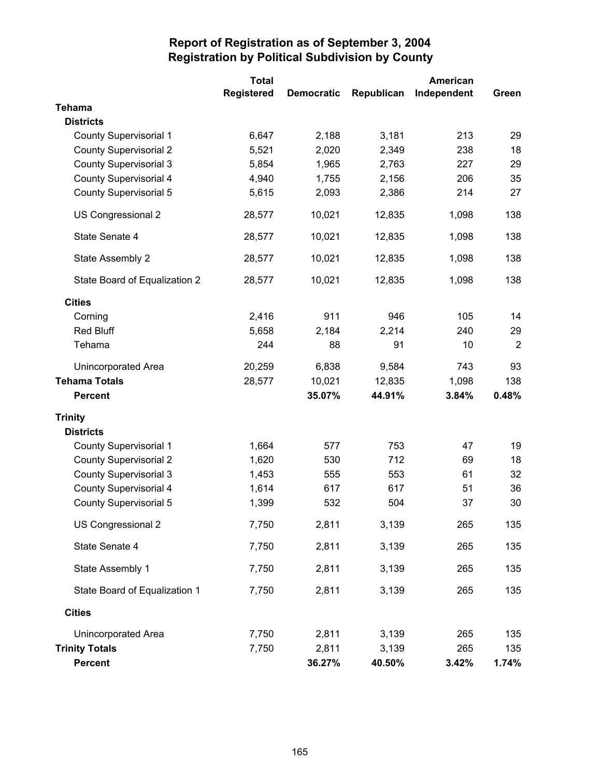|                               | <b>Total</b>      |                   |            | <b>American</b> |                |
|-------------------------------|-------------------|-------------------|------------|-----------------|----------------|
|                               | <b>Registered</b> | <b>Democratic</b> | Republican | Independent     | Green          |
| <b>Tehama</b>                 |                   |                   |            |                 |                |
| <b>Districts</b>              |                   |                   |            |                 |                |
| <b>County Supervisorial 1</b> | 6,647             | 2,188             | 3,181      | 213             | 29             |
| <b>County Supervisorial 2</b> | 5,521             | 2,020             | 2,349      | 238             | 18             |
| <b>County Supervisorial 3</b> | 5,854             | 1,965             | 2,763      | 227             | 29             |
| <b>County Supervisorial 4</b> | 4,940             | 1,755             | 2,156      | 206             | 35             |
| County Supervisorial 5        | 5,615             | 2,093             | 2,386      | 214             | 27             |
| US Congressional 2            | 28,577            | 10,021            | 12,835     | 1,098           | 138            |
| State Senate 4                | 28,577            | 10,021            | 12,835     | 1,098           | 138            |
| State Assembly 2              | 28,577            | 10,021            | 12,835     | 1,098           | 138            |
| State Board of Equalization 2 | 28,577            | 10,021            | 12,835     | 1,098           | 138            |
| <b>Cities</b>                 |                   |                   |            |                 |                |
| Corning                       | 2,416             | 911               | 946        | 105             | 14             |
| <b>Red Bluff</b>              | 5,658             | 2,184             | 2,214      | 240             | 29             |
| Tehama                        | 244               | 88                | 91         | 10              | $\overline{2}$ |
| Unincorporated Area           | 20,259            | 6,838             | 9,584      | 743             | 93             |
| <b>Tehama Totals</b>          | 28,577            | 10,021            | 12,835     | 1,098           | 138            |
| <b>Percent</b>                |                   | 35.07%            | 44.91%     | 3.84%           | 0.48%          |
| <b>Trinity</b>                |                   |                   |            |                 |                |
| <b>Districts</b>              |                   |                   |            |                 |                |
| <b>County Supervisorial 1</b> | 1,664             | 577               | 753        | 47              | 19             |
| <b>County Supervisorial 2</b> | 1,620             | 530               | 712        | 69              | 18             |
| <b>County Supervisorial 3</b> | 1,453             | 555               | 553        | 61              | 32             |
| <b>County Supervisorial 4</b> | 1,614             | 617               | 617        | 51              | 36             |
| <b>County Supervisorial 5</b> | 1,399             | 532               | 504        | 37              | 30             |
| US Congressional 2            | 7,750             | 2,811             | 3,139      | 265             | 135            |
| State Senate 4                | 7,750             | 2,811             | 3,139      | 265             | 135            |
| State Assembly 1              | 7,750             | 2,811             | 3,139      | 265             | 135            |
| State Board of Equalization 1 | 7,750             | 2,811             | 3,139      | 265             | 135            |
| <b>Cities</b>                 |                   |                   |            |                 |                |
| <b>Unincorporated Area</b>    | 7,750             | 2,811             | 3,139      | 265             | 135            |
| <b>Trinity Totals</b>         | 7,750             | 2,811             | 3,139      | 265             | 135            |
| <b>Percent</b>                |                   | 36.27%            | 40.50%     | 3.42%           | 1.74%          |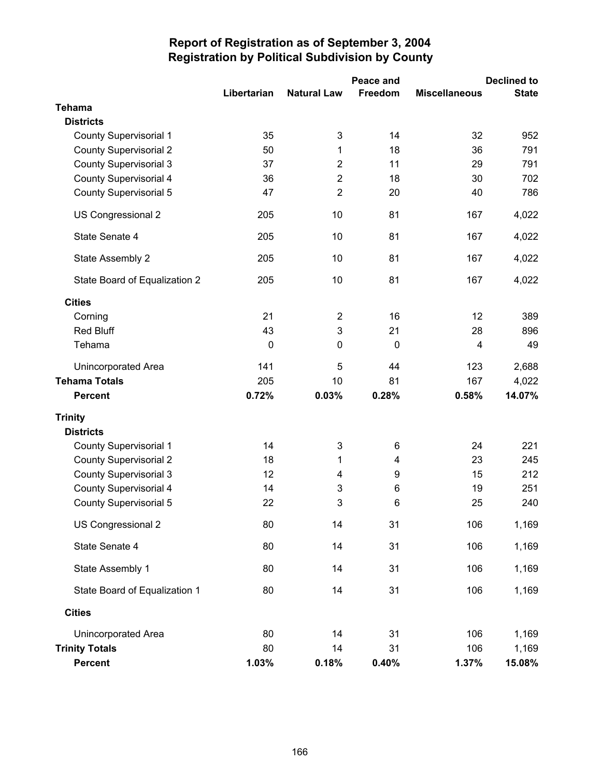|                               |             |                    | Peace and |                      | <b>Declined to</b> |
|-------------------------------|-------------|--------------------|-----------|----------------------|--------------------|
|                               | Libertarian | <b>Natural Law</b> | Freedom   | <b>Miscellaneous</b> | <b>State</b>       |
| <b>Tehama</b>                 |             |                    |           |                      |                    |
| <b>Districts</b>              |             |                    |           |                      |                    |
| <b>County Supervisorial 1</b> | 35          | 3                  | 14        | 32                   | 952                |
| <b>County Supervisorial 2</b> | 50          | 1                  | 18        | 36                   | 791                |
| <b>County Supervisorial 3</b> | 37          | $\overline{2}$     | 11        | 29                   | 791                |
| <b>County Supervisorial 4</b> | 36          | $\overline{2}$     | 18        | 30                   | 702                |
| <b>County Supervisorial 5</b> | 47          | $\overline{2}$     | 20        | 40                   | 786                |
| US Congressional 2            | 205         | 10                 | 81        | 167                  | 4,022              |
| State Senate 4                | 205         | 10                 | 81        | 167                  | 4,022              |
| State Assembly 2              | 205         | 10                 | 81        | 167                  | 4,022              |
| State Board of Equalization 2 | 205         | 10                 | 81        | 167                  | 4,022              |
| <b>Cities</b>                 |             |                    |           |                      |                    |
| Corning                       | 21          | $\overline{2}$     | 16        | 12                   | 389                |
| Red Bluff                     | 43          | 3                  | 21        | 28                   | 896                |
| Tehama                        | $\pmb{0}$   | $\pmb{0}$          | 0         | $\overline{4}$       | 49                 |
| Unincorporated Area           | 141         | 5                  | 44        | 123                  | 2,688              |
| <b>Tehama Totals</b>          | 205         | 10                 | 81        | 167                  | 4,022              |
| <b>Percent</b>                | 0.72%       | 0.03%              | 0.28%     | 0.58%                | 14.07%             |
| <b>Trinity</b>                |             |                    |           |                      |                    |
| <b>Districts</b>              |             |                    |           |                      |                    |
| <b>County Supervisorial 1</b> | 14          | 3                  | 6         | 24                   | 221                |
| <b>County Supervisorial 2</b> | 18          | 1                  | 4         | 23                   | 245                |
| <b>County Supervisorial 3</b> | 12          | 4                  | 9         | 15                   | 212                |
| <b>County Supervisorial 4</b> | 14          | 3                  | 6         | 19                   | 251                |
| County Supervisorial 5        | 22          | 3                  | 6         | 25                   | 240                |
| US Congressional 2            | 80          | 14                 | 31        | 106                  | 1,169              |
| State Senate 4                | 80          | 14                 | 31        | 106                  | 1,169              |
| State Assembly 1              | 80          | 14                 | 31        | 106                  | 1,169              |
| State Board of Equalization 1 | 80          | 14                 | 31        | 106                  | 1,169              |
| <b>Cities</b>                 |             |                    |           |                      |                    |
| <b>Unincorporated Area</b>    | 80          | 14                 | 31        | 106                  | 1,169              |
| <b>Trinity Totals</b>         | 80          | 14                 | 31        | 106                  | 1,169              |
| <b>Percent</b>                | 1.03%       | 0.18%              | 0.40%     | 1.37%                | 15.08%             |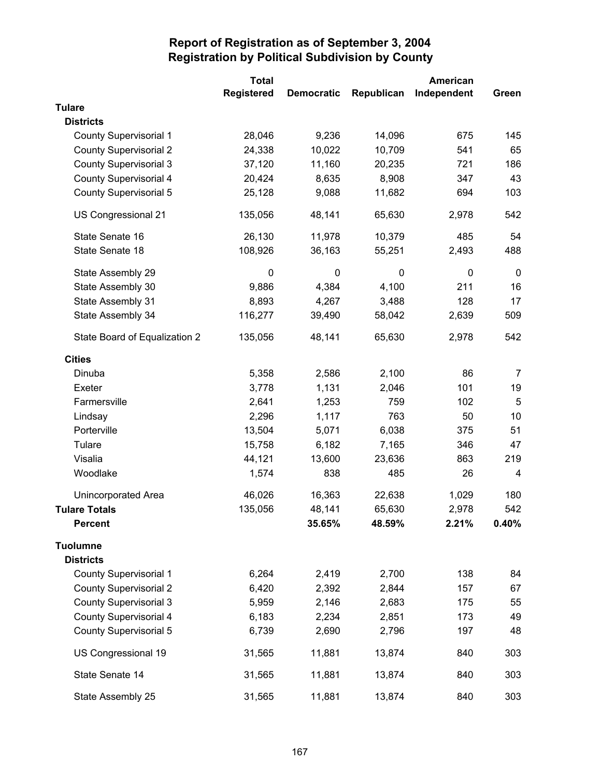|                               | <b>Total</b>      |                   |            | American    |                |
|-------------------------------|-------------------|-------------------|------------|-------------|----------------|
|                               | <b>Registered</b> | <b>Democratic</b> | Republican | Independent | Green          |
| <b>Tulare</b>                 |                   |                   |            |             |                |
| <b>Districts</b>              |                   |                   |            |             |                |
| <b>County Supervisorial 1</b> | 28,046            | 9,236             | 14,096     | 675         | 145            |
| <b>County Supervisorial 2</b> | 24,338            | 10,022            | 10,709     | 541         | 65             |
| <b>County Supervisorial 3</b> | 37,120            | 11,160            | 20,235     | 721         | 186            |
| <b>County Supervisorial 4</b> | 20,424            | 8,635             | 8,908      | 347         | 43             |
| <b>County Supervisorial 5</b> | 25,128            | 9,088             | 11,682     | 694         | 103            |
| US Congressional 21           | 135,056           | 48,141            | 65,630     | 2,978       | 542            |
| State Senate 16               | 26,130            | 11,978            | 10,379     | 485         | 54             |
| State Senate 18               | 108,926           | 36,163            | 55,251     | 2,493       | 488            |
| State Assembly 29             | $\pmb{0}$         | 0                 | 0          | 0           | 0              |
| State Assembly 30             | 9,886             | 4,384             | 4,100      | 211         | 16             |
| State Assembly 31             | 8,893             | 4,267             | 3,488      | 128         | 17             |
| State Assembly 34             | 116,277           | 39,490            | 58,042     | 2,639       | 509            |
| State Board of Equalization 2 | 135,056           | 48,141            | 65,630     | 2,978       | 542            |
| <b>Cities</b>                 |                   |                   |            |             |                |
| Dinuba                        | 5,358             | 2,586             | 2,100      | 86          | $\overline{7}$ |
| Exeter                        | 3,778             | 1,131             | 2,046      | 101         | 19             |
| Farmersville                  | 2,641             | 1,253             | 759        | 102         | 5              |
| Lindsay                       | 2,296             | 1,117             | 763        | 50          | 10             |
| Porterville                   | 13,504            | 5,071             | 6,038      | 375         | 51             |
| Tulare                        | 15,758            | 6,182             | 7,165      | 346         | 47             |
| Visalia                       | 44,121            | 13,600            | 23,636     | 863         | 219            |
| Woodlake                      | 1,574             | 838               | 485        | 26          | 4              |
| <b>Unincorporated Area</b>    | 46,026            | 16,363            | 22,638     | 1,029       | 180            |
| <b>Tulare Totals</b>          | 135,056           | 48,141            | 65,630     | 2,978       | 542            |
| <b>Percent</b>                |                   | 35.65%            | 48.59%     | 2.21%       | 0.40%          |
| <b>Tuolumne</b>               |                   |                   |            |             |                |
| <b>Districts</b>              |                   |                   |            |             |                |
| <b>County Supervisorial 1</b> | 6,264             | 2,419             | 2,700      | 138         | 84             |
| <b>County Supervisorial 2</b> | 6,420             | 2,392             | 2,844      | 157         | 67             |
| <b>County Supervisorial 3</b> | 5,959             | 2,146             | 2,683      | 175         | 55             |
| <b>County Supervisorial 4</b> | 6,183             | 2,234             | 2,851      | 173         | 49             |
| <b>County Supervisorial 5</b> | 6,739             | 2,690             | 2,796      | 197         | 48             |
| US Congressional 19           | 31,565            | 11,881            | 13,874     | 840         | 303            |
| State Senate 14               | 31,565            | 11,881            | 13,874     | 840         | 303            |
| State Assembly 25             | 31,565            | 11,881            | 13,874     | 840         | 303            |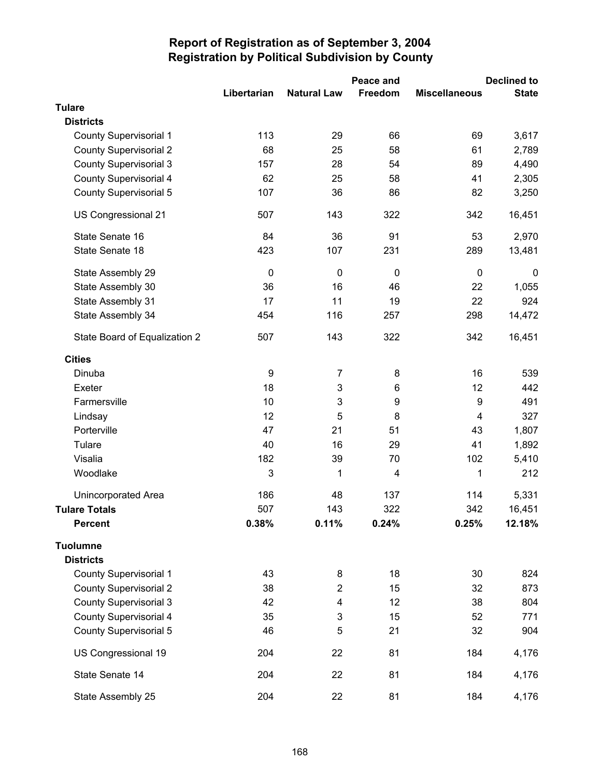|                               |             |                    | Peace and   | <b>Declined to</b>   |              |  |
|-------------------------------|-------------|--------------------|-------------|----------------------|--------------|--|
|                               | Libertarian | <b>Natural Law</b> | Freedom     | <b>Miscellaneous</b> | <b>State</b> |  |
| <b>Tulare</b>                 |             |                    |             |                      |              |  |
| <b>Districts</b>              |             |                    |             |                      |              |  |
| <b>County Supervisorial 1</b> | 113         | 29                 | 66          | 69                   | 3,617        |  |
| <b>County Supervisorial 2</b> | 68          | 25                 | 58          | 61                   | 2,789        |  |
| <b>County Supervisorial 3</b> | 157         | 28                 | 54          | 89                   | 4,490        |  |
| <b>County Supervisorial 4</b> | 62          | 25                 | 58          | 41                   | 2,305        |  |
| <b>County Supervisorial 5</b> | 107         | 36                 | 86          | 82                   | 3,250        |  |
| US Congressional 21           | 507         | 143                | 322         | 342                  | 16,451       |  |
| State Senate 16               | 84          | 36                 | 91          | 53                   | 2,970        |  |
| State Senate 18               | 423         | 107                | 231         | 289                  | 13,481       |  |
| State Assembly 29             | $\pmb{0}$   | $\mathbf 0$        | $\mathbf 0$ | $\boldsymbol{0}$     | $\mathbf 0$  |  |
| State Assembly 30             | 36          | 16                 | 46          | 22                   | 1,055        |  |
| State Assembly 31             | 17          | 11                 | 19          | 22                   | 924          |  |
| State Assembly 34             | 454         | 116                | 257         | 298                  | 14,472       |  |
| State Board of Equalization 2 | 507         | 143                | 322         | 342                  | 16,451       |  |
| <b>Cities</b>                 |             |                    |             |                      |              |  |
| Dinuba                        | 9           | $\overline{7}$     | 8           | 16                   | 539          |  |
| Exeter                        | 18          | 3                  | 6           | 12                   | 442          |  |
| Farmersville                  | 10          | 3                  | 9           | 9                    | 491          |  |
| Lindsay                       | 12          | 5                  | 8           | $\overline{4}$       | 327          |  |
| Porterville                   | 47          | 21                 | 51          | 43                   | 1,807        |  |
| Tulare                        | 40          | 16                 | 29          | 41                   | 1,892        |  |
| Visalia                       | 182         | 39                 | 70          | 102                  | 5,410        |  |
| Woodlake                      | 3           | 1                  | 4           | 1                    | 212          |  |
| <b>Unincorporated Area</b>    | 186         | 48                 | 137         | 114                  | 5,331        |  |
| <b>Tulare Totals</b>          | 507         | 143                | 322         | 342                  | 16,451       |  |
| <b>Percent</b>                | 0.38%       | 0.11%              | 0.24%       | 0.25%                | 12.18%       |  |
| <b>Tuolumne</b>               |             |                    |             |                      |              |  |
| <b>Districts</b>              |             |                    |             |                      |              |  |
| <b>County Supervisorial 1</b> | 43          | 8                  | 18          | 30                   | 824          |  |
| <b>County Supervisorial 2</b> | 38          | $\overline{2}$     | 15          | 32                   | 873          |  |
| <b>County Supervisorial 3</b> | 42          | 4                  | 12          | 38                   | 804          |  |
| <b>County Supervisorial 4</b> | 35          | 3                  | 15          | 52                   | 771          |  |
| <b>County Supervisorial 5</b> | 46          | 5                  | 21          | 32                   | 904          |  |
| US Congressional 19           | 204         | 22                 | 81          | 184                  | 4,176        |  |
| State Senate 14               | 204         | 22                 | 81          | 184                  | 4,176        |  |
| State Assembly 25             | 204         | 22                 | 81          | 184                  | 4,176        |  |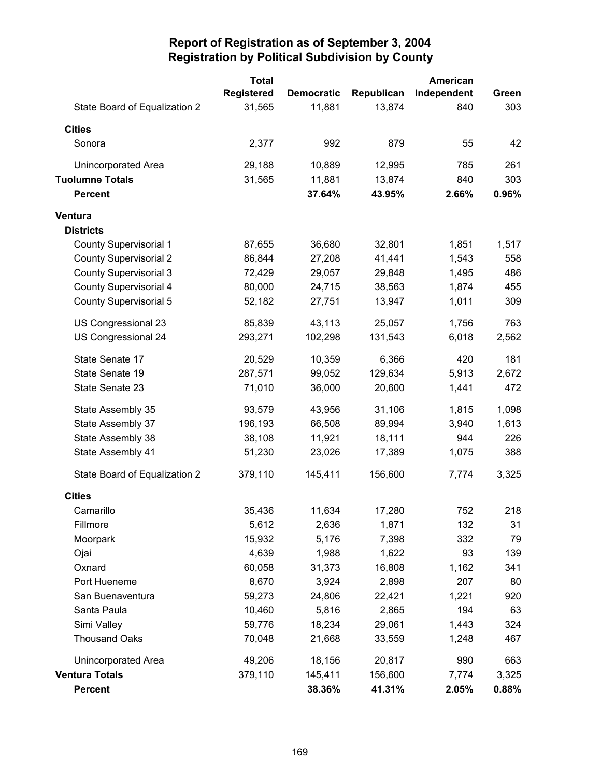|                               | <b>Total</b>      |                   |            | American    |       |
|-------------------------------|-------------------|-------------------|------------|-------------|-------|
|                               | <b>Registered</b> | <b>Democratic</b> | Republican | Independent | Green |
| State Board of Equalization 2 | 31,565            | 11,881            | 13,874     | 840         | 303   |
| <b>Cities</b>                 |                   |                   |            |             |       |
| Sonora                        | 2,377             | 992               | 879        | 55          | 42    |
| Unincorporated Area           | 29,188            | 10,889            | 12,995     | 785         | 261   |
| <b>Tuolumne Totals</b>        | 31,565            | 11,881            | 13,874     | 840         | 303   |
| <b>Percent</b>                |                   | 37.64%            | 43.95%     | 2.66%       | 0.96% |
| Ventura                       |                   |                   |            |             |       |
| <b>Districts</b>              |                   |                   |            |             |       |
| <b>County Supervisorial 1</b> | 87,655            | 36,680            | 32,801     | 1,851       | 1,517 |
| <b>County Supervisorial 2</b> | 86,844            | 27,208            | 41,441     | 1,543       | 558   |
| County Supervisorial 3        | 72,429            | 29,057            | 29,848     | 1,495       | 486   |
| <b>County Supervisorial 4</b> | 80,000            | 24,715            | 38,563     | 1,874       | 455   |
| County Supervisorial 5        | 52,182            | 27,751            | 13,947     | 1,011       | 309   |
| US Congressional 23           | 85,839            | 43,113            | 25,057     | 1,756       | 763   |
| US Congressional 24           | 293,271           | 102,298           | 131,543    | 6,018       | 2,562 |
| State Senate 17               | 20,529            | 10,359            | 6,366      | 420         | 181   |
| State Senate 19               | 287,571           | 99,052            | 129,634    | 5,913       | 2,672 |
| State Senate 23               | 71,010            | 36,000            | 20,600     | 1,441       | 472   |
| State Assembly 35             | 93,579            | 43,956            | 31,106     | 1,815       | 1,098 |
| State Assembly 37             | 196,193           | 66,508            | 89,994     | 3,940       | 1,613 |
| State Assembly 38             | 38,108            | 11,921            | 18,111     | 944         | 226   |
| State Assembly 41             | 51,230            | 23,026            | 17,389     | 1,075       | 388   |
| State Board of Equalization 2 | 379,110           | 145,411           | 156,600    | 7,774       | 3,325 |
| <b>Cities</b>                 |                   |                   |            |             |       |
| Camarillo                     | 35,436            | 11,634            | 17,280     | 752         | 218   |
| Fillmore                      | 5,612             | 2,636             | 1,871      | 132         | 31    |
| Moorpark                      | 15,932            | 5,176             | 7,398      | 332         | 79    |
| Ojai                          | 4,639             | 1,988             | 1,622      | 93          | 139   |
| Oxnard                        | 60,058            | 31,373            | 16,808     | 1,162       | 341   |
| Port Hueneme                  | 8,670             | 3,924             | 2,898      | 207         | 80    |
| San Buenaventura              | 59,273            | 24,806            | 22,421     | 1,221       | 920   |
| Santa Paula                   | 10,460            | 5,816             | 2,865      | 194         | 63    |
| Simi Valley                   | 59,776            | 18,234            | 29,061     | 1,443       | 324   |
| <b>Thousand Oaks</b>          | 70,048            | 21,668            | 33,559     | 1,248       | 467   |
| Unincorporated Area           | 49,206            | 18,156            | 20,817     | 990         | 663   |
| <b>Ventura Totals</b>         | 379,110           | 145,411           | 156,600    | 7,774       | 3,325 |
| <b>Percent</b>                |                   | 38.36%            | 41.31%     | 2.05%       | 0.88% |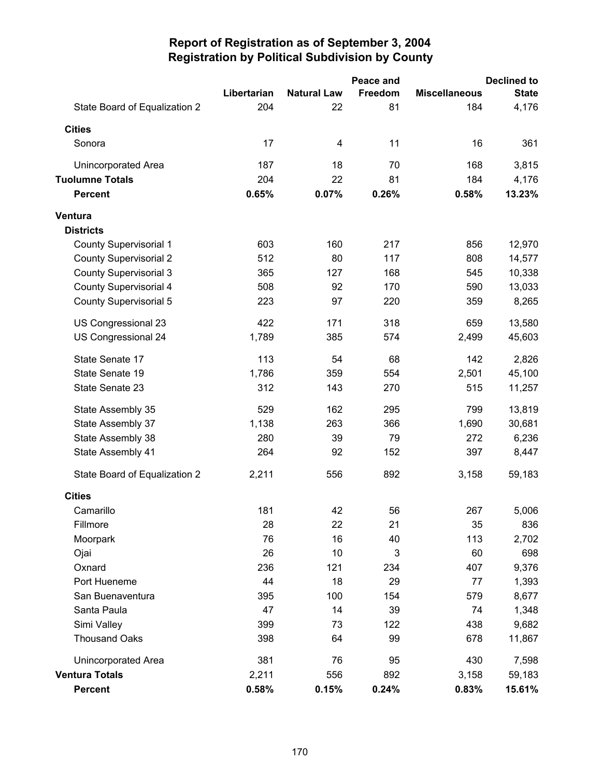|                               |             |                    | Peace and |                      | <b>Declined to</b> |
|-------------------------------|-------------|--------------------|-----------|----------------------|--------------------|
|                               | Libertarian | <b>Natural Law</b> | Freedom   | <b>Miscellaneous</b> | <b>State</b>       |
| State Board of Equalization 2 | 204         | 22                 | 81        | 184                  | 4,176              |
| <b>Cities</b>                 |             |                    |           |                      |                    |
| Sonora                        | 17          | 4                  | 11        | 16                   | 361                |
| Unincorporated Area           | 187         | 18                 | 70        | 168                  | 3,815              |
| <b>Tuolumne Totals</b>        | 204         | 22                 | 81        | 184                  | 4,176              |
| <b>Percent</b>                | 0.65%       | 0.07%              | 0.26%     | 0.58%                | 13.23%             |
| Ventura                       |             |                    |           |                      |                    |
| <b>Districts</b>              |             |                    |           |                      |                    |
| <b>County Supervisorial 1</b> | 603         | 160                | 217       | 856                  | 12,970             |
| <b>County Supervisorial 2</b> | 512         | 80                 | 117       | 808                  | 14,577             |
| <b>County Supervisorial 3</b> | 365         | 127                | 168       | 545                  | 10,338             |
| <b>County Supervisorial 4</b> | 508         | 92                 | 170       | 590                  | 13,033             |
| <b>County Supervisorial 5</b> | 223         | 97                 | 220       | 359                  | 8,265              |
| US Congressional 23           | 422         | 171                | 318       | 659                  | 13,580             |
| US Congressional 24           | 1,789       | 385                | 574       | 2,499                | 45,603             |
| State Senate 17               | 113         | 54                 | 68        | 142                  | 2,826              |
| State Senate 19               | 1,786       | 359                | 554       | 2,501                | 45,100             |
| State Senate 23               | 312         | 143                | 270       | 515                  | 11,257             |
| State Assembly 35             | 529         | 162                | 295       | 799                  | 13,819             |
| State Assembly 37             | 1,138       | 263                | 366       | 1,690                | 30,681             |
| State Assembly 38             | 280         | 39                 | 79        | 272                  | 6,236              |
| State Assembly 41             | 264         | 92                 | 152       | 397                  | 8,447              |
| State Board of Equalization 2 | 2,211       | 556                | 892       | 3,158                | 59,183             |
| <b>Cities</b>                 |             |                    |           |                      |                    |
| Camarillo                     | 181         | 42                 | 56        | 267                  | 5,006              |
| Fillmore                      | 28          | 22                 | 21        | 35                   | 836                |
| Moorpark                      | 76          | 16                 | 40        | 113                  | 2,702              |
| Ojai                          | 26          | 10                 | 3         | 60                   | 698                |
| Oxnard                        | 236         | 121                | 234       | 407                  | 9,376              |
| Port Hueneme                  | 44          | 18                 | 29        | 77                   | 1,393              |
| San Buenaventura              | 395         | 100                | 154       | 579                  | 8,677              |
| Santa Paula                   | 47          | 14                 | 39        | 74                   | 1,348              |
| Simi Valley                   | 399         | 73                 | 122       | 438                  | 9,682              |
| <b>Thousand Oaks</b>          | 398         | 64                 | 99        | 678                  | 11,867             |
| Unincorporated Area           | 381         | 76                 | 95        | 430                  | 7,598              |
| <b>Ventura Totals</b>         | 2,211       | 556                | 892       | 3,158                | 59,183             |
| <b>Percent</b>                | 0.58%       | 0.15%              | 0.24%     | 0.83%                | 15.61%             |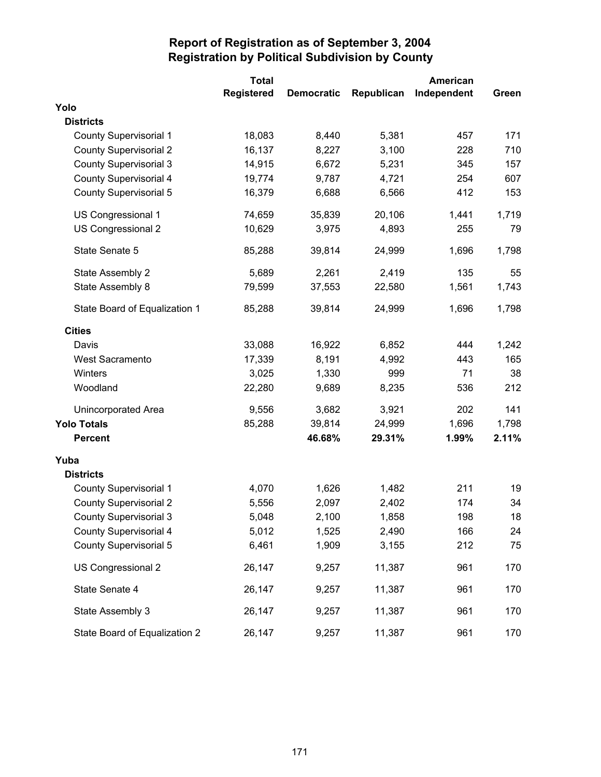|                               | <b>Total</b>      |                   |            | American    |       |
|-------------------------------|-------------------|-------------------|------------|-------------|-------|
|                               | <b>Registered</b> | <b>Democratic</b> | Republican | Independent | Green |
| Yolo                          |                   |                   |            |             |       |
| <b>Districts</b>              |                   |                   |            |             |       |
| <b>County Supervisorial 1</b> | 18,083            | 8,440             | 5,381      | 457         | 171   |
| <b>County Supervisorial 2</b> | 16,137            | 8,227             | 3,100      | 228         | 710   |
| <b>County Supervisorial 3</b> | 14,915            | 6,672             | 5,231      | 345         | 157   |
| <b>County Supervisorial 4</b> | 19,774            | 9,787             | 4,721      | 254         | 607   |
| <b>County Supervisorial 5</b> | 16,379            | 6,688             | 6,566      | 412         | 153   |
| US Congressional 1            | 74,659            | 35,839            | 20,106     | 1,441       | 1,719 |
| US Congressional 2            | 10,629            | 3,975             | 4,893      | 255         | 79    |
| State Senate 5                | 85,288            | 39,814            | 24,999     | 1,696       | 1,798 |
| State Assembly 2              | 5,689             | 2,261             | 2,419      | 135         | 55    |
| State Assembly 8              | 79,599            | 37,553            | 22,580     | 1,561       | 1,743 |
| State Board of Equalization 1 | 85,288            | 39,814            | 24,999     | 1,696       | 1,798 |
| <b>Cities</b>                 |                   |                   |            |             |       |
| Davis                         | 33,088            | 16,922            | 6,852      | 444         | 1,242 |
| West Sacramento               | 17,339            | 8,191             | 4,992      | 443         | 165   |
| Winters                       | 3,025             | 1,330             | 999        | 71          | 38    |
| Woodland                      | 22,280            | 9,689             | 8,235      | 536         | 212   |
| Unincorporated Area           | 9,556             | 3,682             | 3,921      | 202         | 141   |
| <b>Yolo Totals</b>            | 85,288            | 39,814            | 24,999     | 1,696       | 1,798 |
| <b>Percent</b>                |                   | 46.68%            | 29.31%     | 1.99%       | 2.11% |
| Yuba                          |                   |                   |            |             |       |
| <b>Districts</b>              |                   |                   |            |             |       |
| <b>County Supervisorial 1</b> | 4,070             | 1,626             | 1,482      | 211         | 19    |
| <b>County Supervisorial 2</b> | 5,556             | 2,097             | 2,402      | 174         | 34    |
| <b>County Supervisorial 3</b> | 5,048             | 2,100             | 1,858      | 198         | 18    |
| <b>County Supervisorial 4</b> | 5,012             | 1,525             | 2,490      | 166         | 24    |
| <b>County Supervisorial 5</b> | 6,461             | 1,909             | 3,155      | 212         | 75    |
| US Congressional 2            | 26,147            | 9,257             | 11,387     | 961         | 170   |
| State Senate 4                | 26,147            | 9,257             | 11,387     | 961         | 170   |
| State Assembly 3              | 26,147            | 9,257             | 11,387     | 961         | 170   |
| State Board of Equalization 2 | 26,147            | 9,257             | 11,387     | 961         | 170   |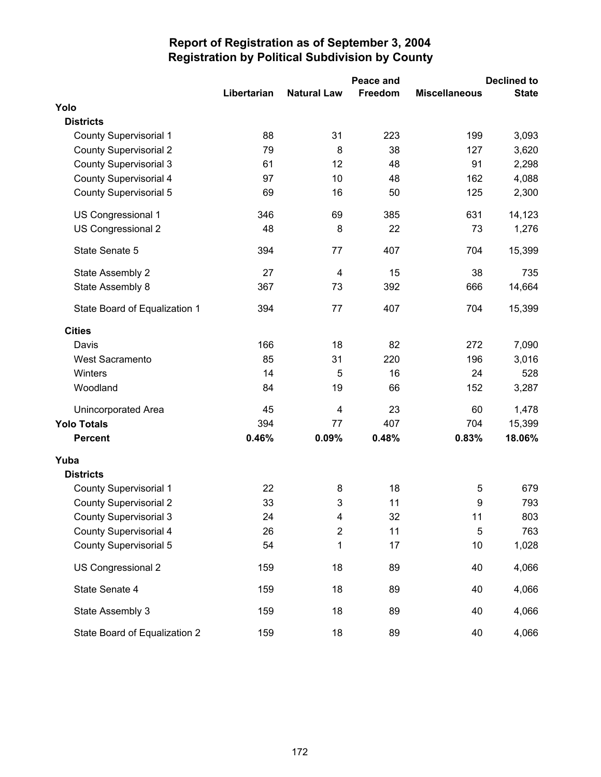|                               |             |                    | Peace and |                      | <b>Declined to</b> |  |
|-------------------------------|-------------|--------------------|-----------|----------------------|--------------------|--|
|                               | Libertarian | <b>Natural Law</b> | Freedom   | <b>Miscellaneous</b> | <b>State</b>       |  |
| Yolo                          |             |                    |           |                      |                    |  |
| <b>Districts</b>              |             |                    |           |                      |                    |  |
| <b>County Supervisorial 1</b> | 88          | 31                 | 223       | 199                  | 3,093              |  |
| <b>County Supervisorial 2</b> | 79          | 8                  | 38        | 127                  | 3,620              |  |
| <b>County Supervisorial 3</b> | 61          | 12                 | 48        | 91                   | 2,298              |  |
| County Supervisorial 4        | 97          | 10                 | 48        | 162                  | 4,088              |  |
| <b>County Supervisorial 5</b> | 69          | 16                 | 50        | 125                  | 2,300              |  |
| US Congressional 1            | 346         | 69                 | 385       | 631                  | 14,123             |  |
| US Congressional 2            | 48          | 8                  | 22        | 73                   | 1,276              |  |
| State Senate 5                | 394         | 77                 | 407       | 704                  | 15,399             |  |
| State Assembly 2              | 27          | 4                  | 15        | 38                   | 735                |  |
| State Assembly 8              | 367         | 73                 | 392       | 666                  | 14,664             |  |
| State Board of Equalization 1 | 394         | 77                 | 407       | 704                  | 15,399             |  |
| <b>Cities</b>                 |             |                    |           |                      |                    |  |
| Davis                         | 166         | 18                 | 82        | 272                  | 7,090              |  |
| West Sacramento               | 85          | 31                 | 220       | 196                  | 3,016              |  |
| Winters                       | 14          | 5                  | 16        | 24                   | 528                |  |
| Woodland                      | 84          | 19                 | 66        | 152                  | 3,287              |  |
| Unincorporated Area           | 45          | $\overline{4}$     | 23        | 60                   | 1,478              |  |
| <b>Yolo Totals</b>            | 394         | 77                 | 407       | 704                  | 15,399             |  |
| <b>Percent</b>                | 0.46%       | 0.09%              | 0.48%     | 0.83%                | 18.06%             |  |
| Yuba                          |             |                    |           |                      |                    |  |
| <b>Districts</b>              |             |                    |           |                      |                    |  |
| <b>County Supervisorial 1</b> | 22          | 8                  | 18        | 5                    | 679                |  |
| <b>County Supervisorial 2</b> | 33          | 3                  | 11        | 9                    | 793                |  |
| <b>County Supervisorial 3</b> | 24          | 4                  | 32        | 11                   | 803                |  |
| County Supervisorial 4        | 26          | $\mathbf 2$        | 11        | 5                    | 763                |  |
| <b>County Supervisorial 5</b> | 54          | 1                  | 17        | 10                   | 1,028              |  |
| US Congressional 2            | 159         | 18                 | 89        | 40                   | 4,066              |  |
| State Senate 4                | 159         | 18                 | 89        | 40                   | 4,066              |  |
| State Assembly 3              | 159         | 18                 | 89        | 40                   | 4,066              |  |
| State Board of Equalization 2 | 159         | 18                 | 89        | 40                   | 4,066              |  |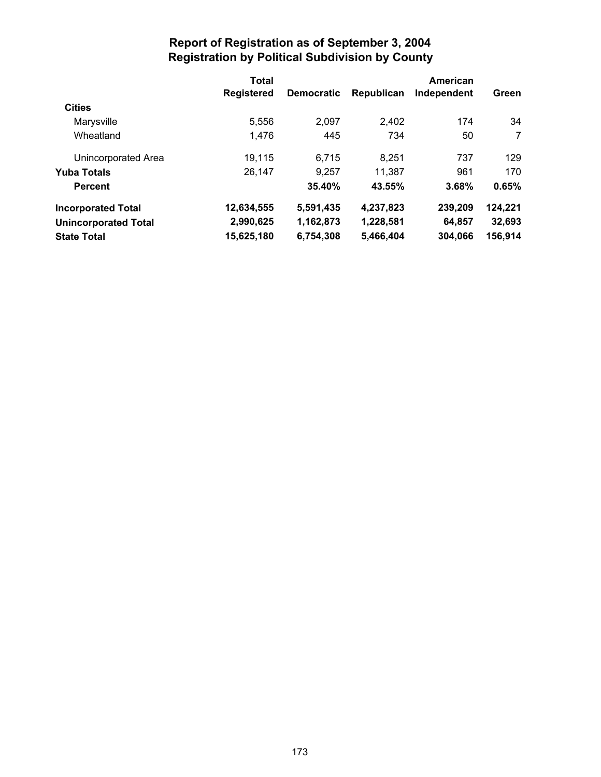| <b>Total</b>      |                   |            | American    |                |
|-------------------|-------------------|------------|-------------|----------------|
| <b>Registered</b> | <b>Democratic</b> | Republican | Independent | Green          |
|                   |                   |            |             |                |
| 5,556             | 2.097             | 2,402      | 174         | 34             |
| 1,476             | 445               | 734        | 50          | $\overline{7}$ |
| 19,115            | 6,715             | 8.251      | 737         | 129            |
| 26,147            | 9,257             | 11,387     | 961         | 170            |
|                   | 35.40%            | 43.55%     | 3.68%       | 0.65%          |
| 12,634,555        | 5,591,435         | 4,237,823  | 239,209     | 124,221        |
| 2,990,625         | 1,162,873         | 1,228,581  | 64,857      | 32,693         |
| 15,625,180        | 6,754,308         | 5,466,404  | 304,066     | 156,914        |
|                   |                   |            |             |                |